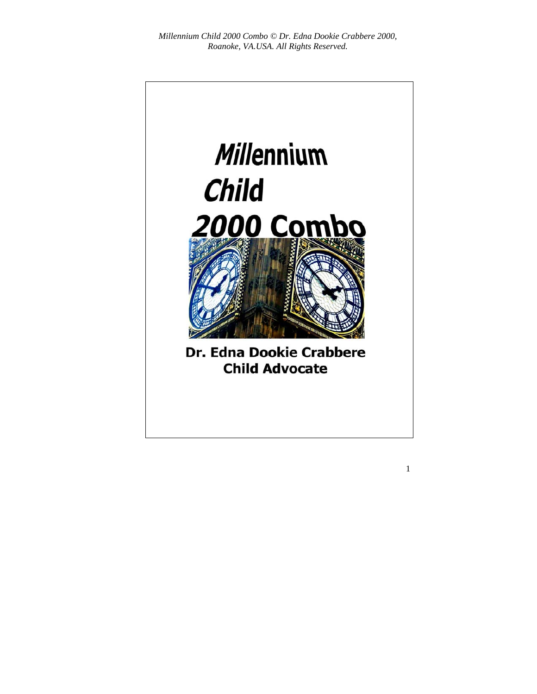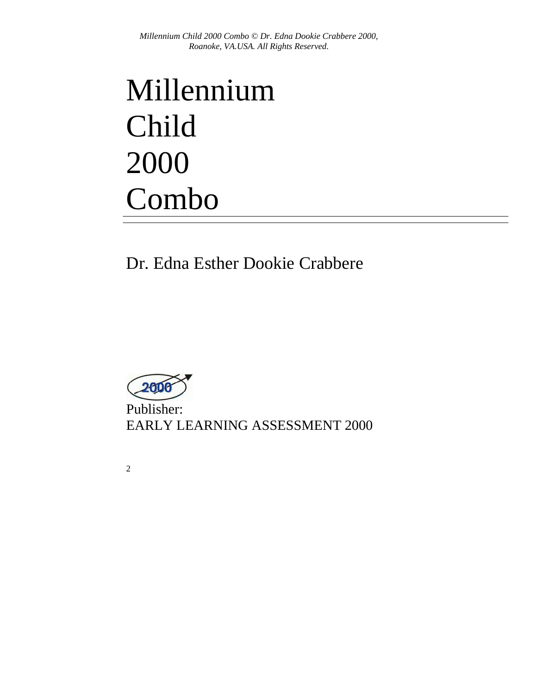# Millennium Child 2000 Combo

Dr. Edna Esther Dookie Crabbere



Publisher: EARLY LEARNING ASSESSMENT 2000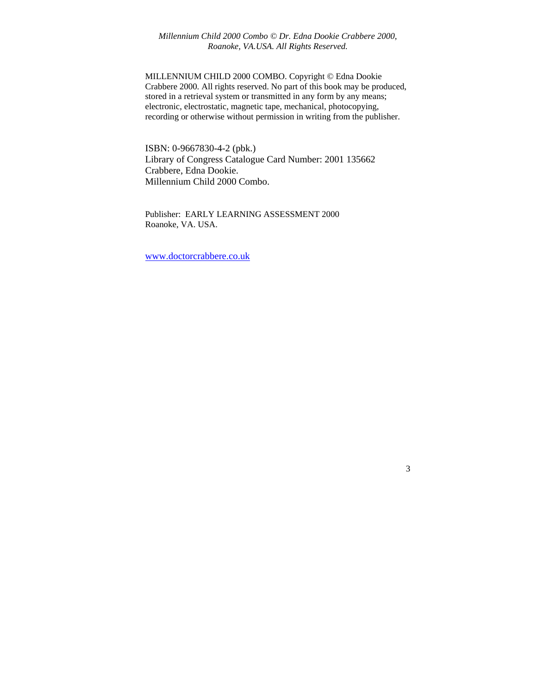MILLENNIUM CHILD 2000 COMBO. Copyright © Edna Dookie Crabbere 2000. All rights reserved. No part of this book may be produced, stored in a retrieval system or transmitted in any form by any means; electronic, electrostatic, magnetic tape, mechanical, photocopying, recording or otherwise without permission in writing from the publisher.

ISBN: 0-9667830-4-2 (pbk.) Library of Congress Catalogue Card Number: 2001 135662 Crabbere, Edna Dookie. Millennium Child 2000 Combo.

Publisher: EARLY LEARNING ASSESSMENT 2000 Roanoke, VA. USA.

www.doctorcrabbere.co.uk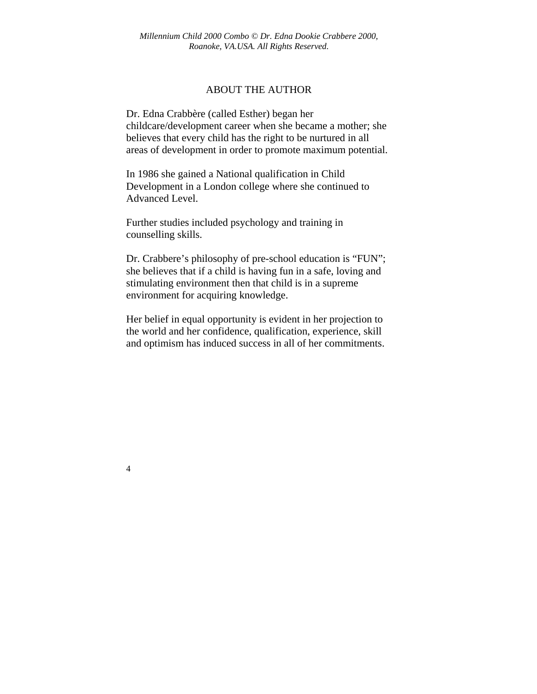#### ABOUT THE AUTHOR

Dr. Edna Crabbère (called Esther) began her childcare/development career when she became a mother; she believes that every child has the right to be nurtured in all areas of development in order to promote maximum potential.

In 1986 she gained a National qualification in Child Development in a London college where she continued to Advanced Level.

Further studies included psychology and training in counselling skills.

Dr. Crabbere's philosophy of pre-school education is "FUN"; she believes that if a child is having fun in a safe, loving and stimulating environment then that child is in a supreme environment for acquiring knowledge.

Her belief in equal opportunity is evident in her projection to the world and her confidence, qualification, experience, skill and optimism has induced success in all of her commitments.

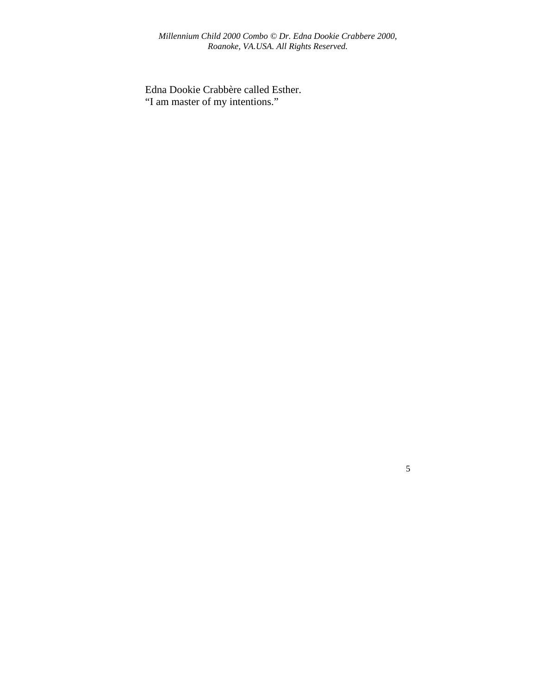Edna Dookie Crabbère called Esther. "I am master of my intentions."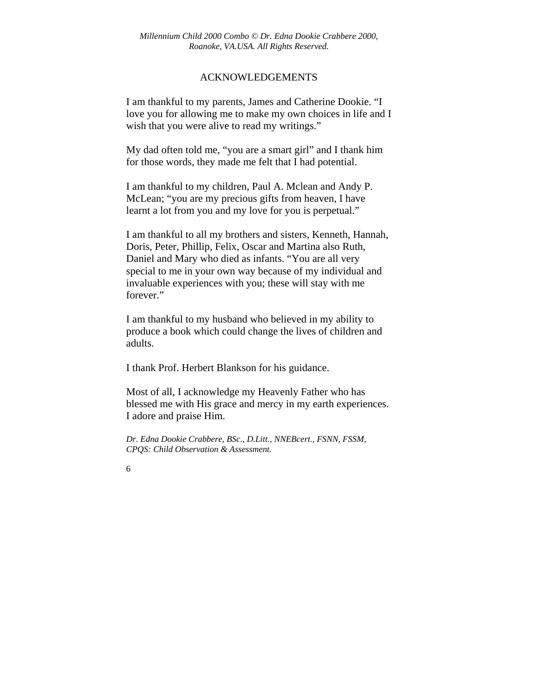#### ACKNOWLEDGEMENTS

I am thankful to my parents, James and Catherine Dookie. "I love you for allowing me to make my own choices in life and I wish that you were alive to read my writings."

My dad often told me, "you are a smart girl" and I thank him for those words, they made me felt that I had potential.

I am thankful to my children, Paul A. Mclean and Andy P. McLean; "you are my precious gifts from heaven, I have learnt a lot from you and my love for you is perpetual."

I am thankful to all my brothers and sisters, Kenneth, Hannah, Doris, Peter, Phillip, Felix, Oscar and Martina also Ruth, Daniel and Mary who died as infants. "You are all very special to me in your own way because of my individual and invaluable experiences with you; these will stay with me forever."

I am thankful to my husband who believed in my ability to produce a book which could change the lives of children and adults.

I thank Prof. Herbert Blankson for his guidance.

Most of all, I acknowledge my Heavenly Father who has blessed me with His grace and mercy in my earth experiences. I adore and praise Him.

*Dr. Edna Dookie Crabbere, BSc., D.Litt., NNEBcert., FSNN, FSSM, CPQS: Child Observation & Assessment.*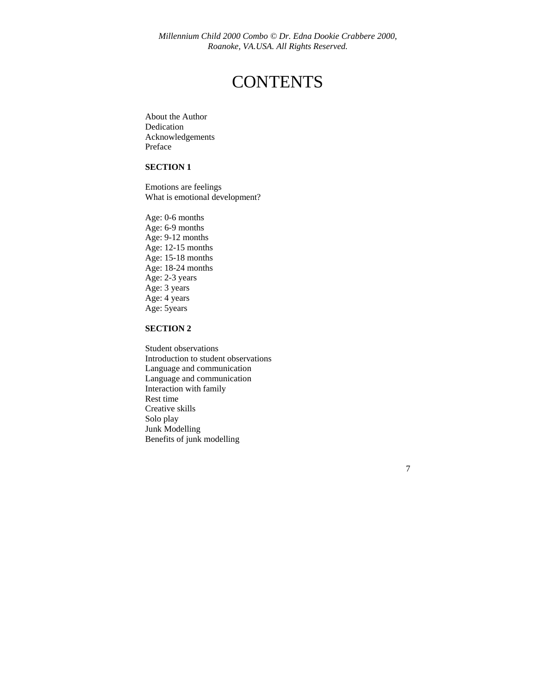## **CONTENTS**

About the Author Dedication Acknowledgements Preface

#### **SECTION 1**

Emotions are feelings What is emotional development?

Age: 0-6 months Age: 6-9 months Age: 9-12 months Age: 12-15 months Age: 15-18 months Age: 18-24 months Age: 2-3 years Age: 3 years Age: 4 years Age: 5years

#### **SECTION 2**

Student observations Introduction to student observations Language and communication Language and communication Interaction with family Rest time Creative skills Solo play Junk Modelling Benefits of junk modelling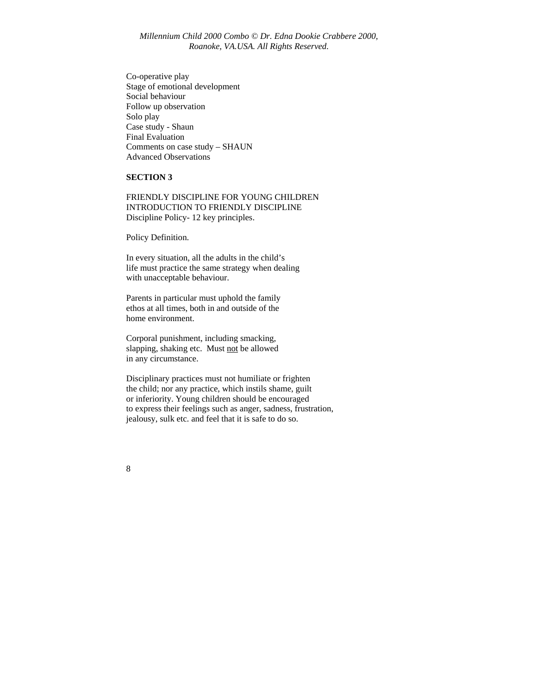Co-operative play Stage of emotional development Social behaviour Follow up observation Solo play Case study - Shaun Final Evaluation Comments on case study – SHAUN Advanced Observations

#### **SECTION 3**

FRIENDLY DISCIPLINE FOR YOUNG CHILDREN INTRODUCTION TO FRIENDLY DISCIPLINE Discipline Policy- 12 key principles.

Policy Definition.

In every situation, all the adults in the child's life must practice the same strategy when dealing with unacceptable behaviour.

Parents in particular must uphold the family ethos at all times, both in and outside of the home environment.

Corporal punishment, including smacking, slapping, shaking etc. Must not be allowed in any circumstance.

Disciplinary practices must not humiliate or frighten the child; nor any practice, which instils shame, guilt or inferiority. Young children should be encouraged to express their feelings such as anger, sadness, frustration, jealousy, sulk etc. and feel that it is safe to do so.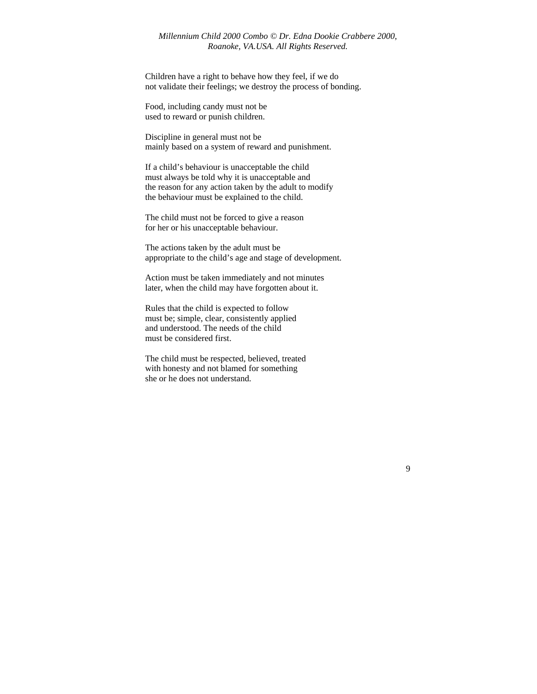Children have a right to behave how they feel, if we do not validate their feelings; we destroy the process of bonding.

Food, including candy must not be used to reward or punish children.

Discipline in general must not be mainly based on a system of reward and punishment.

If a child's behaviour is unacceptable the child must always be told why it is unacceptable and the reason for any action taken by the adult to modify the behaviour must be explained to the child.

The child must not be forced to give a reason for her or his unacceptable behaviour.

The actions taken by the adult must be appropriate to the child's age and stage of development.

Action must be taken immediately and not minutes later, when the child may have forgotten about it.

Rules that the child is expected to follow must be; simple, clear, consistently applied and understood. The needs of the child must be considered first.

The child must be respected, believed, treated with honesty and not blamed for something she or he does not understand.

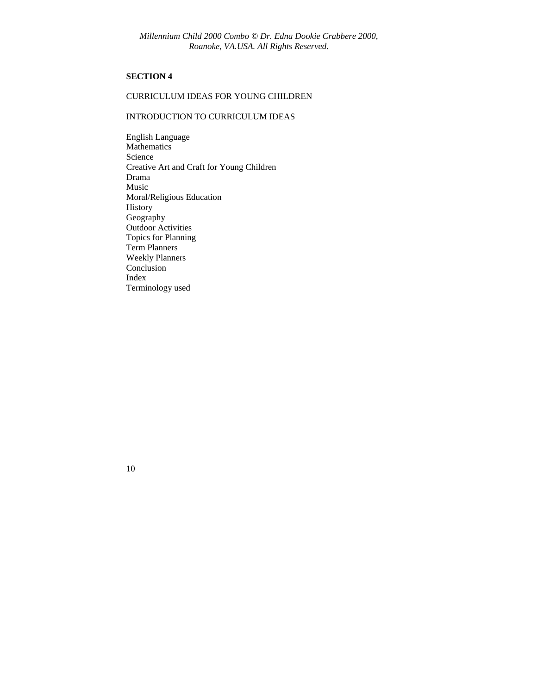#### **SECTION 4**

#### CURRICULUM IDEAS FOR YOUNG CHILDREN

#### INTRODUCTION TO CURRICULUM IDEAS

English Language Mathematics Science Creative Art and Craft for Young Children Drama Music Moral/Religious Education History Geography Outdoor Activities Topics for Planning Term Planners Weekly Planners Conclusion Index Terminology used

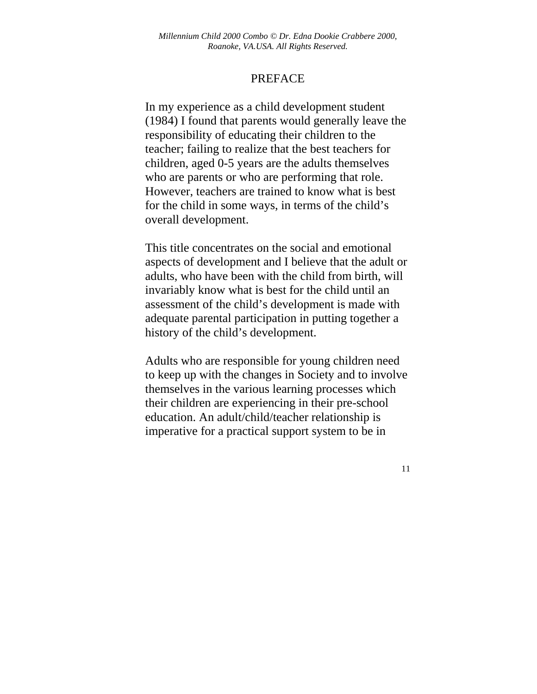### PREFACE

In my experience as a child development student (1984) I found that parents would generally leave the responsibility of educating their children to the teacher; failing to realize that the best teachers for children, aged 0-5 years are the adults themselves who are parents or who are performing that role. However, teachers are trained to know what is best for the child in some ways, in terms of the child's overall development.

This title concentrates on the social and emotional aspects of development and I believe that the adult or adults, who have been with the child from birth, will invariably know what is best for the child until an assessment of the child's development is made with adequate parental participation in putting together a history of the child's development.

Adults who are responsible for young children need to keep up with the changes in Society and to involve themselves in the various learning processes which their children are experiencing in their pre-school education. An adult/child/teacher relationship is imperative for a practical support system to be in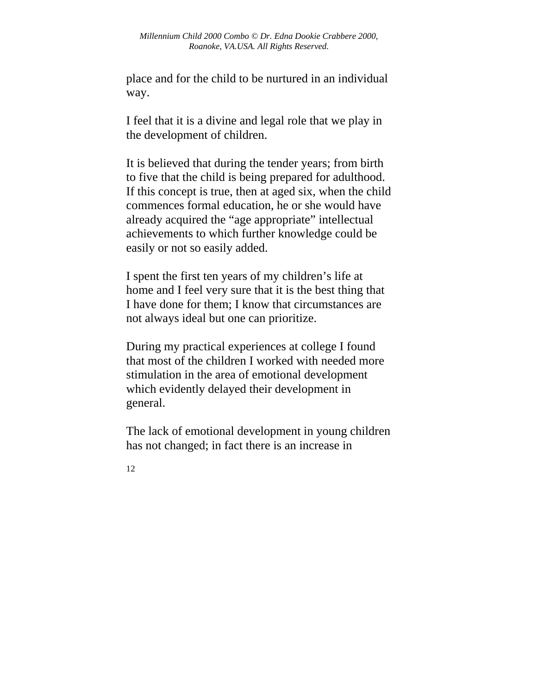place and for the child to be nurtured in an individual way.

I feel that it is a divine and legal role that we play in the development of children.

It is believed that during the tender years; from birth to five that the child is being prepared for adulthood. If this concept is true, then at aged six, when the child commences formal education, he or she would have already acquired the "age appropriate" intellectual achievements to which further knowledge could be easily or not so easily added.

I spent the first ten years of my children's life at home and I feel very sure that it is the best thing that I have done for them; I know that circumstances are not always ideal but one can prioritize.

During my practical experiences at college I found that most of the children I worked with needed more stimulation in the area of emotional development which evidently delayed their development in general.

The lack of emotional development in young children has not changed; in fact there is an increase in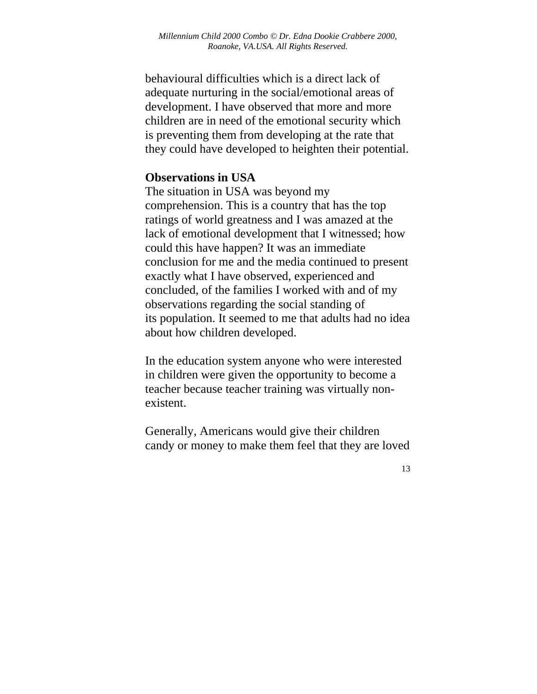behavioural difficulties which is a direct lack of adequate nurturing in the social/emotional areas of development. I have observed that more and more children are in need of the emotional security which is preventing them from developing at the rate that they could have developed to heighten their potential.

## **Observations in USA**

The situation in USA was beyond my comprehension. This is a country that has the top ratings of world greatness and I was amazed at the lack of emotional development that I witnessed; how could this have happen? It was an immediate conclusion for me and the media continued to present exactly what I have observed, experienced and concluded, of the families I worked with and of my observations regarding the social standing of its population. It seemed to me that adults had no idea about how children developed.

In the education system anyone who were interested in children were given the opportunity to become a teacher because teacher training was virtually nonexistent.

Generally, Americans would give their children candy or money to make them feel that they are loved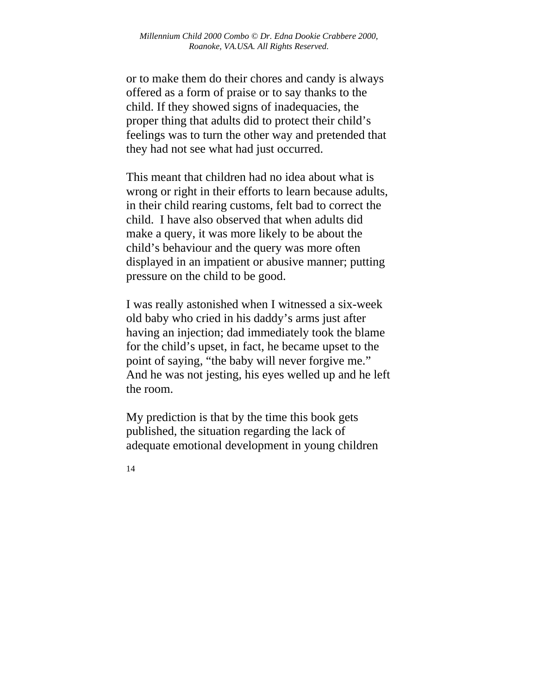or to make them do their chores and candy is always offered as a form of praise or to say thanks to the child. If they showed signs of inadequacies, the proper thing that adults did to protect their child's feelings was to turn the other way and pretended that they had not see what had just occurred.

This meant that children had no idea about what is wrong or right in their efforts to learn because adults, in their child rearing customs, felt bad to correct the child. I have also observed that when adults did make a query, it was more likely to be about the child's behaviour and the query was more often displayed in an impatient or abusive manner; putting pressure on the child to be good.

I was really astonished when I witnessed a six-week old baby who cried in his daddy's arms just after having an injection; dad immediately took the blame for the child's upset, in fact, he became upset to the point of saying, "the baby will never forgive me." And he was not jesting, his eyes welled up and he left the room.

My prediction is that by the time this book gets published, the situation regarding the lack of adequate emotional development in young children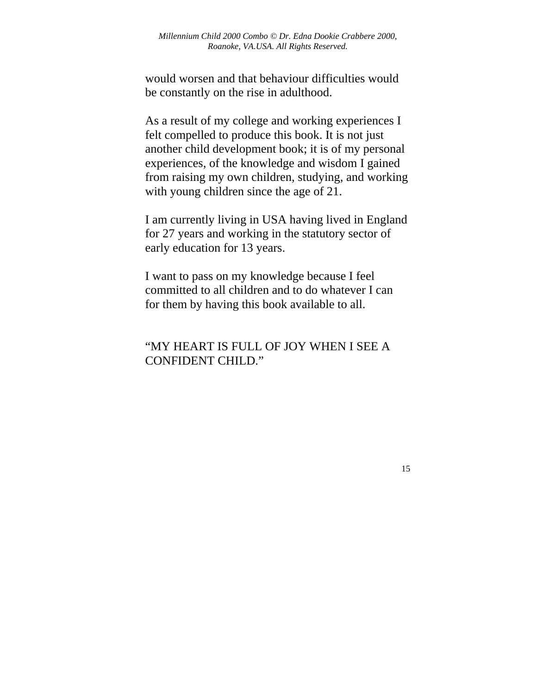would worsen and that behaviour difficulties would be constantly on the rise in adulthood.

As a result of my college and working experiences I felt compelled to produce this book. It is not just another child development book; it is of my personal experiences, of the knowledge and wisdom I gained from raising my own children, studying, and working with young children since the age of 21.

I am currently living in USA having lived in England for 27 years and working in the statutory sector of early education for 13 years.

I want to pass on my knowledge because I feel committed to all children and to do whatever I can for them by having this book available to all.

## "MY HEART IS FULL OF JOY WHEN I SEE A CONFIDENT CHILD."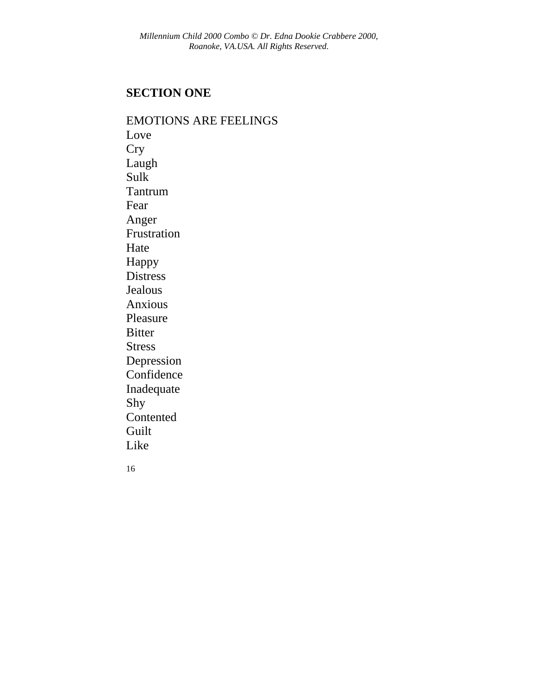## **SECTION ONE**

16 EMOTIONS ARE FEELINGS Love **Cry** Laugh Sulk Tantrum Fear Anger Frustration Hate Happy Distress Jealous Anxious Pleasure Bitter Stress Depression Confidence Inadequate Shy **Contented** Guilt Like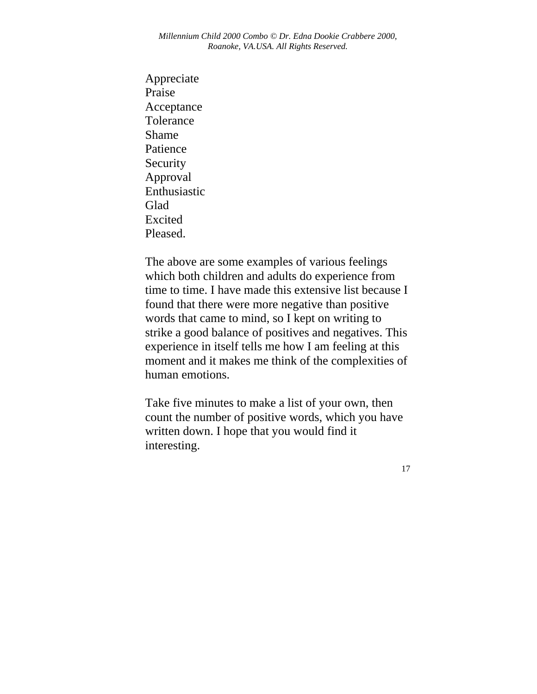Appreciate Praise Acceptance Tolerance Shame Patience Security Approval Enthusiastic Glad Excited Pleased.

The above are some examples of various feelings which both children and adults do experience from time to time. I have made this extensive list because I found that there were more negative than positive words that came to mind, so I kept on writing to strike a good balance of positives and negatives. This experience in itself tells me how I am feeling at this moment and it makes me think of the complexities of human emotions.

Take five minutes to make a list of your own, then count the number of positive words, which you have written down. I hope that you would find it interesting.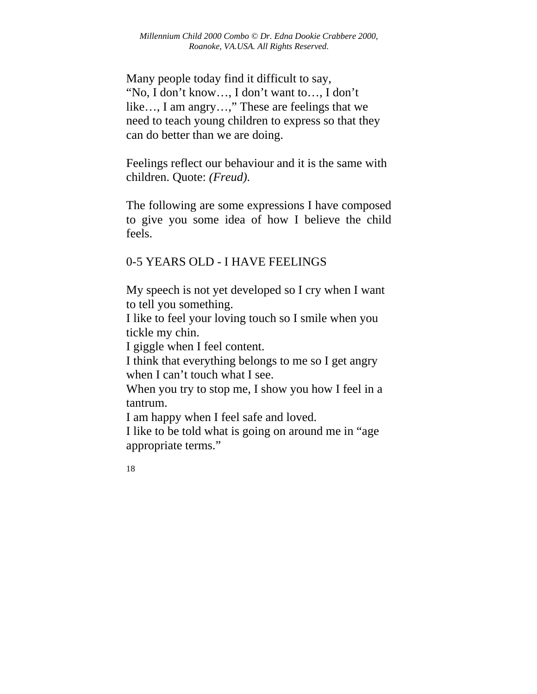Many people today find it difficult to say, "No, I don't know…, I don't want to…, I don't like…, I am angry…," These are feelings that we need to teach young children to express so that they can do better than we are doing.

Feelings reflect our behaviour and it is the same with children. Quote: *(Freud).* 

The following are some expressions I have composed to give you some idea of how I believe the child feels.

## 0-5 YEARS OLD - I HAVE FEELINGS

My speech is not yet developed so I cry when I want to tell you something.

I like to feel your loving touch so I smile when you tickle my chin.

I giggle when I feel content.

I think that everything belongs to me so I get angry when I can't touch what I see.

When you try to stop me, I show you how I feel in a tantrum.

I am happy when I feel safe and loved.

I like to be told what is going on around me in "age appropriate terms."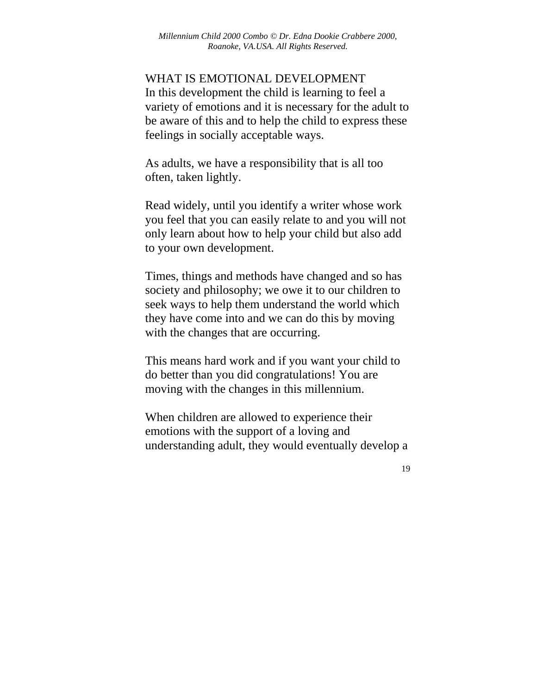WHAT IS EMOTIONAL DEVELOPMENT In this development the child is learning to feel a variety of emotions and it is necessary for the adult to be aware of this and to help the child to express these feelings in socially acceptable ways.

As adults, we have a responsibility that is all too often, taken lightly.

Read widely, until you identify a writer whose work you feel that you can easily relate to and you will not only learn about how to help your child but also add to your own development.

Times, things and methods have changed and so has society and philosophy; we owe it to our children to seek ways to help them understand the world which they have come into and we can do this by moving with the changes that are occurring.

This means hard work and if you want your child to do better than you did congratulations! You are moving with the changes in this millennium.

When children are allowed to experience their emotions with the support of a loving and understanding adult, they would eventually develop a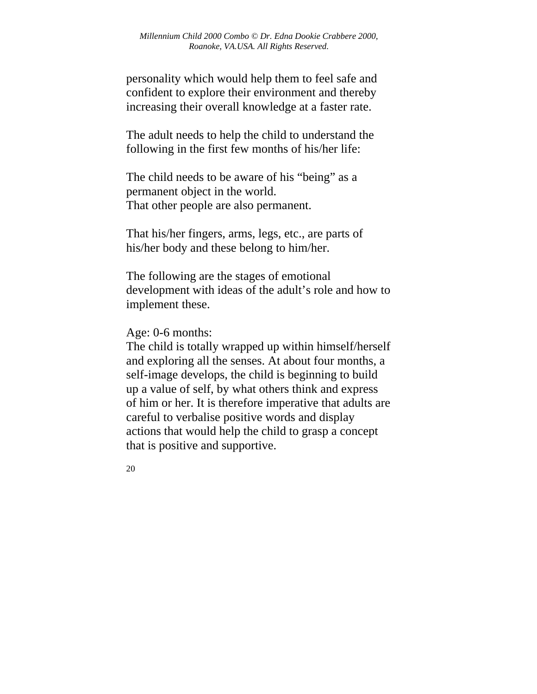personality which would help them to feel safe and confident to explore their environment and thereby increasing their overall knowledge at a faster rate.

The adult needs to help the child to understand the following in the first few months of his/her life:

The child needs to be aware of his "being" as a permanent object in the world. That other people are also permanent.

That his/her fingers, arms, legs, etc., are parts of his/her body and these belong to him/her.

The following are the stages of emotional development with ideas of the adult's role and how to implement these.

Age: 0-6 months:

The child is totally wrapped up within himself/herself and exploring all the senses. At about four months, a self-image develops, the child is beginning to build up a value of self, by what others think and express of him or her. It is therefore imperative that adults are careful to verbalise positive words and display actions that would help the child to grasp a concept that is positive and supportive.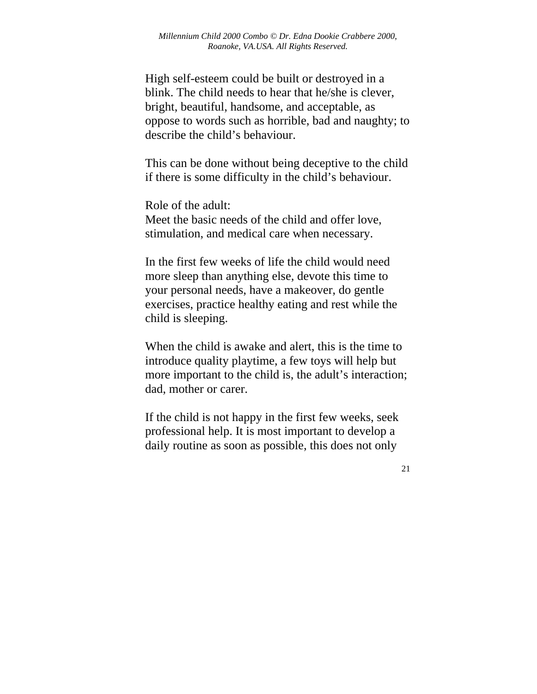High self-esteem could be built or destroyed in a blink. The child needs to hear that he/she is clever, bright, beautiful, handsome, and acceptable, as oppose to words such as horrible, bad and naughty; to describe the child's behaviour.

This can be done without being deceptive to the child if there is some difficulty in the child's behaviour.

Role of the adult: Meet the basic needs of the child and offer love, stimulation, and medical care when necessary.

In the first few weeks of life the child would need more sleep than anything else, devote this time to your personal needs, have a makeover, do gentle exercises, practice healthy eating and rest while the child is sleeping.

When the child is awake and alert, this is the time to introduce quality playtime, a few toys will help but more important to the child is, the adult's interaction; dad, mother or carer.

If the child is not happy in the first few weeks, seek professional help. It is most important to develop a daily routine as soon as possible, this does not only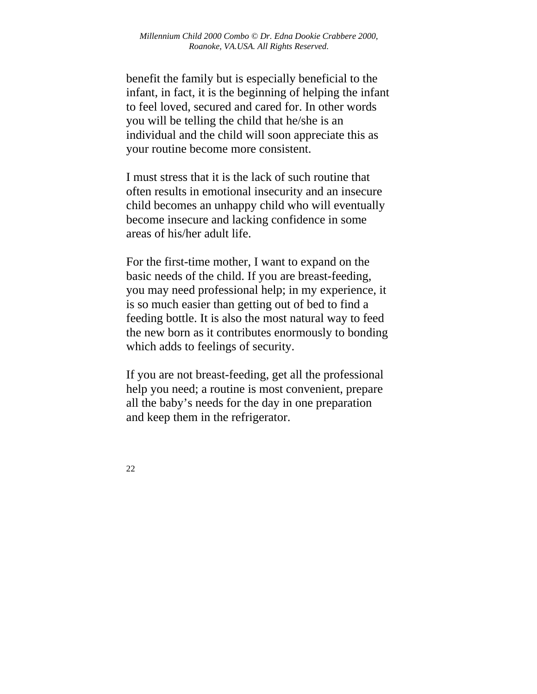benefit the family but is especially beneficial to the infant, in fact, it is the beginning of helping the infant to feel loved, secured and cared for. In other words you will be telling the child that he/she is an individual and the child will soon appreciate this as your routine become more consistent.

I must stress that it is the lack of such routine that often results in emotional insecurity and an insecure child becomes an unhappy child who will eventually become insecure and lacking confidence in some areas of his/her adult life.

For the first-time mother, I want to expand on the basic needs of the child. If you are breast-feeding, you may need professional help; in my experience, it is so much easier than getting out of bed to find a feeding bottle. It is also the most natural way to feed the new born as it contributes enormously to bonding which adds to feelings of security.

If you are not breast-feeding, get all the professional help you need; a routine is most convenient, prepare all the baby's needs for the day in one preparation and keep them in the refrigerator.

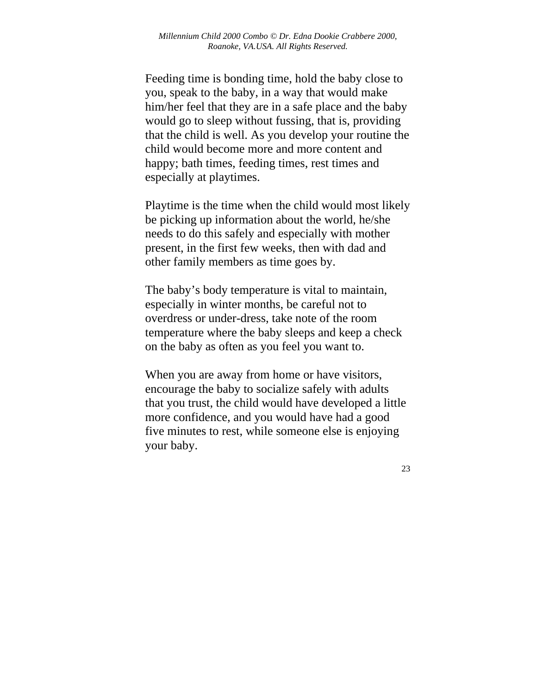Feeding time is bonding time, hold the baby close to you, speak to the baby, in a way that would make him/her feel that they are in a safe place and the baby would go to sleep without fussing, that is, providing that the child is well. As you develop your routine the child would become more and more content and happy; bath times, feeding times, rest times and especially at playtimes.

Playtime is the time when the child would most likely be picking up information about the world, he/she needs to do this safely and especially with mother present, in the first few weeks, then with dad and other family members as time goes by.

The baby's body temperature is vital to maintain, especially in winter months, be careful not to overdress or under-dress, take note of the room temperature where the baby sleeps and keep a check on the baby as often as you feel you want to.

When you are away from home or have visitors, encourage the baby to socialize safely with adults that you trust, the child would have developed a little more confidence, and you would have had a good five minutes to rest, while someone else is enjoying your baby.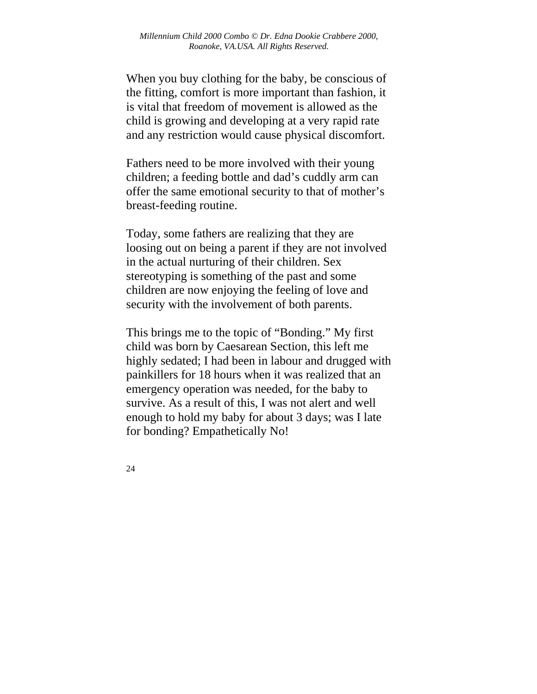When you buy clothing for the baby, be conscious of the fitting, comfort is more important than fashion, it is vital that freedom of movement is allowed as the child is growing and developing at a very rapid rate and any restriction would cause physical discomfort.

Fathers need to be more involved with their young children; a feeding bottle and dad's cuddly arm can offer the same emotional security to that of mother's breast-feeding routine.

Today, some fathers are realizing that they are loosing out on being a parent if they are not involved in the actual nurturing of their children. Sex stereotyping is something of the past and some children are now enjoying the feeling of love and security with the involvement of both parents.

This brings me to the topic of "Bonding." My first child was born by Caesarean Section, this left me highly sedated; I had been in labour and drugged with painkillers for 18 hours when it was realized that an emergency operation was needed, for the baby to survive. As a result of this, I was not alert and well enough to hold my baby for about 3 days; was I late for bonding? Empathetically No!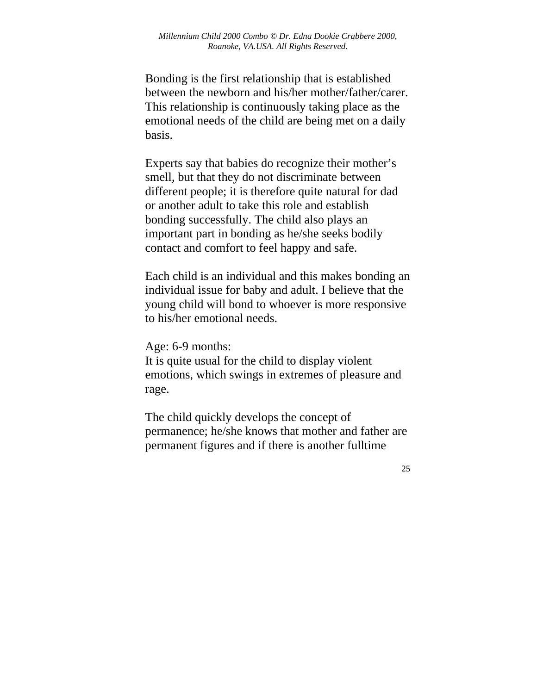Bonding is the first relationship that is established between the newborn and his/her mother/father/carer. This relationship is continuously taking place as the emotional needs of the child are being met on a daily basis.

Experts say that babies do recognize their mother's smell, but that they do not discriminate between different people; it is therefore quite natural for dad or another adult to take this role and establish bonding successfully. The child also plays an important part in bonding as he/she seeks bodily contact and comfort to feel happy and safe.

Each child is an individual and this makes bonding an individual issue for baby and adult. I believe that the young child will bond to whoever is more responsive to his/her emotional needs.

Age: 6-9 months:

It is quite usual for the child to display violent emotions, which swings in extremes of pleasure and rage.

The child quickly develops the concept of permanence; he/she knows that mother and father are permanent figures and if there is another fulltime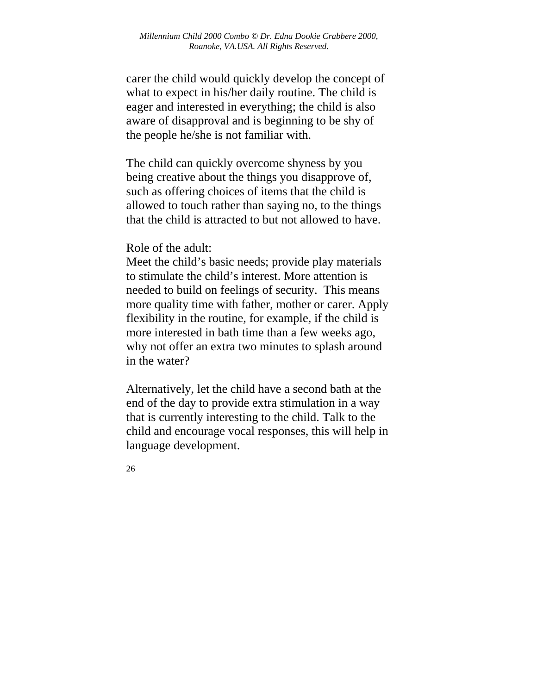carer the child would quickly develop the concept of what to expect in his/her daily routine. The child is eager and interested in everything; the child is also aware of disapproval and is beginning to be shy of the people he/she is not familiar with.

The child can quickly overcome shyness by you being creative about the things you disapprove of, such as offering choices of items that the child is allowed to touch rather than saying no, to the things that the child is attracted to but not allowed to have.

Role of the adult:

Meet the child's basic needs; provide play materials to stimulate the child's interest. More attention is needed to build on feelings of security. This means more quality time with father, mother or carer. Apply flexibility in the routine, for example, if the child is more interested in bath time than a few weeks ago, why not offer an extra two minutes to splash around in the water?

Alternatively, let the child have a second bath at the end of the day to provide extra stimulation in a way that is currently interesting to the child. Talk to the child and encourage vocal responses, this will help in language development.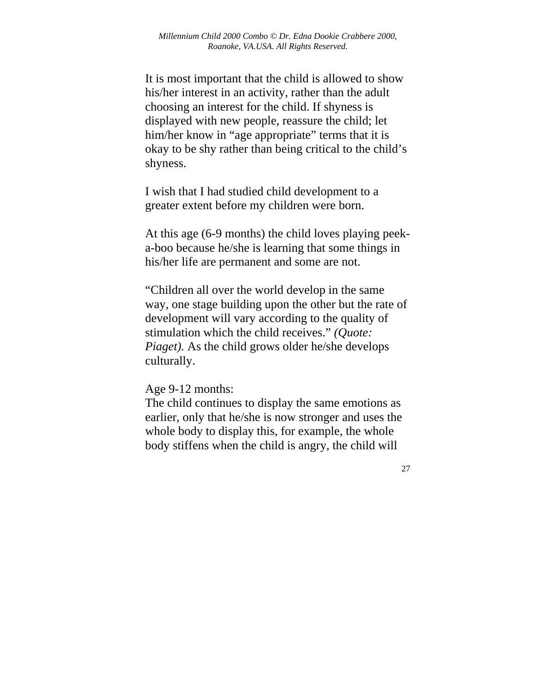It is most important that the child is allowed to show his/her interest in an activity, rather than the adult choosing an interest for the child. If shyness is displayed with new people, reassure the child; let him/her know in "age appropriate" terms that it is okay to be shy rather than being critical to the child's shyness.

I wish that I had studied child development to a greater extent before my children were born.

At this age (6-9 months) the child loves playing peeka-boo because he/she is learning that some things in his/her life are permanent and some are not.

"Children all over the world develop in the same way, one stage building upon the other but the rate of development will vary according to the quality of stimulation which the child receives." *(Quote: Piaget).* As the child grows older he/she develops culturally.

Age 9-12 months:

The child continues to display the same emotions as earlier, only that he/she is now stronger and uses the whole body to display this, for example, the whole body stiffens when the child is angry, the child will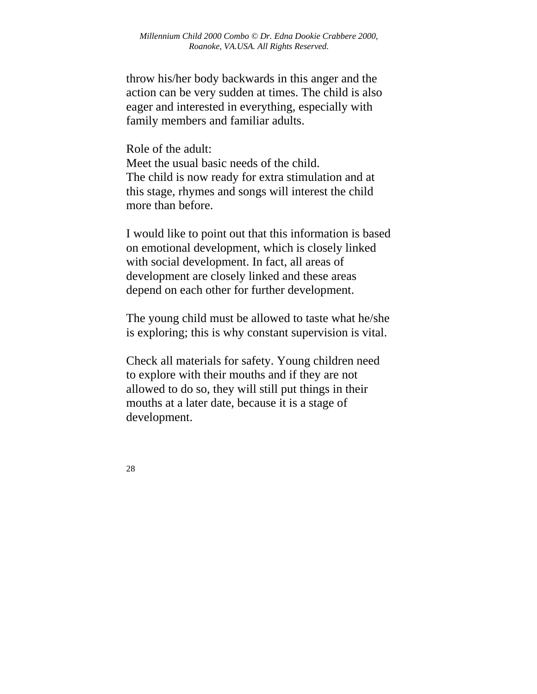throw his/her body backwards in this anger and the action can be very sudden at times. The child is also eager and interested in everything, especially with family members and familiar adults.

Role of the adult: Meet the usual basic needs of the child. The child is now ready for extra stimulation and at this stage, rhymes and songs will interest the child more than before.

I would like to point out that this information is based on emotional development, which is closely linked with social development. In fact, all areas of development are closely linked and these areas depend on each other for further development.

The young child must be allowed to taste what he/she is exploring; this is why constant supervision is vital.

Check all materials for safety. Young children need to explore with their mouths and if they are not allowed to do so, they will still put things in their mouths at a later date, because it is a stage of development.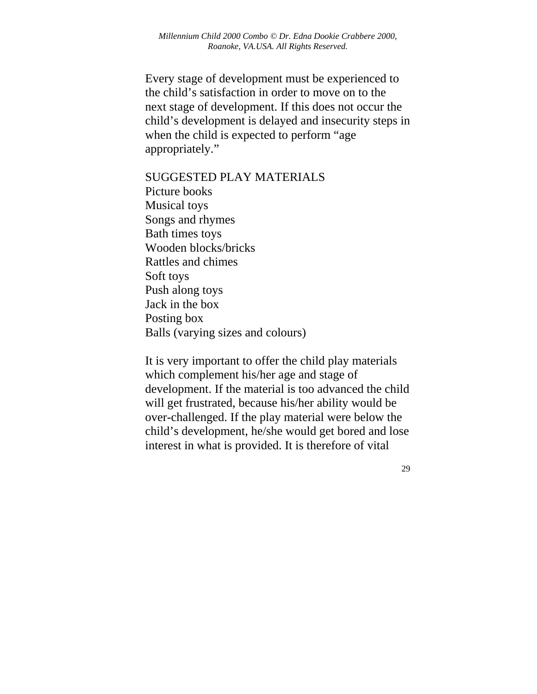Every stage of development must be experienced to the child's satisfaction in order to move on to the next stage of development. If this does not occur the child's development is delayed and insecurity steps in when the child is expected to perform "age appropriately."

SUGGESTED PLAY MATERIALS Picture books Musical toys Songs and rhymes Bath times toys Wooden blocks/bricks Rattles and chimes Soft toys Push along toys Jack in the box Posting box Balls (varying sizes and colours)

It is very important to offer the child play materials which complement his/her age and stage of development. If the material is too advanced the child will get frustrated, because his/her ability would be over-challenged. If the play material were below the child's development, he/she would get bored and lose interest in what is provided. It is therefore of vital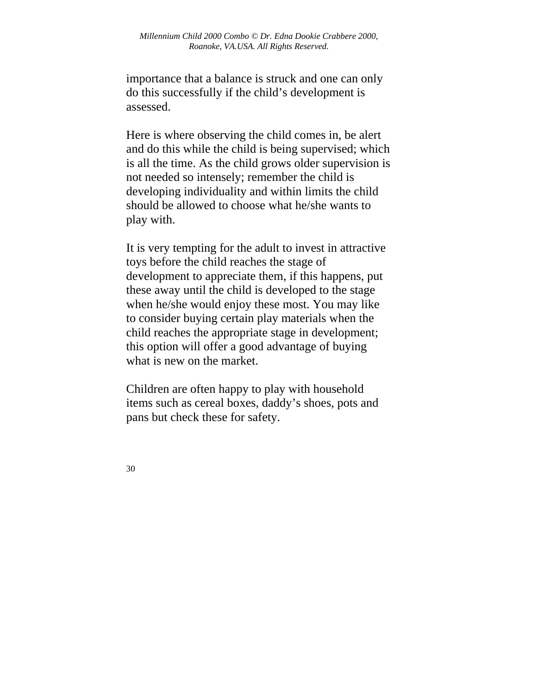importance that a balance is struck and one can only do this successfully if the child's development is assessed.

Here is where observing the child comes in, be alert and do this while the child is being supervised; which is all the time. As the child grows older supervision is not needed so intensely; remember the child is developing individuality and within limits the child should be allowed to choose what he/she wants to play with.

It is very tempting for the adult to invest in attractive toys before the child reaches the stage of development to appreciate them, if this happens, put these away until the child is developed to the stage when he/she would enjoy these most. You may like to consider buying certain play materials when the child reaches the appropriate stage in development; this option will offer a good advantage of buying what is new on the market.

Children are often happy to play with household items such as cereal boxes, daddy's shoes, pots and pans but check these for safety.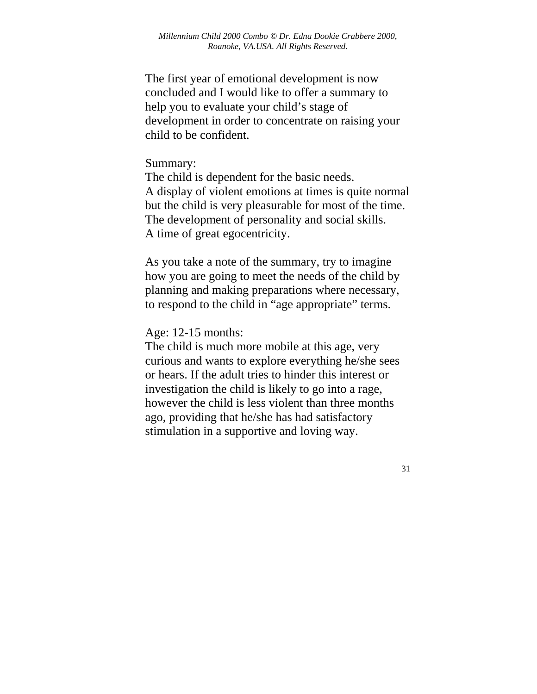The first year of emotional development is now concluded and I would like to offer a summary to help you to evaluate your child's stage of development in order to concentrate on raising your child to be confident.

#### Summary:

The child is dependent for the basic needs. A display of violent emotions at times is quite normal but the child is very pleasurable for most of the time. The development of personality and social skills. A time of great egocentricity.

As you take a note of the summary, try to imagine how you are going to meet the needs of the child by planning and making preparations where necessary, to respond to the child in "age appropriate" terms.

#### Age: 12-15 months:

The child is much more mobile at this age, very curious and wants to explore everything he/she sees or hears. If the adult tries to hinder this interest or investigation the child is likely to go into a rage, however the child is less violent than three months ago, providing that he/she has had satisfactory stimulation in a supportive and loving way.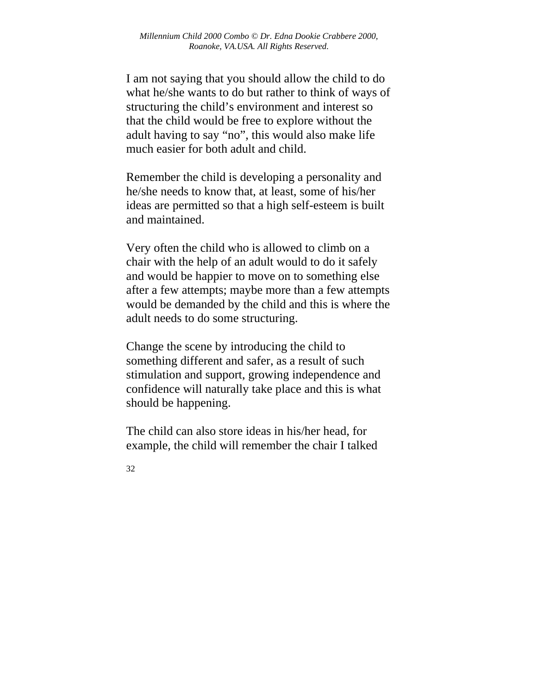I am not saying that you should allow the child to do what he/she wants to do but rather to think of ways of structuring the child's environment and interest so that the child would be free to explore without the adult having to say "no", this would also make life much easier for both adult and child.

Remember the child is developing a personality and he/she needs to know that, at least, some of his/her ideas are permitted so that a high self-esteem is built and maintained.

Very often the child who is allowed to climb on a chair with the help of an adult would to do it safely and would be happier to move on to something else after a few attempts; maybe more than a few attempts would be demanded by the child and this is where the adult needs to do some structuring.

Change the scene by introducing the child to something different and safer, as a result of such stimulation and support, growing independence and confidence will naturally take place and this is what should be happening.

The child can also store ideas in his/her head, for example, the child will remember the chair I talked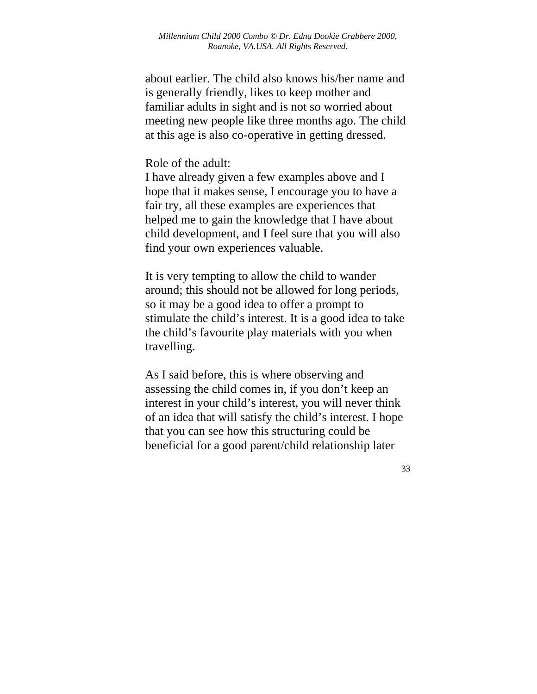about earlier. The child also knows his/her name and is generally friendly, likes to keep mother and familiar adults in sight and is not so worried about meeting new people like three months ago. The child at this age is also co-operative in getting dressed.

#### Role of the adult:

I have already given a few examples above and I hope that it makes sense, I encourage you to have a fair try, all these examples are experiences that helped me to gain the knowledge that I have about child development, and I feel sure that you will also find your own experiences valuable.

It is very tempting to allow the child to wander around; this should not be allowed for long periods, so it may be a good idea to offer a prompt to stimulate the child's interest. It is a good idea to take the child's favourite play materials with you when travelling.

As I said before, this is where observing and assessing the child comes in, if you don't keep an interest in your child's interest, you will never think of an idea that will satisfy the child's interest. I hope that you can see how this structuring could be beneficial for a good parent/child relationship later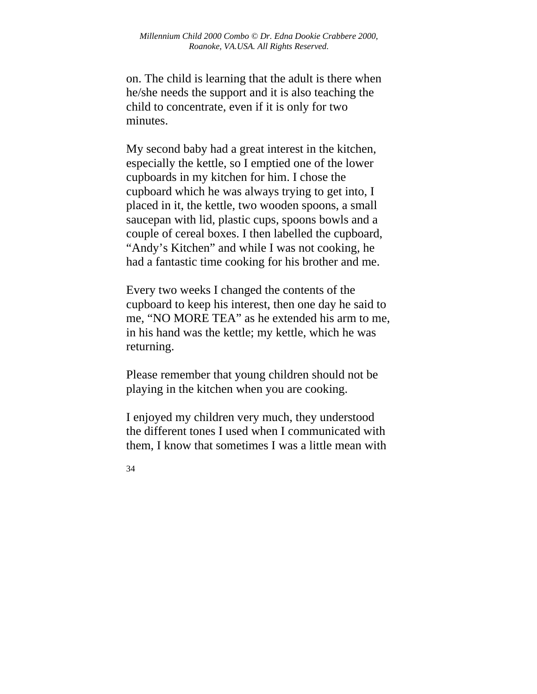on. The child is learning that the adult is there when he/she needs the support and it is also teaching the child to concentrate, even if it is only for two minutes.

My second baby had a great interest in the kitchen, especially the kettle, so I emptied one of the lower cupboards in my kitchen for him. I chose the cupboard which he was always trying to get into, I placed in it, the kettle, two wooden spoons, a small saucepan with lid, plastic cups, spoons bowls and a couple of cereal boxes. I then labelled the cupboard, "Andy's Kitchen" and while I was not cooking, he had a fantastic time cooking for his brother and me.

Every two weeks I changed the contents of the cupboard to keep his interest, then one day he said to me, "NO MORE TEA" as he extended his arm to me, in his hand was the kettle; my kettle, which he was returning.

Please remember that young children should not be playing in the kitchen when you are cooking.

I enjoyed my children very much, they understood the different tones I used when I communicated with them, I know that sometimes I was a little mean with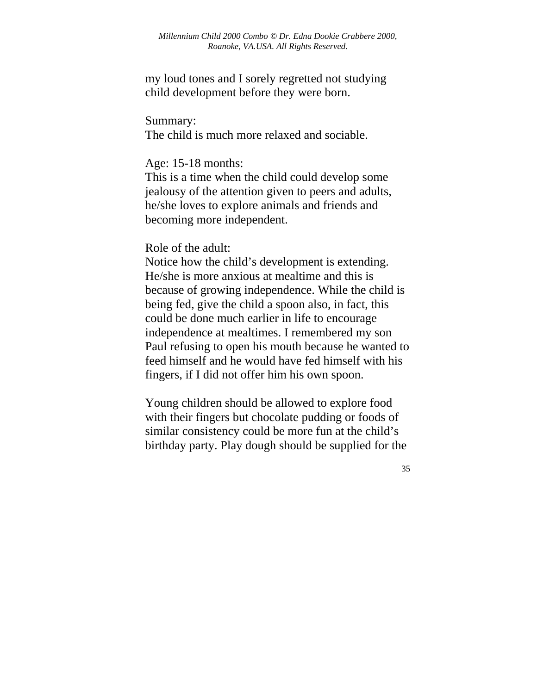my loud tones and I sorely regretted not studying child development before they were born.

Summary:

The child is much more relaxed and sociable.

Age: 15-18 months:

This is a time when the child could develop some jealousy of the attention given to peers and adults, he/she loves to explore animals and friends and becoming more independent.

Role of the adult:

Notice how the child's development is extending. He/she is more anxious at mealtime and this is because of growing independence. While the child is being fed, give the child a spoon also, in fact, this could be done much earlier in life to encourage independence at mealtimes. I remembered my son Paul refusing to open his mouth because he wanted to feed himself and he would have fed himself with his fingers, if I did not offer him his own spoon.

Young children should be allowed to explore food with their fingers but chocolate pudding or foods of similar consistency could be more fun at the child's birthday party. Play dough should be supplied for the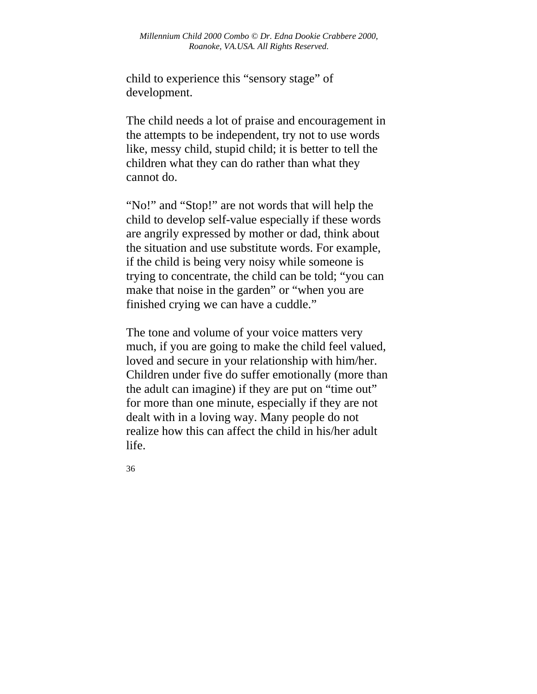child to experience this "sensory stage" of development.

The child needs a lot of praise and encouragement in the attempts to be independent, try not to use words like, messy child, stupid child; it is better to tell the children what they can do rather than what they cannot do.

"No!" and "Stop!" are not words that will help the child to develop self-value especially if these words are angrily expressed by mother or dad, think about the situation and use substitute words. For example, if the child is being very noisy while someone is trying to concentrate, the child can be told; "you can make that noise in the garden" or "when you are finished crying we can have a cuddle."

The tone and volume of your voice matters very much, if you are going to make the child feel valued, loved and secure in your relationship with him/her. Children under five do suffer emotionally (more than the adult can imagine) if they are put on "time out" for more than one minute, especially if they are not dealt with in a loving way. Many people do not realize how this can affect the child in his/her adult life.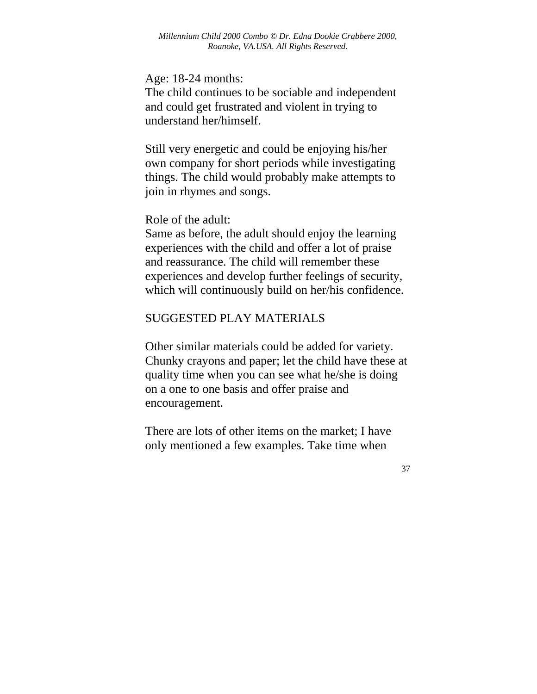Age: 18-24 months:

The child continues to be sociable and independent and could get frustrated and violent in trying to understand her/himself.

Still very energetic and could be enjoying his/her own company for short periods while investigating things. The child would probably make attempts to join in rhymes and songs.

Role of the adult:

Same as before, the adult should enjoy the learning experiences with the child and offer a lot of praise and reassurance. The child will remember these experiences and develop further feelings of security, which will continuously build on her/his confidence.

#### SUGGESTED PLAY MATERIALS

Other similar materials could be added for variety. Chunky crayons and paper; let the child have these at quality time when you can see what he/she is doing on a one to one basis and offer praise and encouragement.

There are lots of other items on the market; I have only mentioned a few examples. Take time when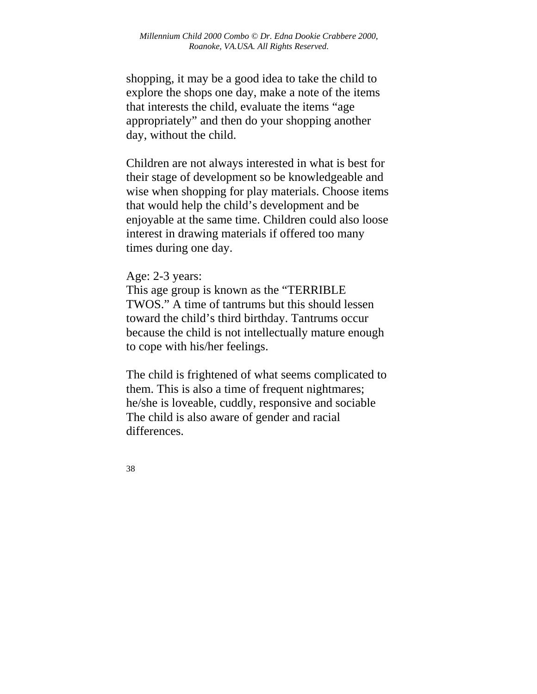shopping, it may be a good idea to take the child to explore the shops one day, make a note of the items that interests the child, evaluate the items "age appropriately" and then do your shopping another day, without the child.

Children are not always interested in what is best for their stage of development so be knowledgeable and wise when shopping for play materials. Choose items that would help the child's development and be enjoyable at the same time. Children could also loose interest in drawing materials if offered too many times during one day.

Age: 2-3 years:

This age group is known as the "TERRIBLE TWOS." A time of tantrums but this should lessen toward the child's third birthday. Tantrums occur because the child is not intellectually mature enough to cope with his/her feelings.

The child is frightened of what seems complicated to them. This is also a time of frequent nightmares; he/she is loveable, cuddly, responsive and sociable The child is also aware of gender and racial differences.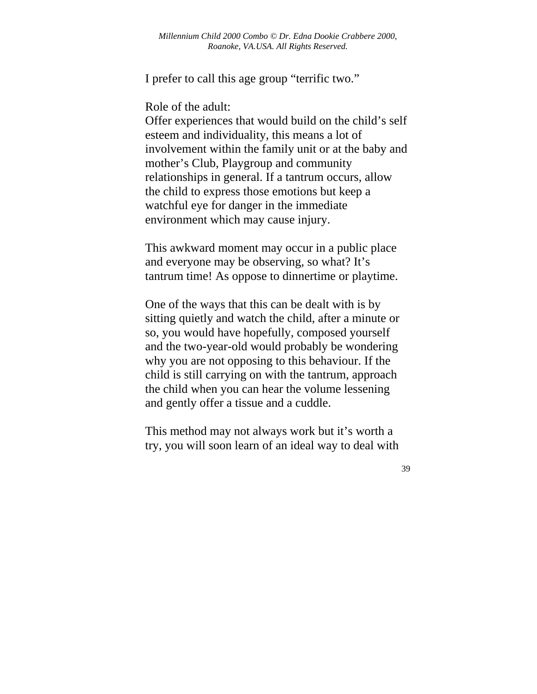I prefer to call this age group "terrific two."

Role of the adult:

Offer experiences that would build on the child's self esteem and individuality, this means a lot of involvement within the family unit or at the baby and mother's Club, Playgroup and community relationships in general. If a tantrum occurs, allow the child to express those emotions but keep a watchful eye for danger in the immediate environment which may cause injury.

This awkward moment may occur in a public place and everyone may be observing, so what? It's tantrum time! As oppose to dinnertime or playtime.

One of the ways that this can be dealt with is by sitting quietly and watch the child, after a minute or so, you would have hopefully, composed yourself and the two-year-old would probably be wondering why you are not opposing to this behaviour. If the child is still carrying on with the tantrum, approach the child when you can hear the volume lessening and gently offer a tissue and a cuddle.

This method may not always work but it's worth a try, you will soon learn of an ideal way to deal with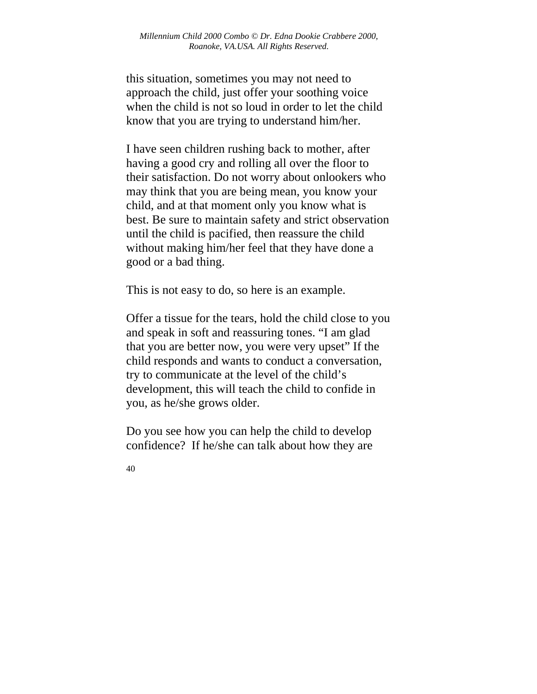this situation, sometimes you may not need to approach the child, just offer your soothing voice when the child is not so loud in order to let the child know that you are trying to understand him/her.

I have seen children rushing back to mother, after having a good cry and rolling all over the floor to their satisfaction. Do not worry about onlookers who may think that you are being mean, you know your child, and at that moment only you know what is best. Be sure to maintain safety and strict observation until the child is pacified, then reassure the child without making him/her feel that they have done a good or a bad thing.

This is not easy to do, so here is an example.

Offer a tissue for the tears, hold the child close to you and speak in soft and reassuring tones. "I am glad that you are better now, you were very upset" If the child responds and wants to conduct a conversation, try to communicate at the level of the child's development, this will teach the child to confide in you, as he/she grows older.

Do you see how you can help the child to develop confidence? If he/she can talk about how they are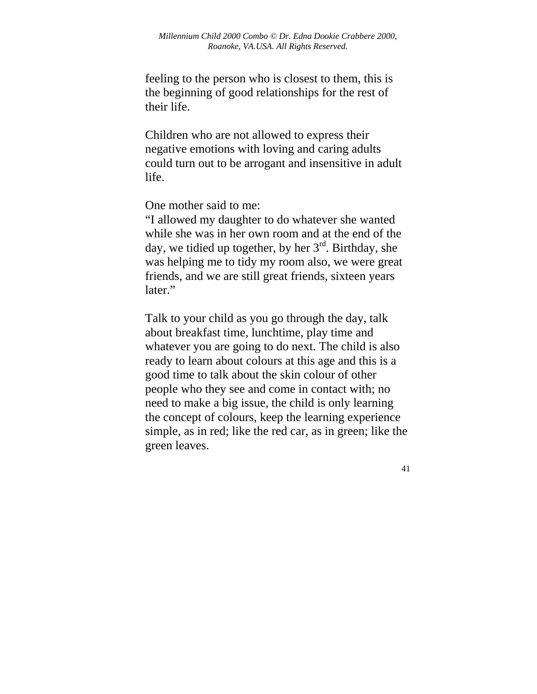feeling to the person who is closest to them, this is the beginning of good relationships for the rest of their life.

Children who are not allowed to express their negative emotions with loving and caring adults could turn out to be arrogant and insensitive in adult life.

One mother said to me:

"I allowed my daughter to do whatever she wanted while she was in her own room and at the end of the day, we tidied up together, by her  $3<sup>rd</sup>$ . Birthday, she was helping me to tidy my room also, we were great friends, and we are still great friends, sixteen years later."

Talk to your child as you go through the day, talk about breakfast time, lunchtime, play time and whatever you are going to do next. The child is also ready to learn about colours at this age and this is a good time to talk about the skin colour of other people who they see and come in contact with; no need to make a big issue, the child is only learning the concept of colours, keep the learning experience simple, as in red; like the red car, as in green; like the green leaves.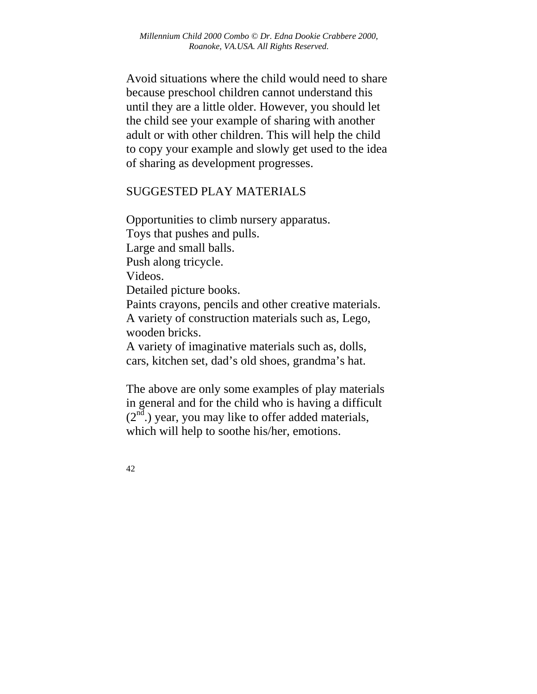Avoid situations where the child would need to share because preschool children cannot understand this until they are a little older. However, you should let the child see your example of sharing with another adult or with other children. This will help the child to copy your example and slowly get used to the idea of sharing as development progresses.

#### SUGGESTED PLAY MATERIALS

Opportunities to climb nursery apparatus. Toys that pushes and pulls. Large and small balls. Push along tricycle. Videos. Detailed picture books. Paints crayons, pencils and other creative materials. A variety of construction materials such as, Lego, wooden bricks. A variety of imaginative materials such as, dolls, cars, kitchen set, dad's old shoes, grandma's hat.

The above are only some examples of play materials in general and for the child who is having a difficult  $(2<sup>nd</sup>)$  year, you may like to offer added materials, which will help to soothe his/her, emotions.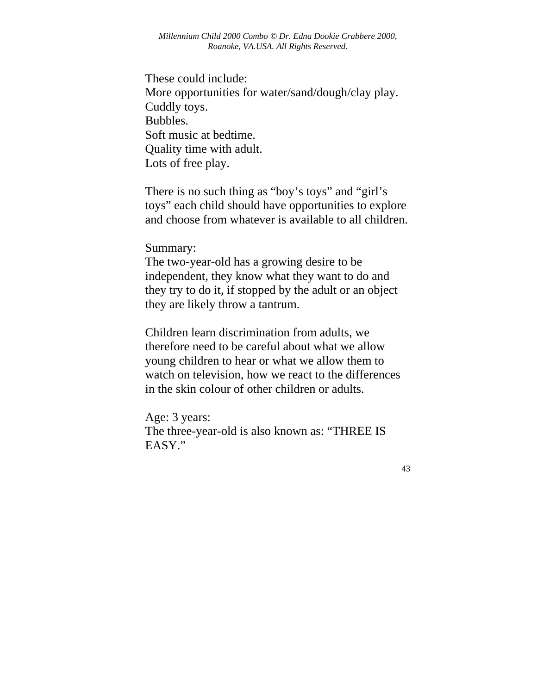These could include: More opportunities for water/sand/dough/clay play. Cuddly toys. Bubbles. Soft music at bedtime. Quality time with adult. Lots of free play.

There is no such thing as "boy's toys" and "girl's toys" each child should have opportunities to explore and choose from whatever is available to all children.

Summary:

The two-year-old has a growing desire to be independent, they know what they want to do and they try to do it, if stopped by the adult or an object they are likely throw a tantrum.

Children learn discrimination from adults, we therefore need to be careful about what we allow young children to hear or what we allow them to watch on television, how we react to the differences in the skin colour of other children or adults.

Age: 3 years: The three-year-old is also known as: "THREE IS EASY."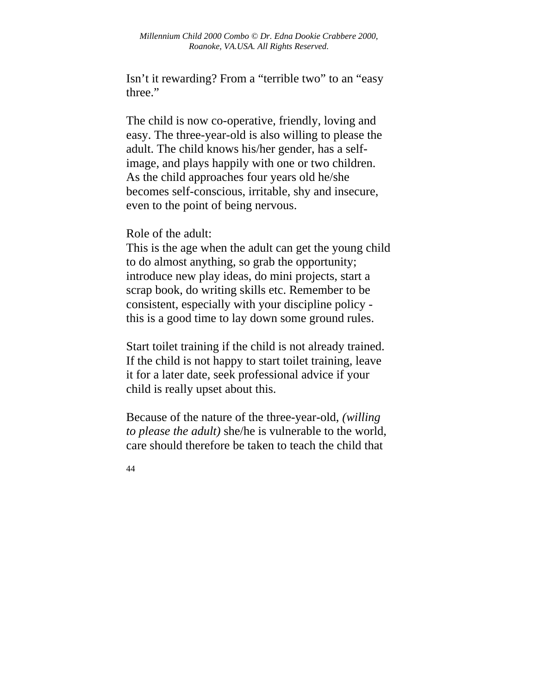Isn't it rewarding? From a "terrible two" to an "easy three."

The child is now co-operative, friendly, loving and easy. The three-year-old is also willing to please the adult. The child knows his/her gender, has a selfimage, and plays happily with one or two children. As the child approaches four years old he/she becomes self-conscious, irritable, shy and insecure, even to the point of being nervous.

Role of the adult:

This is the age when the adult can get the young child to do almost anything, so grab the opportunity; introduce new play ideas, do mini projects, start a scrap book, do writing skills etc. Remember to be consistent, especially with your discipline policy this is a good time to lay down some ground rules.

Start toilet training if the child is not already trained. If the child is not happy to start toilet training, leave it for a later date, seek professional advice if your child is really upset about this.

Because of the nature of the three-year-old, *(willing to please the adult)* she/he is vulnerable to the world, care should therefore be taken to teach the child that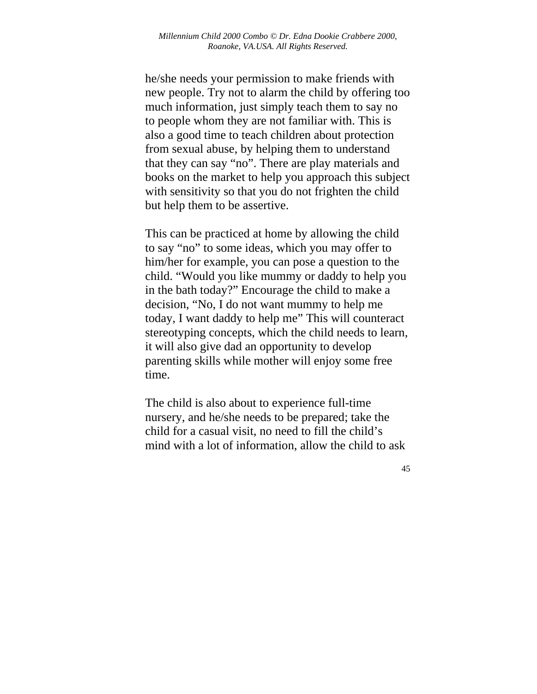he/she needs your permission to make friends with new people. Try not to alarm the child by offering too much information, just simply teach them to say no to people whom they are not familiar with. This is also a good time to teach children about protection from sexual abuse, by helping them to understand that they can say "no". There are play materials and books on the market to help you approach this subject with sensitivity so that you do not frighten the child but help them to be assertive.

This can be practiced at home by allowing the child to say "no" to some ideas, which you may offer to him/her for example, you can pose a question to the child. "Would you like mummy or daddy to help you in the bath today?" Encourage the child to make a decision, "No, I do not want mummy to help me today, I want daddy to help me" This will counteract stereotyping concepts, which the child needs to learn, it will also give dad an opportunity to develop parenting skills while mother will enjoy some free time.

The child is also about to experience full-time nursery, and he/she needs to be prepared; take the child for a casual visit, no need to fill the child's mind with a lot of information, allow the child to ask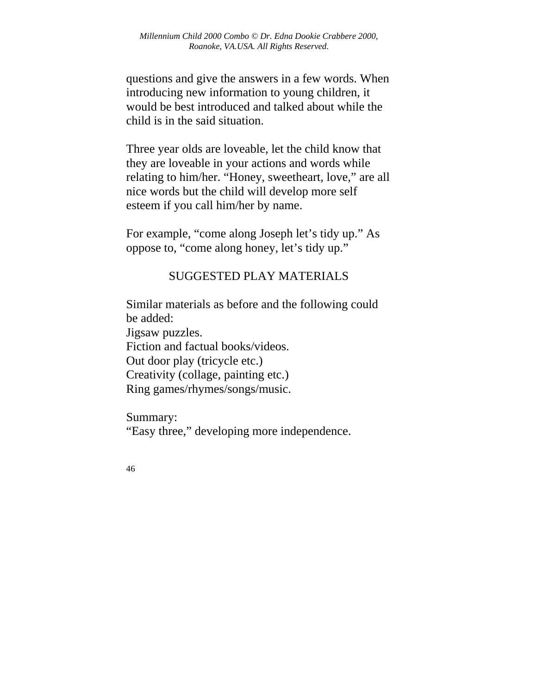questions and give the answers in a few words. When introducing new information to young children, it would be best introduced and talked about while the child is in the said situation.

Three year olds are loveable, let the child know that they are loveable in your actions and words while relating to him/her. "Honey, sweetheart, love," are all nice words but the child will develop more self esteem if you call him/her by name.

For example, "come along Joseph let's tidy up." As oppose to, "come along honey, let's tidy up."

# SUGGESTED PLAY MATERIALS

Similar materials as before and the following could be added:

Jigsaw puzzles.

Fiction and factual books/videos.

Out door play (tricycle etc.)

Creativity (collage, painting etc.) Ring games/rhymes/songs/music.

Summary:

"Easy three," developing more independence.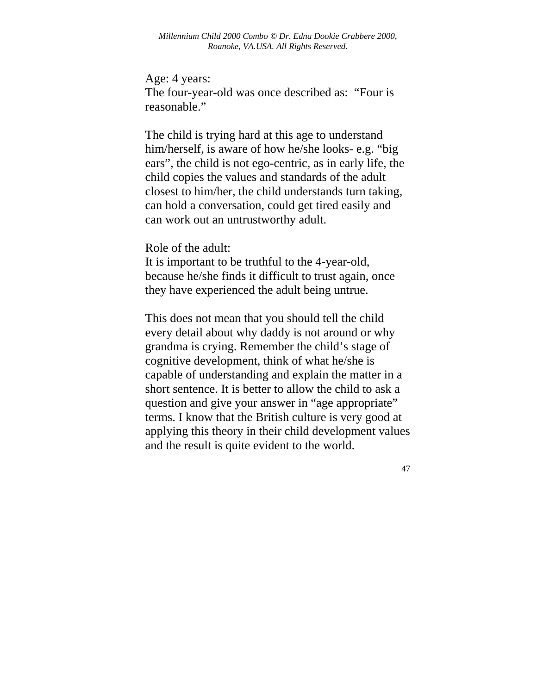Age: 4 years: The four-year-old was once described as: "Four is reasonable."

The child is trying hard at this age to understand him/herself, is aware of how he/she looks- e.g. "big ears", the child is not ego-centric, as in early life, the child copies the values and standards of the adult closest to him/her, the child understands turn taking, can hold a conversation, could get tired easily and can work out an untrustworthy adult.

Role of the adult:

It is important to be truthful to the 4-year-old, because he/she finds it difficult to trust again, once they have experienced the adult being untrue.

This does not mean that you should tell the child every detail about why daddy is not around or why grandma is crying. Remember the child's stage of cognitive development, think of what he/she is capable of understanding and explain the matter in a short sentence. It is better to allow the child to ask a question and give your answer in "age appropriate" terms. I know that the British culture is very good at applying this theory in their child development values and the result is quite evident to the world.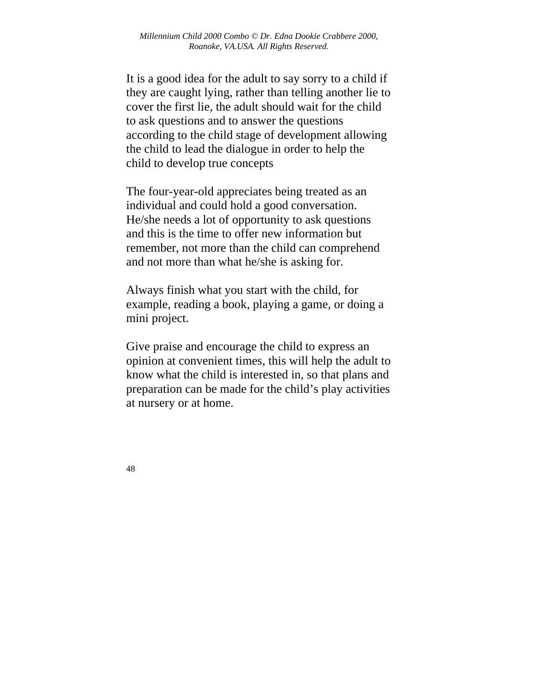It is a good idea for the adult to say sorry to a child if they are caught lying, rather than telling another lie to cover the first lie, the adult should wait for the child to ask questions and to answer the questions according to the child stage of development allowing the child to lead the dialogue in order to help the child to develop true concepts

The four-year-old appreciates being treated as an individual and could hold a good conversation. He/she needs a lot of opportunity to ask questions and this is the time to offer new information but remember, not more than the child can comprehend and not more than what he/she is asking for.

Always finish what you start with the child, for example, reading a book, playing a game, or doing a mini project.

Give praise and encourage the child to express an opinion at convenient times, this will help the adult to know what the child is interested in, so that plans and preparation can be made for the child's play activities at nursery or at home.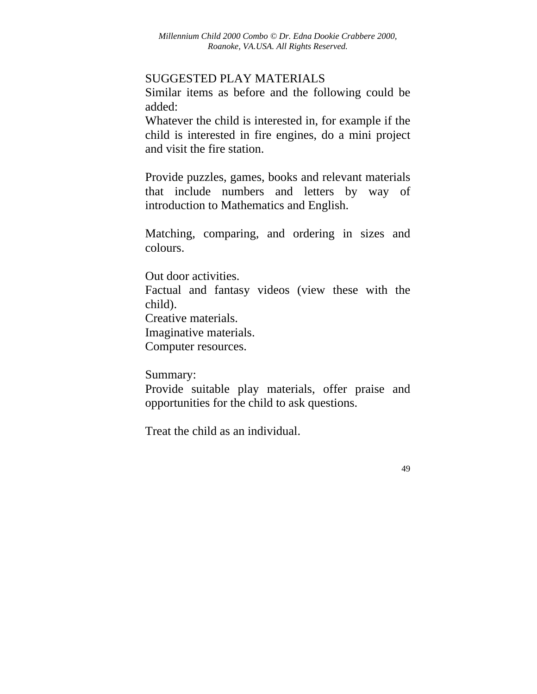### SUGGESTED PLAY MATERIALS

Similar items as before and the following could be added:

Whatever the child is interested in, for example if the child is interested in fire engines, do a mini project and visit the fire station.

Provide puzzles, games, books and relevant materials that include numbers and letters by way of introduction to Mathematics and English.

Matching, comparing, and ordering in sizes and colours.

Out door activities.

Factual and fantasy videos (view these with the child).

Creative materials.

Imaginative materials.

Computer resources.

Summary:

Provide suitable play materials, offer praise and opportunities for the child to ask questions.

Treat the child as an individual.

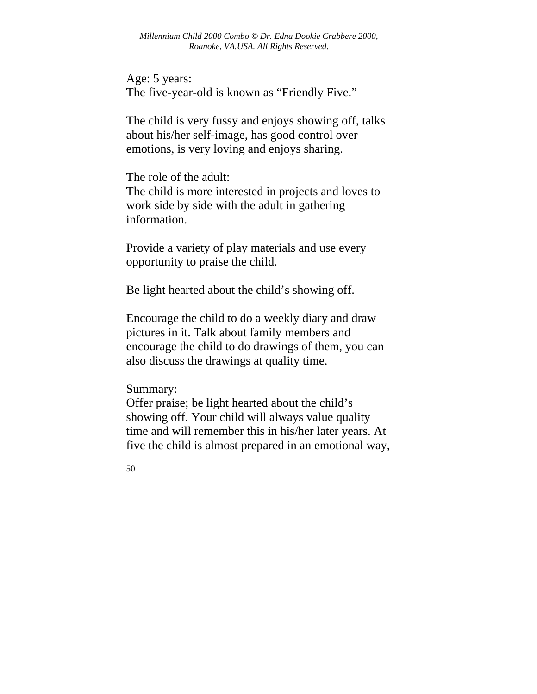Age: 5 years: The five-year-old is known as "Friendly Five."

The child is very fussy and enjoys showing off, talks about his/her self-image, has good control over emotions, is very loving and enjoys sharing.

The role of the adult: The child is more interested in projects and loves to work side by side with the adult in gathering information.

Provide a variety of play materials and use every opportunity to praise the child.

Be light hearted about the child's showing off.

Encourage the child to do a weekly diary and draw pictures in it. Talk about family members and encourage the child to do drawings of them, you can also discuss the drawings at quality time.

Summary:

Offer praise; be light hearted about the child's showing off. Your child will always value quality time and will remember this in his/her later years. At five the child is almost prepared in an emotional way,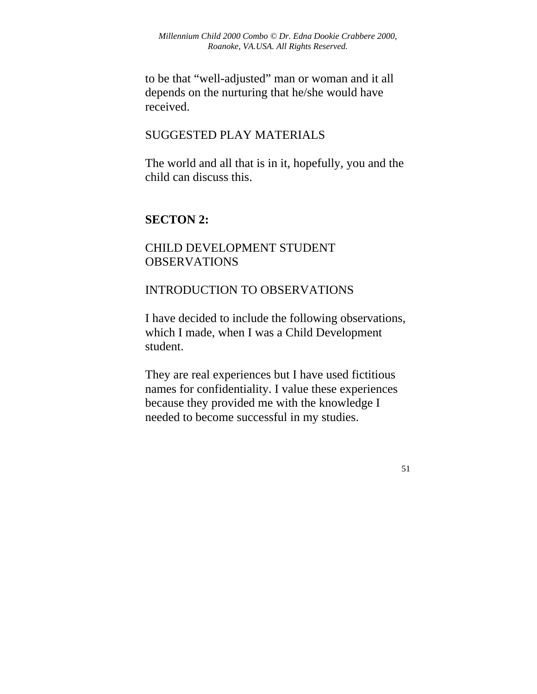to be that "well-adjusted" man or woman and it all depends on the nurturing that he/she would have received.

## SUGGESTED PLAY MATERIALS

The world and all that is in it, hopefully, you and the child can discuss this.

## **SECTON 2:**

## CHILD DEVELOPMENT STUDENT **OBSERVATIONS**

## INTRODUCTION TO OBSERVATIONS

I have decided to include the following observations, which I made, when I was a Child Development student.

They are real experiences but I have used fictitious names for confidentiality. I value these experiences because they provided me with the knowledge I needed to become successful in my studies.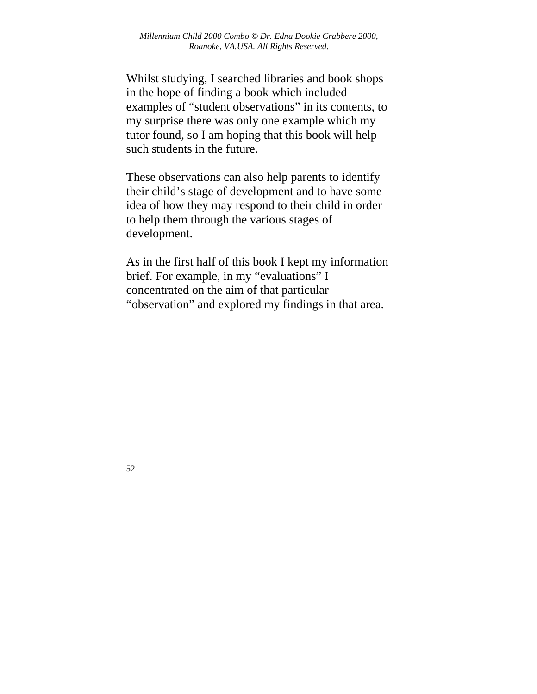Whilst studying, I searched libraries and book shops in the hope of finding a book which included examples of "student observations" in its contents, to my surprise there was only one example which my tutor found, so I am hoping that this book will help such students in the future.

These observations can also help parents to identify their child's stage of development and to have some idea of how they may respond to their child in order to help them through the various stages of development.

As in the first half of this book I kept my information brief. For example, in my "evaluations" I concentrated on the aim of that particular "observation" and explored my findings in that area.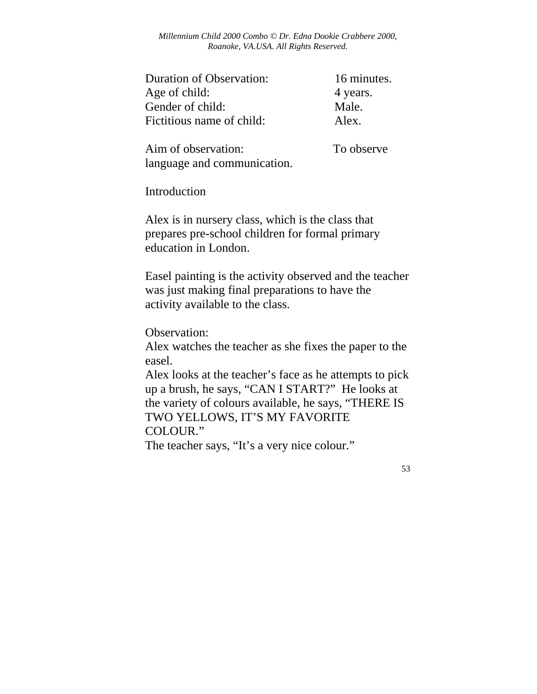*Millennium Child 2000 Combo © Dr. Edna Dookie Crabbere 2000, Roanoke, VA.USA. All Rights Reserved.* 

| <b>Duration of Observation:</b> | 16 minutes. |
|---------------------------------|-------------|
| Age of child:                   | 4 years.    |
| Gender of child:                | Male.       |
| Fictitious name of child:       | Alex.       |

Aim of observation: To observe language and communication.

Introduction

Alex is in nursery class, which is the class that prepares pre-school children for formal primary education in London.

Easel painting is the activity observed and the teacher was just making final preparations to have the activity available to the class.

Observation:

Alex watches the teacher as she fixes the paper to the easel.

Alex looks at the teacher's face as he attempts to pick up a brush, he says, "CAN I START?" He looks at the variety of colours available, he says, "THERE IS TWO YELLOWS, IT'S MY FAVORITE COLOUR."

The teacher says, "It's a very nice colour."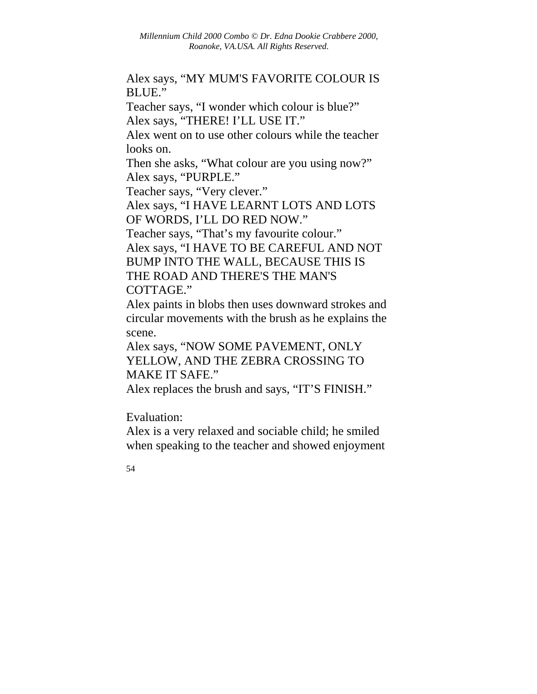Alex says, "MY MUM'S FAVORITE COLOUR IS BLUE."

Teacher says, "I wonder which colour is blue?" Alex says, "THERE! I'LL USE IT."

Alex went on to use other colours while the teacher looks on.

Then she asks, "What colour are you using now?" Alex says, "PURPLE."

Teacher says, "Very clever."

Alex says, "I HAVE LEARNT LOTS AND LOTS OF WORDS, I'LL DO RED NOW."

Teacher says, "That's my favourite colour." Alex says, "I HAVE TO BE CAREFUL AND NOT BUMP INTO THE WALL, BECAUSE THIS IS THE ROAD AND THERE'S THE MAN'S COTTAGE."

Alex paints in blobs then uses downward strokes and circular movements with the brush as he explains the scene.

Alex says, "NOW SOME PAVEMENT, ONLY YELLOW, AND THE ZEBRA CROSSING TO MAKE IT SAFE."

Alex replaces the brush and says, "IT'S FINISH."

Evaluation:

Alex is a very relaxed and sociable child; he smiled when speaking to the teacher and showed enjoyment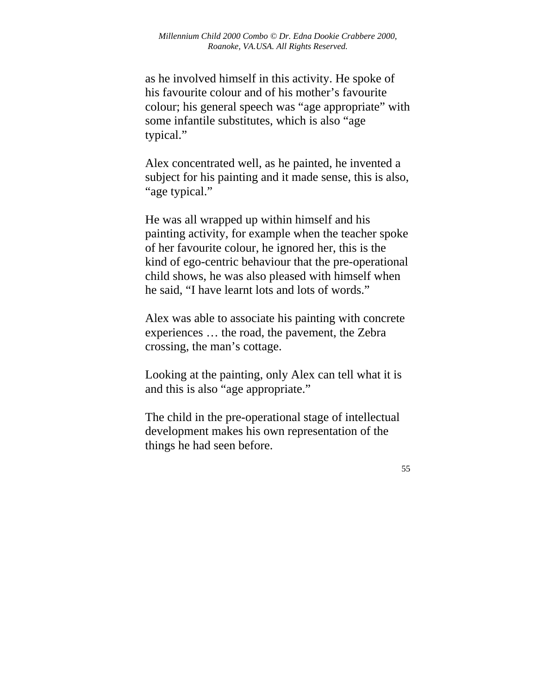as he involved himself in this activity. He spoke of his favourite colour and of his mother's favourite colour; his general speech was "age appropriate" with some infantile substitutes, which is also "age typical."

Alex concentrated well, as he painted, he invented a subject for his painting and it made sense, this is also, "age typical."

He was all wrapped up within himself and his painting activity, for example when the teacher spoke of her favourite colour, he ignored her, this is the kind of ego-centric behaviour that the pre-operational child shows, he was also pleased with himself when he said, "I have learnt lots and lots of words."

Alex was able to associate his painting with concrete experiences … the road, the pavement, the Zebra crossing, the man's cottage.

Looking at the painting, only Alex can tell what it is and this is also "age appropriate."

The child in the pre-operational stage of intellectual development makes his own representation of the things he had seen before.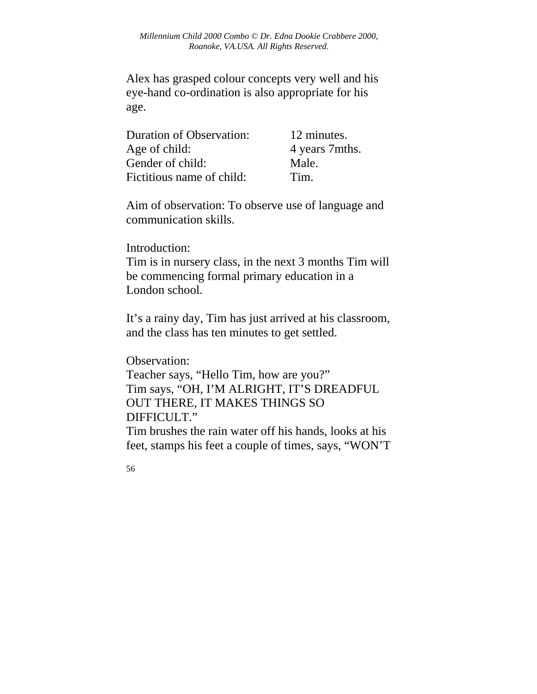Alex has grasped colour concepts very well and his eye-hand co-ordination is also appropriate for his age.

| <b>Duration of Observation:</b> | 12 minutes.    |
|---------------------------------|----------------|
| Age of child:                   | 4 years 7mths. |
| Gender of child:                | Male.          |
| Fictitious name of child:       | Tim.           |

Aim of observation: To observe use of language and communication skills.

Introduction:

Tim is in nursery class, in the next 3 months Tim will be commencing formal primary education in a London school.

It's a rainy day, Tim has just arrived at his classroom, and the class has ten minutes to get settled.

Observation:

Teacher says, "Hello Tim, how are you?" Tim says, "OH, I'M ALRIGHT, IT'S DREADFUL OUT THERE, IT MAKES THINGS SO DIFFICULT."

Tim brushes the rain water off his hands, looks at his feet, stamps his feet a couple of times, says, "WON'T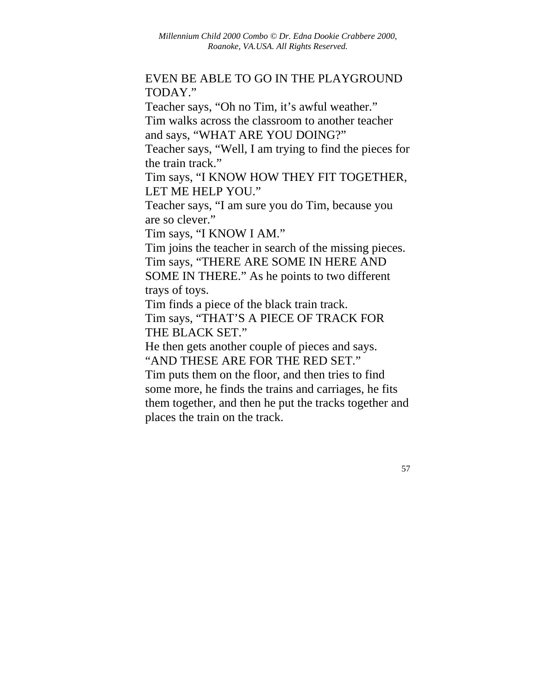## EVEN BE ABLE TO GO IN THE PLAYGROUND TODAY."

Teacher says, "Oh no Tim, it's awful weather." Tim walks across the classroom to another teacher and says, "WHAT ARE YOU DOING?"

Teacher says, "Well, I am trying to find the pieces for the train track."

Tim says, "I KNOW HOW THEY FIT TOGETHER, LET ME HELP YOU."

Teacher says, "I am sure you do Tim, because you are so clever."

Tim says, "I KNOW I AM."

Tim joins the teacher in search of the missing pieces. Tim says, "THERE ARE SOME IN HERE AND SOME IN THERE." As he points to two different trays of toys.

Tim finds a piece of the black train track. Tim says, "THAT'S A PIECE OF TRACK FOR THE BLACK SET."

He then gets another couple of pieces and says. "AND THESE ARE FOR THE RED SET."

Tim puts them on the floor, and then tries to find some more, he finds the trains and carriages, he fits them together, and then he put the tracks together and places the train on the track.

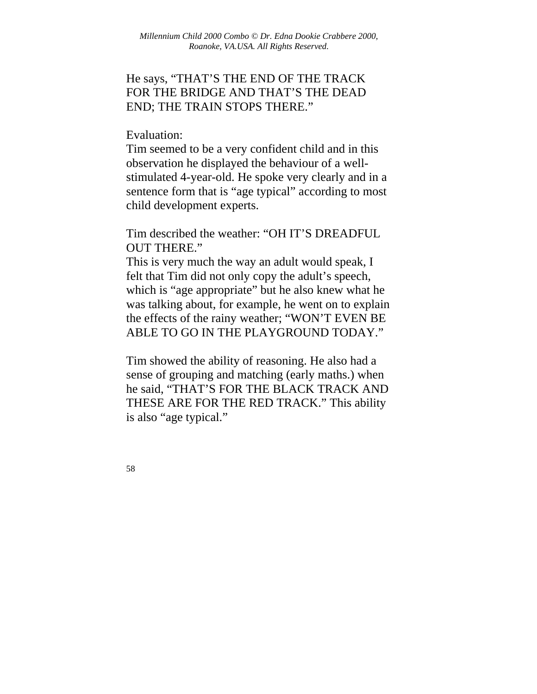# He says, "THAT'S THE END OF THE TRACK FOR THE BRIDGE AND THAT'S THE DEAD END; THE TRAIN STOPS THERE."

#### Evaluation:

Tim seemed to be a very confident child and in this observation he displayed the behaviour of a wellstimulated 4-year-old. He spoke very clearly and in a sentence form that is "age typical" according to most child development experts.

Tim described the weather: "OH IT'S DREADFUL OUT THERE."

This is very much the way an adult would speak, I felt that Tim did not only copy the adult's speech, which is "age appropriate" but he also knew what he was talking about, for example, he went on to explain the effects of the rainy weather; "WON'T EVEN BE ABLE TO GO IN THE PLAYGROUND TODAY."

Tim showed the ability of reasoning. He also had a sense of grouping and matching (early maths.) when he said, "THAT'S FOR THE BLACK TRACK AND THESE ARE FOR THE RED TRACK." This ability is also "age typical."

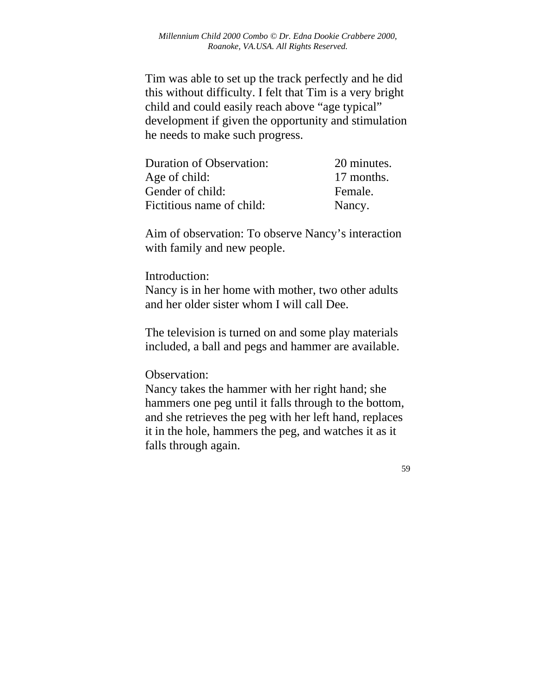Tim was able to set up the track perfectly and he did this without difficulty. I felt that Tim is a very bright child and could easily reach above "age typical" development if given the opportunity and stimulation he needs to make such progress.

| <b>Duration of Observation:</b> | 20 minutes. |
|---------------------------------|-------------|
| Age of child:                   | 17 months.  |
| Gender of child:                | Female.     |
| Fictitious name of child:       | Nancy.      |

Aim of observation: To observe Nancy's interaction with family and new people.

#### Introduction:

Nancy is in her home with mother, two other adults and her older sister whom I will call Dee.

The television is turned on and some play materials included, a ball and pegs and hammer are available.

Observation:

Nancy takes the hammer with her right hand; she hammers one peg until it falls through to the bottom, and she retrieves the peg with her left hand, replaces it in the hole, hammers the peg, and watches it as it falls through again.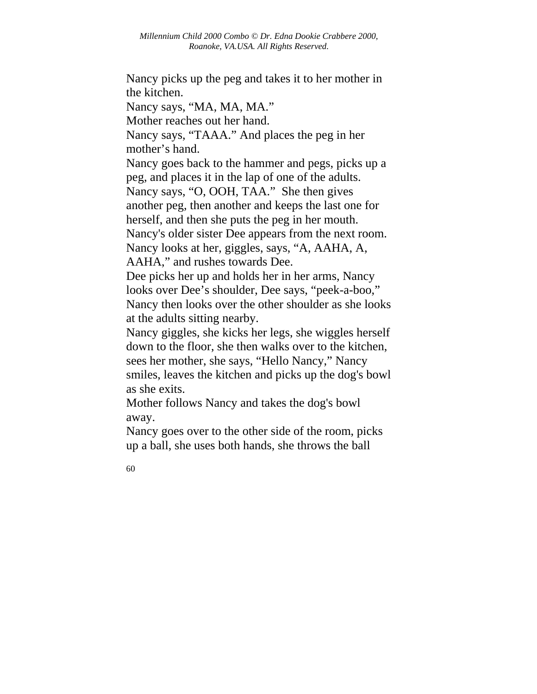Nancy picks up the peg and takes it to her mother in the kitchen.

Nancy says, "MA, MA, MA."

Mother reaches out her hand.

Nancy says, "TAAA." And places the peg in her mother's hand.

Nancy goes back to the hammer and pegs, picks up a peg, and places it in the lap of one of the adults. Nancy says, "O, OOH, TAA." She then gives another peg, then another and keeps the last one for herself, and then she puts the peg in her mouth.

Nancy's older sister Dee appears from the next room.

Nancy looks at her, giggles, says, "A, AAHA, A, AAHA," and rushes towards Dee.

Dee picks her up and holds her in her arms, Nancy looks over Dee's shoulder, Dee says, "peek-a-boo," Nancy then looks over the other shoulder as she looks at the adults sitting nearby.

Nancy giggles, she kicks her legs, she wiggles herself down to the floor, she then walks over to the kitchen, sees her mother, she says, "Hello Nancy," Nancy smiles, leaves the kitchen and picks up the dog's bowl as she exits.

Mother follows Nancy and takes the dog's bowl away.

Nancy goes over to the other side of the room, picks up a ball, she uses both hands, she throws the ball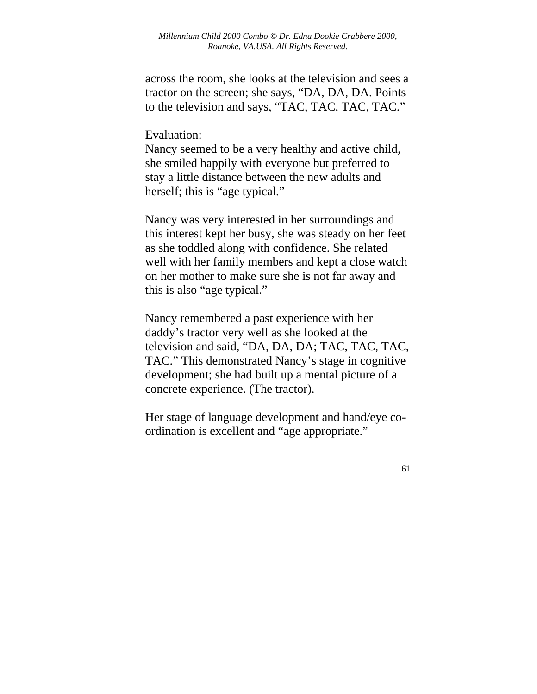across the room, she looks at the television and sees a tractor on the screen; she says, "DA, DA, DA. Points to the television and says, "TAC, TAC, TAC, TAC."

Evaluation:

Nancy seemed to be a very healthy and active child, she smiled happily with everyone but preferred to stay a little distance between the new adults and herself; this is "age typical."

Nancy was very interested in her surroundings and this interest kept her busy, she was steady on her feet as she toddled along with confidence. She related well with her family members and kept a close watch on her mother to make sure she is not far away and this is also "age typical."

Nancy remembered a past experience with her daddy's tractor very well as she looked at the television and said, "DA, DA, DA; TAC, TAC, TAC, TAC." This demonstrated Nancy's stage in cognitive development; she had built up a mental picture of a concrete experience. (The tractor).

Her stage of language development and hand/eye coordination is excellent and "age appropriate."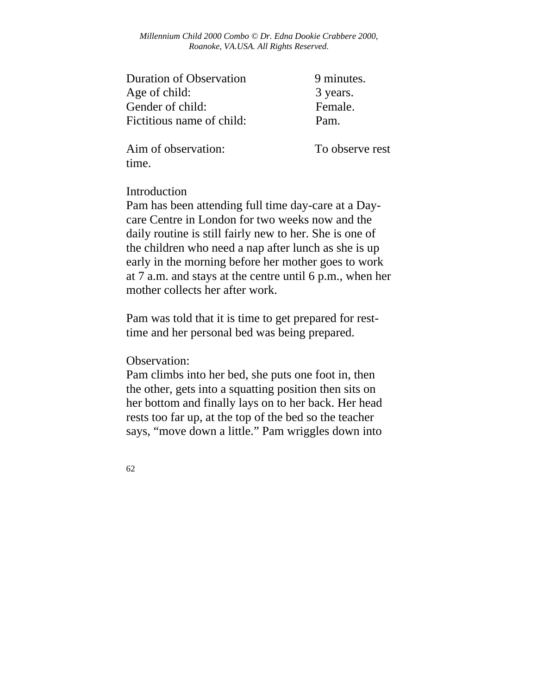*Millennium Child 2000 Combo © Dr. Edna Dookie Crabbere 2000, Roanoke, VA.USA. All Rights Reserved.* 

| 9 minutes. |
|------------|
| 3 years.   |
| Female.    |
| Pam.       |
|            |

Aim of observation: To observe rest time.

#### Introduction

Pam has been attending full time day-care at a Daycare Centre in London for two weeks now and the daily routine is still fairly new to her. She is one of the children who need a nap after lunch as she is up early in the morning before her mother goes to work at 7 a.m. and stays at the centre until 6 p.m., when her mother collects her after work.

Pam was told that it is time to get prepared for resttime and her personal bed was being prepared.

Observation:

Pam climbs into her bed, she puts one foot in, then the other, gets into a squatting position then sits on her bottom and finally lays on to her back. Her head rests too far up, at the top of the bed so the teacher says, "move down a little." Pam wriggles down into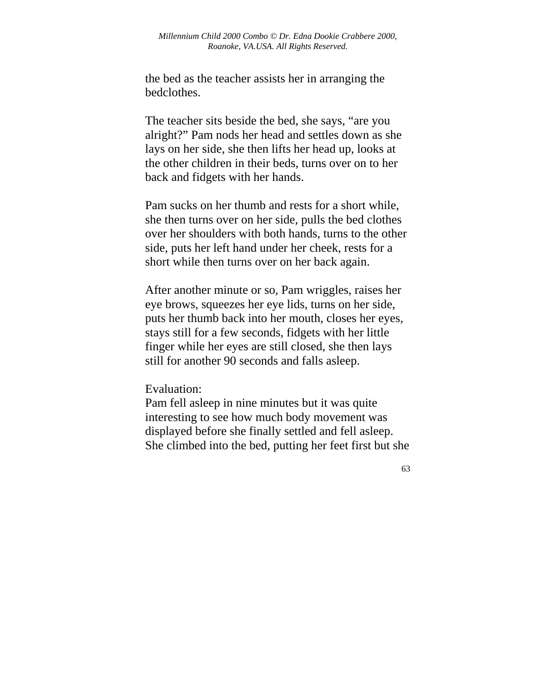the bed as the teacher assists her in arranging the bedclothes.

The teacher sits beside the bed, she says, "are you alright?" Pam nods her head and settles down as she lays on her side, she then lifts her head up, looks at the other children in their beds, turns over on to her back and fidgets with her hands.

Pam sucks on her thumb and rests for a short while, she then turns over on her side, pulls the bed clothes over her shoulders with both hands, turns to the other side, puts her left hand under her cheek, rests for a short while then turns over on her back again.

After another minute or so, Pam wriggles, raises her eye brows, squeezes her eye lids, turns on her side, puts her thumb back into her mouth, closes her eyes, stays still for a few seconds, fidgets with her little finger while her eyes are still closed, she then lays still for another 90 seconds and falls asleep.

#### Evaluation:

Pam fell asleep in nine minutes but it was quite interesting to see how much body movement was displayed before she finally settled and fell asleep. She climbed into the bed, putting her feet first but she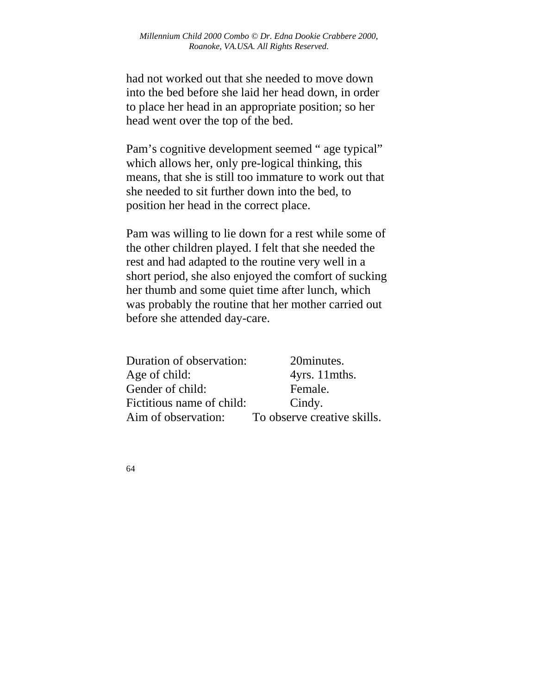had not worked out that she needed to move down into the bed before she laid her head down, in order to place her head in an appropriate position; so her head went over the top of the bed.

Pam's cognitive development seemed " age typical" which allows her, only pre-logical thinking, this means, that she is still too immature to work out that she needed to sit further down into the bed, to position her head in the correct place.

Pam was willing to lie down for a rest while some of the other children played. I felt that she needed the rest and had adapted to the routine very well in a short period, she also enjoyed the comfort of sucking her thumb and some quiet time after lunch, which was probably the routine that her mother carried out before she attended day-care.

| Duration of observation:  | 20minutes.                  |
|---------------------------|-----------------------------|
| Age of child:             | 4yrs. 11 mths.              |
| Gender of child:          | Female.                     |
| Fictitious name of child: | Cindy.                      |
| Aim of observation:       | To observe creative skills. |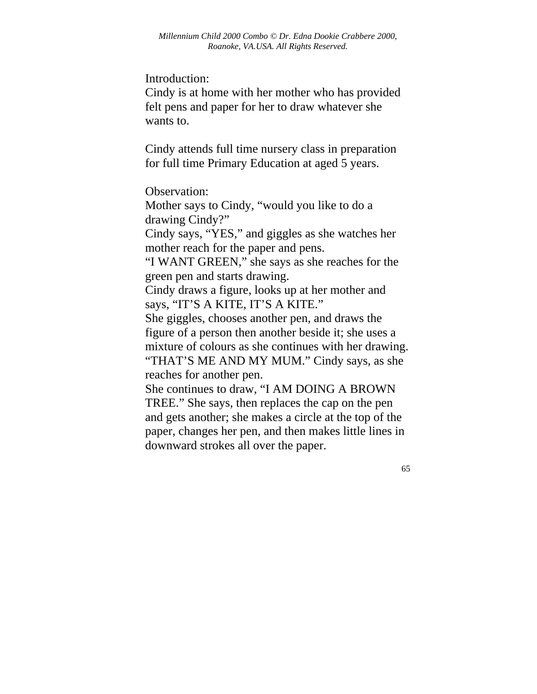Introduction:

Cindy is at home with her mother who has provided felt pens and paper for her to draw whatever she wants to.

Cindy attends full time nursery class in preparation for full time Primary Education at aged 5 years.

Observation:

Mother says to Cindy, "would you like to do a drawing Cindy?"

Cindy says, "YES," and giggles as she watches her mother reach for the paper and pens.

"I WANT GREEN," she says as she reaches for the green pen and starts drawing.

Cindy draws a figure, looks up at her mother and says, "IT'S A KITE, IT'S A KITE."

She giggles, chooses another pen, and draws the figure of a person then another beside it; she uses a mixture of colours as she continues with her drawing. "THAT'S ME AND MY MUM." Cindy says, as she reaches for another pen.

She continues to draw, "I AM DOING A BROWN TREE." She says, then replaces the cap on the pen and gets another; she makes a circle at the top of the paper, changes her pen, and then makes little lines in downward strokes all over the paper.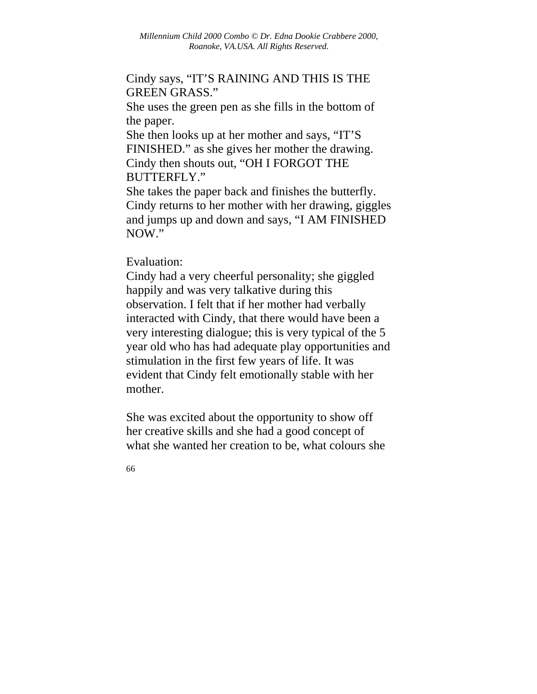## Cindy says, "IT'S RAINING AND THIS IS THE GREEN GRASS."

She uses the green pen as she fills in the bottom of the paper.

She then looks up at her mother and says, "IT'S FINISHED." as she gives her mother the drawing. Cindy then shouts out, "OH I FORGOT THE BUTTERFLY."

She takes the paper back and finishes the butterfly. Cindy returns to her mother with her drawing, giggles and jumps up and down and says, "I AM FINISHED NOW."

Evaluation:

Cindy had a very cheerful personality; she giggled happily and was very talkative during this observation. I felt that if her mother had verbally interacted with Cindy, that there would have been a very interesting dialogue; this is very typical of the 5 year old who has had adequate play opportunities and stimulation in the first few years of life. It was evident that Cindy felt emotionally stable with her mother.

She was excited about the opportunity to show off her creative skills and she had a good concept of what she wanted her creation to be, what colours she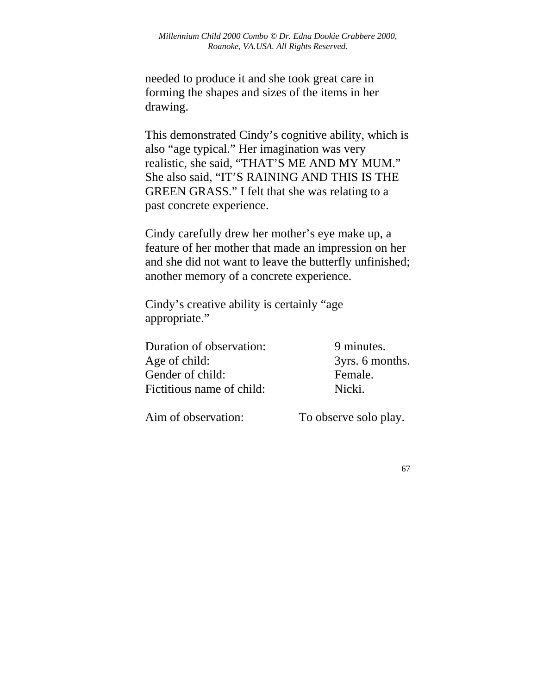needed to produce it and she took great care in forming the shapes and sizes of the items in her drawing.

This demonstrated Cindy's cognitive ability, which is also "age typical." Her imagination was very realistic, she said, "THAT'S ME AND MY MUM." She also said, "IT'S RAINING AND THIS IS THE GREEN GRASS." I felt that she was relating to a past concrete experience.

Cindy carefully drew her mother's eye make up, a feature of her mother that made an impression on her and she did not want to leave the butterfly unfinished; another memory of a concrete experience.

Cindy's creative ability is certainly "age appropriate."

Duration of observation: 9 minutes. Age of child:  $3yrs. 6 months.$ Gender of child: Female. Fictitious name of child: Nicki.

Aim of observation: To observe solo play.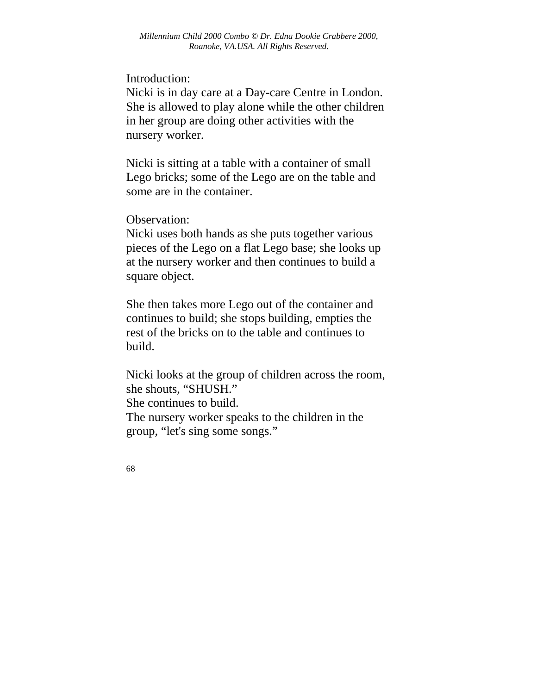Introduction:

Nicki is in day care at a Day-care Centre in London. She is allowed to play alone while the other children in her group are doing other activities with the nursery worker.

Nicki is sitting at a table with a container of small Lego bricks; some of the Lego are on the table and some are in the container.

Observation:

Nicki uses both hands as she puts together various pieces of the Lego on a flat Lego base; she looks up at the nursery worker and then continues to build a square object.

She then takes more Lego out of the container and continues to build; she stops building, empties the rest of the bricks on to the table and continues to build.

Nicki looks at the group of children across the room, she shouts, "SHUSH." She continues to build. The nursery worker speaks to the children in the group, "let's sing some songs."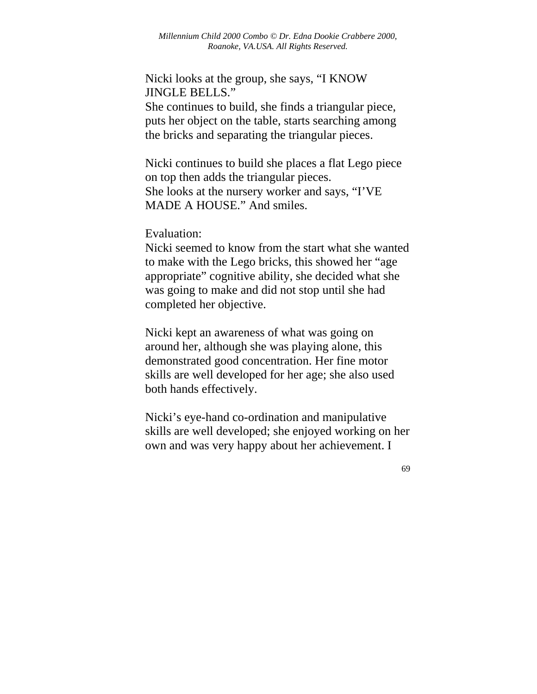Nicki looks at the group, she says, "I KNOW JINGLE BELLS."

She continues to build, she finds a triangular piece, puts her object on the table, starts searching among the bricks and separating the triangular pieces.

Nicki continues to build she places a flat Lego piece on top then adds the triangular pieces. She looks at the nursery worker and says, "I'VE MADE A HOUSE." And smiles.

Evaluation:

Nicki seemed to know from the start what she wanted to make with the Lego bricks, this showed her "age appropriate" cognitive ability, she decided what she was going to make and did not stop until she had completed her objective.

Nicki kept an awareness of what was going on around her, although she was playing alone, this demonstrated good concentration. Her fine motor skills are well developed for her age; she also used both hands effectively.

Nicki's eye-hand co-ordination and manipulative skills are well developed; she enjoyed working on her own and was very happy about her achievement. I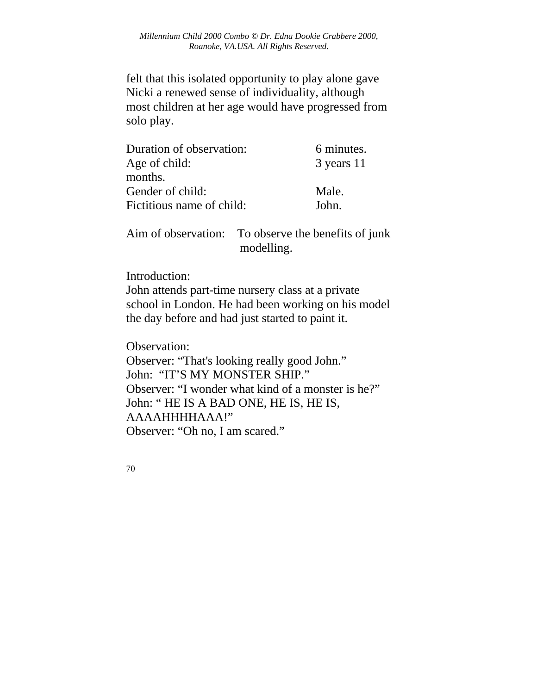felt that this isolated opportunity to play alone gave Nicki a renewed sense of individuality, although most children at her age would have progressed from solo play.

| Duration of observation:  | 6 minutes. |
|---------------------------|------------|
| Age of child:             | 3 years 11 |
| months.                   |            |
| Gender of child:          | Male.      |
| Fictitious name of child: | John.      |

Aim of observation: To observe the benefits of junk modelling.

Introduction:

John attends part-time nursery class at a private school in London. He had been working on his model the day before and had just started to paint it.

Observation:

Observer: "That's looking really good John." John: "IT'S MY MONSTER SHIP." Observer: "I wonder what kind of a monster is he?" John: " HE IS A BAD ONE, HE IS, HE IS, AAAAHHHHAAA!" Observer: "Oh no, I am scared."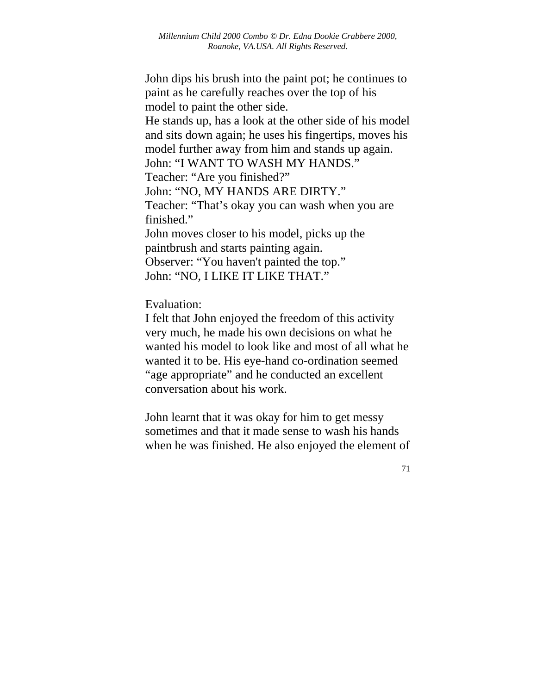John dips his brush into the paint pot; he continues to paint as he carefully reaches over the top of his model to paint the other side.

He stands up, has a look at the other side of his model and sits down again; he uses his fingertips, moves his model further away from him and stands up again.

John: "I WANT TO WASH MY HANDS." Teacher: "Are you finished?"

John: "NO, MY HANDS ARE DIRTY."

Teacher: "That's okay you can wash when you are finished."

John moves closer to his model, picks up the paintbrush and starts painting again. Observer: "You haven't painted the top." John: "NO, I LIKE IT LIKE THAT."

Evaluation:

I felt that John enjoyed the freedom of this activity very much, he made his own decisions on what he wanted his model to look like and most of all what he wanted it to be. His eye-hand co-ordination seemed "age appropriate" and he conducted an excellent conversation about his work.

John learnt that it was okay for him to get messy sometimes and that it made sense to wash his hands when he was finished. He also enjoyed the element of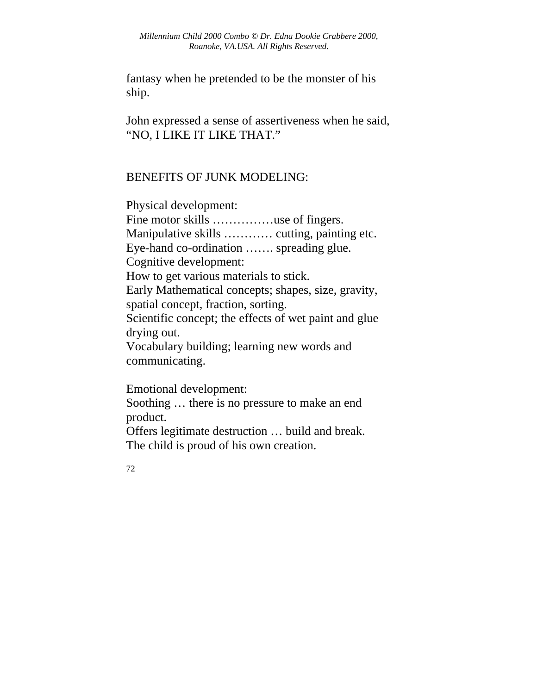fantasy when he pretended to be the monster of his ship.

John expressed a sense of assertiveness when he said, "NO, I LIKE IT LIKE THAT."

# BENEFITS OF JUNK MODELING:

Physical development: Fine motor skills …………use of fingers. Manipulative skills ………… cutting, painting etc. Eye-hand co-ordination ……. spreading glue. Cognitive development: How to get various materials to stick. Early Mathematical concepts; shapes, size, gravity, spatial concept, fraction, sorting. Scientific concept; the effects of wet paint and glue drying out. Vocabulary building; learning new words and communicating.

Emotional development:

Soothing … there is no pressure to make an end product.

Offers legitimate destruction … build and break. The child is proud of his own creation.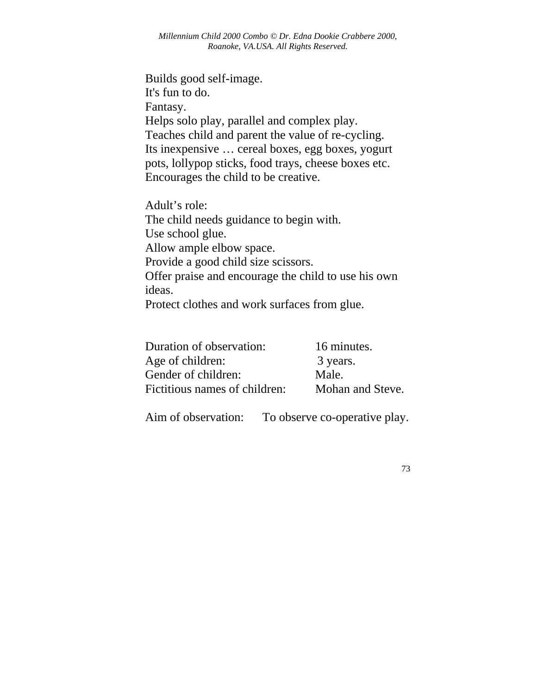Builds good self-image. It's fun to do. Fantasy. Helps solo play, parallel and complex play. Teaches child and parent the value of re-cycling. Its inexpensive … cereal boxes, egg boxes, yogurt pots, lollypop sticks, food trays, cheese boxes etc. Encourages the child to be creative.

Adult's role: The child needs guidance to begin with. Use school glue. Allow ample elbow space. Provide a good child size scissors. Offer praise and encourage the child to use his own ideas. Protect clothes and work surfaces from glue.

| Duration of observation:      | 16 minutes.      |
|-------------------------------|------------------|
| Age of children:              | 3 years.         |
| Gender of children:           | Male.            |
| Fictitious names of children: | Mohan and Steve. |

Aim of observation: To observe co-operative play.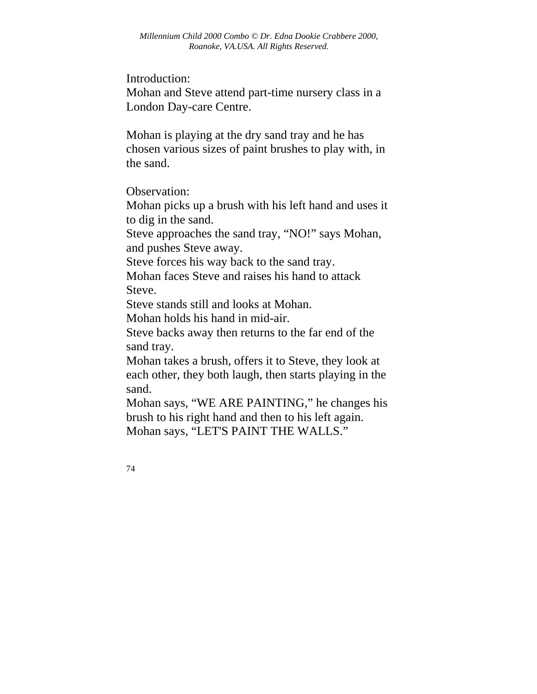Introduction:

Mohan and Steve attend part-time nursery class in a London Day-care Centre.

Mohan is playing at the dry sand tray and he has chosen various sizes of paint brushes to play with, in the sand.

Observation:

Mohan picks up a brush with his left hand and uses it to dig in the sand.

Steve approaches the sand tray, "NO!" says Mohan, and pushes Steve away.

Steve forces his way back to the sand tray.

Mohan faces Steve and raises his hand to attack Steve.

Steve stands still and looks at Mohan.

Mohan holds his hand in mid-air.

Steve backs away then returns to the far end of the sand tray.

Mohan takes a brush, offers it to Steve, they look at each other, they both laugh, then starts playing in the sand.

Mohan says, "WE ARE PAINTING," he changes his brush to his right hand and then to his left again. Mohan says, "LET'S PAINT THE WALLS."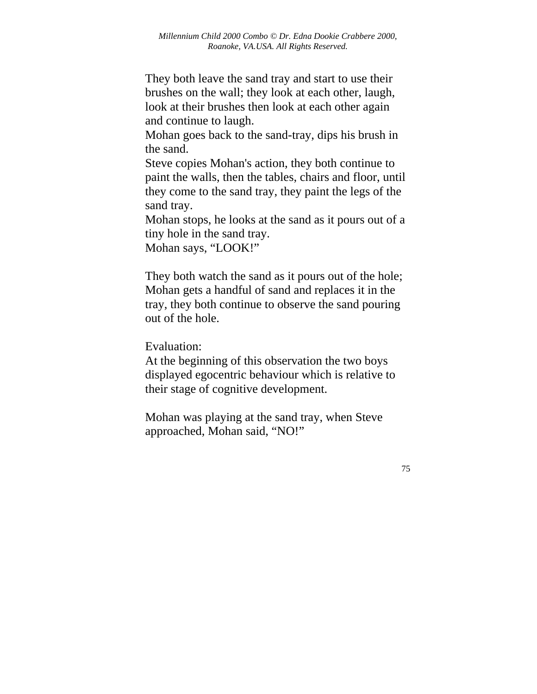They both leave the sand tray and start to use their brushes on the wall; they look at each other, laugh, look at their brushes then look at each other again and continue to laugh.

Mohan goes back to the sand-tray, dips his brush in the sand.

Steve copies Mohan's action, they both continue to paint the walls, then the tables, chairs and floor, until they come to the sand tray, they paint the legs of the sand tray.

Mohan stops, he looks at the sand as it pours out of a tiny hole in the sand tray.

Mohan says, "LOOK!"

They both watch the sand as it pours out of the hole; Mohan gets a handful of sand and replaces it in the tray, they both continue to observe the sand pouring out of the hole.

Evaluation:

At the beginning of this observation the two boys displayed egocentric behaviour which is relative to their stage of cognitive development.

Mohan was playing at the sand tray, when Steve approached, Mohan said, "NO!"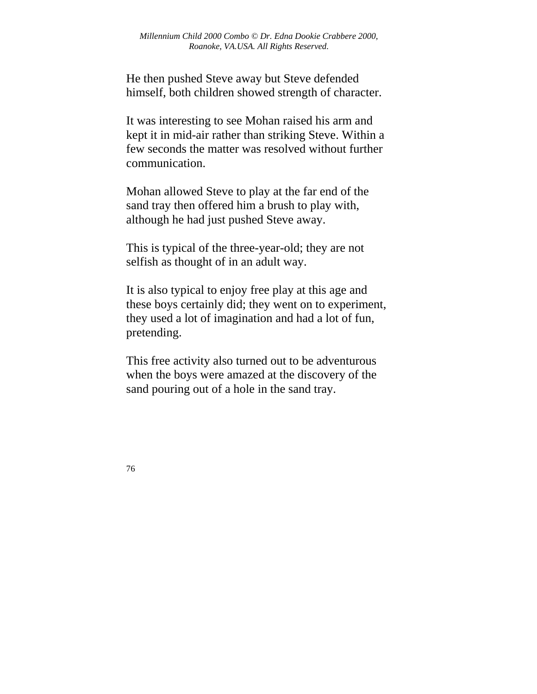He then pushed Steve away but Steve defended himself, both children showed strength of character.

It was interesting to see Mohan raised his arm and kept it in mid-air rather than striking Steve. Within a few seconds the matter was resolved without further communication.

Mohan allowed Steve to play at the far end of the sand tray then offered him a brush to play with, although he had just pushed Steve away.

This is typical of the three-year-old; they are not selfish as thought of in an adult way.

It is also typical to enjoy free play at this age and these boys certainly did; they went on to experiment, they used a lot of imagination and had a lot of fun, pretending.

This free activity also turned out to be adventurous when the boys were amazed at the discovery of the sand pouring out of a hole in the sand tray.

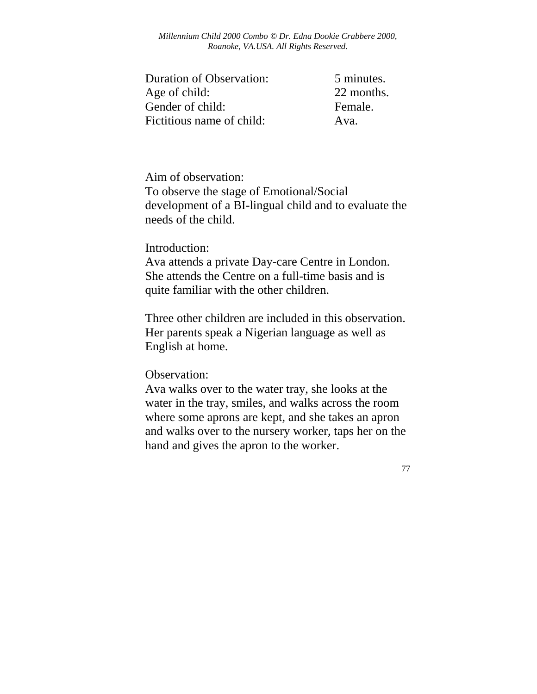| <b>Duration of Observation:</b> | 5 minutes. |
|---------------------------------|------------|
| Age of child:                   | 22 months. |
| Gender of child:                | Female.    |
| Fictitious name of child:       | Ava.       |

Aim of observation:

To observe the stage of Emotional/Social development of a BI-lingual child and to evaluate the needs of the child.

### Introduction:

Ava attends a private Day-care Centre in London. She attends the Centre on a full-time basis and is quite familiar with the other children.

Three other children are included in this observation. Her parents speak a Nigerian language as well as English at home.

Observation:

Ava walks over to the water tray, she looks at the water in the tray, smiles, and walks across the room where some aprons are kept, and she takes an apron and walks over to the nursery worker, taps her on the hand and gives the apron to the worker.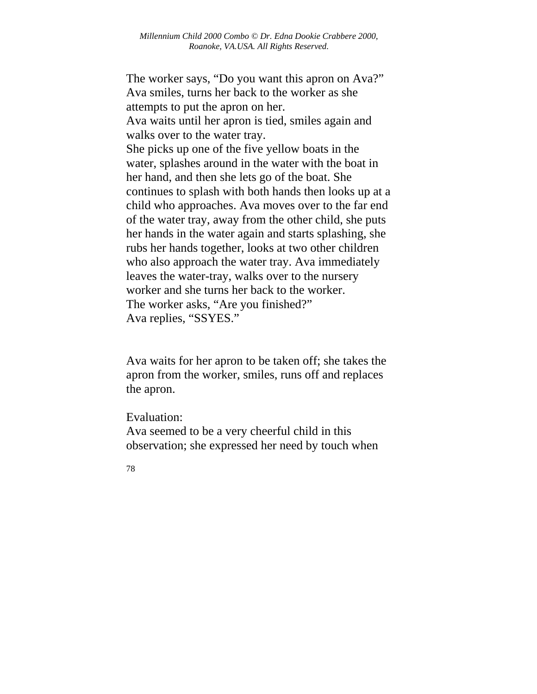The worker says, "Do you want this apron on Ava?" Ava smiles, turns her back to the worker as she attempts to put the apron on her. Ava waits until her apron is tied, smiles again and walks over to the water tray. She picks up one of the five yellow boats in the water, splashes around in the water with the boat in her hand, and then she lets go of the boat. She continues to splash with both hands then looks up at a child who approaches. Ava moves over to the far end of the water tray, away from the other child, she puts her hands in the water again and starts splashing, she rubs her hands together, looks at two other children who also approach the water tray. Ava immediately leaves the water-tray, walks over to the nursery worker and she turns her back to the worker. The worker asks, "Are you finished?" Ava replies, "SSYES."

Ava waits for her apron to be taken off; she takes the apron from the worker, smiles, runs off and replaces the apron.

Evaluation:

Ava seemed to be a very cheerful child in this observation; she expressed her need by touch when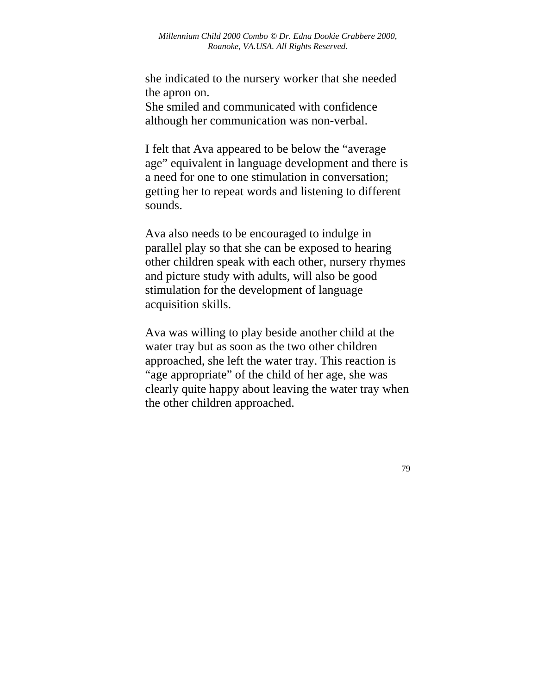she indicated to the nursery worker that she needed the apron on. She smiled and communicated with confidence although her communication was non-verbal.

I felt that Ava appeared to be below the "average age" equivalent in language development and there is a need for one to one stimulation in conversation; getting her to repeat words and listening to different sounds.

Ava also needs to be encouraged to indulge in parallel play so that she can be exposed to hearing other children speak with each other, nursery rhymes and picture study with adults, will also be good stimulation for the development of language acquisition skills.

Ava was willing to play beside another child at the water tray but as soon as the two other children approached, she left the water tray. This reaction is "age appropriate" of the child of her age, she was clearly quite happy about leaving the water tray when the other children approached.

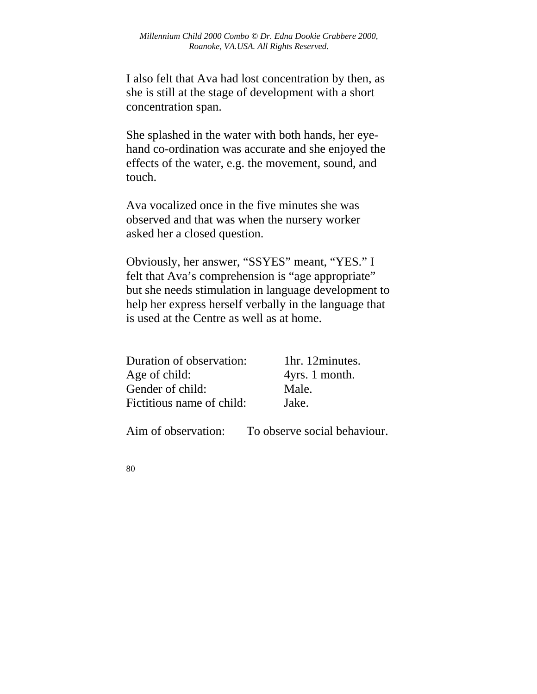I also felt that Ava had lost concentration by then, as she is still at the stage of development with a short concentration span.

She splashed in the water with both hands, her eyehand co-ordination was accurate and she enjoyed the effects of the water, e.g. the movement, sound, and touch.

Ava vocalized once in the five minutes she was observed and that was when the nursery worker asked her a closed question.

Obviously, her answer, "SSYES" meant, "YES." I felt that Ava's comprehension is "age appropriate" but she needs stimulation in language development to help her express herself verbally in the language that is used at the Centre as well as at home.

| Duration of observation:  | 1hr. 12 minutes. |
|---------------------------|------------------|
| Age of child:             | 4yrs. 1 month.   |
| Gender of child:          | Male.            |
| Fictitious name of child: | Jake.            |

Aim of observation: To observe social behaviour.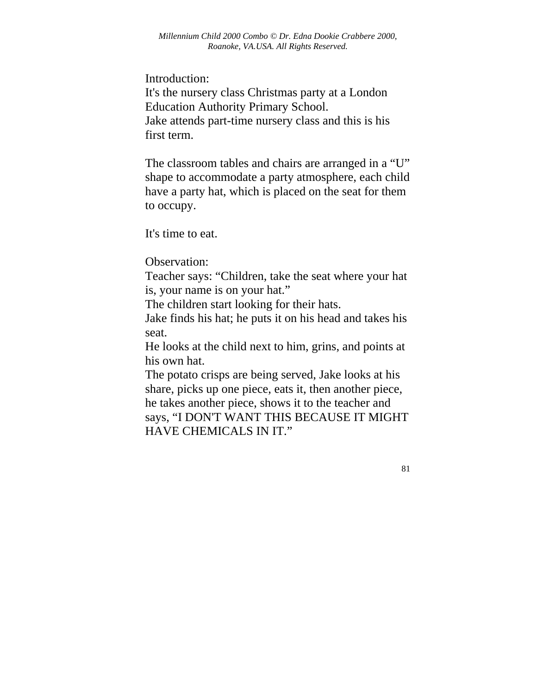Introduction:

It's the nursery class Christmas party at a London Education Authority Primary School. Jake attends part-time nursery class and this is his first term.

The classroom tables and chairs are arranged in a "U" shape to accommodate a party atmosphere, each child have a party hat, which is placed on the seat for them to occupy.

It's time to eat.

Observation:

Teacher says: "Children, take the seat where your hat is, your name is on your hat."

The children start looking for their hats.

Jake finds his hat; he puts it on his head and takes his seat.

He looks at the child next to him, grins, and points at his own hat.

The potato crisps are being served, Jake looks at his share, picks up one piece, eats it, then another piece, he takes another piece, shows it to the teacher and

says, "I DON'T WANT THIS BECAUSE IT MIGHT HAVE CHEMICALS IN IT."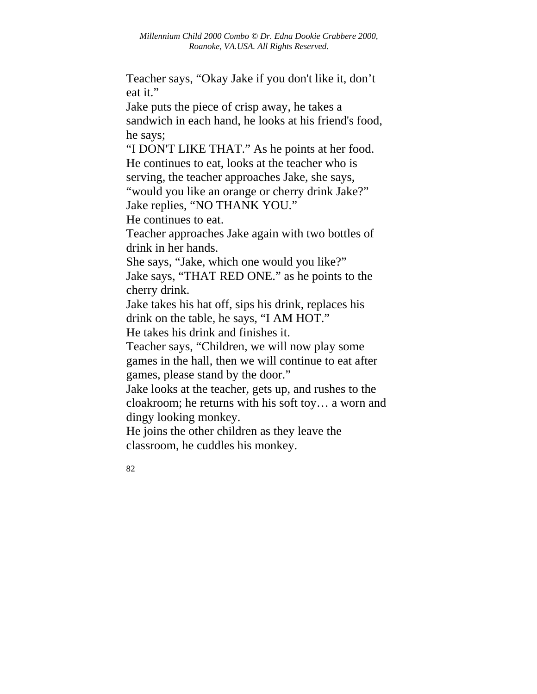Teacher says, "Okay Jake if you don't like it, don't eat it."

Jake puts the piece of crisp away, he takes a sandwich in each hand, he looks at his friend's food, he says;

"I DON'T LIKE THAT." As he points at her food. He continues to eat, looks at the teacher who is serving, the teacher approaches Jake, she says, "would you like an orange or cherry drink Jake?" Jake replies, "NO THANK YOU."

He continues to eat.

Teacher approaches Jake again with two bottles of drink in her hands.

She says, "Jake, which one would you like?"

Jake says, "THAT RED ONE." as he points to the cherry drink.

Jake takes his hat off, sips his drink, replaces his drink on the table, he says, "I AM HOT."

He takes his drink and finishes it.

Teacher says, "Children, we will now play some games in the hall, then we will continue to eat after games, please stand by the door."

Jake looks at the teacher, gets up, and rushes to the cloakroom; he returns with his soft toy… a worn and dingy looking monkey.

He joins the other children as they leave the classroom, he cuddles his monkey.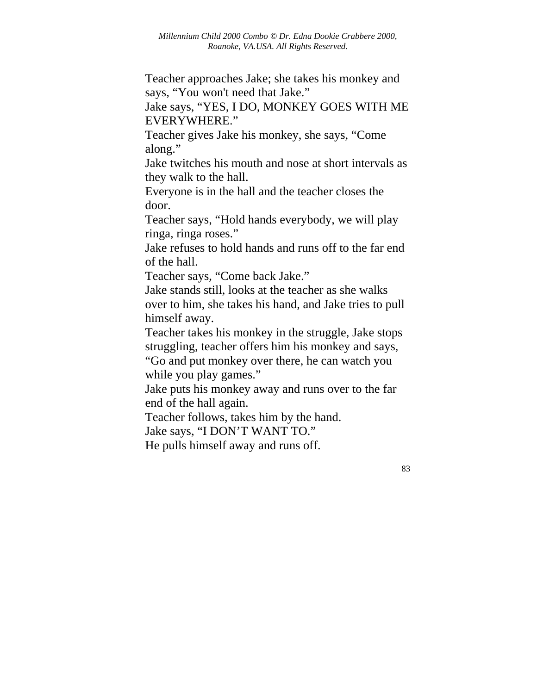Teacher approaches Jake; she takes his monkey and says, "You won't need that Jake."

Jake says, "YES, I DO, MONKEY GOES WITH ME EVERYWHERE."

Teacher gives Jake his monkey, she says, "Come along."

Jake twitches his mouth and nose at short intervals as they walk to the hall.

Everyone is in the hall and the teacher closes the door.

Teacher says, "Hold hands everybody, we will play ringa, ringa roses."

Jake refuses to hold hands and runs off to the far end of the hall.

Teacher says, "Come back Jake."

Jake stands still, looks at the teacher as she walks over to him, she takes his hand, and Jake tries to pull himself away.

Teacher takes his monkey in the struggle, Jake stops struggling, teacher offers him his monkey and says,

"Go and put monkey over there, he can watch you while you play games."

Jake puts his monkey away and runs over to the far end of the hall again.

Teacher follows, takes him by the hand.

Jake says, "I DON'T WANT TO."

He pulls himself away and runs off.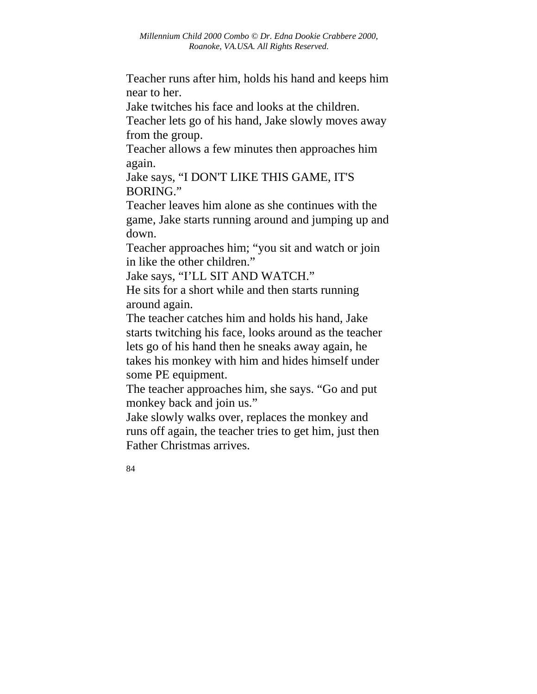Teacher runs after him, holds his hand and keeps him near to her.

Jake twitches his face and looks at the children. Teacher lets go of his hand, Jake slowly moves away from the group.

Teacher allows a few minutes then approaches him again.

Jake says, "I DON'T LIKE THIS GAME, IT'S BORING."

Teacher leaves him alone as she continues with the game, Jake starts running around and jumping up and down.

Teacher approaches him; "you sit and watch or join in like the other children."

Jake says, "I'LL SIT AND WATCH."

He sits for a short while and then starts running around again.

The teacher catches him and holds his hand, Jake starts twitching his face, looks around as the teacher lets go of his hand then he sneaks away again, he takes his monkey with him and hides himself under some PE equipment.

The teacher approaches him, she says. "Go and put monkey back and join us."

Jake slowly walks over, replaces the monkey and runs off again, the teacher tries to get him, just then Father Christmas arrives.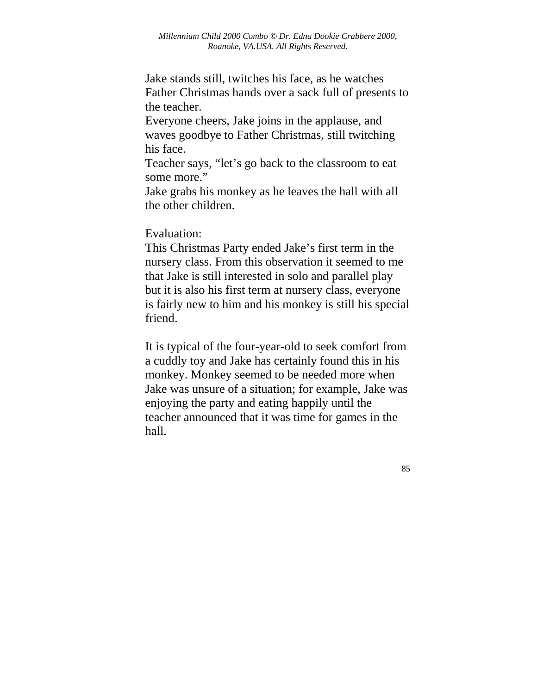Jake stands still, twitches his face, as he watches Father Christmas hands over a sack full of presents to the teacher.

Everyone cheers, Jake joins in the applause, and waves goodbye to Father Christmas, still twitching his face.

Teacher says, "let's go back to the classroom to eat some more."

Jake grabs his monkey as he leaves the hall with all the other children.

Evaluation:

This Christmas Party ended Jake's first term in the nursery class. From this observation it seemed to me that Jake is still interested in solo and parallel play but it is also his first term at nursery class, everyone is fairly new to him and his monkey is still his special friend.

It is typical of the four-year-old to seek comfort from a cuddly toy and Jake has certainly found this in his monkey. Monkey seemed to be needed more when Jake was unsure of a situation; for example, Jake was enjoying the party and eating happily until the teacher announced that it was time for games in the hall.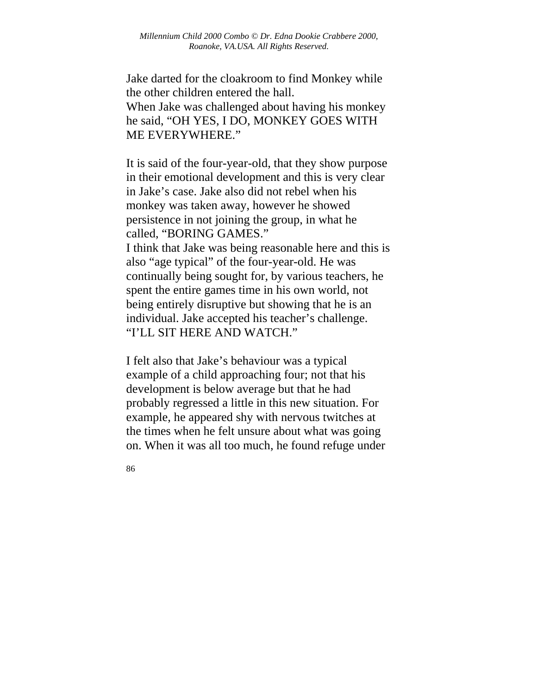Jake darted for the cloakroom to find Monkey while the other children entered the hall. When Jake was challenged about having his monkey he said, "OH YES, I DO, MONKEY GOES WITH ME EVERYWHERE."

It is said of the four-year-old, that they show purpose in their emotional development and this is very clear in Jake's case. Jake also did not rebel when his monkey was taken away, however he showed persistence in not joining the group, in what he called, "BORING GAMES."

I think that Jake was being reasonable here and this is also "age typical" of the four-year-old. He was continually being sought for, by various teachers, he spent the entire games time in his own world, not being entirely disruptive but showing that he is an individual. Jake accepted his teacher's challenge. "I'LL SIT HERE AND WATCH."

I felt also that Jake's behaviour was a typical example of a child approaching four; not that his development is below average but that he had probably regressed a little in this new situation. For example, he appeared shy with nervous twitches at the times when he felt unsure about what was going on. When it was all too much, he found refuge under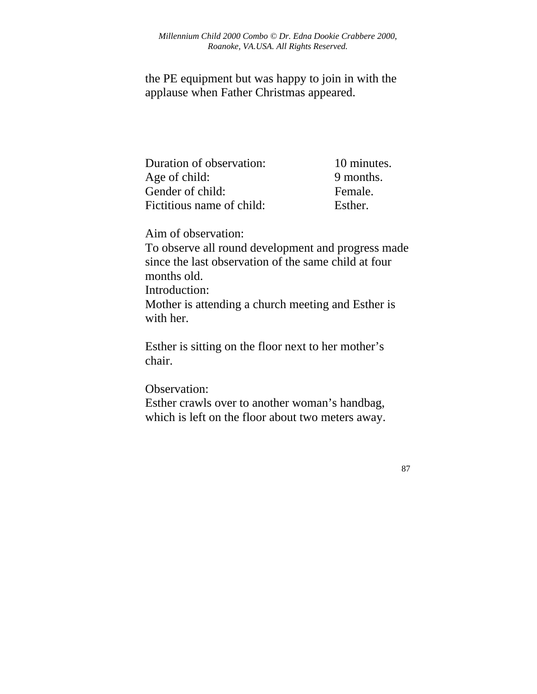the PE equipment but was happy to join in with the applause when Father Christmas appeared.

| Duration of observation:  | 10 minutes. |
|---------------------------|-------------|
| Age of child:             | 9 months.   |
| Gender of child:          | Female.     |
| Fictitious name of child: | Esther.     |

Aim of observation:

To observe all round development and progress made since the last observation of the same child at four months old. Introduction:

Mother is attending a church meeting and Esther is with her.

Esther is sitting on the floor next to her mother's chair.

Observation: Esther crawls over to another woman's handbag, which is left on the floor about two meters away.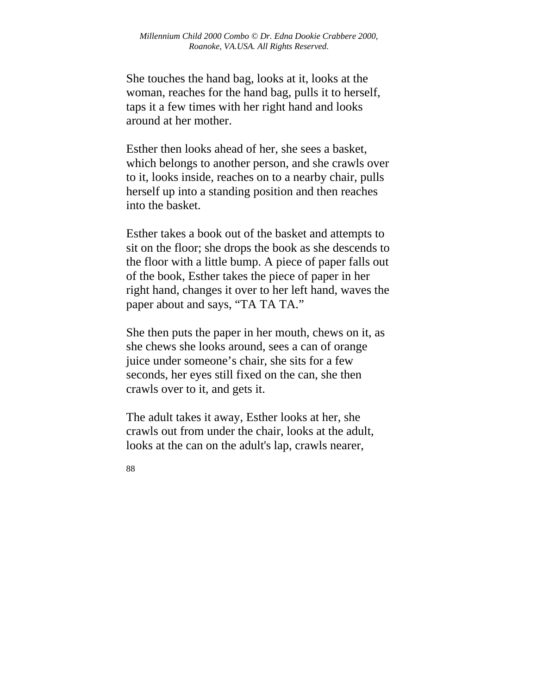She touches the hand bag, looks at it, looks at the woman, reaches for the hand bag, pulls it to herself, taps it a few times with her right hand and looks around at her mother.

Esther then looks ahead of her, she sees a basket, which belongs to another person, and she crawls over to it, looks inside, reaches on to a nearby chair, pulls herself up into a standing position and then reaches into the basket.

Esther takes a book out of the basket and attempts to sit on the floor; she drops the book as she descends to the floor with a little bump. A piece of paper falls out of the book, Esther takes the piece of paper in her right hand, changes it over to her left hand, waves the paper about and says, "TA TA TA."

She then puts the paper in her mouth, chews on it, as she chews she looks around, sees a can of orange juice under someone's chair, she sits for a few seconds, her eyes still fixed on the can, she then crawls over to it, and gets it.

The adult takes it away, Esther looks at her, she crawls out from under the chair, looks at the adult, looks at the can on the adult's lap, crawls nearer,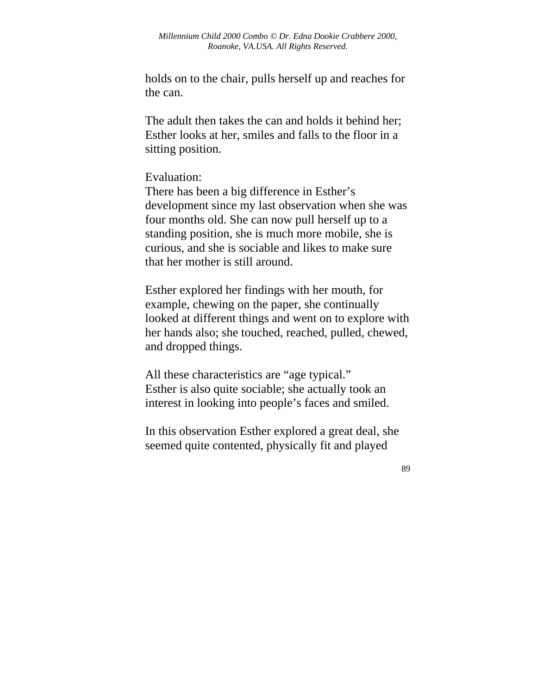holds on to the chair, pulls herself up and reaches for the can.

The adult then takes the can and holds it behind her; Esther looks at her, smiles and falls to the floor in a sitting position.

#### Evaluation:

There has been a big difference in Esther's development since my last observation when she was four months old. She can now pull herself up to a standing position, she is much more mobile, she is curious, and she is sociable and likes to make sure that her mother is still around.

Esther explored her findings with her mouth, for example, chewing on the paper, she continually looked at different things and went on to explore with her hands also; she touched, reached, pulled, chewed, and dropped things.

All these characteristics are "age typical." Esther is also quite sociable; she actually took an interest in looking into people's faces and smiled.

In this observation Esther explored a great deal, she seemed quite contented, physically fit and played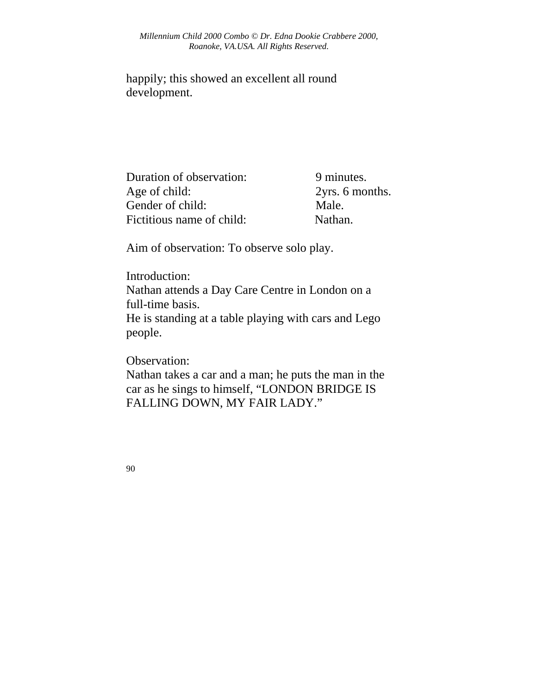happily; this showed an excellent all round development.

Duration of observation: 9 minutes. Age of child: 2yrs. 6 months. Gender of child: Male. Fictitious name of child: Nathan.

Aim of observation: To observe solo play.

Introduction: Nathan attends a Day Care Centre in London on a full-time basis. He is standing at a table playing with cars and Lego people.

Observation:

Nathan takes a car and a man; he puts the man in the car as he sings to himself, "LONDON BRIDGE IS FALLING DOWN, MY FAIR LADY."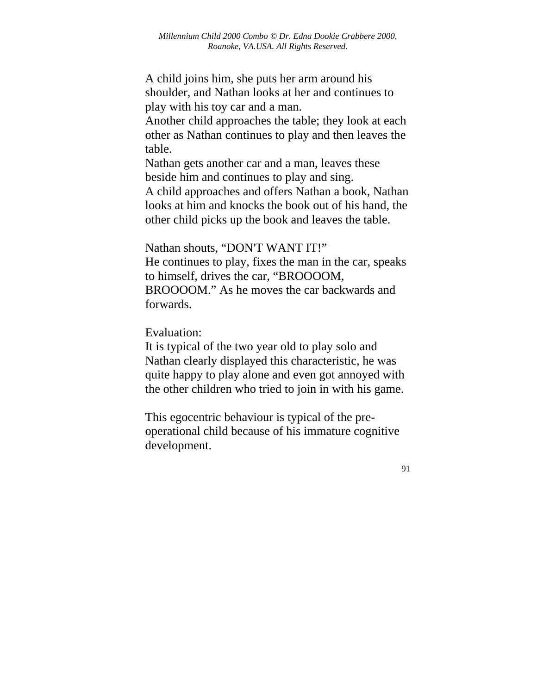A child joins him, she puts her arm around his shoulder, and Nathan looks at her and continues to play with his toy car and a man.

Another child approaches the table; they look at each other as Nathan continues to play and then leaves the table.

Nathan gets another car and a man, leaves these beside him and continues to play and sing.

A child approaches and offers Nathan a book, Nathan looks at him and knocks the book out of his hand, the other child picks up the book and leaves the table.

Nathan shouts, "DON'T WANT IT!"

He continues to play, fixes the man in the car, speaks to himself, drives the car, "BROOOOM, BROOOOM." As he moves the car backwards and forwards.

Evaluation:

It is typical of the two year old to play solo and Nathan clearly displayed this characteristic, he was quite happy to play alone and even got annoyed with the other children who tried to join in with his game.

This egocentric behaviour is typical of the preoperational child because of his immature cognitive development.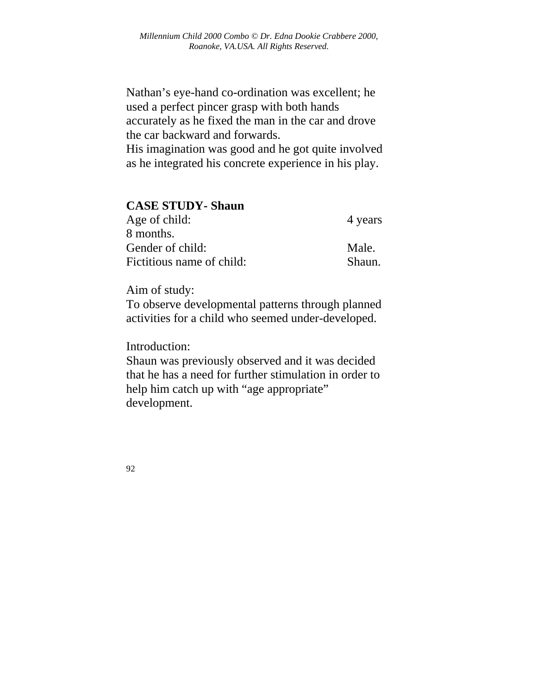Nathan's eye-hand co-ordination was excellent; he used a perfect pincer grasp with both hands accurately as he fixed the man in the car and drove the car backward and forwards.

His imagination was good and he got quite involved as he integrated his concrete experience in his play.

| <b>CASE STUDY- Shaun</b>  |         |
|---------------------------|---------|
| Age of child:             | 4 years |
| 8 months.                 |         |
| Gender of child:          | Male.   |
| Fictitious name of child: | Shaun.  |

Aim of study:

To observe developmental patterns through planned activities for a child who seemed under-developed.

Introduction:

Shaun was previously observed and it was decided that he has a need for further stimulation in order to help him catch up with "age appropriate" development.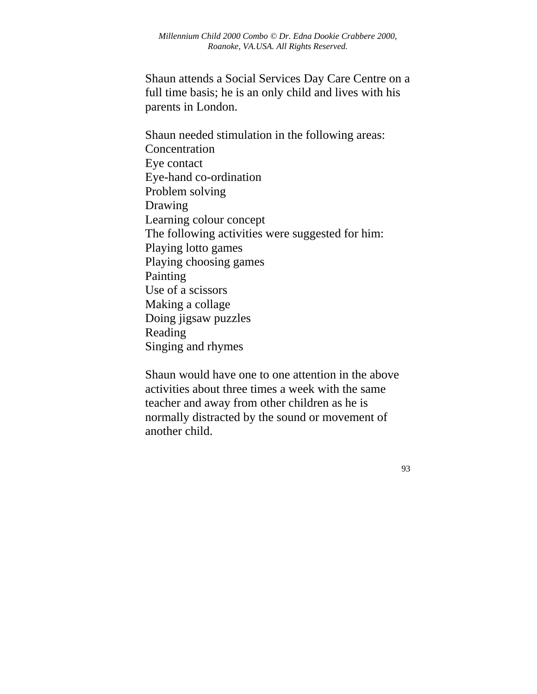Shaun attends a Social Services Day Care Centre on a full time basis; he is an only child and lives with his parents in London.

Shaun needed stimulation in the following areas: **Concentration** Eye contact Eye-hand co-ordination Problem solving Drawing Learning colour concept The following activities were suggested for him: Playing lotto games Playing choosing games Painting Use of a scissors Making a collage Doing jigsaw puzzles Reading Singing and rhymes

Shaun would have one to one attention in the above activities about three times a week with the same teacher and away from other children as he is normally distracted by the sound or movement of another child.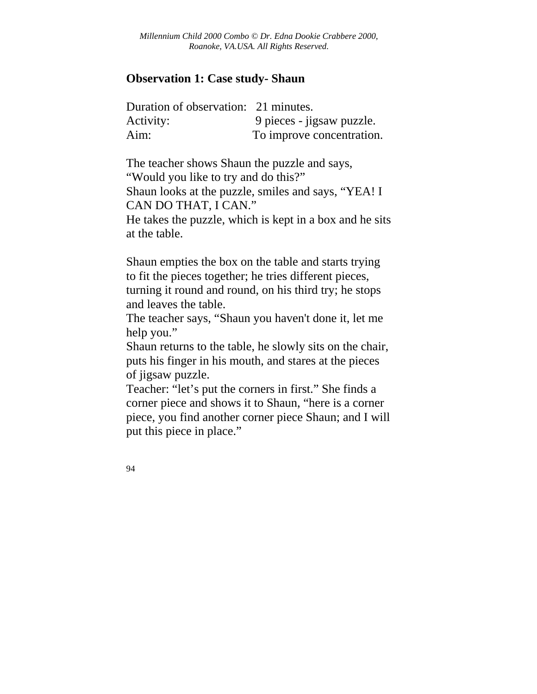## **Observation 1: Case study- Shaun**

| Duration of observation: 21 minutes. |                           |
|--------------------------------------|---------------------------|
| Activity:                            | 9 pieces - jigsaw puzzle. |
| Aim:                                 | To improve concentration. |

The teacher shows Shaun the puzzle and says, "Would you like to try and do this?" Shaun looks at the puzzle, smiles and says, "YEA! I CAN DO THAT, I CAN."

He takes the puzzle, which is kept in a box and he sits at the table.

Shaun empties the box on the table and starts trying to fit the pieces together; he tries different pieces, turning it round and round, on his third try; he stops and leaves the table.

The teacher says, "Shaun you haven't done it, let me help you."

Shaun returns to the table, he slowly sits on the chair, puts his finger in his mouth, and stares at the pieces of jigsaw puzzle.

Teacher: "let's put the corners in first." She finds a corner piece and shows it to Shaun, "here is a corner piece, you find another corner piece Shaun; and I will put this piece in place."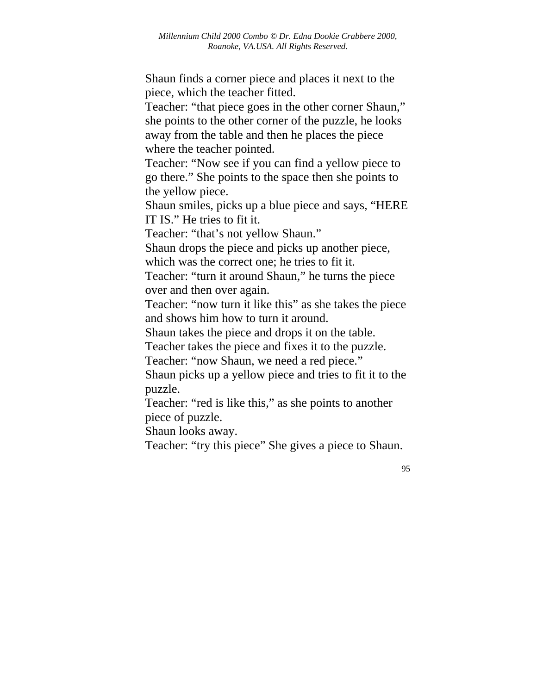Shaun finds a corner piece and places it next to the piece, which the teacher fitted.

Teacher: "that piece goes in the other corner Shaun," she points to the other corner of the puzzle, he looks away from the table and then he places the piece where the teacher pointed.

Teacher: "Now see if you can find a yellow piece to go there." She points to the space then she points to the yellow piece.

Shaun smiles, picks up a blue piece and says, "HERE IT IS." He tries to fit it.

Teacher: "that's not yellow Shaun."

Shaun drops the piece and picks up another piece,

which was the correct one; he tries to fit it.

Teacher: "turn it around Shaun," he turns the piece over and then over again.

Teacher: "now turn it like this" as she takes the piece and shows him how to turn it around.

Shaun takes the piece and drops it on the table.

Teacher takes the piece and fixes it to the puzzle.

Teacher: "now Shaun, we need a red piece."

Shaun picks up a yellow piece and tries to fit it to the puzzle.

Teacher: "red is like this," as she points to another piece of puzzle.

Shaun looks away.

Teacher: "try this piece" She gives a piece to Shaun.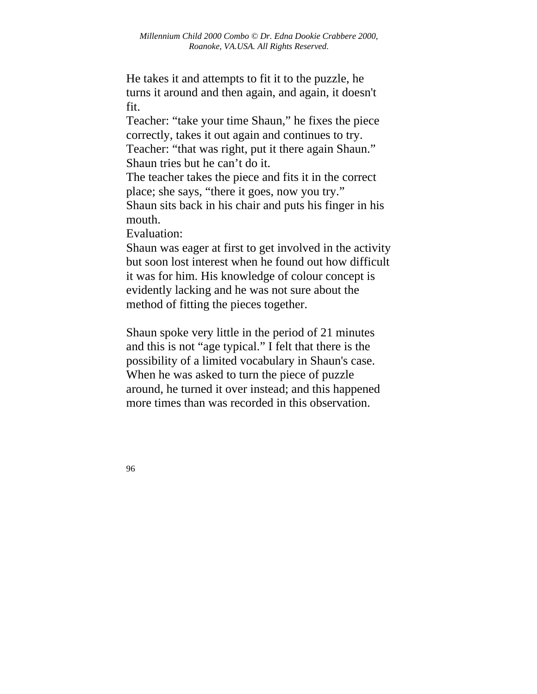He takes it and attempts to fit it to the puzzle, he turns it around and then again, and again, it doesn't fit.

Teacher: "take your time Shaun," he fixes the piece correctly, takes it out again and continues to try. Teacher: "that was right, put it there again Shaun." Shaun tries but he can't do it.

The teacher takes the piece and fits it in the correct place; she says, "there it goes, now you try." Shaun sits back in his chair and puts his finger in his mouth.

Evaluation:

Shaun was eager at first to get involved in the activity but soon lost interest when he found out how difficult it was for him. His knowledge of colour concept is evidently lacking and he was not sure about the method of fitting the pieces together.

Shaun spoke very little in the period of 21 minutes and this is not "age typical." I felt that there is the possibility of a limited vocabulary in Shaun's case. When he was asked to turn the piece of puzzle around, he turned it over instead; and this happened more times than was recorded in this observation.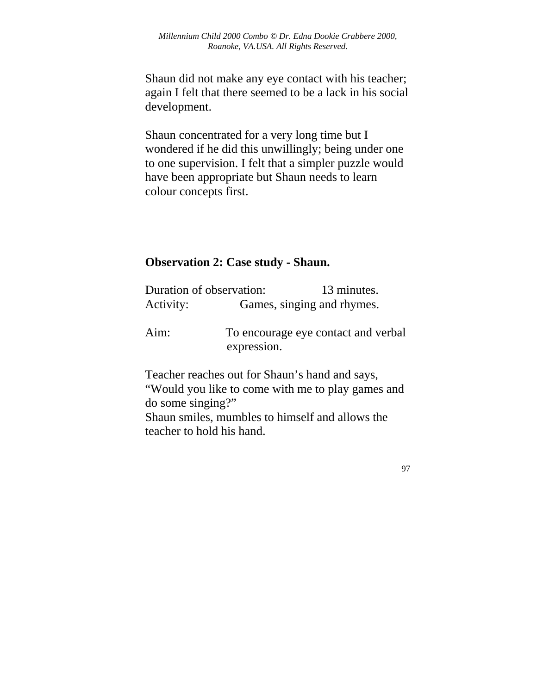Shaun did not make any eye contact with his teacher; again I felt that there seemed to be a lack in his social development.

Shaun concentrated for a very long time but I wondered if he did this unwillingly; being under one to one supervision. I felt that a simpler puzzle would have been appropriate but Shaun needs to learn colour concepts first.

## **Observation 2: Case study - Shaun.**

| Duration of observation: |                            | 13 minutes.                                    |
|--------------------------|----------------------------|------------------------------------------------|
| Activity:                | Games, singing and rhymes. |                                                |
| Aim:                     | expression.                | To encourage eye contact and verbal            |
|                          |                            | Teacher reaches out for Shaun's hand and says, |

"Would you like to come with me to play games and do some singing?" Shaun smiles, mumbles to himself and allows the

teacher to hold his hand.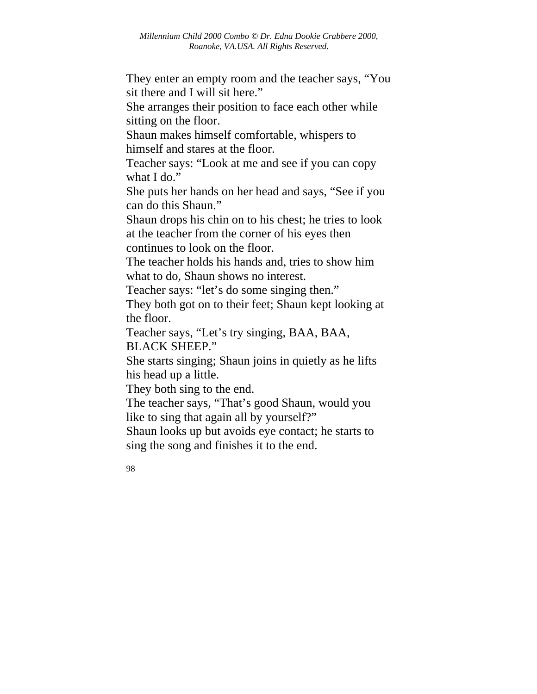They enter an empty room and the teacher says, "You sit there and I will sit here."

She arranges their position to face each other while sitting on the floor.

Shaun makes himself comfortable, whispers to himself and stares at the floor.

Teacher says: "Look at me and see if you can copy what I do."

She puts her hands on her head and says, "See if you can do this Shaun."

Shaun drops his chin on to his chest; he tries to look at the teacher from the corner of his eyes then continues to look on the floor.

The teacher holds his hands and, tries to show him what to do, Shaun shows no interest.

Teacher says: "let's do some singing then."

They both got on to their feet; Shaun kept looking at the floor.

Teacher says, "Let's try singing, BAA, BAA, BLACK SHEEP."

She starts singing; Shaun joins in quietly as he lifts his head up a little.

They both sing to the end.

The teacher says, "That's good Shaun, would you like to sing that again all by yourself?"

Shaun looks up but avoids eye contact; he starts to sing the song and finishes it to the end.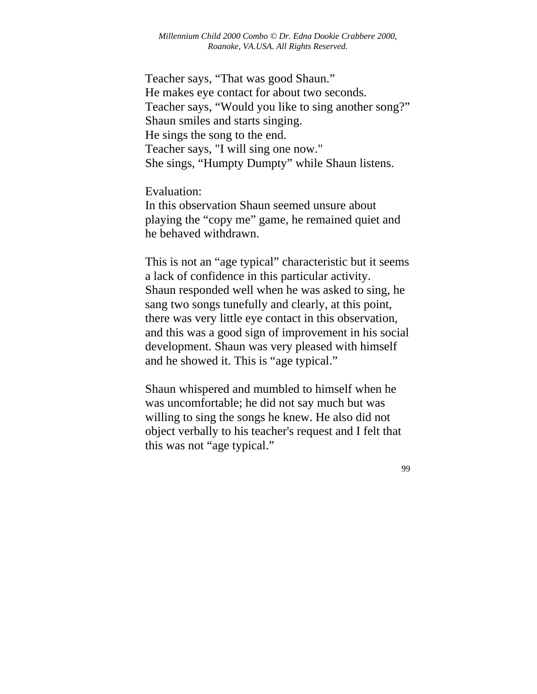Teacher says, "That was good Shaun." He makes eye contact for about two seconds. Teacher says, "Would you like to sing another song?" Shaun smiles and starts singing. He sings the song to the end. Teacher says, "I will sing one now." She sings, "Humpty Dumpty" while Shaun listens.

Evaluation:

In this observation Shaun seemed unsure about playing the "copy me" game, he remained quiet and he behaved withdrawn.

This is not an "age typical" characteristic but it seems a lack of confidence in this particular activity. Shaun responded well when he was asked to sing, he sang two songs tunefully and clearly, at this point, there was very little eye contact in this observation, and this was a good sign of improvement in his social development. Shaun was very pleased with himself and he showed it. This is "age typical."

Shaun whispered and mumbled to himself when he was uncomfortable; he did not say much but was willing to sing the songs he knew. He also did not object verbally to his teacher's request and I felt that this was not "age typical."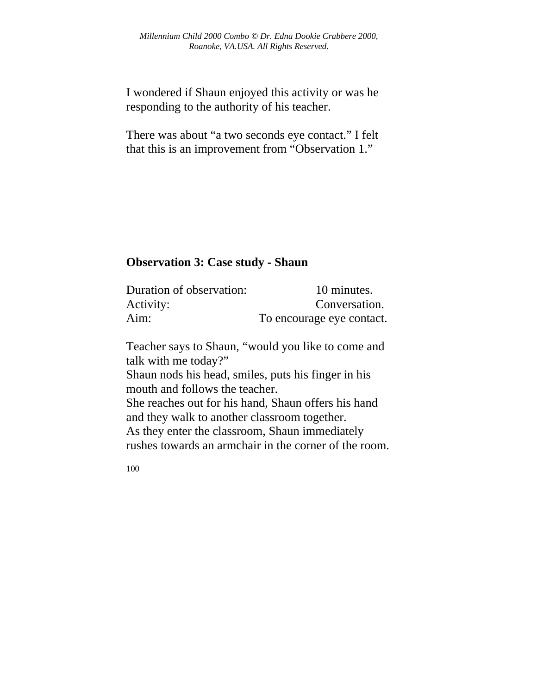I wondered if Shaun enjoyed this activity or was he responding to the authority of his teacher.

There was about "a two seconds eye contact." I felt that this is an improvement from "Observation 1."

# **Observation 3: Case study - Shaun**

| Duration of observation: | 10 minutes.               |
|--------------------------|---------------------------|
| Activity:                | Conversation.             |
| Aim:                     | To encourage eye contact. |

Teacher says to Shaun, "would you like to come and talk with me today?" Shaun nods his head, smiles, puts his finger in his mouth and follows the teacher. She reaches out for his hand, Shaun offers his hand and they walk to another classroom together. As they enter the classroom, Shaun immediately rushes towards an armchair in the corner of the room.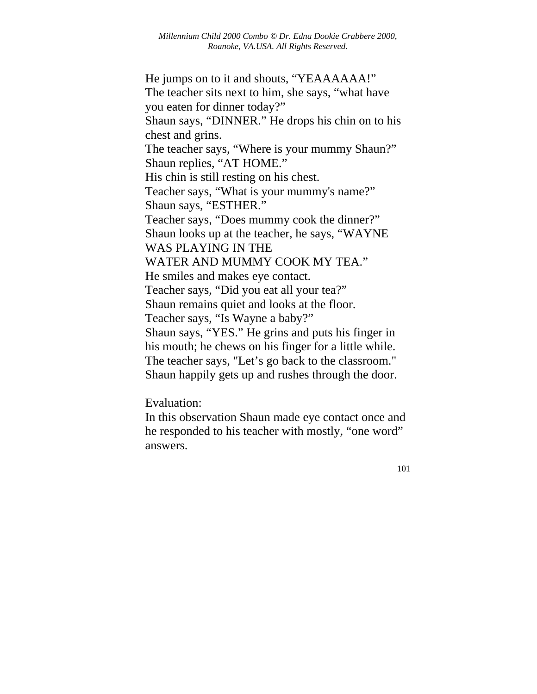He jumps on to it and shouts, "YEAAAAAA!" The teacher sits next to him, she says, "what have you eaten for dinner today?" Shaun says, "DINNER." He drops his chin on to his chest and grins. The teacher says, "Where is your mummy Shaun?" Shaun replies, "AT HOME." His chin is still resting on his chest. Teacher says, "What is your mummy's name?" Shaun says, "ESTHER." Teacher says, "Does mummy cook the dinner?" Shaun looks up at the teacher, he says, "WAYNE WAS PLAYING IN THE WATER AND MUMMY COOK MY TEA." He smiles and makes eye contact. Teacher says, "Did you eat all your tea?" Shaun remains quiet and looks at the floor. Teacher says, "Is Wayne a baby?" Shaun says, "YES." He grins and puts his finger in his mouth; he chews on his finger for a little while. The teacher says, "Let's go back to the classroom." Shaun happily gets up and rushes through the door.

Evaluation:

In this observation Shaun made eye contact once and he responded to his teacher with mostly, "one word" answers.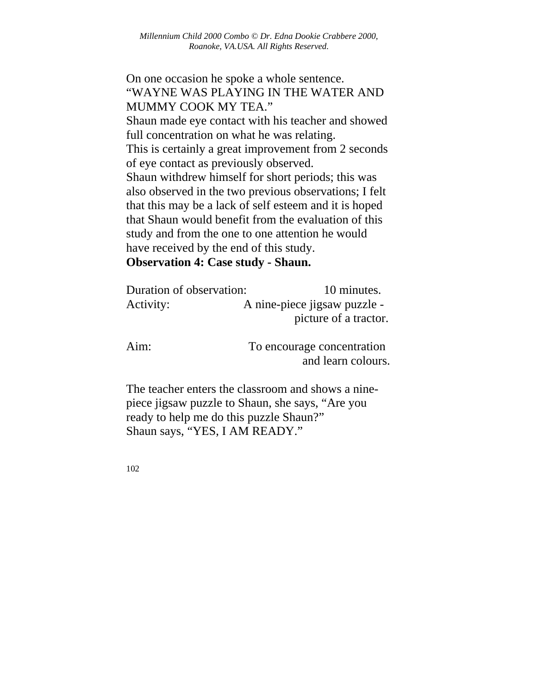On one occasion he spoke a whole sentence. "WAYNE WAS PLAYING IN THE WATER AND MUMMY COOK MY TEA." Shaun made eye contact with his teacher and showed full concentration on what he was relating. This is certainly a great improvement from 2 seconds of eye contact as previously observed. Shaun withdrew himself for short periods; this was also observed in the two previous observations; I felt that this may be a lack of self esteem and it is hoped that Shaun would benefit from the evaluation of this study and from the one to one attention he would have received by the end of this study. **Observation 4: Case study - Shaun.** 

| Duration of observation: |  | 10 minutes.                  |
|--------------------------|--|------------------------------|
| Activity:                |  | A nine-piece jigsaw puzzle - |
|                          |  | picture of a tractor.        |
|                          |  |                              |

Aim: To encourage concentration and learn colours.

The teacher enters the classroom and shows a ninepiece jigsaw puzzle to Shaun, she says, "Are you ready to help me do this puzzle Shaun?" Shaun says, "YES, I AM READY."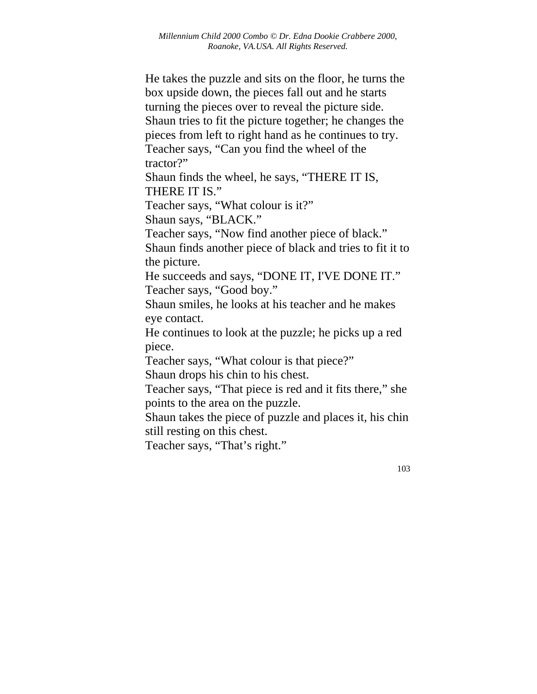He takes the puzzle and sits on the floor, he turns the box upside down, the pieces fall out and he starts turning the pieces over to reveal the picture side. Shaun tries to fit the picture together; he changes the pieces from left to right hand as he continues to try. Teacher says, "Can you find the wheel of the tractor?"

Shaun finds the wheel, he says, "THERE IT IS, THERE IT IS."

Teacher says, "What colour is it?"

Shaun says, "BLACK."

Teacher says, "Now find another piece of black."

Shaun finds another piece of black and tries to fit it to the picture.

He succeeds and says, "DONE IT, I'VE DONE IT." Teacher says, "Good boy."

Shaun smiles, he looks at his teacher and he makes eye contact.

He continues to look at the puzzle; he picks up a red piece.

Teacher says, "What colour is that piece?"

Shaun drops his chin to his chest.

Teacher says, "That piece is red and it fits there," she points to the area on the puzzle.

Shaun takes the piece of puzzle and places it, his chin still resting on this chest.

Teacher says, "That's right."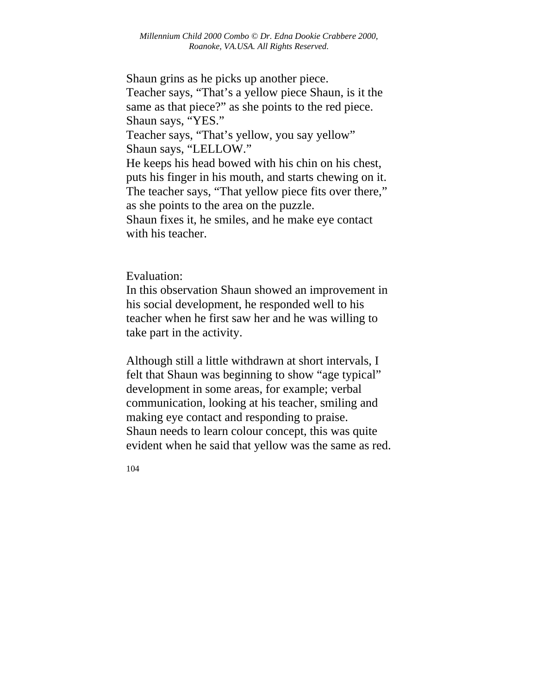Shaun grins as he picks up another piece. Teacher says, "That's a yellow piece Shaun, is it the same as that piece?" as she points to the red piece. Shaun says, "YES." Teacher says, "That's yellow, you say yellow" Shaun says, "LELLOW." He keeps his head bowed with his chin on his chest, puts his finger in his mouth, and starts chewing on it. The teacher says, "That yellow piece fits over there," as she points to the area on the puzzle. Shaun fixes it, he smiles, and he make eye contact with his teacher.

### Evaluation:

In this observation Shaun showed an improvement in his social development, he responded well to his teacher when he first saw her and he was willing to take part in the activity.

Although still a little withdrawn at short intervals, I felt that Shaun was beginning to show "age typical" development in some areas, for example; verbal communication, looking at his teacher, smiling and making eye contact and responding to praise. Shaun needs to learn colour concept, this was quite evident when he said that yellow was the same as red.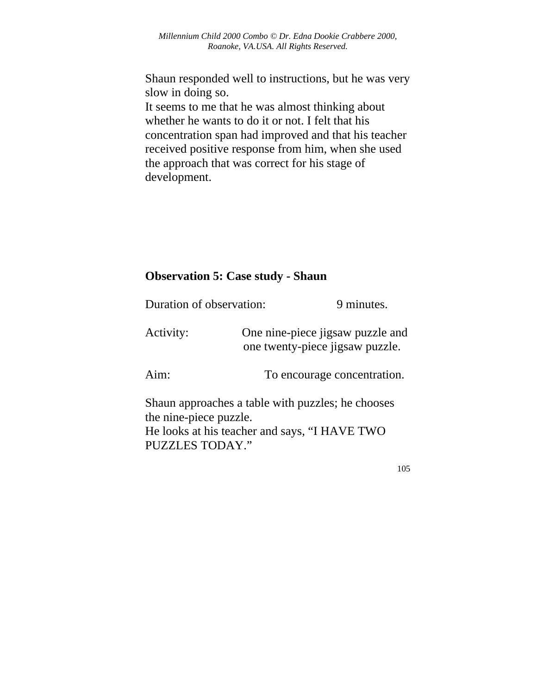Shaun responded well to instructions, but he was very slow in doing so.

It seems to me that he was almost thinking about whether he wants to do it or not. I felt that his concentration span had improved and that his teacher received positive response from him, when she used the approach that was correct for his stage of development.

## **Observation 5: Case study - Shaun**

| Duration of observation:                         | 9 minutes.                                                                                         |  |
|--------------------------------------------------|----------------------------------------------------------------------------------------------------|--|
| Activity:                                        | One nine-piece jigsaw puzzle and<br>one twenty-piece jigsaw puzzle.                                |  |
| Aim:                                             | To encourage concentration.                                                                        |  |
| the nine-piece puzzle.<br><b>PUZZLES TODAY."</b> | Shaun approaches a table with puzzles; he chooses<br>He looks at his teacher and says, "I HAVE TWO |  |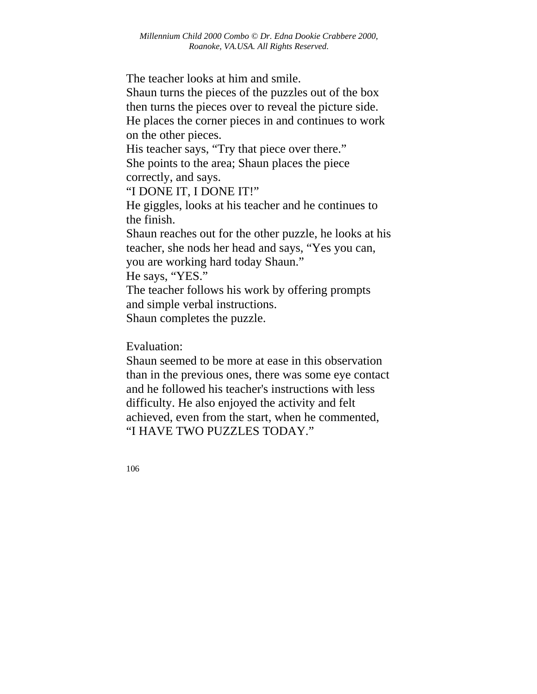The teacher looks at him and smile.

Shaun turns the pieces of the puzzles out of the box then turns the pieces over to reveal the picture side. He places the corner pieces in and continues to work on the other pieces.

His teacher says, "Try that piece over there." She points to the area; Shaun places the piece correctly, and says.

"I DONE IT, I DONE IT!"

He giggles, looks at his teacher and he continues to the finish.

Shaun reaches out for the other puzzle, he looks at his teacher, she nods her head and says, "Yes you can, you are working hard today Shaun." He says, "YES." The teacher follows his work by offering prompts and simple verbal instructions.

Shaun completes the puzzle.

Evaluation:

Shaun seemed to be more at ease in this observation than in the previous ones, there was some eye contact and he followed his teacher's instructions with less difficulty. He also enjoyed the activity and felt achieved, even from the start, when he commented, "I HAVE TWO PUZZLES TODAY."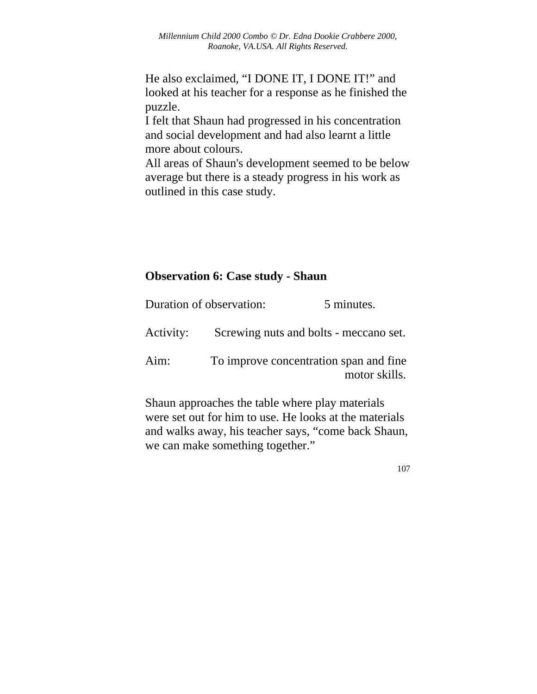He also exclaimed, "I DONE IT, I DONE IT!" and looked at his teacher for a response as he finished the puzzle.

I felt that Shaun had progressed in his concentration and social development and had also learnt a little more about colours.

All areas of Shaun's development seemed to be below average but there is a steady progress in his work as outlined in this case study.

## **Observation 6: Case study - Shaun**

|      | Duration of observation:                                | 5 minutes. |
|------|---------------------------------------------------------|------------|
|      | Activity: Screwing nuts and bolts - meccano set.        |            |
| Aim: | To improve concentration span and fine<br>motor skills. |            |

Shaun approaches the table where play materials were set out for him to use. He looks at the materials and walks away, his teacher says, "come back Shaun, we can make something together."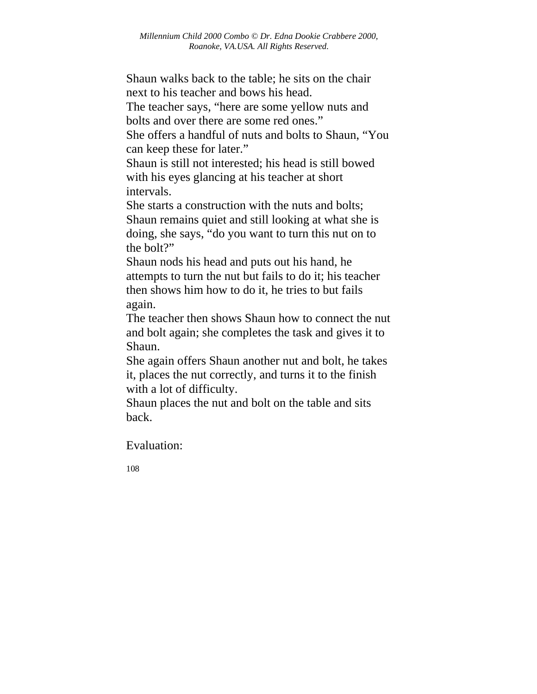Shaun walks back to the table; he sits on the chair next to his teacher and bows his head.

The teacher says, "here are some yellow nuts and bolts and over there are some red ones."

She offers a handful of nuts and bolts to Shaun, "You can keep these for later."

Shaun is still not interested; his head is still bowed with his eyes glancing at his teacher at short intervals.

She starts a construction with the nuts and bolts; Shaun remains quiet and still looking at what she is doing, she says, "do you want to turn this nut on to the bolt?"

Shaun nods his head and puts out his hand, he attempts to turn the nut but fails to do it; his teacher then shows him how to do it, he tries to but fails again.

The teacher then shows Shaun how to connect the nut and bolt again; she completes the task and gives it to Shaun.

She again offers Shaun another nut and bolt, he takes it, places the nut correctly, and turns it to the finish with a lot of difficulty.

Shaun places the nut and bolt on the table and sits back.

Evaluation: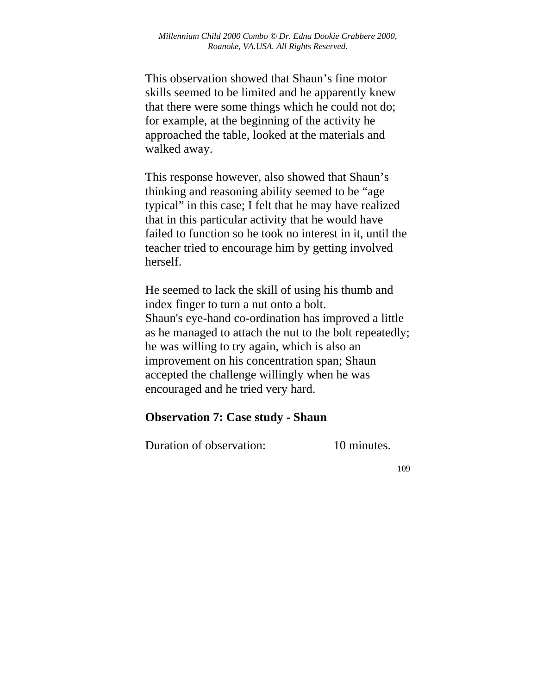This observation showed that Shaun's fine motor skills seemed to be limited and he apparently knew that there were some things which he could not do; for example, at the beginning of the activity he approached the table, looked at the materials and walked away.

This response however, also showed that Shaun's thinking and reasoning ability seemed to be "age typical" in this case; I felt that he may have realized that in this particular activity that he would have failed to function so he took no interest in it, until the teacher tried to encourage him by getting involved herself.

He seemed to lack the skill of using his thumb and index finger to turn a nut onto a bolt. Shaun's eye-hand co-ordination has improved a little as he managed to attach the nut to the bolt repeatedly; he was willing to try again, which is also an improvement on his concentration span; Shaun accepted the challenge willingly when he was encouraged and he tried very hard.

## **Observation 7: Case study - Shaun**

Duration of observation: 10 minutes.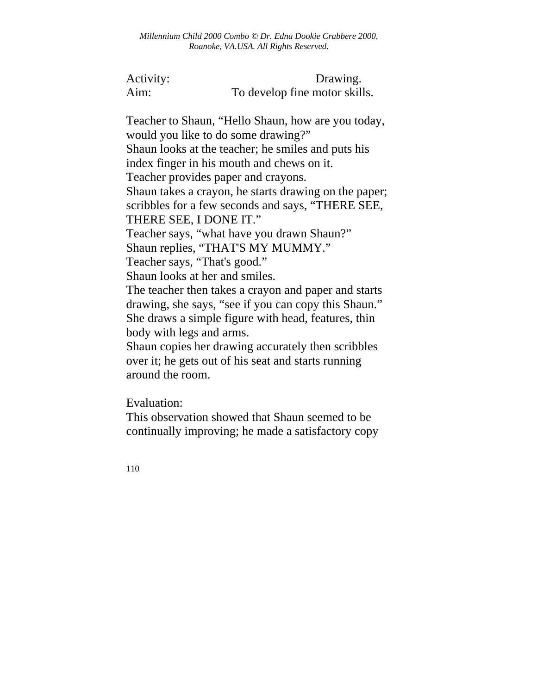Activity: Drawing. Aim: To develop fine motor skills.

Teacher to Shaun, "Hello Shaun, how are you today, would you like to do some drawing?" Shaun looks at the teacher; he smiles and puts his index finger in his mouth and chews on it. Teacher provides paper and crayons. Shaun takes a crayon, he starts drawing on the paper; scribbles for a few seconds and says, "THERE SEE, THERE SEE, I DONE IT." Teacher says, "what have you drawn Shaun?" Shaun replies, "THAT'S MY MUMMY." Teacher says, "That's good." Shaun looks at her and smiles. The teacher then takes a crayon and paper and starts drawing, she says, "see if you can copy this Shaun." She draws a simple figure with head, features, thin body with legs and arms. Shaun copies her drawing accurately then scribbles over it; he gets out of his seat and starts running around the room.

Evaluation:

This observation showed that Shaun seemed to be continually improving; he made a satisfactory copy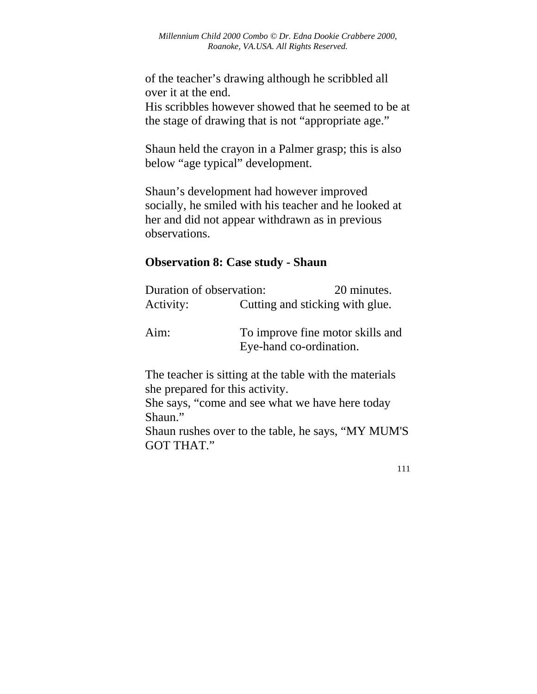of the teacher's drawing although he scribbled all over it at the end.

His scribbles however showed that he seemed to be at the stage of drawing that is not "appropriate age."

Shaun held the crayon in a Palmer grasp; this is also below "age typical" development.

Shaun's development had however improved socially, he smiled with his teacher and he looked at her and did not appear withdrawn as in previous observations.

## **Observation 8: Case study - Shaun**

| Duration of observation: | 20 minutes.                                                 |
|--------------------------|-------------------------------------------------------------|
| Activity:                | Cutting and sticking with glue.                             |
| Aim:                     | To improve fine motor skills and<br>Eye-hand co-ordination. |

The teacher is sitting at the table with the materials she prepared for this activity.

She says, "come and see what we have here today Shaun."

Shaun rushes over to the table, he says, "MY MUM'S GOT THAT."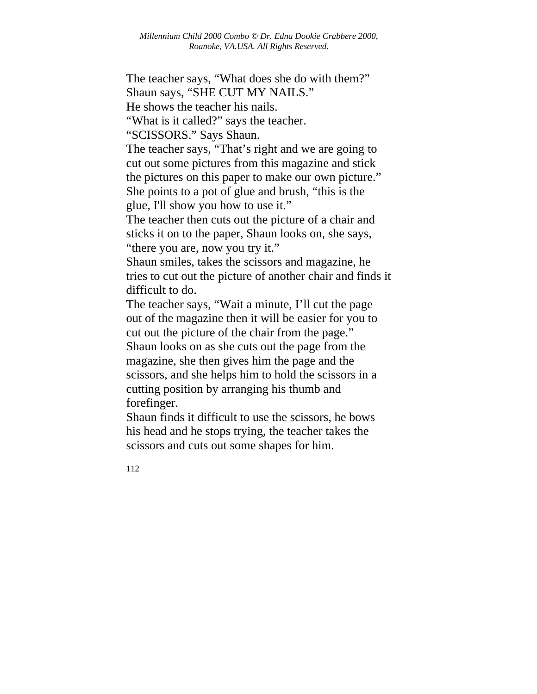The teacher says, "What does she do with them?" Shaun says, "SHE CUT MY NAILS." He shows the teacher his nails. "What is it called?" says the teacher. "SCISSORS." Says Shaun. The teacher says, "That's right and we are going to cut out some pictures from this magazine and stick the pictures on this paper to make our own picture." She points to a pot of glue and brush, "this is the glue, I'll show you how to use it." The teacher then cuts out the picture of a chair and sticks it on to the paper, Shaun looks on, she says, "there you are, now you try it." Shaun smiles, takes the scissors and magazine, he tries to cut out the picture of another chair and finds it difficult to do. The teacher says, "Wait a minute, I'll cut the page out of the magazine then it will be easier for you to cut out the picture of the chair from the page." Shaun looks on as she cuts out the page from the magazine, she then gives him the page and the scissors, and she helps him to hold the scissors in a cutting position by arranging his thumb and forefinger.

Shaun finds it difficult to use the scissors, he bows his head and he stops trying, the teacher takes the scissors and cuts out some shapes for him.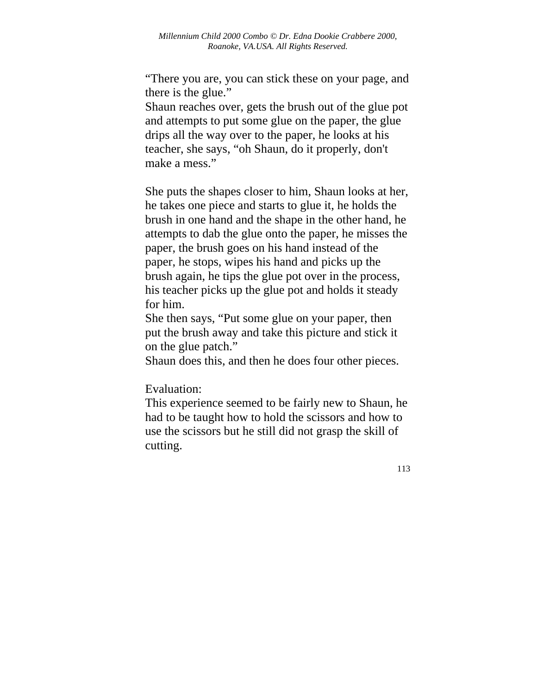"There you are, you can stick these on your page, and there is the glue."

Shaun reaches over, gets the brush out of the glue pot and attempts to put some glue on the paper, the glue drips all the way over to the paper, he looks at his teacher, she says, "oh Shaun, do it properly, don't make a mess."

She puts the shapes closer to him, Shaun looks at her, he takes one piece and starts to glue it, he holds the brush in one hand and the shape in the other hand, he attempts to dab the glue onto the paper, he misses the paper, the brush goes on his hand instead of the paper, he stops, wipes his hand and picks up the brush again, he tips the glue pot over in the process, his teacher picks up the glue pot and holds it steady for him.

She then says, "Put some glue on your paper, then put the brush away and take this picture and stick it on the glue patch."

Shaun does this, and then he does four other pieces.

Evaluation:

This experience seemed to be fairly new to Shaun, he had to be taught how to hold the scissors and how to use the scissors but he still did not grasp the skill of cutting.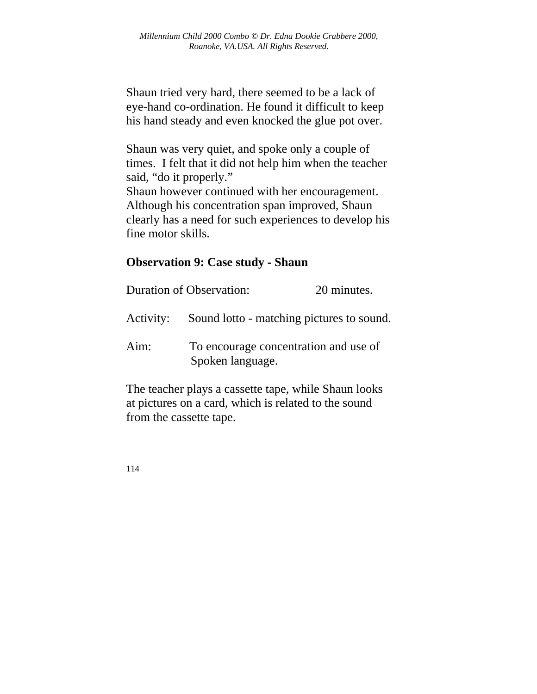Shaun tried very hard, there seemed to be a lack of eye-hand co-ordination. He found it difficult to keep his hand steady and even knocked the glue pot over.

Shaun was very quiet, and spoke only a couple of times. I felt that it did not help him when the teacher said, "do it properly." Shaun however continued with her encouragement. Although his concentration span improved, Shaun clearly has a need for such experiences to develop his fine motor skills.

## **Observation 9: Case study - Shaun**

|           | <b>Duration of Observation:</b>                           | 20 minutes. |
|-----------|-----------------------------------------------------------|-------------|
| Activity: | Sound lotto - matching pictures to sound.                 |             |
| Aim:      | To encourage concentration and use of<br>Spoken language. |             |

The teacher plays a cassette tape, while Shaun looks at pictures on a card, which is related to the sound from the cassette tape.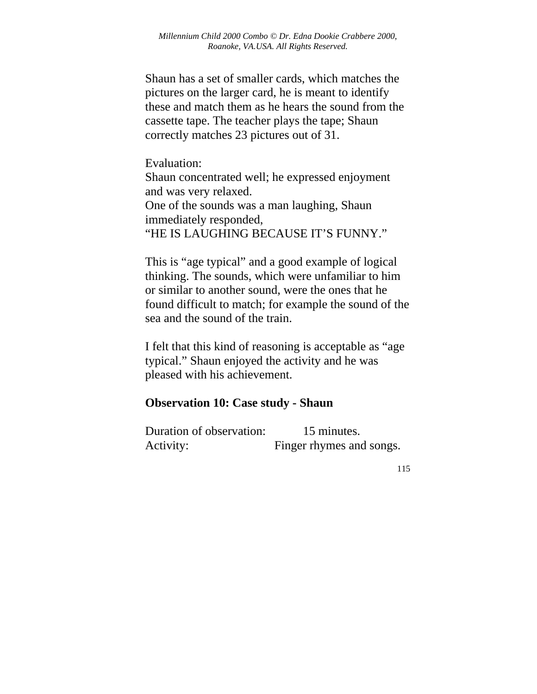Shaun has a set of smaller cards, which matches the pictures on the larger card, he is meant to identify these and match them as he hears the sound from the cassette tape. The teacher plays the tape; Shaun correctly matches 23 pictures out of 31.

Evaluation:

Shaun concentrated well; he expressed enjoyment and was very relaxed. One of the sounds was a man laughing, Shaun immediately responded, "HE IS LAUGHING BECAUSE IT'S FUNNY."

This is "age typical" and a good example of logical thinking. The sounds, which were unfamiliar to him or similar to another sound, were the ones that he found difficult to match; for example the sound of the sea and the sound of the train.

I felt that this kind of reasoning is acceptable as "age typical." Shaun enjoyed the activity and he was pleased with his achievement.

## **Observation 10: Case study - Shaun**

Duration of observation: 15 minutes. Activity: Finger rhymes and songs.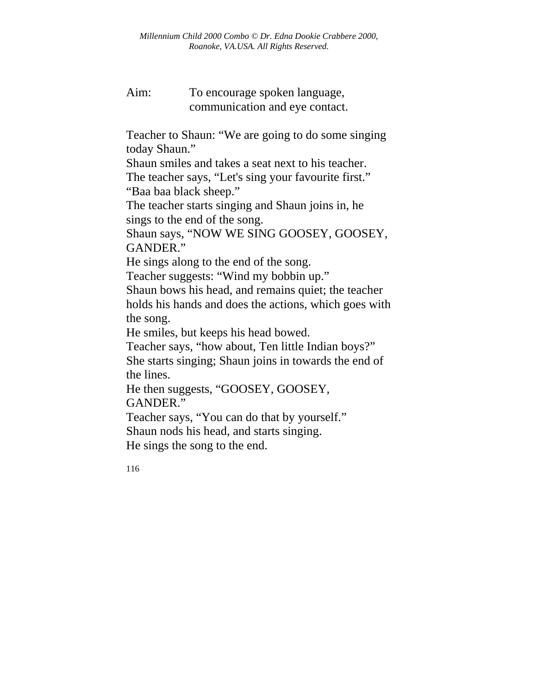Aim: To encourage spoken language, communication and eye contact.

Teacher to Shaun: "We are going to do some singing today Shaun."

Shaun smiles and takes a seat next to his teacher.

The teacher says, "Let's sing your favourite first." "Baa baa black sheep."

The teacher starts singing and Shaun joins in, he sings to the end of the song.

Shaun says, "NOW WE SING GOOSEY, GOOSEY, GANDER."

He sings along to the end of the song.

Teacher suggests: "Wind my bobbin up."

Shaun bows his head, and remains quiet; the teacher holds his hands and does the actions, which goes with the song.

He smiles, but keeps his head bowed.

Teacher says, "how about, Ten little Indian boys?" She starts singing; Shaun joins in towards the end of the lines.

He then suggests, "GOOSEY, GOOSEY, GANDER."

Teacher says, "You can do that by yourself." Shaun nods his head, and starts singing. He sings the song to the end.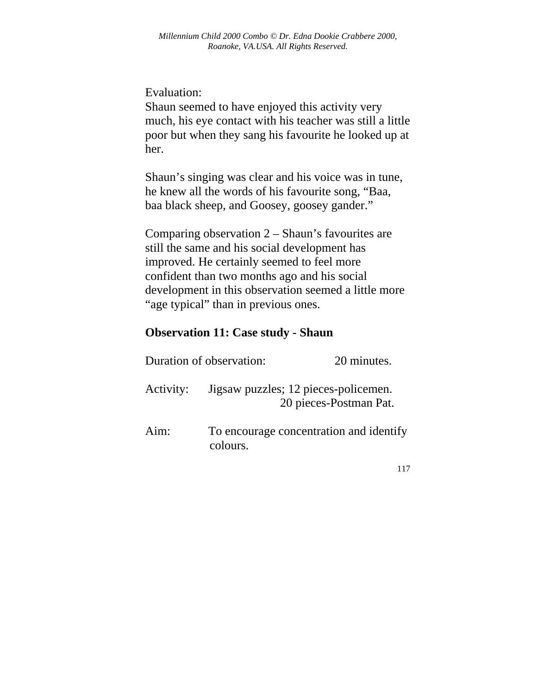Evaluation:

Shaun seemed to have enjoyed this activity very much, his eye contact with his teacher was still a little poor but when they sang his favourite he looked up at her.

Shaun's singing was clear and his voice was in tune, he knew all the words of his favourite song, "Baa, baa black sheep, and Goosey, goosey gander."

Comparing observation 2 – Shaun's favourites are still the same and his social development has improved. He certainly seemed to feel more confident than two months ago and his social development in this observation seemed a little more "age typical" than in previous ones.

#### **Observation 11: Case study - Shaun**

|      | Duration of observation:                            | 20 minutes.            |
|------|-----------------------------------------------------|------------------------|
|      | Activity: Jigsaw puzzles; 12 pieces-policemen.      | 20 pieces-Postman Pat. |
| Aim: | To encourage concentration and identify<br>colours. |                        |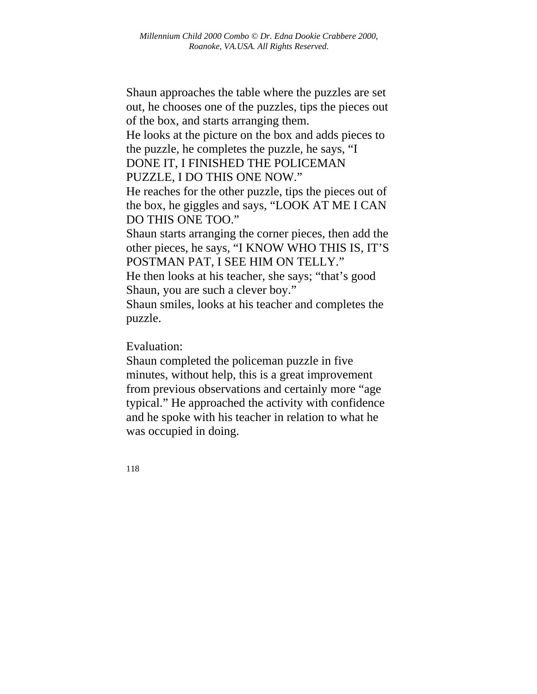Shaun approaches the table where the puzzles are set out, he chooses one of the puzzles, tips the pieces out of the box, and starts arranging them.

He looks at the picture on the box and adds pieces to the puzzle, he completes the puzzle, he says, "I DONE IT, I FINISHED THE POLICEMAN

PUZZLE, I DO THIS ONE NOW."

He reaches for the other puzzle, tips the pieces out of the box, he giggles and says, "LOOK AT ME I CAN DO THIS ONE TOO."

Shaun starts arranging the corner pieces, then add the other pieces, he says, "I KNOW WHO THIS IS, IT'S POSTMAN PAT, I SEE HIM ON TELLY."

He then looks at his teacher, she says; "that's good Shaun, you are such a clever boy."

Shaun smiles, looks at his teacher and completes the puzzle.

Evaluation:

Shaun completed the policeman puzzle in five minutes, without help, this is a great improvement from previous observations and certainly more "age typical." He approached the activity with confidence and he spoke with his teacher in relation to what he was occupied in doing.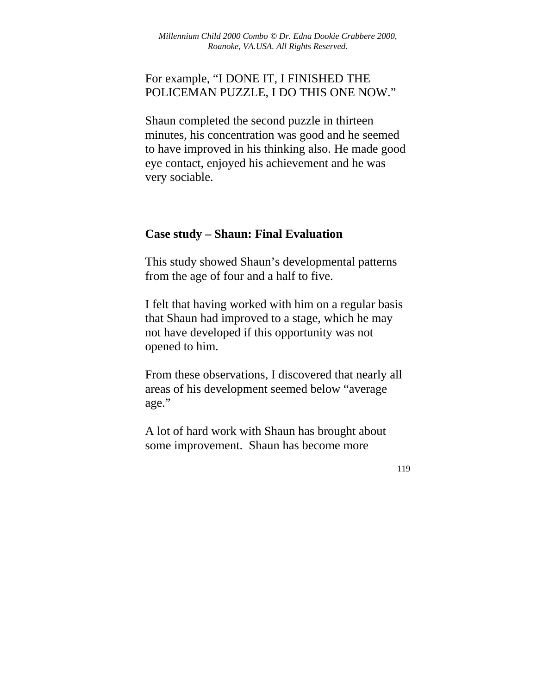## For example, "I DONE IT, I FINISHED THE POLICEMAN PUZZLE, I DO THIS ONE NOW."

Shaun completed the second puzzle in thirteen minutes, his concentration was good and he seemed to have improved in his thinking also. He made good eye contact, enjoyed his achievement and he was very sociable.

## **Case study – Shaun: Final Evaluation**

This study showed Shaun's developmental patterns from the age of four and a half to five.

I felt that having worked with him on a regular basis that Shaun had improved to a stage, which he may not have developed if this opportunity was not opened to him.

From these observations, I discovered that nearly all areas of his development seemed below "average age."

A lot of hard work with Shaun has brought about some improvement. Shaun has become more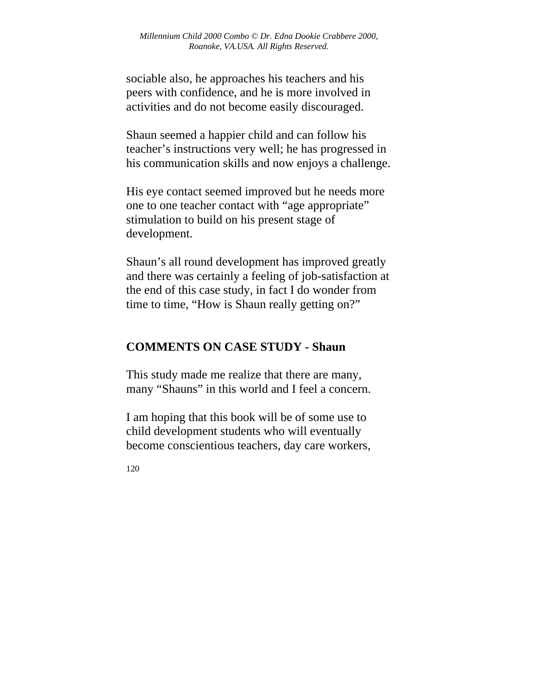sociable also, he approaches his teachers and his peers with confidence, and he is more involved in activities and do not become easily discouraged.

Shaun seemed a happier child and can follow his teacher's instructions very well; he has progressed in his communication skills and now enjoys a challenge.

His eye contact seemed improved but he needs more one to one teacher contact with "age appropriate" stimulation to build on his present stage of development.

Shaun's all round development has improved greatly and there was certainly a feeling of job-satisfaction at the end of this case study, in fact I do wonder from time to time, "How is Shaun really getting on?"

# **COMMENTS ON CASE STUDY - Shaun**

This study made me realize that there are many, many "Shauns" in this world and I feel a concern.

I am hoping that this book will be of some use to child development students who will eventually become conscientious teachers, day care workers,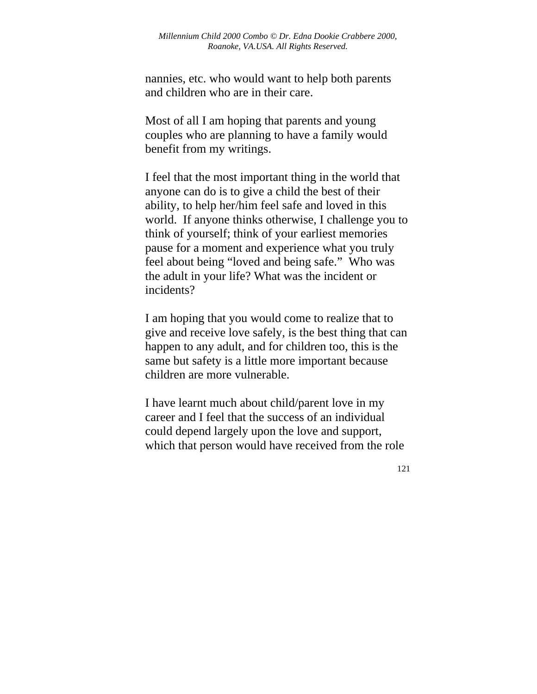nannies, etc. who would want to help both parents and children who are in their care.

Most of all I am hoping that parents and young couples who are planning to have a family would benefit from my writings.

I feel that the most important thing in the world that anyone can do is to give a child the best of their ability, to help her/him feel safe and loved in this world. If anyone thinks otherwise, I challenge you to think of yourself; think of your earliest memories pause for a moment and experience what you truly feel about being "loved and being safe." Who was the adult in your life? What was the incident or incidents?

I am hoping that you would come to realize that to give and receive love safely, is the best thing that can happen to any adult, and for children too, this is the same but safety is a little more important because children are more vulnerable.

I have learnt much about child/parent love in my career and I feel that the success of an individual could depend largely upon the love and support, which that person would have received from the role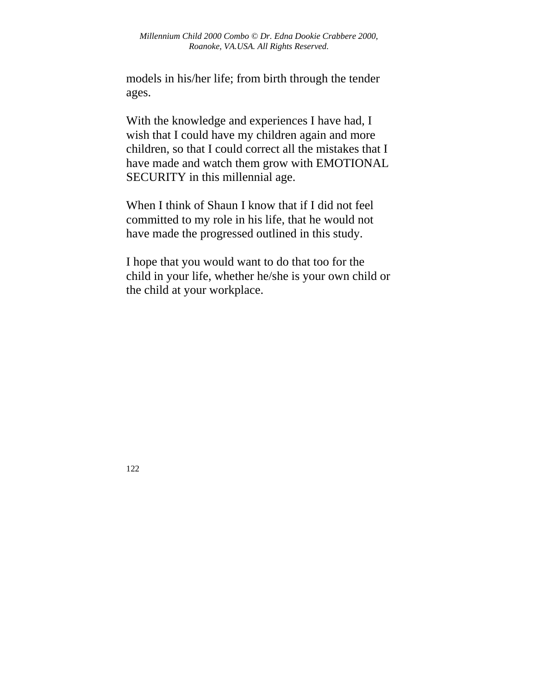models in his/her life; from birth through the tender ages.

With the knowledge and experiences I have had, I wish that I could have my children again and more children, so that I could correct all the mistakes that I have made and watch them grow with EMOTIONAL SECURITY in this millennial age.

When I think of Shaun I know that if I did not feel committed to my role in his life, that he would not have made the progressed outlined in this study.

I hope that you would want to do that too for the child in your life, whether he/she is your own child or the child at your workplace.

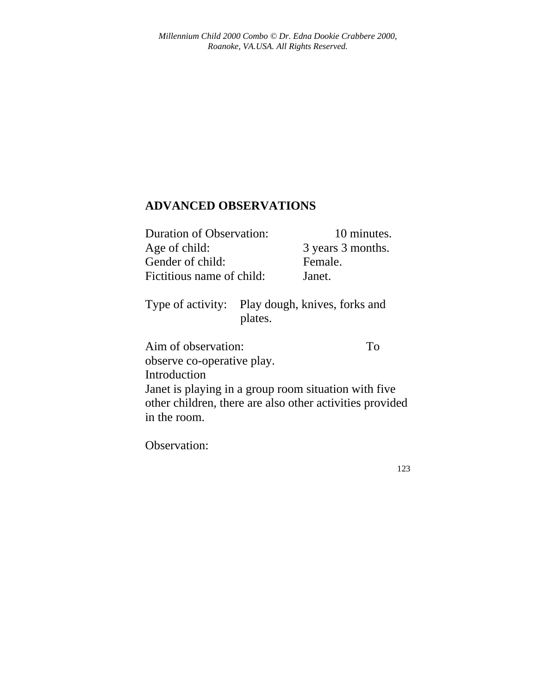## **ADVANCED OBSERVATIONS**

| <b>Duration of Observation:</b> | 10 minutes.       |
|---------------------------------|-------------------|
| Age of child:                   | 3 years 3 months. |
| Gender of child:                | Female.           |
| Fictitious name of child:       | Janet.            |

Type of activity: Play dough, knives, forks and plates.

Aim of observation: To observe co-operative play. Introduction Janet is playing in a group room situation with five other children, there are also other activities provided in the room.

Observation: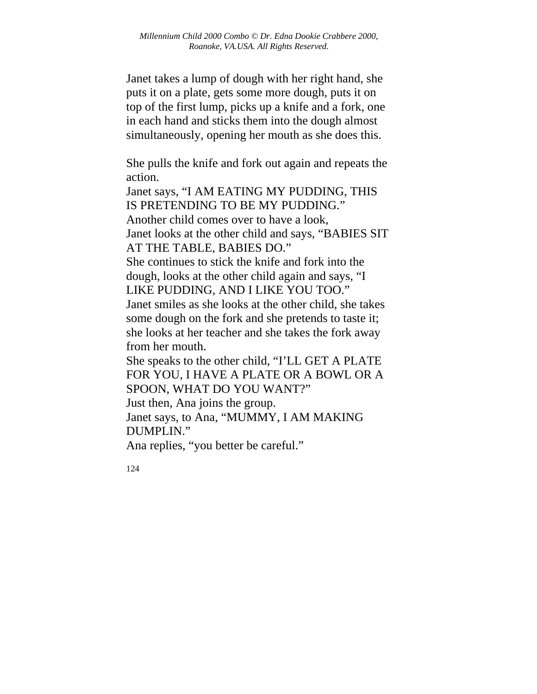Janet takes a lump of dough with her right hand, she puts it on a plate, gets some more dough, puts it on top of the first lump, picks up a knife and a fork, one in each hand and sticks them into the dough almost simultaneously, opening her mouth as she does this.

She pulls the knife and fork out again and repeats the action.

Janet says, "I AM EATING MY PUDDING, THIS IS PRETENDING TO BE MY PUDDING." Another child comes over to have a look, Janet looks at the other child and says, "BABIES SIT AT THE TABLE, BABIES DO." She continues to stick the knife and fork into the dough, looks at the other child again and says, "I LIKE PUDDING, AND I LIKE YOU TOO." Janet smiles as she looks at the other child, she takes some dough on the fork and she pretends to taste it;

she looks at her teacher and she takes the fork away from her mouth.

She speaks to the other child, "I'LL GET A PLATE FOR YOU, I HAVE A PLATE OR A BOWL OR A SPOON, WHAT DO YOU WANT?"

Just then, Ana joins the group.

Janet says, to Ana, "MUMMY, I AM MAKING DUMPLIN."

Ana replies, "you better be careful."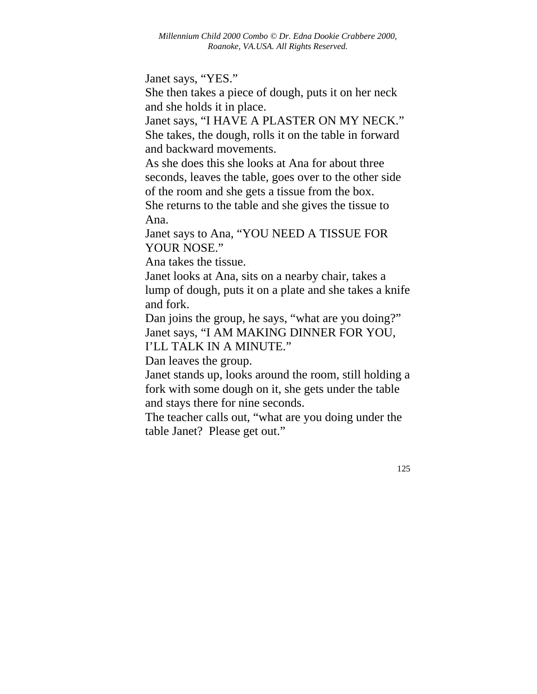Janet says, "YES."

She then takes a piece of dough, puts it on her neck and she holds it in place.

Janet says, "I HAVE A PLASTER ON MY NECK." She takes, the dough, rolls it on the table in forward and backward movements.

As she does this she looks at Ana for about three seconds, leaves the table, goes over to the other side of the room and she gets a tissue from the box. She returns to the table and she gives the tissue to Ana.

Janet says to Ana, "YOU NEED A TISSUE FOR YOUR NOSE."

Ana takes the tissue.

Janet looks at Ana, sits on a nearby chair, takes a lump of dough, puts it on a plate and she takes a knife and fork.

Dan joins the group, he says, "what are you doing?" Janet says, "I AM MAKING DINNER FOR YOU, I'LL TALK IN A MINUTE."

Dan leaves the group.

Janet stands up, looks around the room, still holding a fork with some dough on it, she gets under the table and stays there for nine seconds.

The teacher calls out, "what are you doing under the table Janet? Please get out."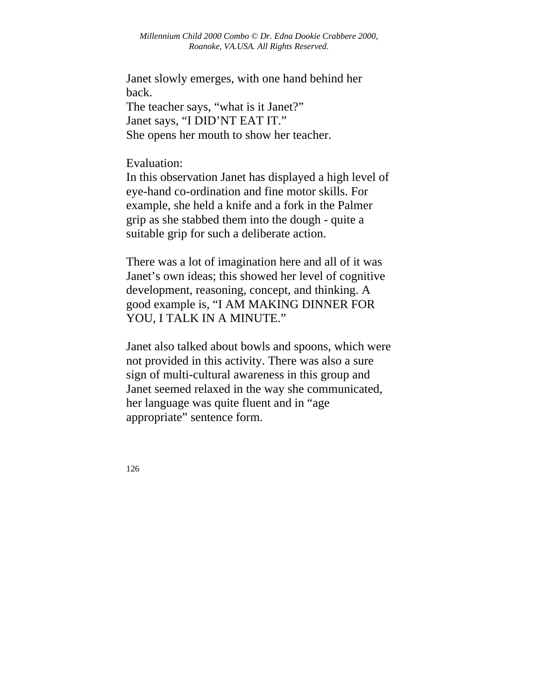*Millennium Child 2000 Combo © Dr. Edna Dookie Crabbere 2000, Roanoke, VA.USA. All Rights Reserved.* 

Janet slowly emerges, with one hand behind her back.

The teacher says, "what is it Janet?" Janet says, "I DID'NT EAT IT." She opens her mouth to show her teacher.

Evaluation:

In this observation Janet has displayed a high level of eye-hand co-ordination and fine motor skills. For example, she held a knife and a fork in the Palmer grip as she stabbed them into the dough - quite a suitable grip for such a deliberate action.

There was a lot of imagination here and all of it was Janet's own ideas; this showed her level of cognitive development, reasoning, concept, and thinking. A good example is, "I AM MAKING DINNER FOR YOU, I TALK IN A MINUTE."

Janet also talked about bowls and spoons, which were not provided in this activity. There was also a sure sign of multi-cultural awareness in this group and Janet seemed relaxed in the way she communicated, her language was quite fluent and in "age appropriate" sentence form.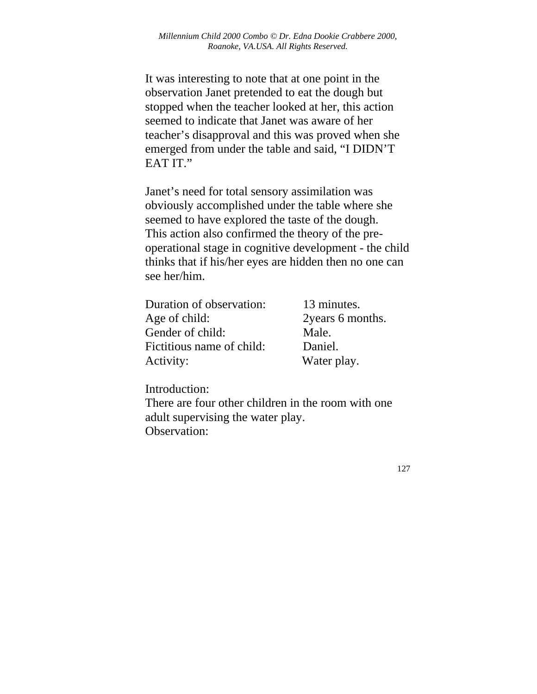It was interesting to note that at one point in the observation Janet pretended to eat the dough but stopped when the teacher looked at her, this action seemed to indicate that Janet was aware of her teacher's disapproval and this was proved when she emerged from under the table and said, "I DIDN'T EAT IT."

Janet's need for total sensory assimilation was obviously accomplished under the table where she seemed to have explored the taste of the dough. This action also confirmed the theory of the preoperational stage in cognitive development - the child thinks that if his/her eyes are hidden then no one can see her/him.

| Duration of observation:  | 13 minutes.       |
|---------------------------|-------------------|
| Age of child:             | 2 years 6 months. |
| Gender of child:          | Male.             |
| Fictitious name of child: | Daniel.           |
| Activity:                 | Water play.       |

Introduction: There are four other children in the room with one adult supervising the water play. Observation: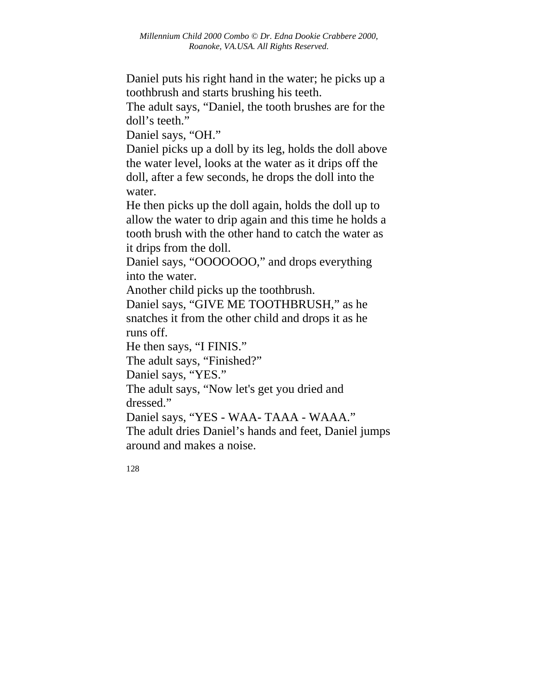Daniel puts his right hand in the water; he picks up a toothbrush and starts brushing his teeth.

The adult says, "Daniel, the tooth brushes are for the doll's teeth."

Daniel says, "OH."

Daniel picks up a doll by its leg, holds the doll above the water level, looks at the water as it drips off the doll, after a few seconds, he drops the doll into the water.

He then picks up the doll again, holds the doll up to allow the water to drip again and this time he holds a tooth brush with the other hand to catch the water as it drips from the doll.

Daniel says, "OOOOOOO," and drops everything into the water.

Another child picks up the toothbrush.

Daniel says, "GIVE ME TOOTHBRUSH," as he snatches it from the other child and drops it as he runs off.

He then says, "I FINIS."

The adult says, "Finished?"

Daniel says, "YES."

The adult says, "Now let's get you dried and dressed."

Daniel says, "YES - WAA- TAAA - WAAA."

The adult dries Daniel's hands and feet, Daniel jumps around and makes a noise.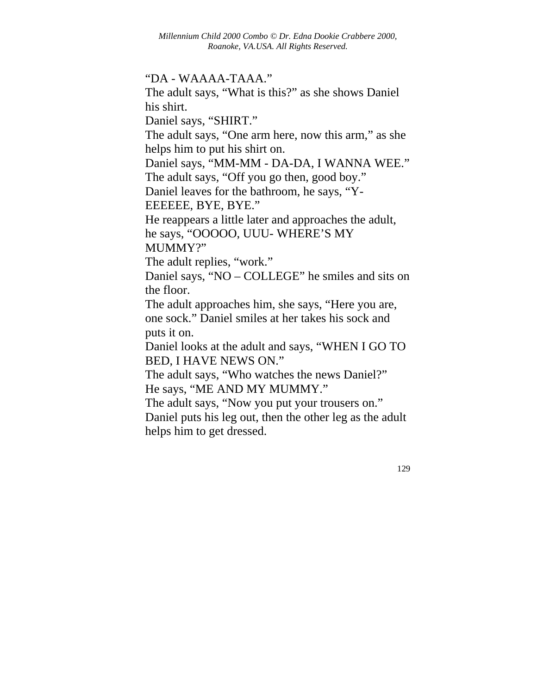#### "DA - WAAAA-TAAA."

The adult says, "What is this?" as she shows Daniel his shirt.

Daniel says, "SHIRT."

The adult says, "One arm here, now this arm," as she helps him to put his shirt on.

Daniel says, "MM-MM - DA-DA, I WANNA WEE."

The adult says, "Off you go then, good boy."

Daniel leaves for the bathroom, he says, "Y-

EEEEEE, BYE, BYE."

He reappears a little later and approaches the adult, he says, "OOOOO, UUU- WHERE'S MY

MUMMY?"

The adult replies, "work."

Daniel says, "NO – COLLEGE" he smiles and sits on the floor.

The adult approaches him, she says, "Here you are, one sock." Daniel smiles at her takes his sock and puts it on.

Daniel looks at the adult and says, "WHEN I GO TO BED, I HAVE NEWS ON."

The adult says, "Who watches the news Daniel?" He says, "ME AND MY MUMMY."

The adult says, "Now you put your trousers on."

Daniel puts his leg out, then the other leg as the adult helps him to get dressed.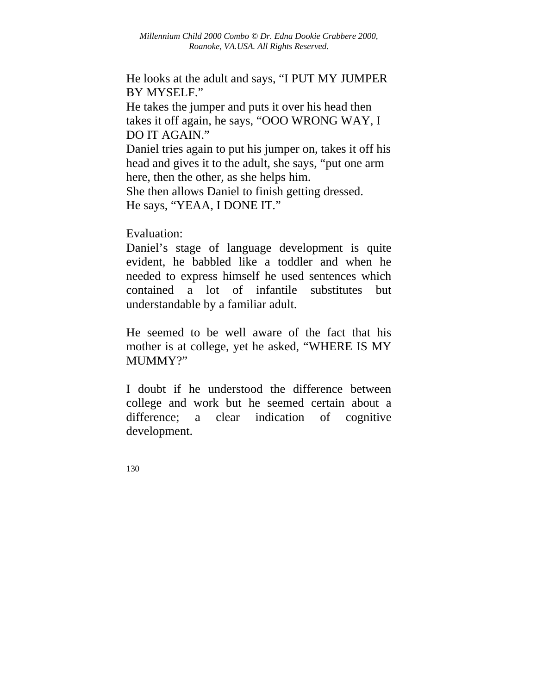He looks at the adult and says, "I PUT MY JUMPER BY MYSELF."

He takes the jumper and puts it over his head then takes it off again, he says, "OOO WRONG WAY, I DO IT AGAIN."

Daniel tries again to put his jumper on, takes it off his head and gives it to the adult, she says, "put one arm here, then the other, as she helps him.

She then allows Daniel to finish getting dressed. He says, "YEAA, I DONE IT."

Evaluation:

Daniel's stage of language development is quite evident, he babbled like a toddler and when he needed to express himself he used sentences which contained a lot of infantile substitutes but understandable by a familiar adult.

He seemed to be well aware of the fact that his mother is at college, yet he asked, "WHERE IS MY MUMMY?"

I doubt if he understood the difference between college and work but he seemed certain about a difference; a clear indication of cognitive development.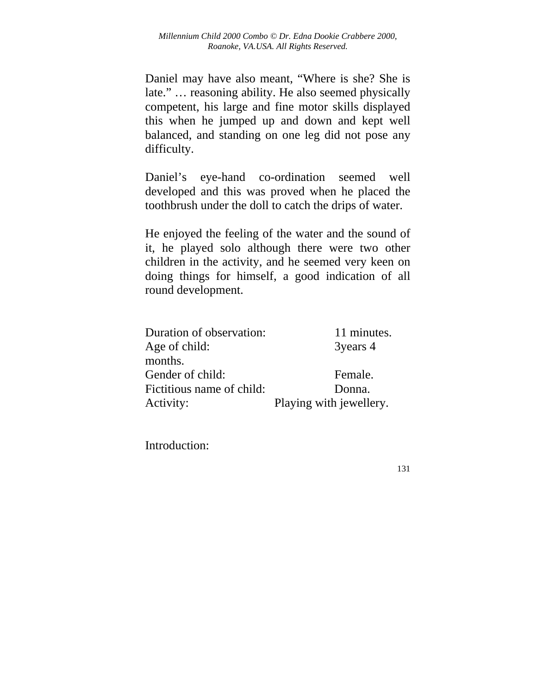Daniel may have also meant, "Where is she? She is late." … reasoning ability. He also seemed physically competent, his large and fine motor skills displayed this when he jumped up and down and kept well balanced, and standing on one leg did not pose any difficulty.

Daniel's eye-hand co-ordination seemed well developed and this was proved when he placed the toothbrush under the doll to catch the drips of water.

He enjoyed the feeling of the water and the sound of it, he played solo although there were two other children in the activity, and he seemed very keen on doing things for himself, a good indication of all round development.

| Duration of observation:  | 11 minutes.             |
|---------------------------|-------------------------|
| Age of child:             | 3years 4                |
| months.                   |                         |
| Gender of child:          | Female.                 |
| Fictitious name of child: | Donna.                  |
| Activity:                 | Playing with jewellery. |

Introduction: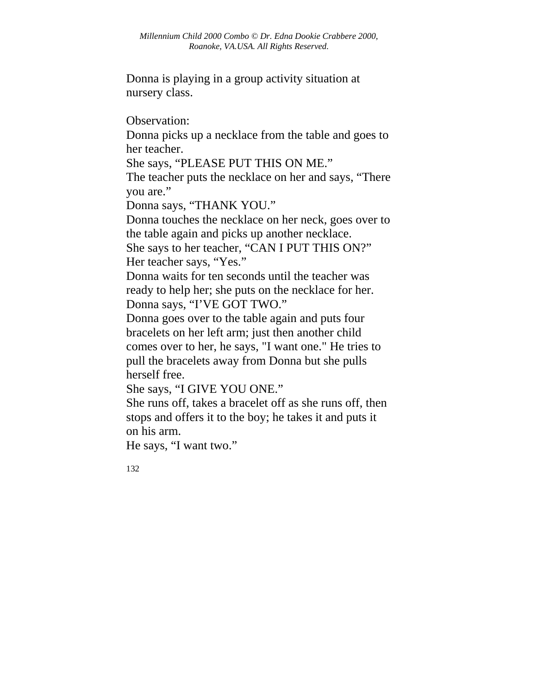Donna is playing in a group activity situation at nursery class.

Observation:

Donna picks up a necklace from the table and goes to her teacher.

She says, "PLEASE PUT THIS ON ME."

The teacher puts the necklace on her and says, "There you are."

Donna says, "THANK YOU."

Donna touches the necklace on her neck, goes over to the table again and picks up another necklace.

She says to her teacher, "CAN I PUT THIS ON?" Her teacher says, "Yes."

Donna waits for ten seconds until the teacher was ready to help her; she puts on the necklace for her. Donna says, "I'VE GOT TWO."

Donna goes over to the table again and puts four bracelets on her left arm; just then another child comes over to her, he says, "I want one." He tries to pull the bracelets away from Donna but she pulls herself free.

She says, "I GIVE YOU ONE."

She runs off, takes a bracelet off as she runs off, then stops and offers it to the boy; he takes it and puts it on his arm.

He says, "I want two."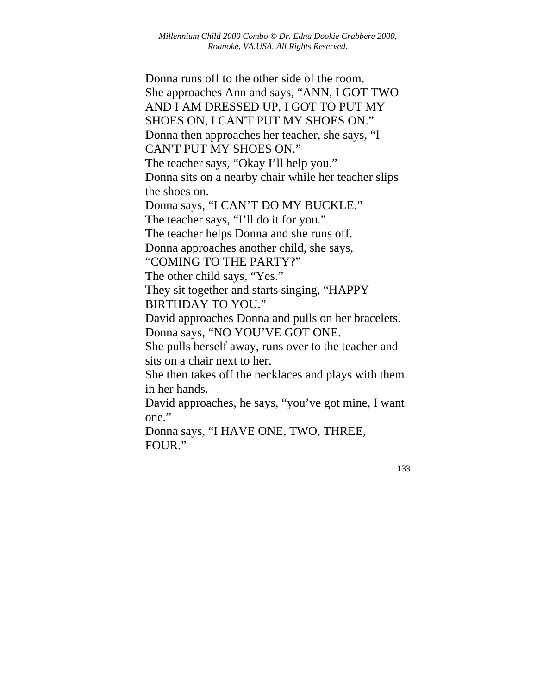Donna runs off to the other side of the room. She approaches Ann and says, "ANN, I GOT TWO AND I AM DRESSED UP, I GOT TO PUT MY SHOES ON, I CAN'T PUT MY SHOES ON." Donna then approaches her teacher, she says, "I CAN'T PUT MY SHOES ON." The teacher says, "Okay I'll help you." Donna sits on a nearby chair while her teacher slips the shoes on. Donna says, "I CAN'T DO MY BUCKLE." The teacher says, "I'll do it for you." The teacher helps Donna and she runs off.

Donna approaches another child, she says,

"COMING TO THE PARTY?"

The other child says, "Yes."

They sit together and starts singing, "HAPPY BIRTHDAY TO YOU."

David approaches Donna and pulls on her bracelets. Donna says, "NO YOU'VE GOT ONE.

She pulls herself away, runs over to the teacher and sits on a chair next to her.

She then takes off the necklaces and plays with them in her hands.

David approaches, he says, "you've got mine, I want one."

Donna says, "I HAVE ONE, TWO, THREE, FOUR."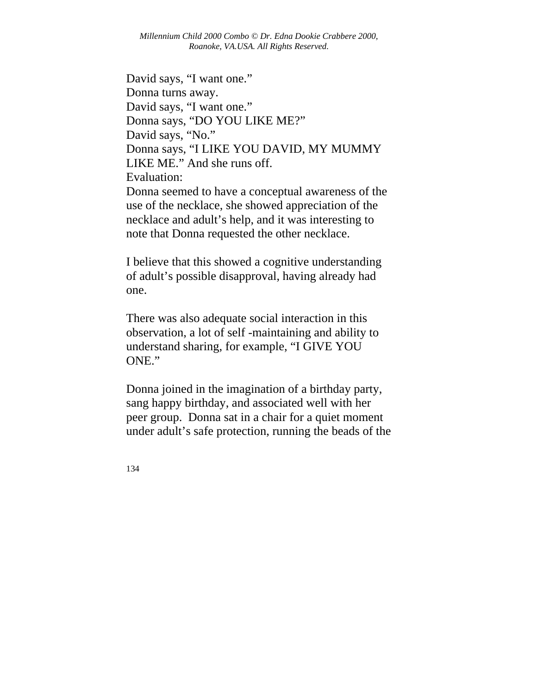*Millennium Child 2000 Combo © Dr. Edna Dookie Crabbere 2000, Roanoke, VA.USA. All Rights Reserved.* 

David says, "I want one." Donna turns away. David says, "I want one." Donna says, "DO YOU LIKE ME?" David says, "No." Donna says, "I LIKE YOU DAVID, MY MUMMY LIKE ME." And she runs off. Evaluation: Donna seemed to have a conceptual awareness of the

use of the necklace, she showed appreciation of the necklace and adult's help, and it was interesting to note that Donna requested the other necklace.

I believe that this showed a cognitive understanding of adult's possible disapproval, having already had one.

There was also adequate social interaction in this observation, a lot of self -maintaining and ability to understand sharing, for example, "I GIVE YOU ONE."

Donna joined in the imagination of a birthday party, sang happy birthday, and associated well with her peer group. Donna sat in a chair for a quiet moment under adult's safe protection, running the beads of the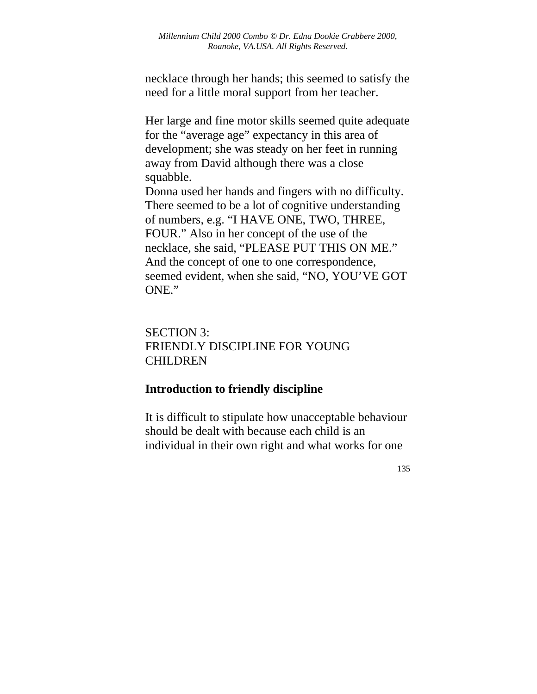necklace through her hands; this seemed to satisfy the need for a little moral support from her teacher.

Her large and fine motor skills seemed quite adequate for the "average age" expectancy in this area of development; she was steady on her feet in running away from David although there was a close squabble.

Donna used her hands and fingers with no difficulty. There seemed to be a lot of cognitive understanding of numbers, e.g. "I HAVE ONE, TWO, THREE, FOUR." Also in her concept of the use of the necklace, she said, "PLEASE PUT THIS ON ME." And the concept of one to one correspondence, seemed evident, when she said, "NO, YOU'VE GOT ONE."

# SECTION 3: FRIENDLY DISCIPLINE FOR YOUNG CHILDREN

## **Introduction to friendly discipline**

It is difficult to stipulate how unacceptable behaviour should be dealt with because each child is an individual in their own right and what works for one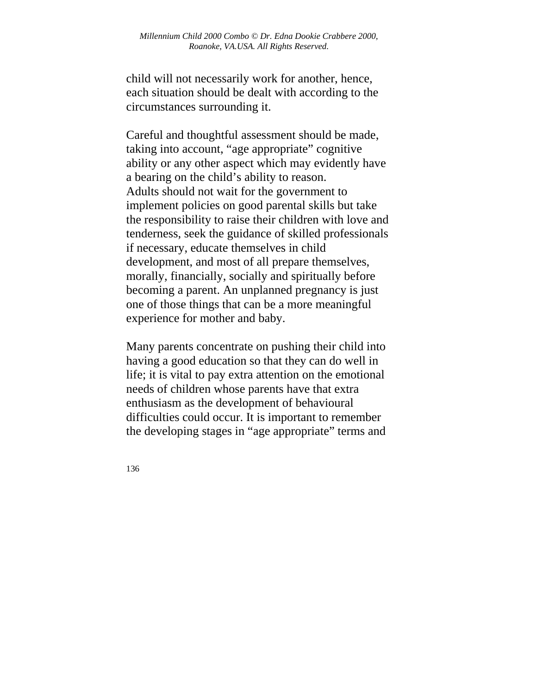child will not necessarily work for another, hence, each situation should be dealt with according to the circumstances surrounding it.

Careful and thoughtful assessment should be made, taking into account, "age appropriate" cognitive ability or any other aspect which may evidently have a bearing on the child's ability to reason. Adults should not wait for the government to implement policies on good parental skills but take the responsibility to raise their children with love and tenderness, seek the guidance of skilled professionals if necessary, educate themselves in child development, and most of all prepare themselves, morally, financially, socially and spiritually before becoming a parent. An unplanned pregnancy is just one of those things that can be a more meaningful experience for mother and baby.

Many parents concentrate on pushing their child into having a good education so that they can do well in life; it is vital to pay extra attention on the emotional needs of children whose parents have that extra enthusiasm as the development of behavioural difficulties could occur. It is important to remember the developing stages in "age appropriate" terms and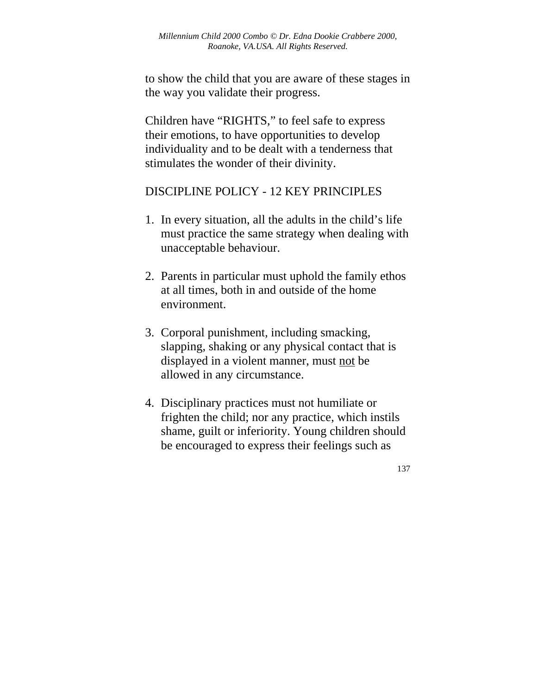to show the child that you are aware of these stages in the way you validate their progress.

Children have "RIGHTS," to feel safe to express their emotions, to have opportunities to develop individuality and to be dealt with a tenderness that stimulates the wonder of their divinity.

## DISCIPLINE POLICY - 12 KEY PRINCIPLES

- 1. In every situation, all the adults in the child's life must practice the same strategy when dealing with unacceptable behaviour.
- 2. Parents in particular must uphold the family ethos at all times, both in and outside of the home environment.
- 3. Corporal punishment, including smacking, slapping, shaking or any physical contact that is displayed in a violent manner, must not be allowed in any circumstance.
- 4. Disciplinary practices must not humiliate or frighten the child; nor any practice, which instils shame, guilt or inferiority. Young children should be encouraged to express their feelings such as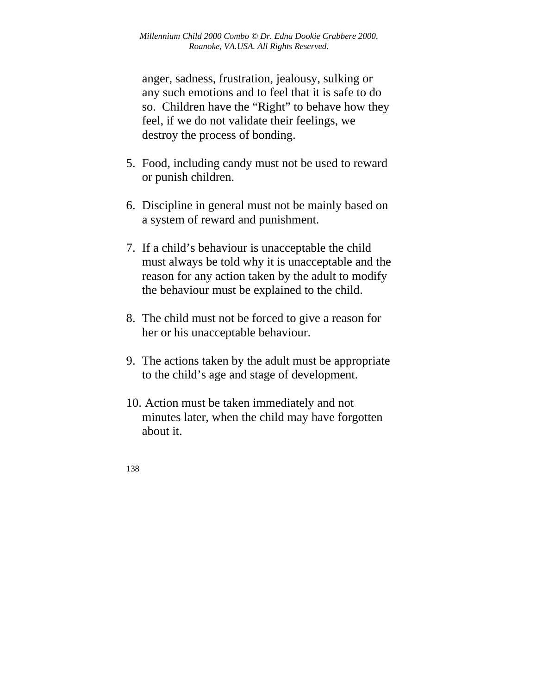anger, sadness, frustration, jealousy, sulking or any such emotions and to feel that it is safe to do so. Children have the "Right" to behave how they feel, if we do not validate their feelings, we destroy the process of bonding.

- 5. Food, including candy must not be used to reward or punish children.
- 6. Discipline in general must not be mainly based on a system of reward and punishment.
- 7. If a child's behaviour is unacceptable the child must always be told why it is unacceptable and the reason for any action taken by the adult to modify the behaviour must be explained to the child.
- 8. The child must not be forced to give a reason for her or his unacceptable behaviour.
- 9. The actions taken by the adult must be appropriate to the child's age and stage of development.
- 10. Action must be taken immediately and not minutes later, when the child may have forgotten about it.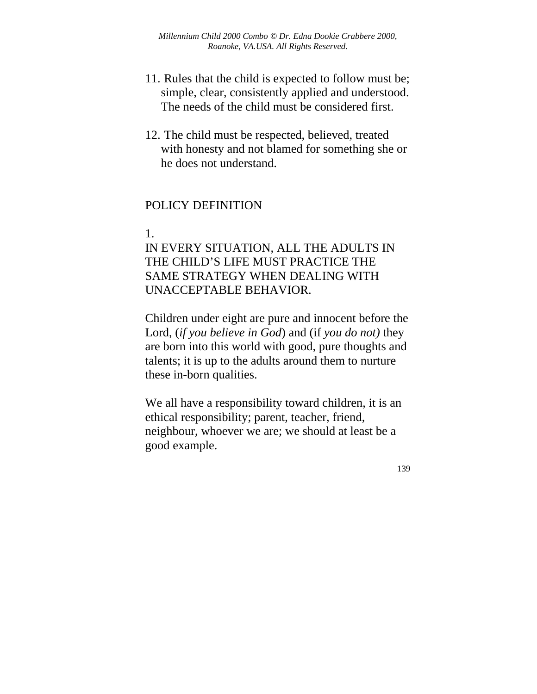- 11. Rules that the child is expected to follow must be; simple, clear, consistently applied and understood. The needs of the child must be considered first.
- 12. The child must be respected, believed, treated with honesty and not blamed for something she or he does not understand.

## POLICY DEFINITION

#### 1.

IN EVERY SITUATION, ALL THE ADULTS IN THE CHILD'S LIFE MUST PRACTICE THE SAME STRATEGY WHEN DEALING WITH UNACCEPTABLE BEHAVIOR.

Children under eight are pure and innocent before the Lord, (*if you believe in God*) and (if *you do not)* they are born into this world with good, pure thoughts and talents; it is up to the adults around them to nurture these in-born qualities.

We all have a responsibility toward children, it is an ethical responsibility; parent, teacher, friend, neighbour, whoever we are; we should at least be a good example.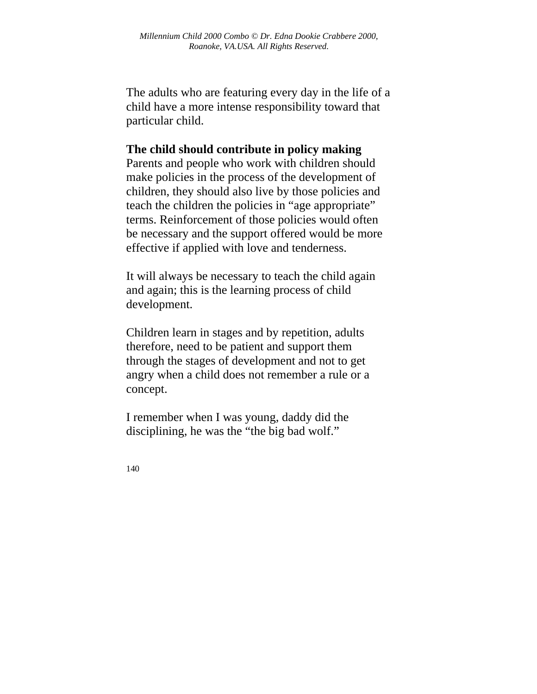The adults who are featuring every day in the life of a child have a more intense responsibility toward that particular child.

## **The child should contribute in policy making**

Parents and people who work with children should make policies in the process of the development of children, they should also live by those policies and teach the children the policies in "age appropriate" terms. Reinforcement of those policies would often be necessary and the support offered would be more effective if applied with love and tenderness.

It will always be necessary to teach the child again and again; this is the learning process of child development.

Children learn in stages and by repetition, adults therefore, need to be patient and support them through the stages of development and not to get angry when a child does not remember a rule or a concept.

I remember when I was young, daddy did the disciplining, he was the "the big bad wolf."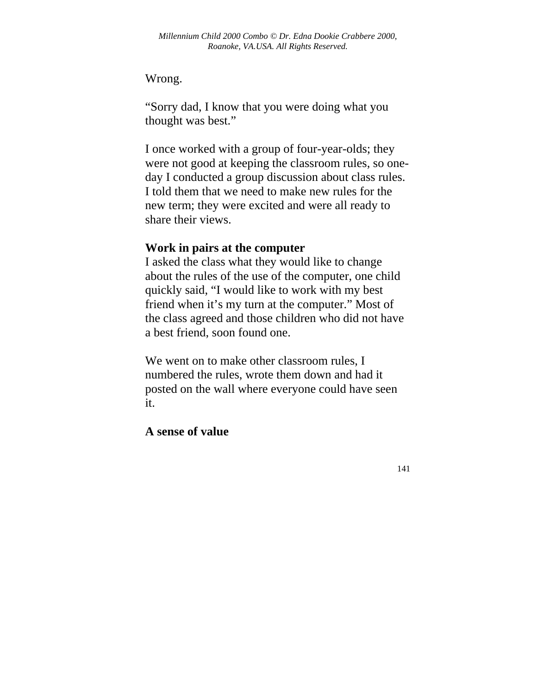## Wrong.

"Sorry dad, I know that you were doing what you thought was best."

I once worked with a group of four-year-olds; they were not good at keeping the classroom rules, so oneday I conducted a group discussion about class rules. I told them that we need to make new rules for the new term; they were excited and were all ready to share their views.

## **Work in pairs at the computer**

I asked the class what they would like to change about the rules of the use of the computer, one child quickly said, "I would like to work with my best friend when it's my turn at the computer." Most of the class agreed and those children who did not have a best friend, soon found one.

We went on to make other classroom rules, I numbered the rules, wrote them down and had it posted on the wall where everyone could have seen it.

## **A sense of value**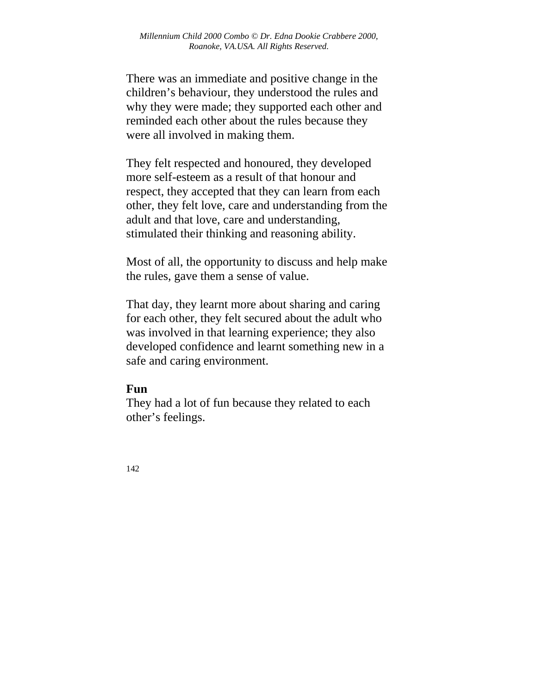There was an immediate and positive change in the children's behaviour, they understood the rules and why they were made; they supported each other and reminded each other about the rules because they were all involved in making them.

They felt respected and honoured, they developed more self-esteem as a result of that honour and respect, they accepted that they can learn from each other, they felt love, care and understanding from the adult and that love, care and understanding, stimulated their thinking and reasoning ability.

Most of all, the opportunity to discuss and help make the rules, gave them a sense of value.

That day, they learnt more about sharing and caring for each other, they felt secured about the adult who was involved in that learning experience; they also developed confidence and learnt something new in a safe and caring environment.

## **Fun**

They had a lot of fun because they related to each other's feelings.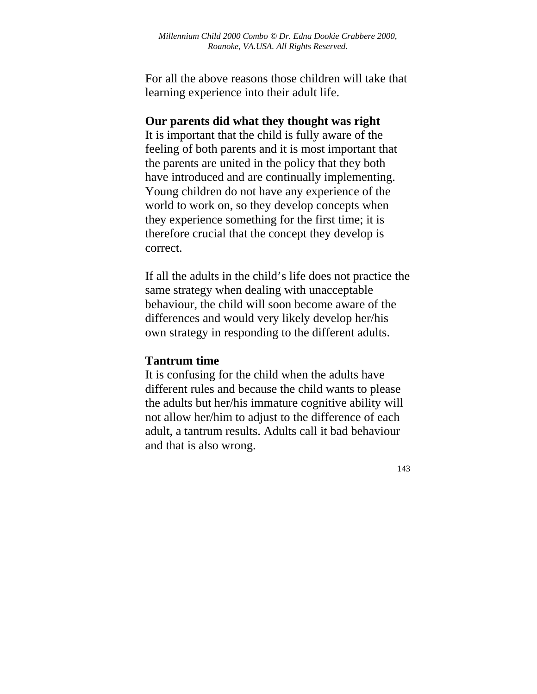For all the above reasons those children will take that learning experience into their adult life.

#### **Our parents did what they thought was right**

It is important that the child is fully aware of the feeling of both parents and it is most important that the parents are united in the policy that they both have introduced and are continually implementing. Young children do not have any experience of the world to work on, so they develop concepts when they experience something for the first time; it is therefore crucial that the concept they develop is correct.

If all the adults in the child's life does not practice the same strategy when dealing with unacceptable behaviour, the child will soon become aware of the differences and would very likely develop her/his own strategy in responding to the different adults.

#### **Tantrum time**

It is confusing for the child when the adults have different rules and because the child wants to please the adults but her/his immature cognitive ability will not allow her/him to adjust to the difference of each adult, a tantrum results. Adults call it bad behaviour and that is also wrong.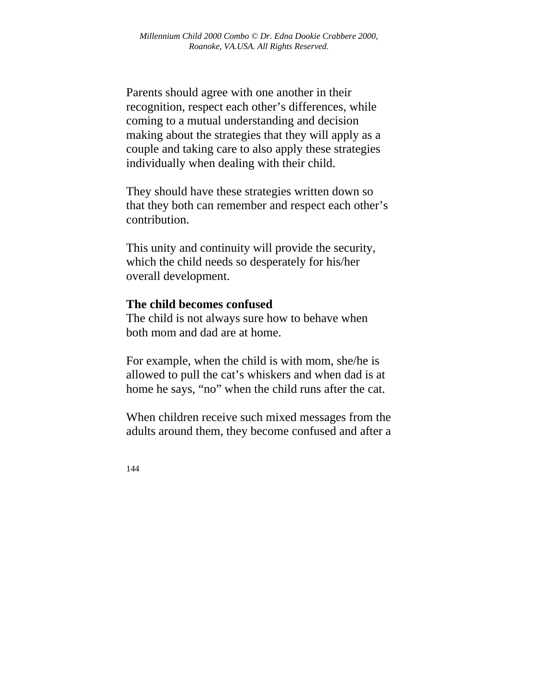Parents should agree with one another in their recognition, respect each other's differences, while coming to a mutual understanding and decision making about the strategies that they will apply as a couple and taking care to also apply these strategies individually when dealing with their child.

They should have these strategies written down so that they both can remember and respect each other's contribution.

This unity and continuity will provide the security, which the child needs so desperately for his/her overall development.

#### **The child becomes confused**

The child is not always sure how to behave when both mom and dad are at home.

For example, when the child is with mom, she/he is allowed to pull the cat's whiskers and when dad is at home he says, "no" when the child runs after the cat.

When children receive such mixed messages from the adults around them, they become confused and after a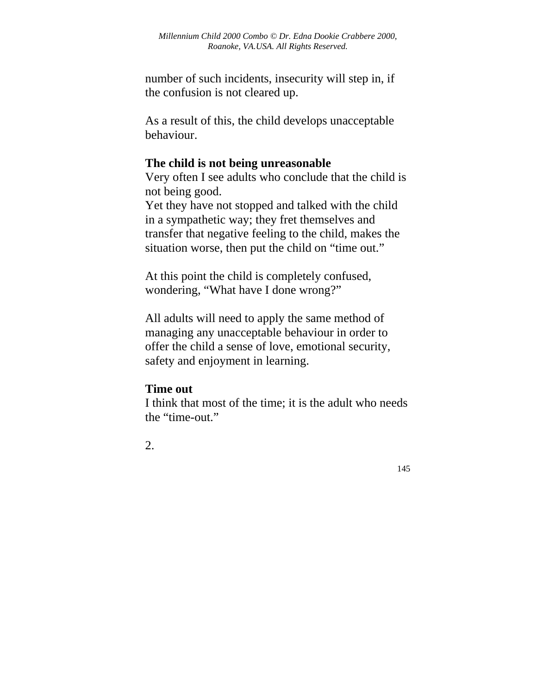number of such incidents, insecurity will step in, if the confusion is not cleared up.

As a result of this, the child develops unacceptable behaviour.

## **The child is not being unreasonable**

Very often I see adults who conclude that the child is not being good.

Yet they have not stopped and talked with the child in a sympathetic way; they fret themselves and transfer that negative feeling to the child, makes the situation worse, then put the child on "time out."

At this point the child is completely confused, wondering, "What have I done wrong?"

All adults will need to apply the same method of managing any unacceptable behaviour in order to offer the child a sense of love, emotional security, safety and enjoyment in learning.

### **Time out**

I think that most of the time; it is the adult who needs the "time-out."

2.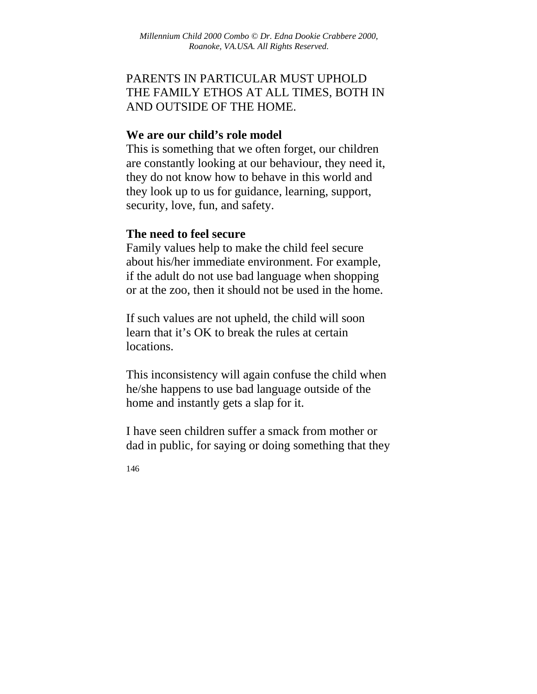# PARENTS IN PARTICULAR MUST UPHOLD THE FAMILY ETHOS AT ALL TIMES, BOTH IN AND OUTSIDE OF THE HOME.

#### **We are our child's role model**

This is something that we often forget, our children are constantly looking at our behaviour, they need it, they do not know how to behave in this world and they look up to us for guidance, learning, support, security, love, fun, and safety.

### **The need to feel secure**

Family values help to make the child feel secure about his/her immediate environment. For example, if the adult do not use bad language when shopping or at the zoo, then it should not be used in the home.

If such values are not upheld, the child will soon learn that it's OK to break the rules at certain locations.

This inconsistency will again confuse the child when he/she happens to use bad language outside of the home and instantly gets a slap for it.

I have seen children suffer a smack from mother or dad in public, for saying or doing something that they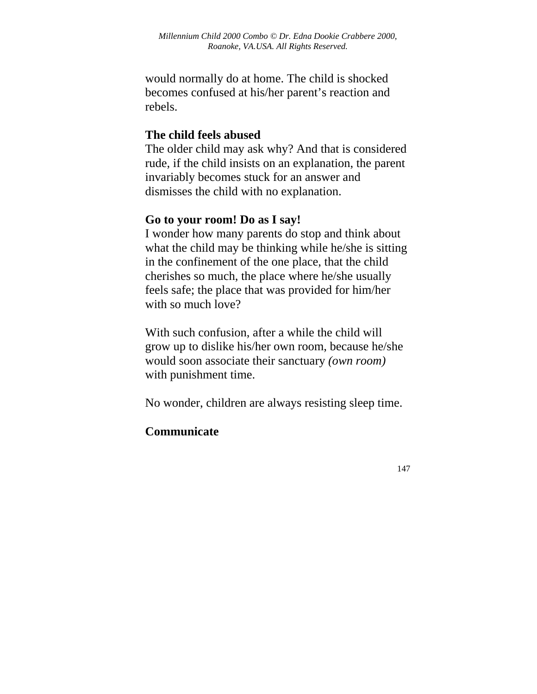would normally do at home. The child is shocked becomes confused at his/her parent's reaction and rebels.

### **The child feels abused**

The older child may ask why? And that is considered rude, if the child insists on an explanation, the parent invariably becomes stuck for an answer and dismisses the child with no explanation.

#### **Go to your room! Do as I say!**

I wonder how many parents do stop and think about what the child may be thinking while he/she is sitting in the confinement of the one place, that the child cherishes so much, the place where he/she usually feels safe; the place that was provided for him/her with so much love?

With such confusion, after a while the child will grow up to dislike his/her own room, because he/she would soon associate their sanctuary *(own room)* with punishment time.

No wonder, children are always resisting sleep time.

### **Communicate**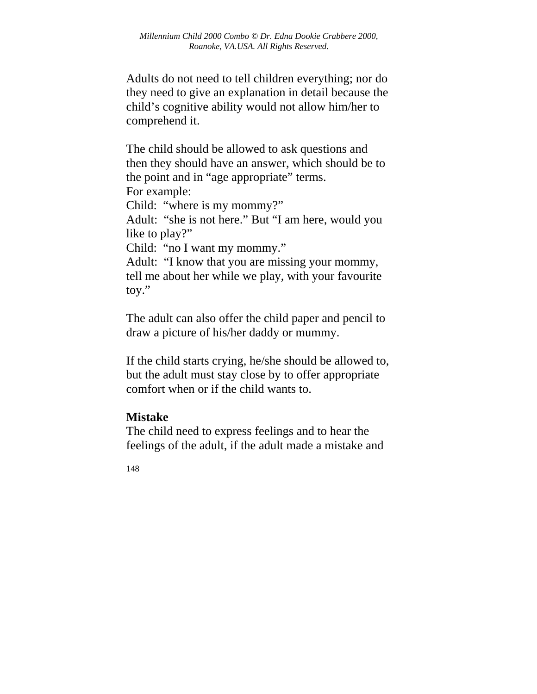Adults do not need to tell children everything; nor do they need to give an explanation in detail because the child's cognitive ability would not allow him/her to comprehend it.

The child should be allowed to ask questions and then they should have an answer, which should be to the point and in "age appropriate" terms. For example: Child: "where is my mommy?" Adult: "she is not here." But "I am here, would you like to play?" Child: "no I want my mommy." Adult: "I know that you are missing your mommy, tell me about her while we play, with your favourite toy."

The adult can also offer the child paper and pencil to draw a picture of his/her daddy or mummy.

If the child starts crying, he/she should be allowed to, but the adult must stay close by to offer appropriate comfort when or if the child wants to.

### **Mistake**

The child need to express feelings and to hear the feelings of the adult, if the adult made a mistake and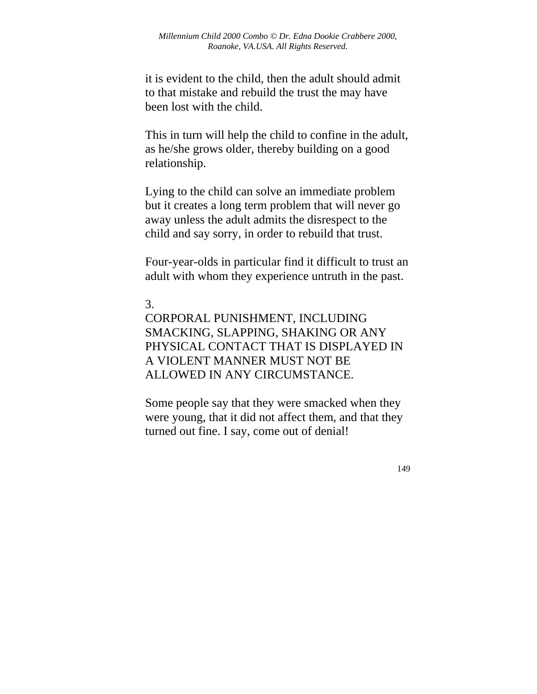it is evident to the child, then the adult should admit to that mistake and rebuild the trust the may have been lost with the child.

This in turn will help the child to confine in the adult, as he/she grows older, thereby building on a good relationship.

Lying to the child can solve an immediate problem but it creates a long term problem that will never go away unless the adult admits the disrespect to the child and say sorry, in order to rebuild that trust.

Four-year-olds in particular find it difficult to trust an adult with whom they experience untruth in the past.

## 3.

CORPORAL PUNISHMENT, INCLUDING SMACKING, SLAPPING, SHAKING OR ANY PHYSICAL CONTACT THAT IS DISPLAYED IN A VIOLENT MANNER MUST NOT BE ALLOWED IN ANY CIRCUMSTANCE.

Some people say that they were smacked when they were young, that it did not affect them, and that they turned out fine. I say, come out of denial!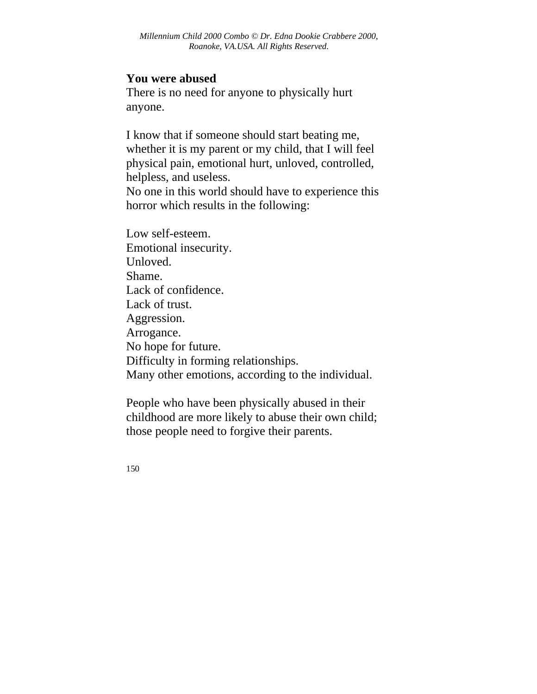#### **You were abused**

There is no need for anyone to physically hurt anyone.

I know that if someone should start beating me, whether it is my parent or my child, that I will feel physical pain, emotional hurt, unloved, controlled, helpless, and useless. No one in this world should have to experience this horror which results in the following:

Low self-esteem. Emotional insecurity. Unloved. Shame. Lack of confidence. Lack of trust. Aggression. Arrogance. No hope for future. Difficulty in forming relationships. Many other emotions, according to the individual.

People who have been physically abused in their childhood are more likely to abuse their own child; those people need to forgive their parents.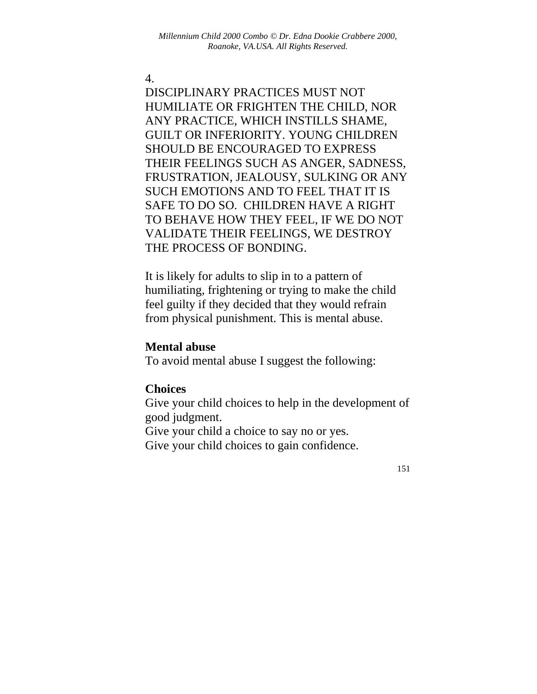#### 4.

DISCIPLINARY PRACTICES MUST NOT HUMILIATE OR FRIGHTEN THE CHILD, NOR ANY PRACTICE, WHICH INSTILLS SHAME, GUILT OR INFERIORITY. YOUNG CHILDREN SHOULD BE ENCOURAGED TO EXPRESS THEIR FEELINGS SUCH AS ANGER, SADNESS, FRUSTRATION, JEALOUSY, SULKING OR ANY SUCH EMOTIONS AND TO FEEL THAT IT IS SAFE TO DO SO. CHILDREN HAVE A RIGHT TO BEHAVE HOW THEY FEEL, IF WE DO NOT VALIDATE THEIR FEELINGS, WE DESTROY THE PROCESS OF BONDING.

It is likely for adults to slip in to a pattern of humiliating, frightening or trying to make the child feel guilty if they decided that they would refrain from physical punishment. This is mental abuse.

#### **Mental abuse**

To avoid mental abuse I suggest the following:

#### **Choices**

Give your child choices to help in the development of good judgment.

Give your child a choice to say no or yes.

Give your child choices to gain confidence.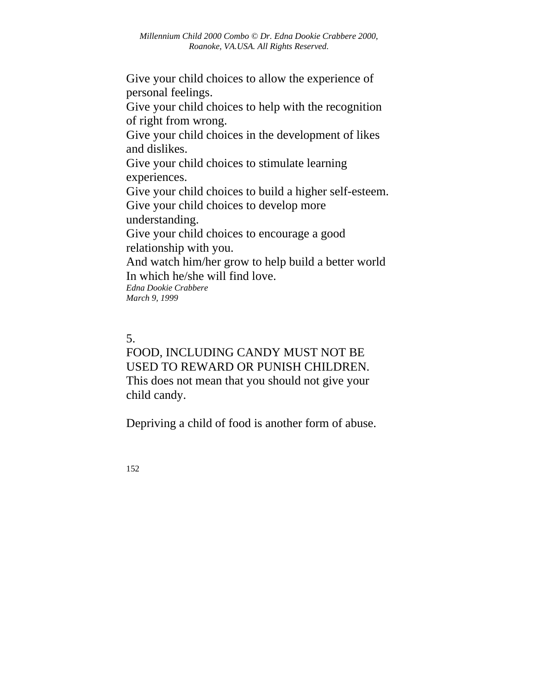Give your child choices to allow the experience of personal feelings.

Give your child choices to help with the recognition of right from wrong.

Give your child choices in the development of likes and dislikes.

Give your child choices to stimulate learning experiences.

Give your child choices to build a higher self-esteem. Give your child choices to develop more

understanding.

Give your child choices to encourage a good relationship with you.

And watch him/her grow to help build a better world In which he/she will find love.

*Edna Dookie Crabbere March 9, 1999* 

## 5.

# FOOD, INCLUDING CANDY MUST NOT BE USED TO REWARD OR PUNISH CHILDREN. This does not mean that you should not give your child candy.

Depriving a child of food is another form of abuse.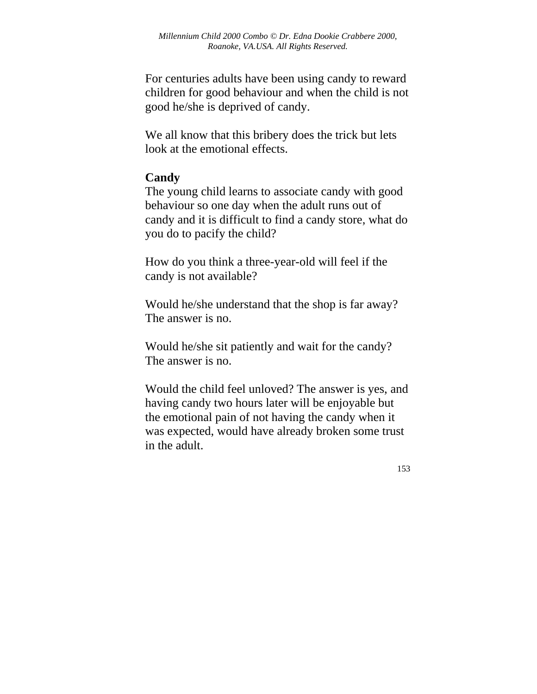For centuries adults have been using candy to reward children for good behaviour and when the child is not good he/she is deprived of candy.

We all know that this bribery does the trick but lets look at the emotional effects.

### **Candy**

The young child learns to associate candy with good behaviour so one day when the adult runs out of candy and it is difficult to find a candy store, what do you do to pacify the child?

How do you think a three-year-old will feel if the candy is not available?

Would he/she understand that the shop is far away? The answer is no.

Would he/she sit patiently and wait for the candy? The answer is no.

Would the child feel unloved? The answer is yes, and having candy two hours later will be enjoyable but the emotional pain of not having the candy when it was expected, would have already broken some trust in the adult.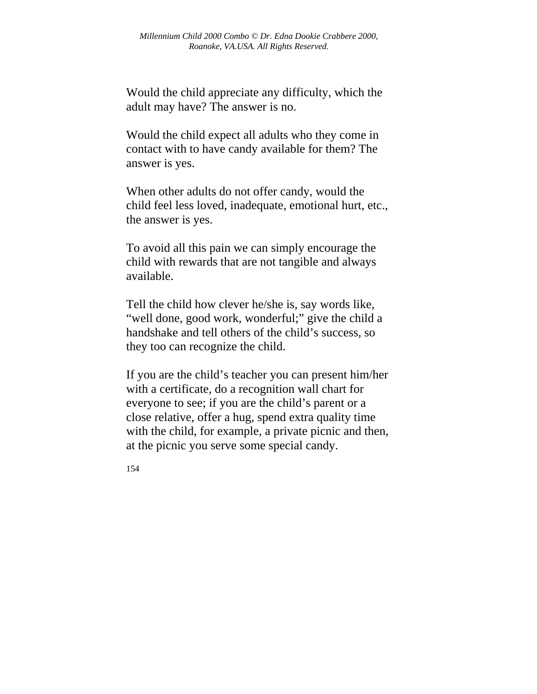Would the child appreciate any difficulty, which the adult may have? The answer is no.

Would the child expect all adults who they come in contact with to have candy available for them? The answer is yes.

When other adults do not offer candy, would the child feel less loved, inadequate, emotional hurt, etc., the answer is yes.

To avoid all this pain we can simply encourage the child with rewards that are not tangible and always available.

Tell the child how clever he/she is, say words like, "well done, good work, wonderful;" give the child a handshake and tell others of the child's success, so they too can recognize the child.

If you are the child's teacher you can present him/her with a certificate, do a recognition wall chart for everyone to see; if you are the child's parent or a close relative, offer a hug, spend extra quality time with the child, for example, a private picnic and then, at the picnic you serve some special candy.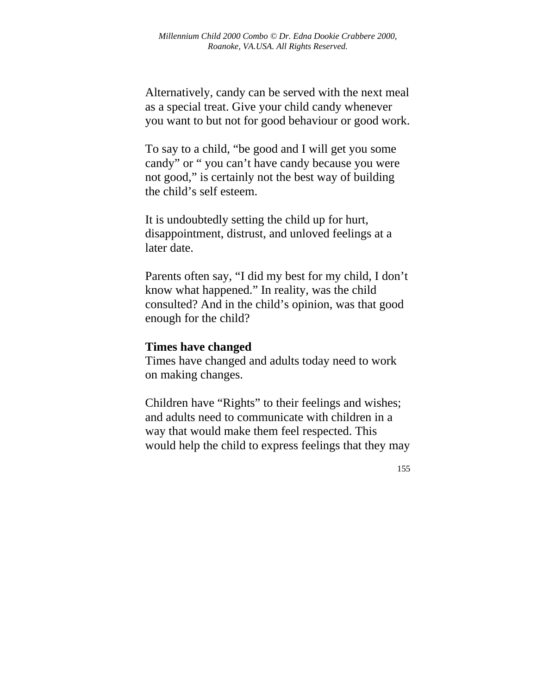Alternatively, candy can be served with the next meal as a special treat. Give your child candy whenever you want to but not for good behaviour or good work.

To say to a child, "be good and I will get you some candy" or " you can't have candy because you were not good," is certainly not the best way of building the child's self esteem.

It is undoubtedly setting the child up for hurt, disappointment, distrust, and unloved feelings at a later date.

Parents often say, "I did my best for my child, I don't know what happened." In reality, was the child consulted? And in the child's opinion, was that good enough for the child?

#### **Times have changed**

Times have changed and adults today need to work on making changes.

Children have "Rights" to their feelings and wishes; and adults need to communicate with children in a way that would make them feel respected. This would help the child to express feelings that they may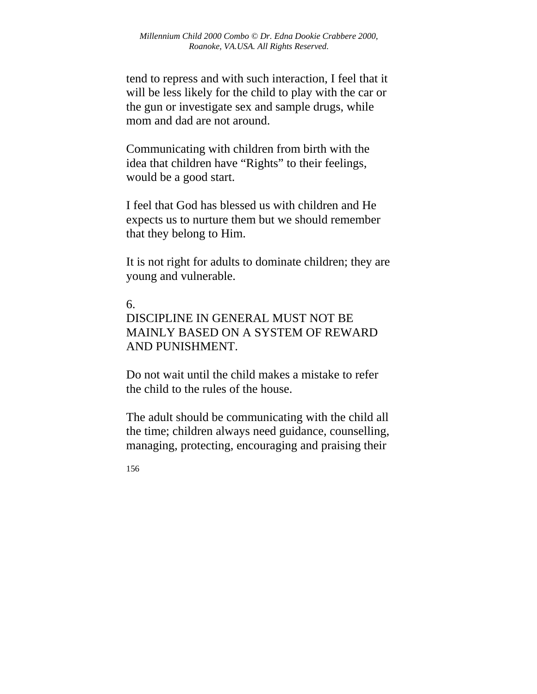tend to repress and with such interaction, I feel that it will be less likely for the child to play with the car or the gun or investigate sex and sample drugs, while mom and dad are not around.

Communicating with children from birth with the idea that children have "Rights" to their feelings, would be a good start.

I feel that God has blessed us with children and He expects us to nurture them but we should remember that they belong to Him.

It is not right for adults to dominate children; they are young and vulnerable.

#### 6.

# DISCIPLINE IN GENERAL MUST NOT BE MAINLY BASED ON A SYSTEM OF REWARD AND PUNISHMENT.

Do not wait until the child makes a mistake to refer the child to the rules of the house.

The adult should be communicating with the child all the time; children always need guidance, counselling, managing, protecting, encouraging and praising their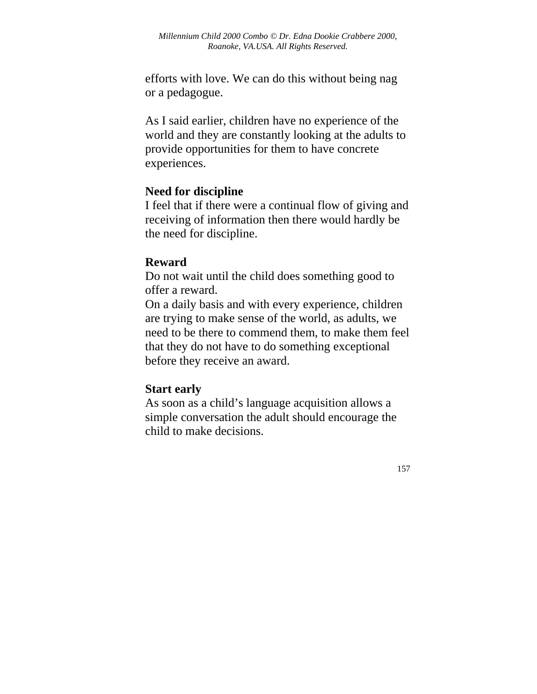efforts with love. We can do this without being nag or a pedagogue.

As I said earlier, children have no experience of the world and they are constantly looking at the adults to provide opportunities for them to have concrete experiences.

### **Need for discipline**

I feel that if there were a continual flow of giving and receiving of information then there would hardly be the need for discipline.

### **Reward**

Do not wait until the child does something good to offer a reward.

On a daily basis and with every experience, children are trying to make sense of the world, as adults, we need to be there to commend them, to make them feel that they do not have to do something exceptional before they receive an award.

### **Start early**

As soon as a child's language acquisition allows a simple conversation the adult should encourage the child to make decisions.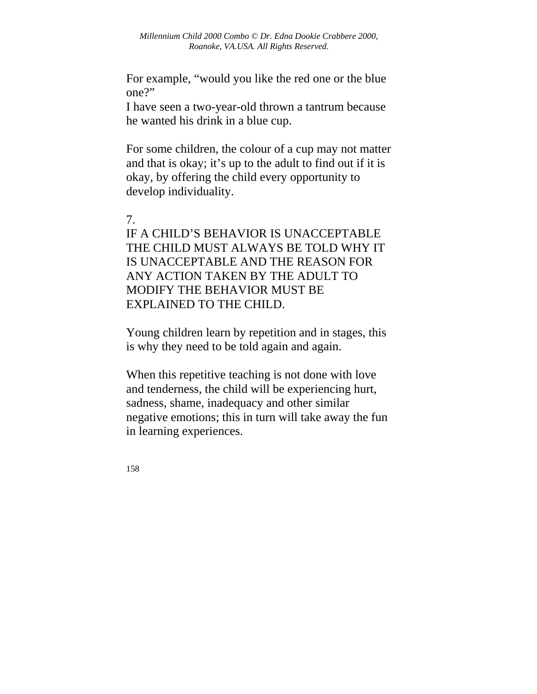For example, "would you like the red one or the blue one?"

I have seen a two-year-old thrown a tantrum because he wanted his drink in a blue cup.

For some children, the colour of a cup may not matter and that is okay; it's up to the adult to find out if it is okay, by offering the child every opportunity to develop individuality.

#### 7.

IF A CHILD'S BEHAVIOR IS UNACCEPTABLE THE CHILD MUST ALWAYS BE TOLD WHY IT IS UNACCEPTABLE AND THE REASON FOR ANY ACTION TAKEN BY THE ADULT TO MODIFY THE BEHAVIOR MUST BE EXPLAINED TO THE CHILD.

Young children learn by repetition and in stages, this is why they need to be told again and again.

When this repetitive teaching is not done with love and tenderness, the child will be experiencing hurt, sadness, shame, inadequacy and other similar negative emotions; this in turn will take away the fun in learning experiences.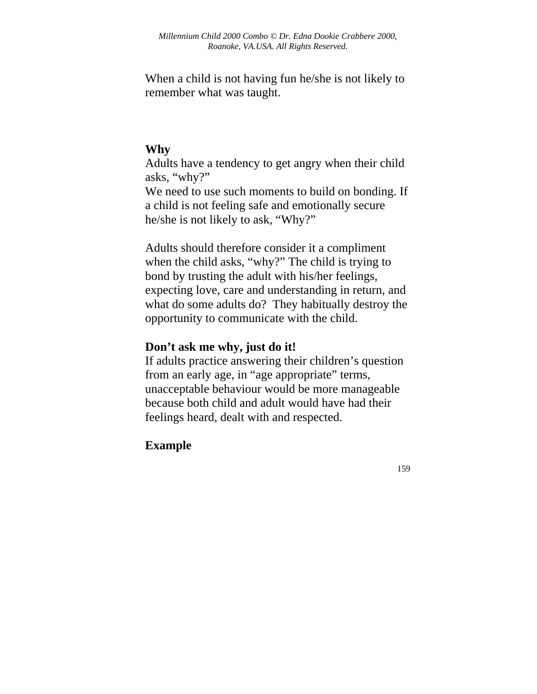When a child is not having fun he/she is not likely to remember what was taught.

### **Why**

Adults have a tendency to get angry when their child asks, "why?"

We need to use such moments to build on bonding. If a child is not feeling safe and emotionally secure he/she is not likely to ask, "Why?"

Adults should therefore consider it a compliment when the child asks, "why?" The child is trying to bond by trusting the adult with his/her feelings, expecting love, care and understanding in return, and what do some adults do? They habitually destroy the opportunity to communicate with the child.

## **Don't ask me why, just do it!**

If adults practice answering their children's question from an early age, in "age appropriate" terms, unacceptable behaviour would be more manageable because both child and adult would have had their feelings heard, dealt with and respected.

### **Example**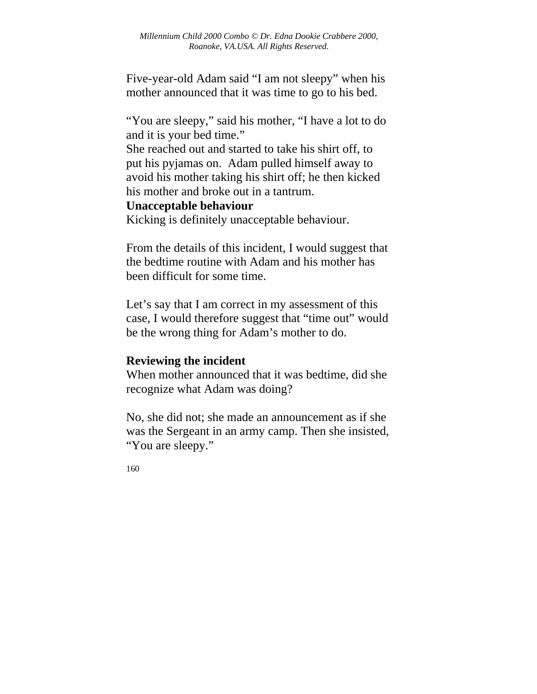Five-year-old Adam said "I am not sleepy" when his mother announced that it was time to go to his bed.

"You are sleepy," said his mother, "I have a lot to do and it is your bed time."

She reached out and started to take his shirt off, to put his pyjamas on. Adam pulled himself away to avoid his mother taking his shirt off; he then kicked his mother and broke out in a tantrum.

#### **Unacceptable behaviour**

Kicking is definitely unacceptable behaviour.

From the details of this incident, I would suggest that the bedtime routine with Adam and his mother has been difficult for some time.

Let's say that I am correct in my assessment of this case, I would therefore suggest that "time out" would be the wrong thing for Adam's mother to do.

#### **Reviewing the incident**

When mother announced that it was bedtime, did she recognize what Adam was doing?

No, she did not; she made an announcement as if she was the Sergeant in an army camp. Then she insisted, "You are sleepy."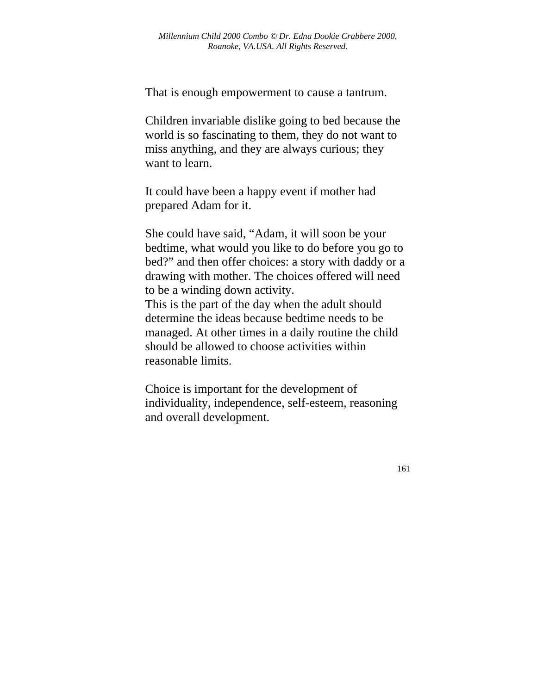That is enough empowerment to cause a tantrum.

Children invariable dislike going to bed because the world is so fascinating to them, they do not want to miss anything, and they are always curious; they want to learn.

It could have been a happy event if mother had prepared Adam for it.

She could have said, "Adam, it will soon be your bedtime, what would you like to do before you go to bed?" and then offer choices: a story with daddy or a drawing with mother. The choices offered will need to be a winding down activity.

This is the part of the day when the adult should determine the ideas because bedtime needs to be managed. At other times in a daily routine the child should be allowed to choose activities within reasonable limits.

Choice is important for the development of individuality, independence, self-esteem, reasoning and overall development.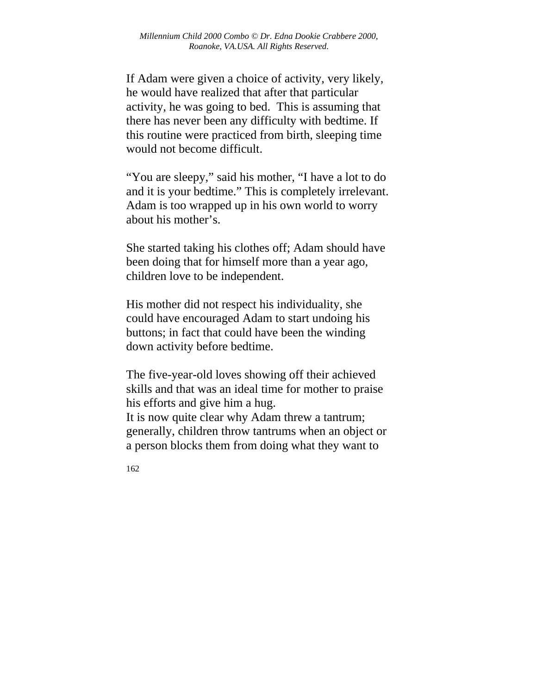If Adam were given a choice of activity, very likely, he would have realized that after that particular activity, he was going to bed. This is assuming that there has never been any difficulty with bedtime. If this routine were practiced from birth, sleeping time would not become difficult.

"You are sleepy," said his mother, "I have a lot to do and it is your bedtime." This is completely irrelevant. Adam is too wrapped up in his own world to worry about his mother's.

She started taking his clothes off; Adam should have been doing that for himself more than a year ago, children love to be independent.

His mother did not respect his individuality, she could have encouraged Adam to start undoing his buttons; in fact that could have been the winding down activity before bedtime.

The five-year-old loves showing off their achieved skills and that was an ideal time for mother to praise his efforts and give him a hug.

It is now quite clear why Adam threw a tantrum; generally, children throw tantrums when an object or a person blocks them from doing what they want to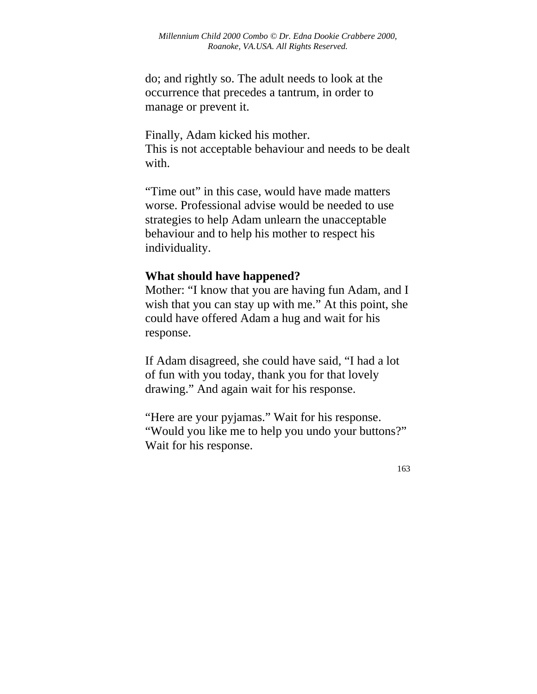do; and rightly so. The adult needs to look at the occurrence that precedes a tantrum, in order to manage or prevent it.

Finally, Adam kicked his mother. This is not acceptable behaviour and needs to be dealt with.

"Time out" in this case, would have made matters worse. Professional advise would be needed to use strategies to help Adam unlearn the unacceptable behaviour and to help his mother to respect his individuality.

#### **What should have happened?**

Mother: "I know that you are having fun Adam, and I wish that you can stay up with me." At this point, she could have offered Adam a hug and wait for his response.

If Adam disagreed, she could have said, "I had a lot of fun with you today, thank you for that lovely drawing." And again wait for his response.

"Here are your pyjamas." Wait for his response. "Would you like me to help you undo your buttons?" Wait for his response.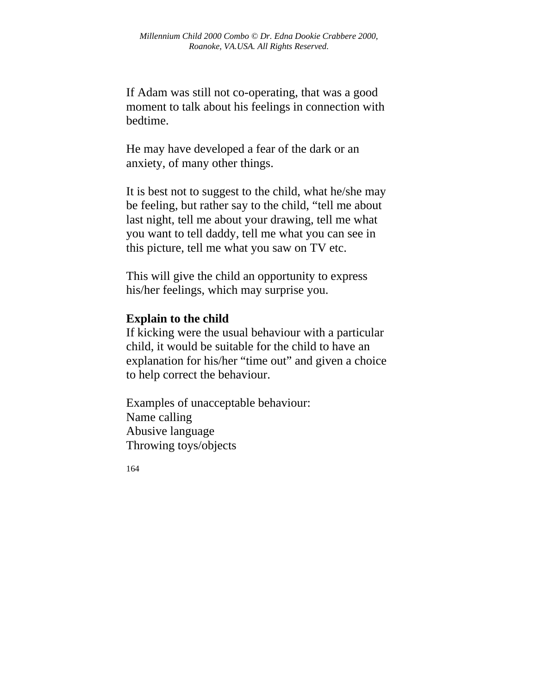If Adam was still not co-operating, that was a good moment to talk about his feelings in connection with bedtime.

He may have developed a fear of the dark or an anxiety, of many other things.

It is best not to suggest to the child, what he/she may be feeling, but rather say to the child, "tell me about last night, tell me about your drawing, tell me what you want to tell daddy, tell me what you can see in this picture, tell me what you saw on TV etc.

This will give the child an opportunity to express his/her feelings, which may surprise you.

### **Explain to the child**

If kicking were the usual behaviour with a particular child, it would be suitable for the child to have an explanation for his/her "time out" and given a choice to help correct the behaviour.

Examples of unacceptable behaviour: Name calling Abusive language Throwing toys/objects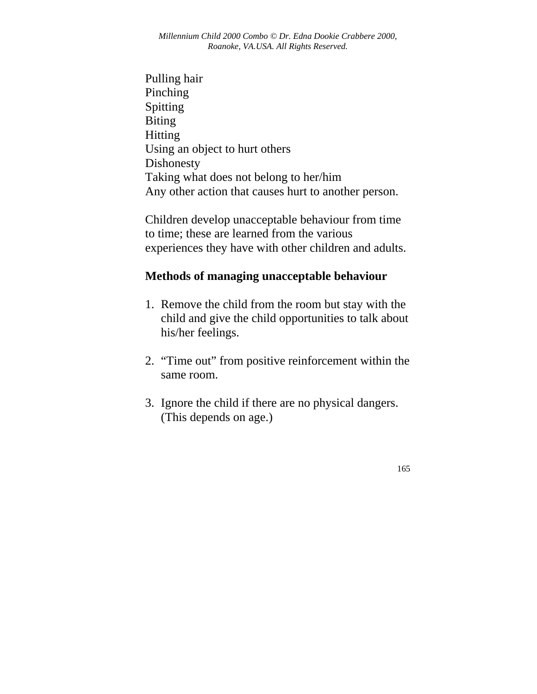Pulling hair Pinching Spitting Biting Hitting Using an object to hurt others Dishonesty Taking what does not belong to her/him Any other action that causes hurt to another person.

Children develop unacceptable behaviour from time to time; these are learned from the various experiences they have with other children and adults.

### **Methods of managing unacceptable behaviour**

- 1. Remove the child from the room but stay with the child and give the child opportunities to talk about his/her feelings.
- 2. "Time out" from positive reinforcement within the same room.
- 3. Ignore the child if there are no physical dangers. (This depends on age.)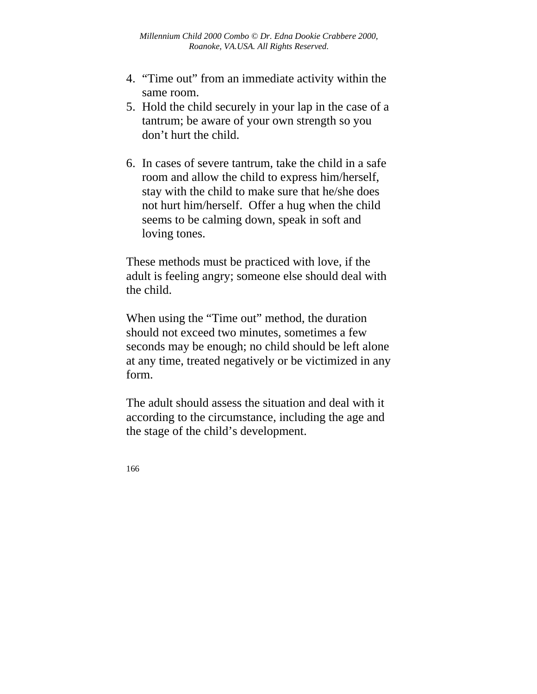- 4. "Time out" from an immediate activity within the same room.
- 5. Hold the child securely in your lap in the case of a tantrum; be aware of your own strength so you don't hurt the child.
- 6. In cases of severe tantrum, take the child in a safe room and allow the child to express him/herself, stay with the child to make sure that he/she does not hurt him/herself. Offer a hug when the child seems to be calming down, speak in soft and loving tones.

These methods must be practiced with love, if the adult is feeling angry; someone else should deal with the child.

When using the "Time out" method, the duration should not exceed two minutes, sometimes a few seconds may be enough; no child should be left alone at any time, treated negatively or be victimized in any form.

The adult should assess the situation and deal with it according to the circumstance, including the age and the stage of the child's development.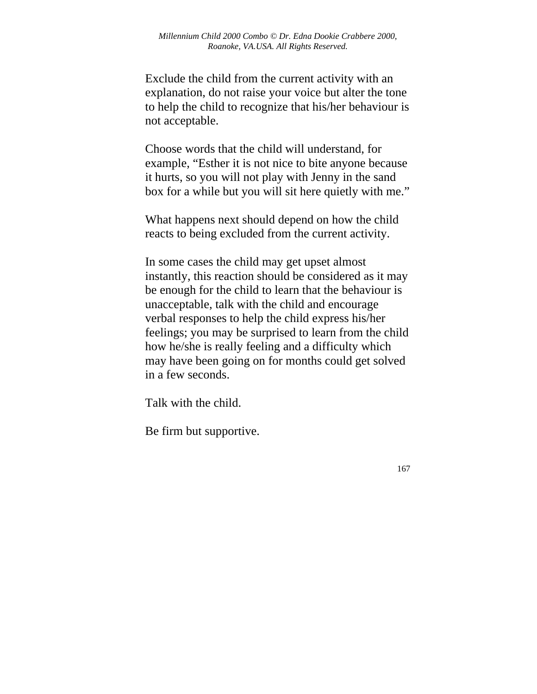Exclude the child from the current activity with an explanation, do not raise your voice but alter the tone to help the child to recognize that his/her behaviour is not acceptable.

Choose words that the child will understand, for example, "Esther it is not nice to bite anyone because it hurts, so you will not play with Jenny in the sand box for a while but you will sit here quietly with me."

What happens next should depend on how the child reacts to being excluded from the current activity.

In some cases the child may get upset almost instantly, this reaction should be considered as it may be enough for the child to learn that the behaviour is unacceptable, talk with the child and encourage verbal responses to help the child express his/her feelings; you may be surprised to learn from the child how he/she is really feeling and a difficulty which may have been going on for months could get solved in a few seconds.

Talk with the child.

Be firm but supportive.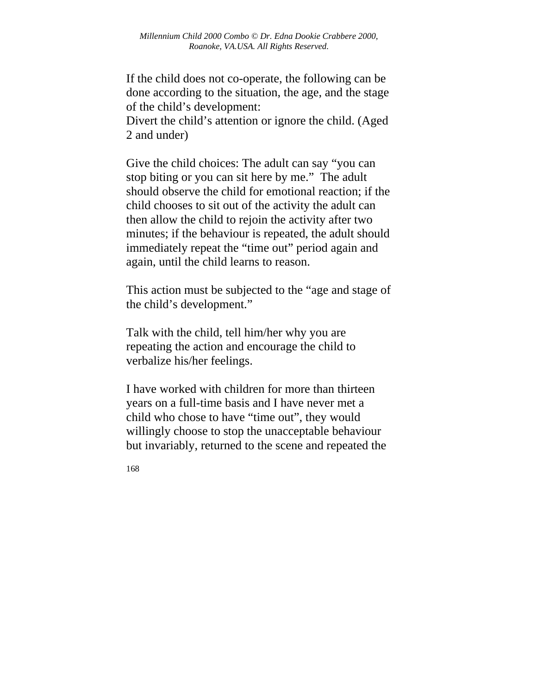If the child does not co-operate, the following can be done according to the situation, the age, and the stage of the child's development:

Divert the child's attention or ignore the child. (Aged 2 and under)

Give the child choices: The adult can say "you can stop biting or you can sit here by me." The adult should observe the child for emotional reaction; if the child chooses to sit out of the activity the adult can then allow the child to rejoin the activity after two minutes; if the behaviour is repeated, the adult should immediately repeat the "time out" period again and again, until the child learns to reason.

This action must be subjected to the "age and stage of the child's development."

Talk with the child, tell him/her why you are repeating the action and encourage the child to verbalize his/her feelings.

I have worked with children for more than thirteen years on a full-time basis and I have never met a child who chose to have "time out", they would willingly choose to stop the unacceptable behaviour but invariably, returned to the scene and repeated the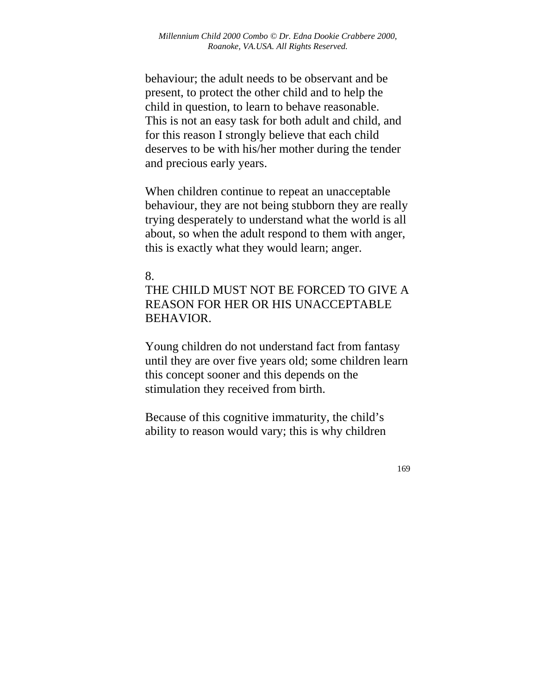behaviour; the adult needs to be observant and be present, to protect the other child and to help the child in question, to learn to behave reasonable. This is not an easy task for both adult and child, and for this reason I strongly believe that each child deserves to be with his/her mother during the tender and precious early years.

When children continue to repeat an unacceptable behaviour, they are not being stubborn they are really trying desperately to understand what the world is all about, so when the adult respond to them with anger, this is exactly what they would learn; anger.

#### 8.

THE CHILD MUST NOT BE FORCED TO GIVE A REASON FOR HER OR HIS UNACCEPTABLE BEHAVIOR.

Young children do not understand fact from fantasy until they are over five years old; some children learn this concept sooner and this depends on the stimulation they received from birth.

Because of this cognitive immaturity, the child's ability to reason would vary; this is why children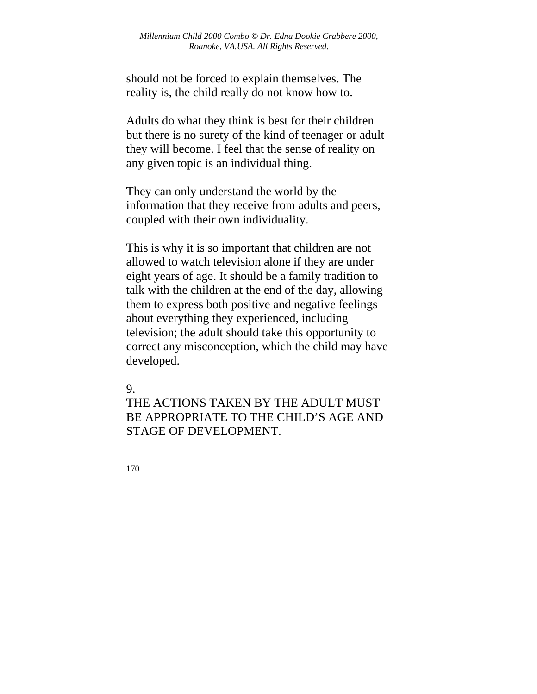should not be forced to explain themselves. The reality is, the child really do not know how to.

Adults do what they think is best for their children but there is no surety of the kind of teenager or adult they will become. I feel that the sense of reality on any given topic is an individual thing.

They can only understand the world by the information that they receive from adults and peers, coupled with their own individuality.

This is why it is so important that children are not allowed to watch television alone if they are under eight years of age. It should be a family tradition to talk with the children at the end of the day, allowing them to express both positive and negative feelings about everything they experienced, including television; the adult should take this opportunity to correct any misconception, which the child may have developed.

9.

THE ACTIONS TAKEN BY THE ADULT MUST BE APPROPRIATE TO THE CHILD'S AGE AND STAGE OF DEVELOPMENT.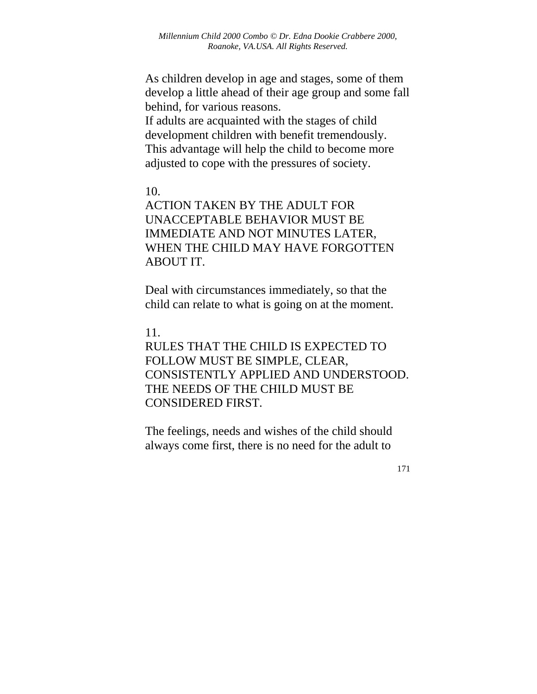As children develop in age and stages, some of them develop a little ahead of their age group and some fall behind, for various reasons.

If adults are acquainted with the stages of child development children with benefit tremendously. This advantage will help the child to become more adjusted to cope with the pressures of society.

#### 10.

ACTION TAKEN BY THE ADULT FOR UNACCEPTABLE BEHAVIOR MUST BE IMMEDIATE AND NOT MINUTES LATER, WHEN THE CHILD MAY HAVE FORGOTTEN ABOUT IT.

Deal with circumstances immediately, so that the child can relate to what is going on at the moment.

#### 11.

RULES THAT THE CHILD IS EXPECTED TO FOLLOW MUST BE SIMPLE, CLEAR, CONSISTENTLY APPLIED AND UNDERSTOOD. THE NEEDS OF THE CHILD MUST BE CONSIDERED FIRST.

The feelings, needs and wishes of the child should always come first, there is no need for the adult to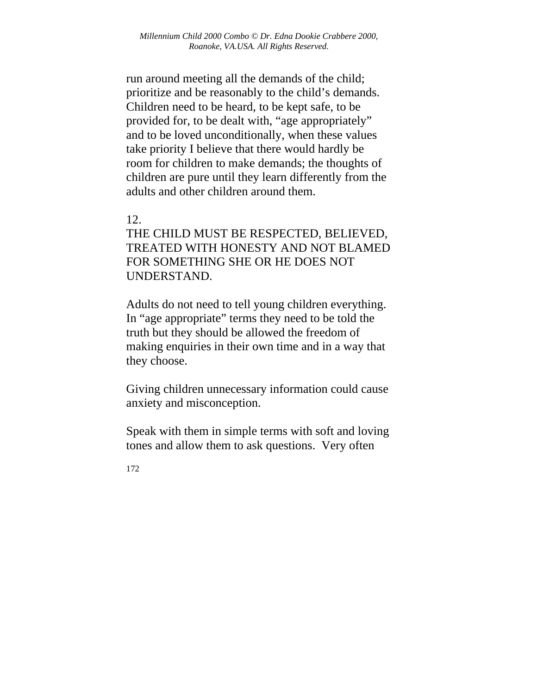run around meeting all the demands of the child; prioritize and be reasonably to the child's demands. Children need to be heard, to be kept safe, to be provided for, to be dealt with, "age appropriately" and to be loved unconditionally, when these values take priority I believe that there would hardly be room for children to make demands; the thoughts of children are pure until they learn differently from the adults and other children around them.

#### 12.

THE CHILD MUST BE RESPECTED, BELIEVED, TREATED WITH HONESTY AND NOT BLAMED FOR SOMETHING SHE OR HE DOES NOT UNDERSTAND.

Adults do not need to tell young children everything. In "age appropriate" terms they need to be told the truth but they should be allowed the freedom of making enquiries in their own time and in a way that they choose.

Giving children unnecessary information could cause anxiety and misconception.

Speak with them in simple terms with soft and loving tones and allow them to ask questions. Very often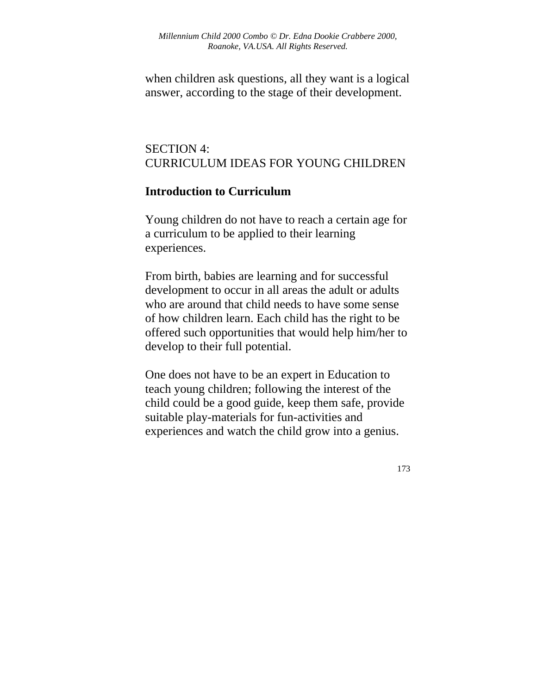when children ask questions, all they want is a logical answer, according to the stage of their development.

# SECTION 4: CURRICULUM IDEAS FOR YOUNG CHILDREN

### **Introduction to Curriculum**

Young children do not have to reach a certain age for a curriculum to be applied to their learning experiences.

From birth, babies are learning and for successful development to occur in all areas the adult or adults who are around that child needs to have some sense of how children learn. Each child has the right to be offered such opportunities that would help him/her to develop to their full potential.

One does not have to be an expert in Education to teach young children; following the interest of the child could be a good guide, keep them safe, provide suitable play-materials for fun-activities and experiences and watch the child grow into a genius.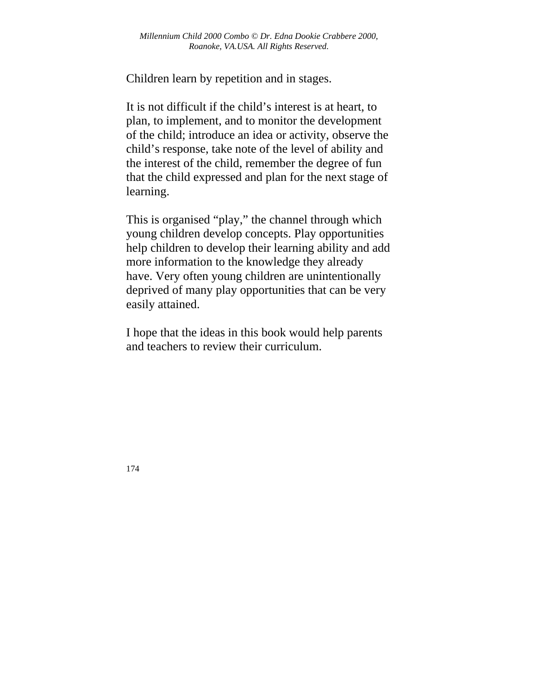Children learn by repetition and in stages.

It is not difficult if the child's interest is at heart, to plan, to implement, and to monitor the development of the child; introduce an idea or activity, observe the child's response, take note of the level of ability and the interest of the child, remember the degree of fun that the child expressed and plan for the next stage of learning.

This is organised "play," the channel through which young children develop concepts. Play opportunities help children to develop their learning ability and add more information to the knowledge they already have. Very often young children are unintentionally deprived of many play opportunities that can be very easily attained.

I hope that the ideas in this book would help parents and teachers to review their curriculum.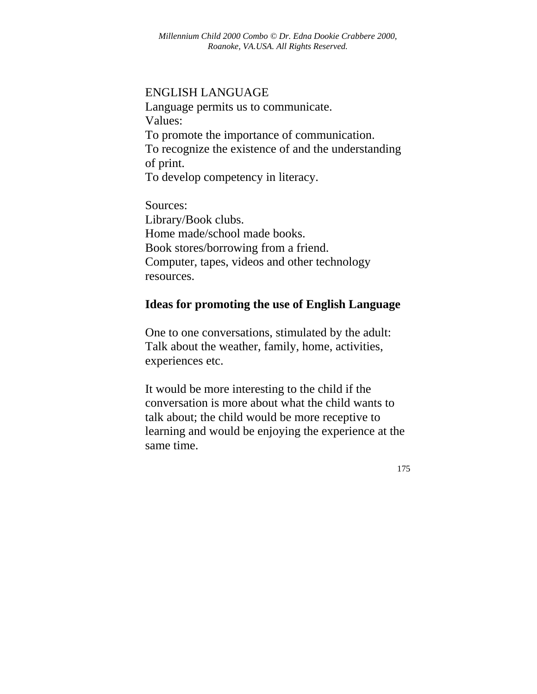#### ENGLISH LANGUAGE

Language permits us to communicate. Values: To promote the importance of communication. To recognize the existence of and the understanding of print. To develop competency in literacy.

Sources: Library/Book clubs. Home made/school made books. Book stores/borrowing from a friend. Computer, tapes, videos and other technology resources.

### **Ideas for promoting the use of English Language**

One to one conversations, stimulated by the adult: Talk about the weather, family, home, activities, experiences etc.

It would be more interesting to the child if the conversation is more about what the child wants to talk about; the child would be more receptive to learning and would be enjoying the experience at the same time.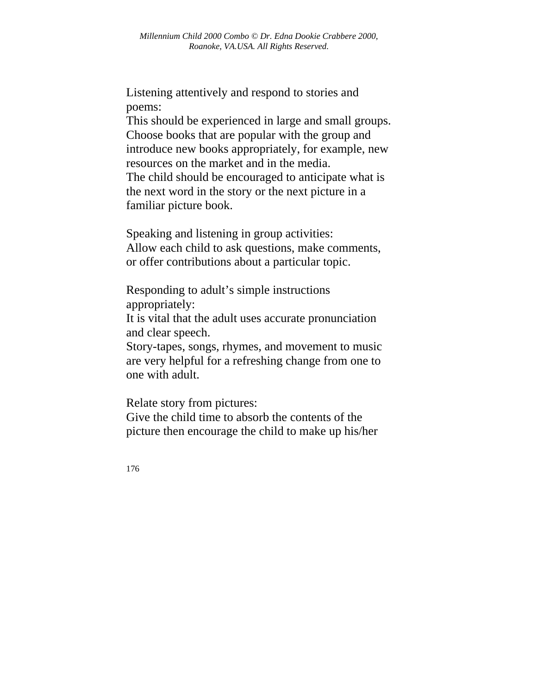Listening attentively and respond to stories and poems:

This should be experienced in large and small groups. Choose books that are popular with the group and introduce new books appropriately, for example, new resources on the market and in the media. The child should be encouraged to anticipate what is the next word in the story or the next picture in a familiar picture book.

Speaking and listening in group activities: Allow each child to ask questions, make comments, or offer contributions about a particular topic.

Responding to adult's simple instructions appropriately:

It is vital that the adult uses accurate pronunciation and clear speech.

Story-tapes, songs, rhymes, and movement to music are very helpful for a refreshing change from one to one with adult.

Relate story from pictures:

Give the child time to absorb the contents of the picture then encourage the child to make up his/her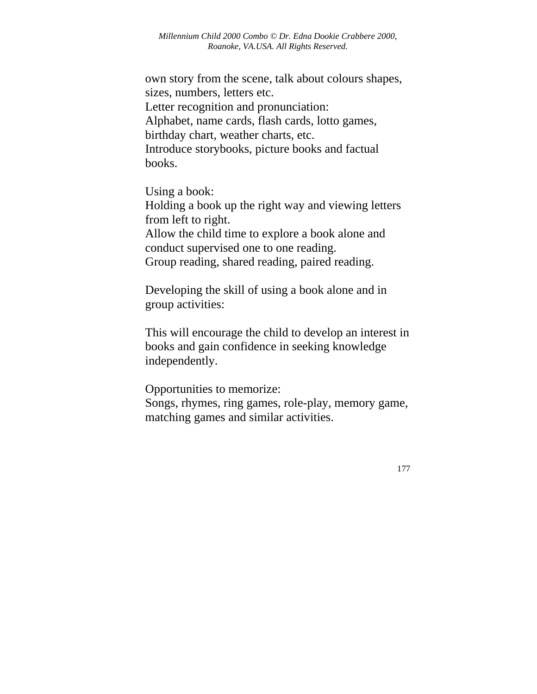own story from the scene, talk about colours shapes, sizes, numbers, letters etc. Letter recognition and pronunciation: Alphabet, name cards, flash cards, lotto games, birthday chart, weather charts, etc. Introduce storybooks, picture books and factual books.

Using a book:

Holding a book up the right way and viewing letters from left to right. Allow the child time to explore a book alone and conduct supervised one to one reading. Group reading, shared reading, paired reading.

Developing the skill of using a book alone and in group activities:

This will encourage the child to develop an interest in books and gain confidence in seeking knowledge independently.

Opportunities to memorize: Songs, rhymes, ring games, role-play, memory game, matching games and similar activities.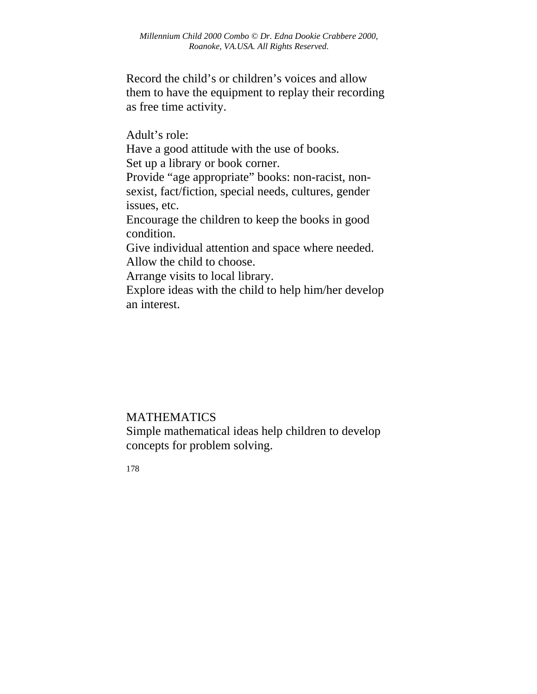Record the child's or children's voices and allow them to have the equipment to replay their recording as free time activity.

Adult's role: Have a good attitude with the use of books. Set up a library or book corner. Provide "age appropriate" books: non-racist, nonsexist, fact/fiction, special needs, cultures, gender issues, etc. Encourage the children to keep the books in good condition. Give individual attention and space where needed. Allow the child to choose. Arrange visits to local library. Explore ideas with the child to help him/her develop

an interest.

### MATHEMATICS

Simple mathematical ideas help children to develop concepts for problem solving.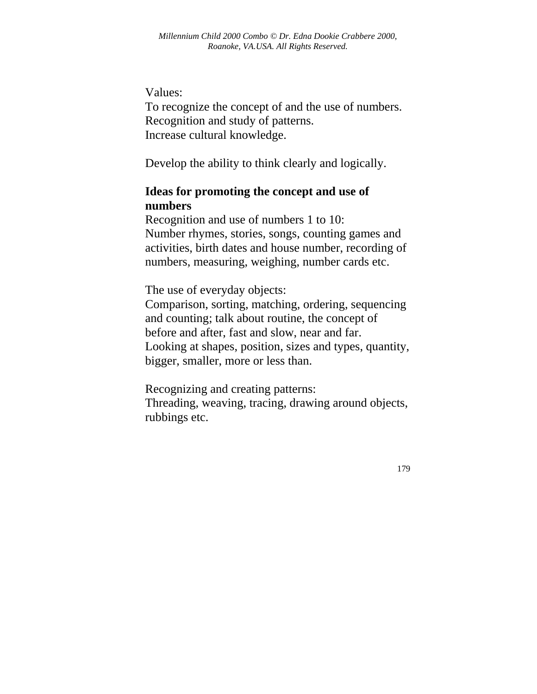#### Values:

To recognize the concept of and the use of numbers. Recognition and study of patterns. Increase cultural knowledge.

Develop the ability to think clearly and logically.

## **Ideas for promoting the concept and use of numbers**

Recognition and use of numbers 1 to 10: Number rhymes, stories, songs, counting games and activities, birth dates and house number, recording of numbers, measuring, weighing, number cards etc.

The use of everyday objects:

Comparison, sorting, matching, ordering, sequencing and counting; talk about routine, the concept of before and after, fast and slow, near and far. Looking at shapes, position, sizes and types, quantity, bigger, smaller, more or less than.

Recognizing and creating patterns: Threading, weaving, tracing, drawing around objects, rubbings etc.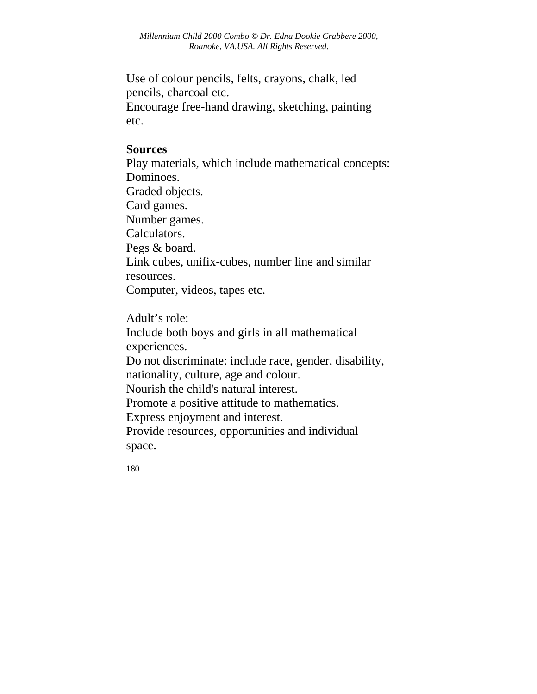Use of colour pencils, felts, crayons, chalk, led pencils, charcoal etc. Encourage free-hand drawing, sketching, painting etc.

#### **Sources**

Play materials, which include mathematical concepts: Dominoes. Graded objects. Card games. Number games. Calculators. Pegs & board. Link cubes, unifix-cubes, number line and similar resources. Computer, videos, tapes etc.

Adult's role: Include both boys and girls in all mathematical experiences. Do not discriminate: include race, gender, disability, nationality, culture, age and colour. Nourish the child's natural interest. Promote a positive attitude to mathematics. Express enjoyment and interest. Provide resources, opportunities and individual space.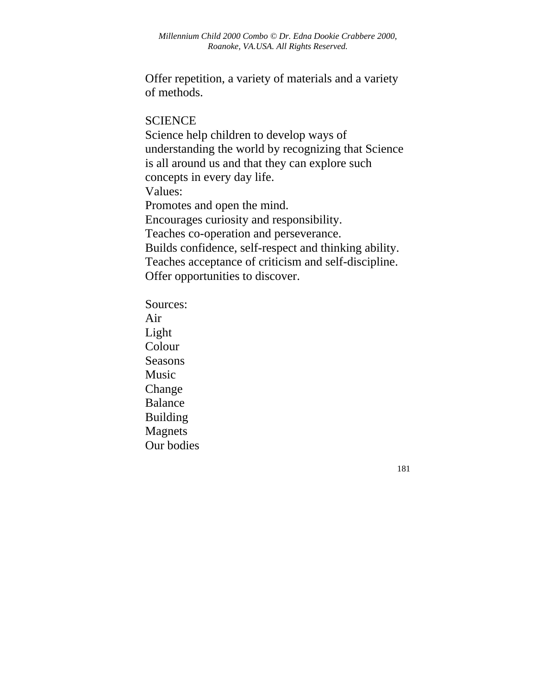Offer repetition, a variety of materials and a variety of methods.

#### **SCIENCE**

Science help children to develop ways of understanding the world by recognizing that Science is all around us and that they can explore such concepts in every day life. Values: Promotes and open the mind. Encourages curiosity and responsibility. Teaches co-operation and perseverance. Builds confidence, self-respect and thinking ability. Teaches acceptance of criticism and self-discipline. Offer opportunities to discover.

Sources: Air Light Colour Seasons Music Change Balance Building Magnets Our bodies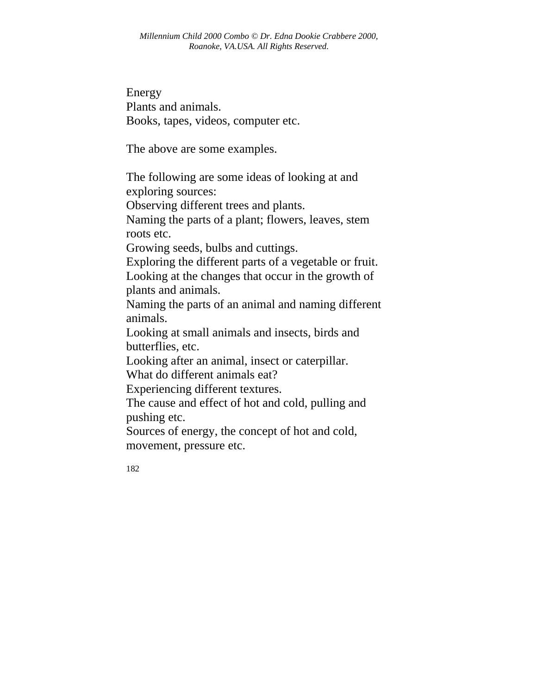Energy Plants and animals. Books, tapes, videos, computer etc.

The above are some examples.

The following are some ideas of looking at and exploring sources:

Observing different trees and plants.

Naming the parts of a plant; flowers, leaves, stem roots etc.

Growing seeds, bulbs and cuttings.

Exploring the different parts of a vegetable or fruit.

Looking at the changes that occur in the growth of plants and animals.

Naming the parts of an animal and naming different animals.

Looking at small animals and insects, birds and butterflies, etc.

Looking after an animal, insect or caterpillar.

What do different animals eat?

Experiencing different textures.

The cause and effect of hot and cold, pulling and pushing etc.

Sources of energy, the concept of hot and cold, movement, pressure etc.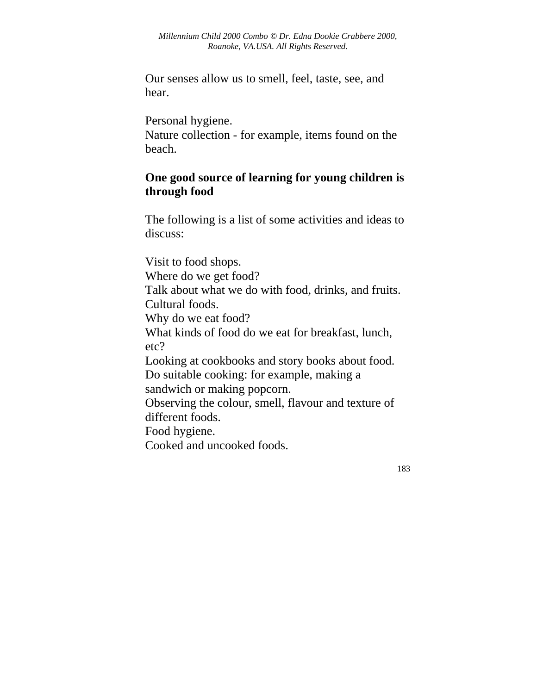Our senses allow us to smell, feel, taste, see, and hear.

Personal hygiene.

Nature collection - for example, items found on the beach.

# **One good source of learning for young children is through food**

The following is a list of some activities and ideas to discuss:

Visit to food shops. Where do we get food? Talk about what we do with food, drinks, and fruits. Cultural foods. Why do we eat food? What kinds of food do we eat for breakfast, lunch, etc? Looking at cookbooks and story books about food. Do suitable cooking: for example, making a sandwich or making popcorn. Observing the colour, smell, flavour and texture of different foods. Food hygiene. Cooked and uncooked foods.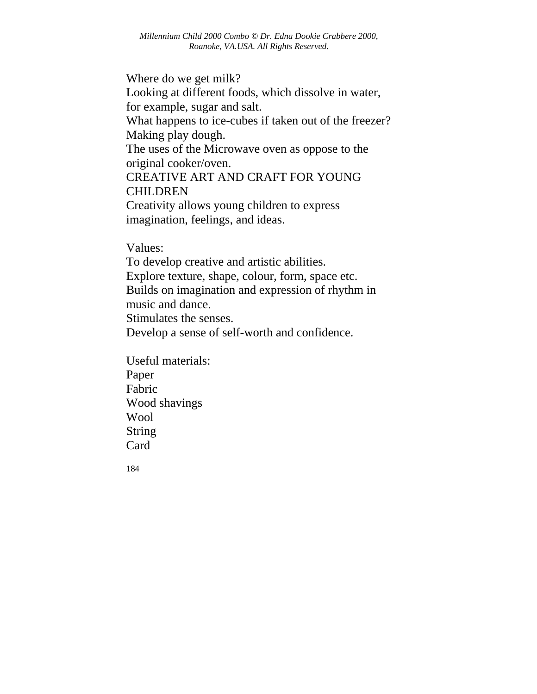Where do we get milk? Looking at different foods, which dissolve in water, for example, sugar and salt. What happens to ice-cubes if taken out of the freezer? Making play dough. The uses of the Microwave oven as oppose to the original cooker/oven. CREATIVE ART AND CRAFT FOR YOUNG CHILDREN Creativity allows young children to express imagination, feelings, and ideas.

Values:

To develop creative and artistic abilities. Explore texture, shape, colour, form, space etc. Builds on imagination and expression of rhythm in music and dance. Stimulates the senses. Develop a sense of self-worth and confidence.

Useful materials: Paper Fabric Wood shavings Wool String Card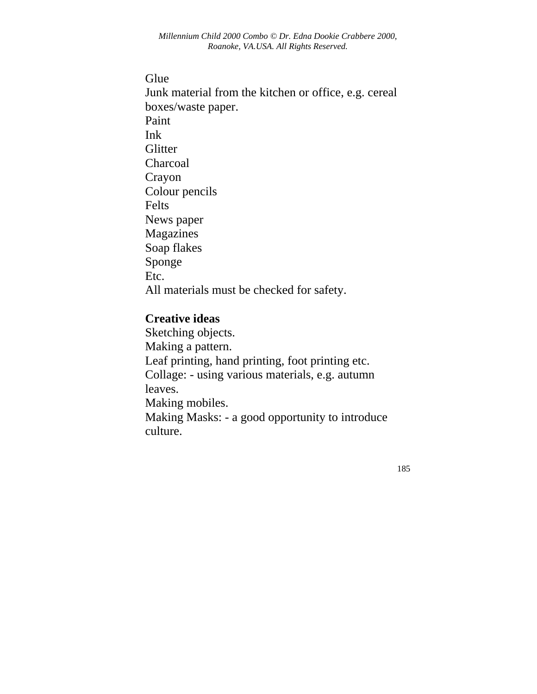#### Glue

Junk material from the kitchen or office, e.g. cereal boxes/waste paper. Paint Ink **Glitter** Charcoal Crayon Colour pencils Felts News paper Magazines Soap flakes Sponge Etc. All materials must be checked for safety.

### **Creative ideas**

Sketching objects. Making a pattern. Leaf printing, hand printing, foot printing etc. Collage: - using various materials, e.g. autumn leaves. Making mobiles. Making Masks: - a good opportunity to introduce culture.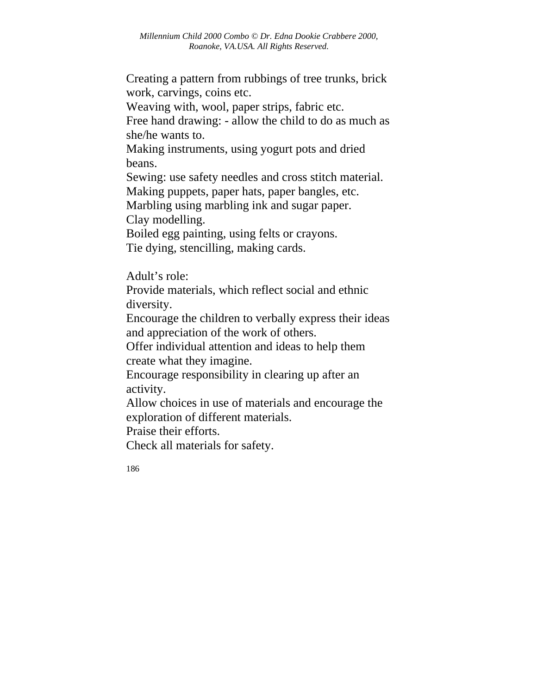Creating a pattern from rubbings of tree trunks, brick work, carvings, coins etc.

Weaving with, wool, paper strips, fabric etc.

Free hand drawing: - allow the child to do as much as she/he wants to.

Making instruments, using yogurt pots and dried beans.

Sewing: use safety needles and cross stitch material.

Making puppets, paper hats, paper bangles, etc.

Marbling using marbling ink and sugar paper. Clay modelling.

Boiled egg painting, using felts or crayons. Tie dying, stencilling, making cards.

Adult's role:

Provide materials, which reflect social and ethnic diversity.

Encourage the children to verbally express their ideas and appreciation of the work of others.

Offer individual attention and ideas to help them create what they imagine.

Encourage responsibility in clearing up after an activity.

Allow choices in use of materials and encourage the exploration of different materials.

Praise their efforts.

Check all materials for safety.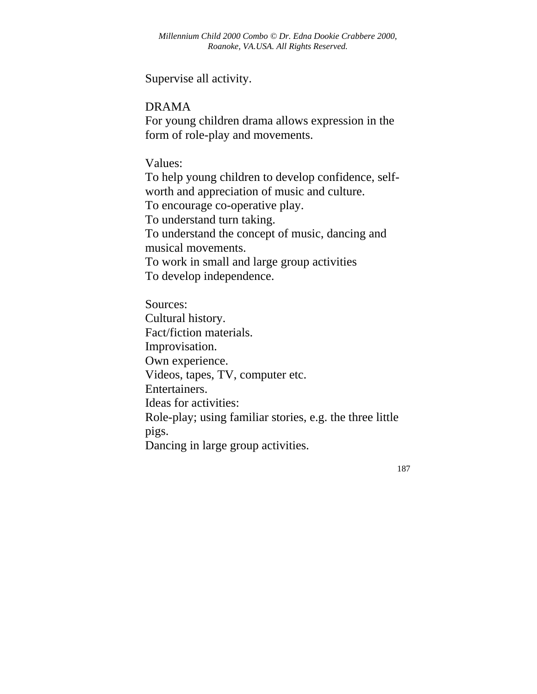Supervise all activity.

DRAMA

For young children drama allows expression in the form of role-play and movements.

Values:

To help young children to develop confidence, selfworth and appreciation of music and culture. To encourage co-operative play. To understand turn taking. To understand the concept of music, dancing and musical movements. To work in small and large group activities To develop independence.

Sources: Cultural history. Fact/fiction materials. Improvisation. Own experience. Videos, tapes, TV, computer etc. Entertainers. Ideas for activities: Role-play; using familiar stories, e.g. the three little pigs. Dancing in large group activities.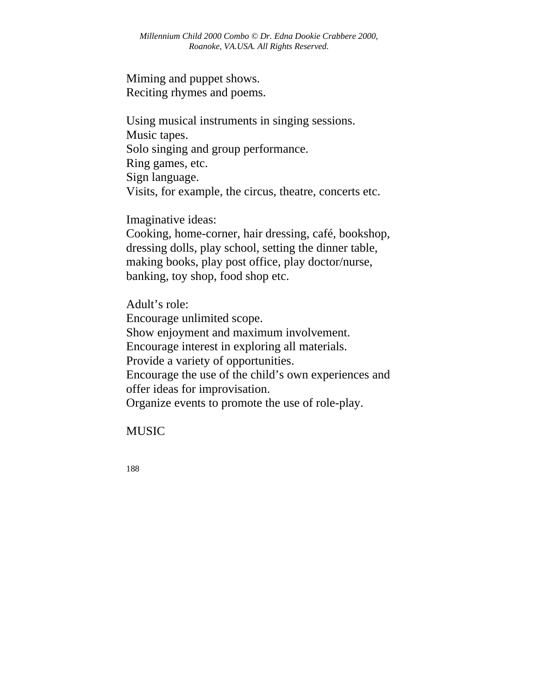Miming and puppet shows. Reciting rhymes and poems.

Using musical instruments in singing sessions. Music tapes. Solo singing and group performance. Ring games, etc. Sign language. Visits, for example, the circus, theatre, concerts etc.

Imaginative ideas:

Cooking, home-corner, hair dressing, café, bookshop, dressing dolls, play school, setting the dinner table, making books, play post office, play doctor/nurse, banking, toy shop, food shop etc.

Adult's role: Encourage unlimited scope. Show enjoyment and maximum involvement. Encourage interest in exploring all materials. Provide a variety of opportunities. Encourage the use of the child's own experiences and offer ideas for improvisation. Organize events to promote the use of role-play.

MUSIC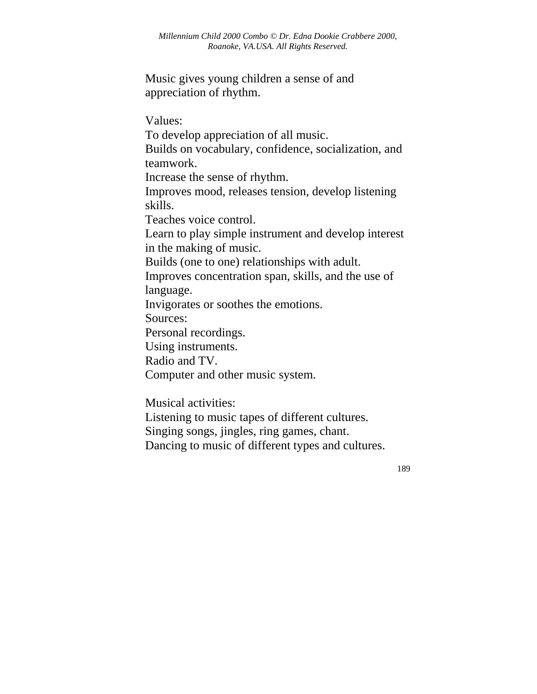Music gives young children a sense of and appreciation of rhythm.

Values: To develop appreciation of all music. Builds on vocabulary, confidence, socialization, and teamwork. Increase the sense of rhythm. Improves mood, releases tension, develop listening skills. Teaches voice control. Learn to play simple instrument and develop interest in the making of music. Builds (one to one) relationships with adult. Improves concentration span, skills, and the use of language. Invigorates or soothes the emotions. Sources: Personal recordings. Using instruments. Radio and TV. Computer and other music system.

Musical activities:

Listening to music tapes of different cultures.

Singing songs, jingles, ring games, chant.

Dancing to music of different types and cultures.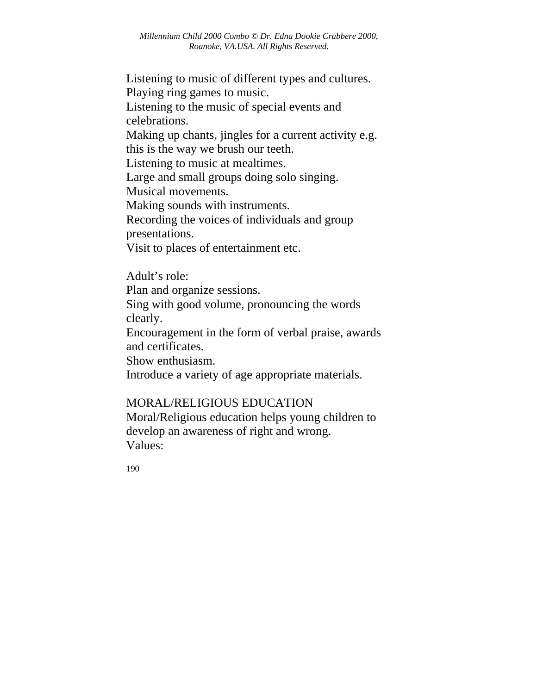Listening to music of different types and cultures. Playing ring games to music. Listening to the music of special events and celebrations. Making up chants, jingles for a current activity e.g. this is the way we brush our teeth. Listening to music at mealtimes. Large and small groups doing solo singing. Musical movements. Making sounds with instruments. Recording the voices of individuals and group presentations. Visit to places of entertainment etc.

Adult's role:

Plan and organize sessions.

Sing with good volume, pronouncing the words clearly.

Encouragement in the form of verbal praise, awards and certificates.

Show enthusiasm.

Introduce a variety of age appropriate materials.

# MORAL/RELIGIOUS EDUCATION

Moral/Religious education helps young children to develop an awareness of right and wrong. Values: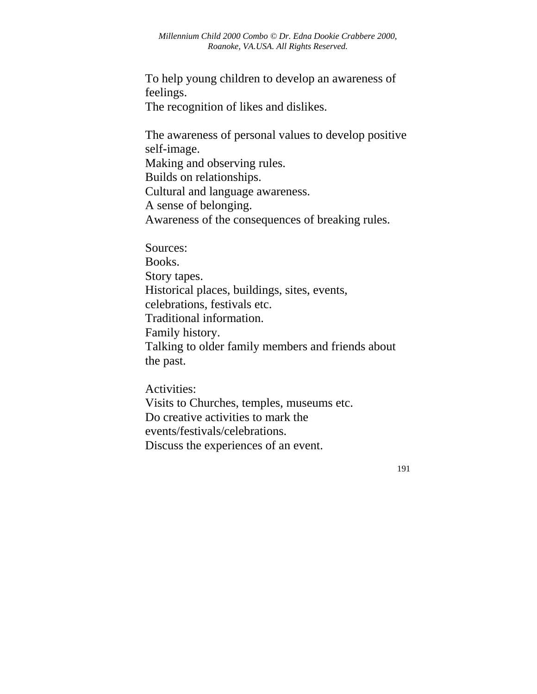To help young children to develop an awareness of feelings.

The recognition of likes and dislikes.

The awareness of personal values to develop positive self-image. Making and observing rules. Builds on relationships. Cultural and language awareness. A sense of belonging. Awareness of the consequences of breaking rules.

Sources: Books. Story tapes. Historical places, buildings, sites, events, celebrations, festivals etc. Traditional information. Family history. Talking to older family members and friends about the past.

Activities: Visits to Churches, temples, museums etc. Do creative activities to mark the events/festivals/celebrations. Discuss the experiences of an event.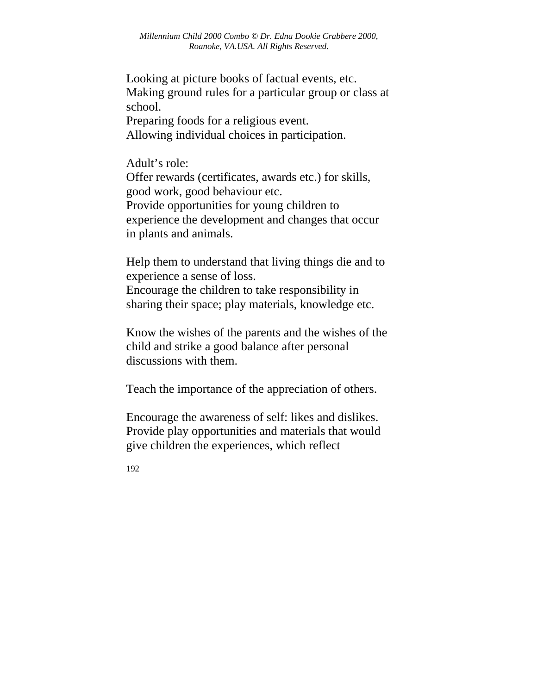Looking at picture books of factual events, etc. Making ground rules for a particular group or class at school.

Preparing foods for a religious event. Allowing individual choices in participation.

Adult's role: Offer rewards (certificates, awards etc.) for skills, good work, good behaviour etc. Provide opportunities for young children to experience the development and changes that occur in plants and animals.

Help them to understand that living things die and to experience a sense of loss.

Encourage the children to take responsibility in sharing their space; play materials, knowledge etc.

Know the wishes of the parents and the wishes of the child and strike a good balance after personal discussions with them.

Teach the importance of the appreciation of others.

Encourage the awareness of self: likes and dislikes. Provide play opportunities and materials that would give children the experiences, which reflect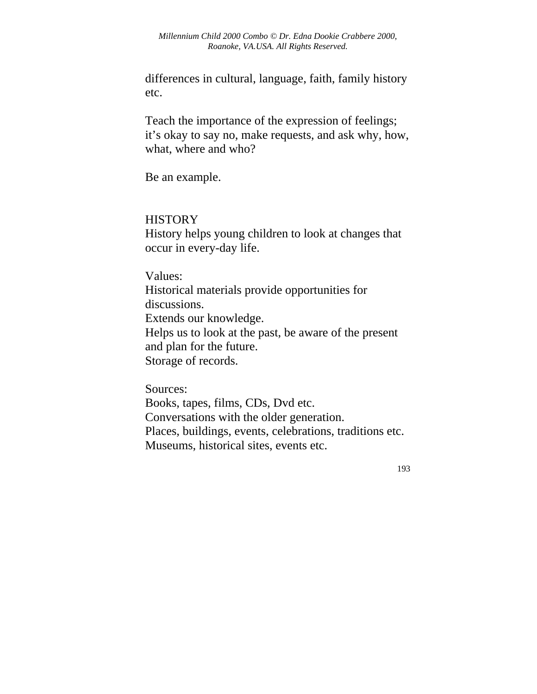differences in cultural, language, faith, family history etc.

Teach the importance of the expression of feelings; it's okay to say no, make requests, and ask why, how, what, where and who?

Be an example.

#### **HISTORY**

History helps young children to look at changes that occur in every-day life.

Values: Historical materials provide opportunities for discussions. Extends our knowledge. Helps us to look at the past, be aware of the present and plan for the future. Storage of records.

Sources: Books, tapes, films, CDs, Dvd etc. Conversations with the older generation. Places, buildings, events, celebrations, traditions etc. Museums, historical sites, events etc.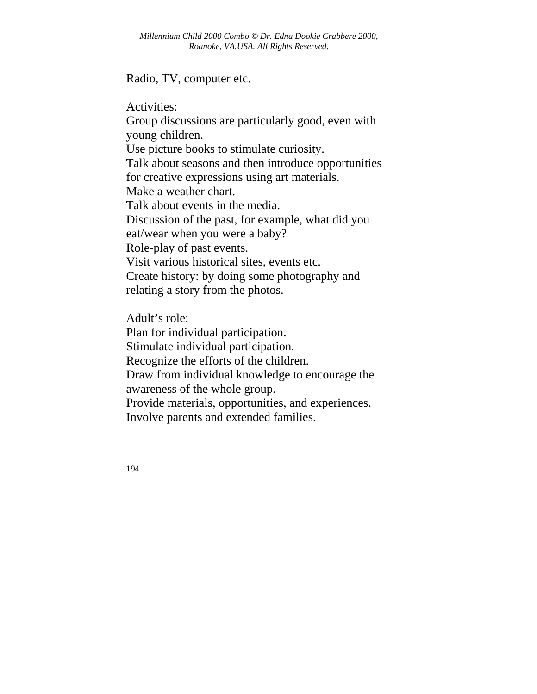Radio, TV, computer etc.

Activities: Group discussions are particularly good, even with young children. Use picture books to stimulate curiosity. Talk about seasons and then introduce opportunities for creative expressions using art materials. Make a weather chart. Talk about events in the media. Discussion of the past, for example, what did you eat/wear when you were a baby? Role-play of past events. Visit various historical sites, events etc. Create history: by doing some photography and relating a story from the photos.

Adult's role: Plan for individual participation. Stimulate individual participation. Recognize the efforts of the children. Draw from individual knowledge to encourage the awareness of the whole group. Provide materials, opportunities, and experiences. Involve parents and extended families.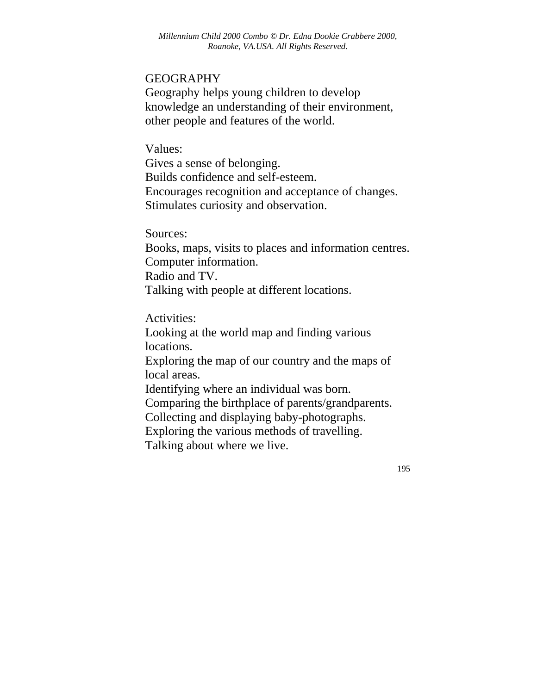#### GEOGRAPHY

Geography helps young children to develop knowledge an understanding of their environment, other people and features of the world.

Values: Gives a sense of belonging. Builds confidence and self-esteem. Encourages recognition and acceptance of changes.

Stimulates curiosity and observation.

Sources:

Books, maps, visits to places and information centres. Computer information. Radio and TV. Talking with people at different locations.

Activities:

Looking at the world map and finding various locations.

Exploring the map of our country and the maps of local areas.

Identifying where an individual was born.

Comparing the birthplace of parents/grandparents.

Collecting and displaying baby-photographs.

Exploring the various methods of travelling.

Talking about where we live.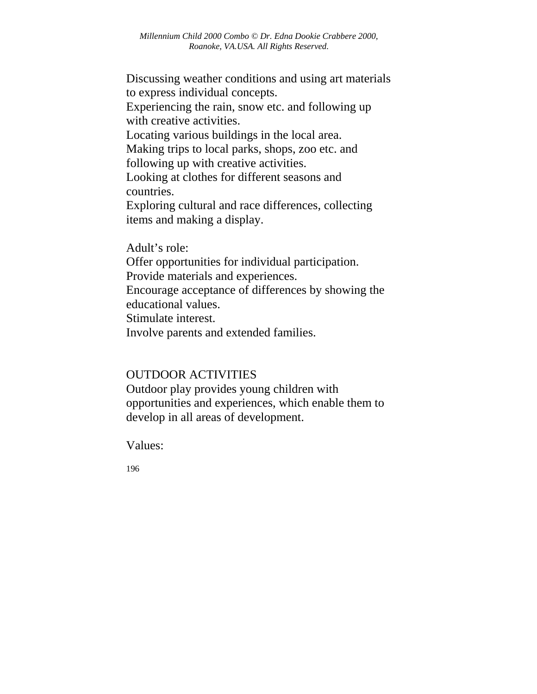Discussing weather conditions and using art materials to express individual concepts.

Experiencing the rain, snow etc. and following up with creative activities.

Locating various buildings in the local area.

Making trips to local parks, shops, zoo etc. and following up with creative activities.

Looking at clothes for different seasons and countries.

Exploring cultural and race differences, collecting items and making a display.

Adult's role: Offer opportunities for individual participation. Provide materials and experiences. Encourage acceptance of differences by showing the educational values. Stimulate interest. Involve parents and extended families.

# OUTDOOR ACTIVITIES

Outdoor play provides young children with opportunities and experiences, which enable them to develop in all areas of development.

Values: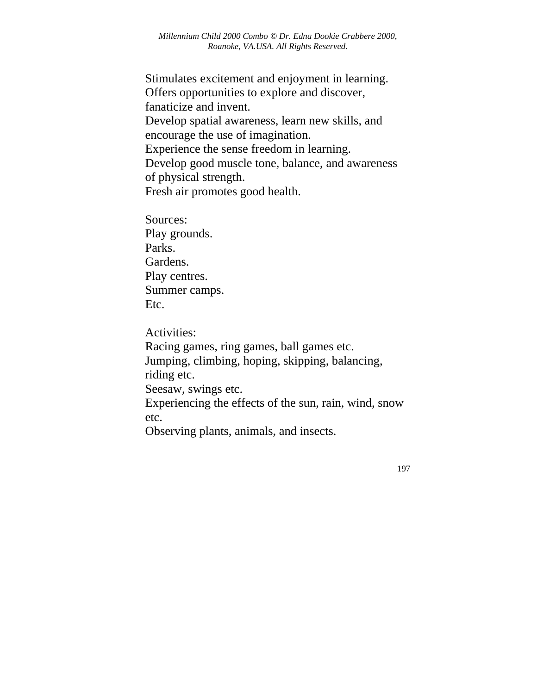Stimulates excitement and enjoyment in learning. Offers opportunities to explore and discover, fanaticize and invent. Develop spatial awareness, learn new skills, and encourage the use of imagination. Experience the sense freedom in learning. Develop good muscle tone, balance, and awareness of physical strength. Fresh air promotes good health.

Sources: Play grounds. Parks. Gardens. Play centres. Summer camps. Etc.

Activities: Racing games, ring games, ball games etc. Jumping, climbing, hoping, skipping, balancing, riding etc. Seesaw, swings etc. Experiencing the effects of the sun, rain, wind, snow etc. Observing plants, animals, and insects.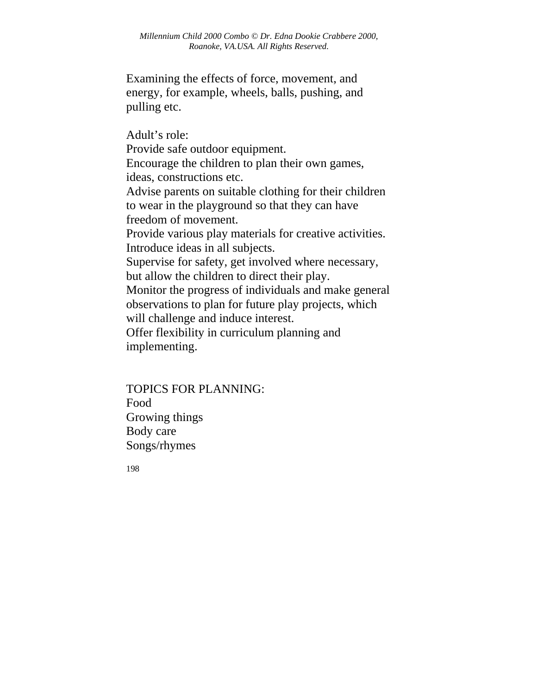Examining the effects of force, movement, and energy, for example, wheels, balls, pushing, and pulling etc.

Adult's role: Provide safe outdoor equipment. Encourage the children to plan their own games, ideas, constructions etc. Advise parents on suitable clothing for their children to wear in the playground so that they can have freedom of movement. Provide various play materials for creative activities. Introduce ideas in all subjects. Supervise for safety, get involved where necessary, but allow the children to direct their play. Monitor the progress of individuals and make general observations to plan for future play projects, which will challenge and induce interest. Offer flexibility in curriculum planning and implementing.

TOPICS FOR PLANNING: Food Growing things Body care Songs/rhymes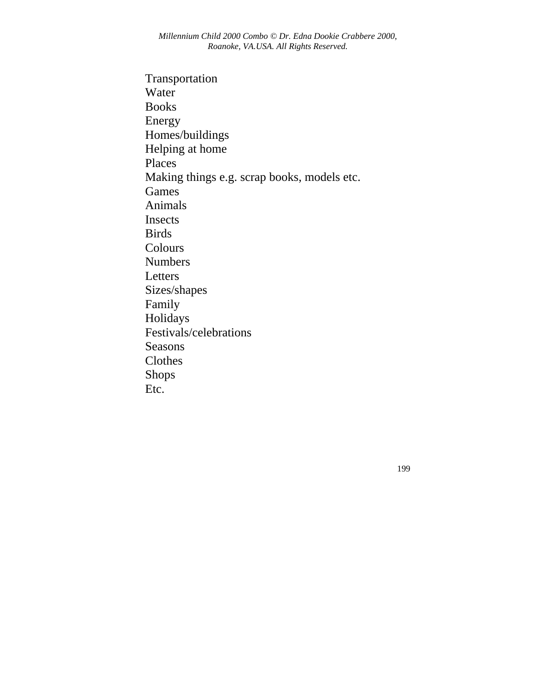Transportation Water Books Energy Homes/buildings Helping at home Places Making things e.g. scrap books, models etc. Games Animals Insects Birds Colours Numbers Letters Sizes/shapes Family Holidays Festivals/celebrations Seasons Clothes Shops Etc.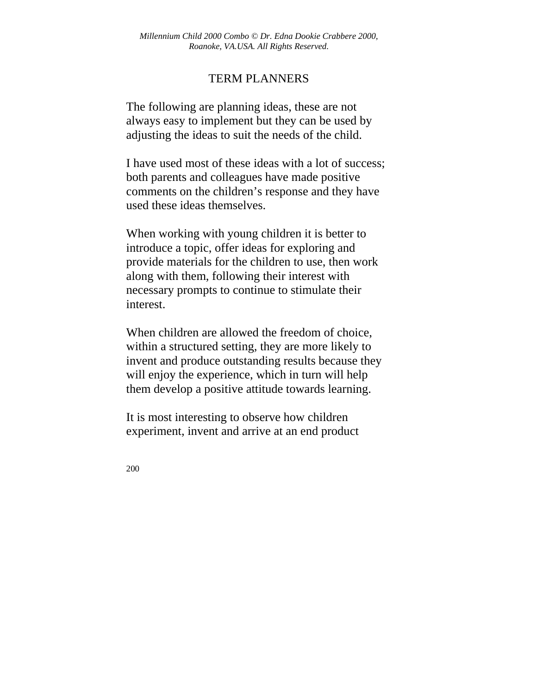### TERM PLANNERS

The following are planning ideas, these are not always easy to implement but they can be used by adjusting the ideas to suit the needs of the child.

I have used most of these ideas with a lot of success; both parents and colleagues have made positive comments on the children's response and they have used these ideas themselves.

When working with young children it is better to introduce a topic, offer ideas for exploring and provide materials for the children to use, then work along with them, following their interest with necessary prompts to continue to stimulate their interest.

When children are allowed the freedom of choice, within a structured setting, they are more likely to invent and produce outstanding results because they will enjoy the experience, which in turn will help them develop a positive attitude towards learning.

It is most interesting to observe how children experiment, invent and arrive at an end product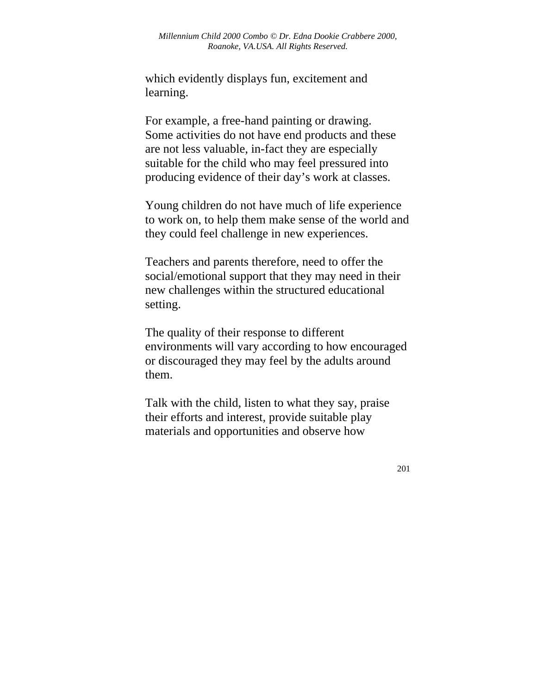which evidently displays fun, excitement and learning.

For example, a free-hand painting or drawing. Some activities do not have end products and these are not less valuable, in-fact they are especially suitable for the child who may feel pressured into producing evidence of their day's work at classes.

Young children do not have much of life experience to work on, to help them make sense of the world and they could feel challenge in new experiences.

Teachers and parents therefore, need to offer the social/emotional support that they may need in their new challenges within the structured educational setting.

The quality of their response to different environments will vary according to how encouraged or discouraged they may feel by the adults around them.

Talk with the child, listen to what they say, praise their efforts and interest, provide suitable play materials and opportunities and observe how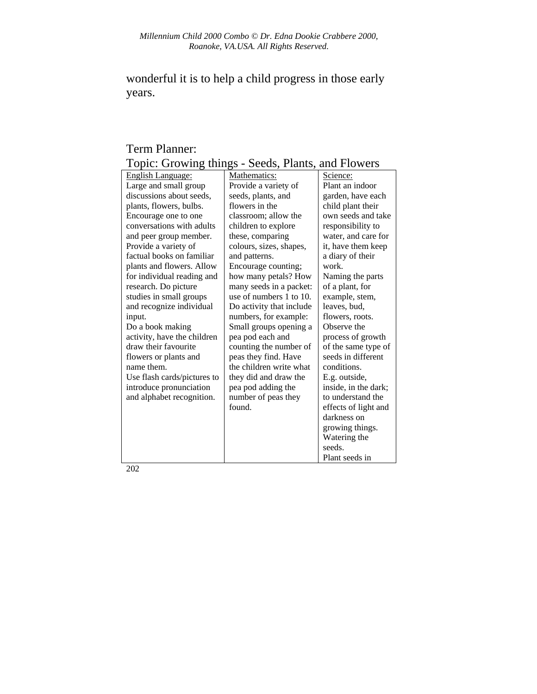wonderful it is to help a child progress in those early years.

### Term Planner: Topic: Growing things - Seeds, Plants, and Flowers

| 1<br>$\frac{1}{2}$          | $\sim$                   | <b>MILLY 1 10 11 010</b> |
|-----------------------------|--------------------------|--------------------------|
| English Language:           | Mathematics:             | Science:                 |
| Large and small group       | Provide a variety of     | Plant an indoor          |
| discussions about seeds,    | seeds, plants, and       | garden, have each        |
| plants, flowers, bulbs.     | flowers in the           | child plant their        |
| Encourage one to one        | classroom; allow the     | own seeds and take       |
| conversations with adults   | children to explore      | responsibility to        |
| and peer group member.      | these, comparing         | water, and care for      |
| Provide a variety of        | colours, sizes, shapes,  | it, have them keep       |
| factual books on familiar   | and patterns.            | a diary of their         |
| plants and flowers. Allow   | Encourage counting;      | work.                    |
| for individual reading and  | how many petals? How     | Naming the parts         |
| research. Do picture        | many seeds in a packet:  | of a plant, for          |
| studies in small groups     | use of numbers 1 to 10.  | example, stem,           |
| and recognize individual    | Do activity that include | leaves, bud,             |
| input.                      | numbers, for example:    | flowers, roots.          |
| Do a book making            | Small groups opening a   | Observe the              |
| activity, have the children | pea pod each and         | process of growth        |
| draw their favourite        | counting the number of   | of the same type of      |
| flowers or plants and       | peas they find. Have     | seeds in different       |
| name them.                  | the children write what  | conditions.              |
| Use flash cards/pictures to | they did and draw the    | E.g. outside,            |
| introduce pronunciation     | pea pod adding the       | inside, in the dark;     |
| and alphabet recognition.   | number of peas they      | to understand the        |
|                             | found.                   | effects of light and     |
|                             |                          | darkness on              |
|                             |                          | growing things.          |
|                             |                          | Watering the             |
|                             |                          | seeds.                   |
|                             |                          | Plant seeds in           |
|                             |                          |                          |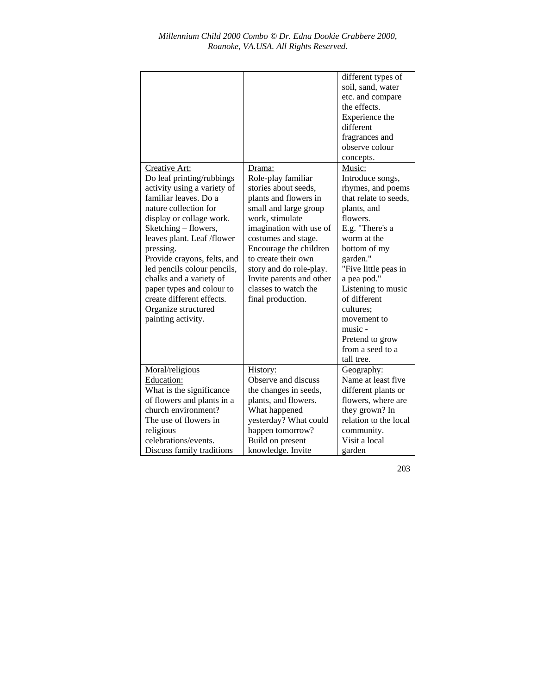| Creative Art:<br>Do leaf printing/rubbings<br>activity using a variety of<br>familiar leaves. Do a<br>nature collection for<br>display or collage work.<br>Sketching – flowers,<br>leaves plant. Leaf /flower<br>pressing.<br>Provide crayons, felts, and<br>led pencils colour pencils,<br>chalks and a variety of<br>paper types and colour to<br>create different effects.<br>Organize structured<br>painting activity.<br>Moral/religious | Drama:<br>Role-play familiar<br>stories about seeds,<br>plants and flowers in<br>small and large group<br>work, stimulate<br>imagination with use of<br>costumes and stage.<br>Encourage the children<br>to create their own<br>story and do role-play.<br>Invite parents and other<br>classes to watch the<br>final production.<br>History: | different types of<br>soil, sand, water<br>etc. and compare<br>the effects.<br>Experience the<br>different<br>fragrances and<br>observe colour<br>concepts.<br>Music:<br>Introduce songs,<br>rhymes, and poems<br>that relate to seeds,<br>plants, and<br>flowers.<br>E.g. "There's a<br>worm at the<br>bottom of my<br>garden."<br>"Five little peas in<br>a pea pod."<br>Listening to music<br>of different<br>cultures:<br>movement to<br>music -<br>Pretend to grow<br>from a seed to a<br>tall tree.<br>Geography: |
|-----------------------------------------------------------------------------------------------------------------------------------------------------------------------------------------------------------------------------------------------------------------------------------------------------------------------------------------------------------------------------------------------------------------------------------------------|----------------------------------------------------------------------------------------------------------------------------------------------------------------------------------------------------------------------------------------------------------------------------------------------------------------------------------------------|-------------------------------------------------------------------------------------------------------------------------------------------------------------------------------------------------------------------------------------------------------------------------------------------------------------------------------------------------------------------------------------------------------------------------------------------------------------------------------------------------------------------------|
| Education:                                                                                                                                                                                                                                                                                                                                                                                                                                    | Observe and discuss                                                                                                                                                                                                                                                                                                                          | Name at least five                                                                                                                                                                                                                                                                                                                                                                                                                                                                                                      |
| What is the significance                                                                                                                                                                                                                                                                                                                                                                                                                      | the changes in seeds,                                                                                                                                                                                                                                                                                                                        | different plants or                                                                                                                                                                                                                                                                                                                                                                                                                                                                                                     |
| of flowers and plants in a                                                                                                                                                                                                                                                                                                                                                                                                                    | plants, and flowers.                                                                                                                                                                                                                                                                                                                         | flowers, where are                                                                                                                                                                                                                                                                                                                                                                                                                                                                                                      |
| church environment?                                                                                                                                                                                                                                                                                                                                                                                                                           | What happened                                                                                                                                                                                                                                                                                                                                | they grown? In                                                                                                                                                                                                                                                                                                                                                                                                                                                                                                          |
| The use of flowers in                                                                                                                                                                                                                                                                                                                                                                                                                         | yesterday? What could                                                                                                                                                                                                                                                                                                                        | relation to the local                                                                                                                                                                                                                                                                                                                                                                                                                                                                                                   |
| religious                                                                                                                                                                                                                                                                                                                                                                                                                                     | happen tomorrow?                                                                                                                                                                                                                                                                                                                             | community.                                                                                                                                                                                                                                                                                                                                                                                                                                                                                                              |
| celebrations/events.                                                                                                                                                                                                                                                                                                                                                                                                                          | Build on present                                                                                                                                                                                                                                                                                                                             | Visit a local                                                                                                                                                                                                                                                                                                                                                                                                                                                                                                           |
| Discuss family traditions                                                                                                                                                                                                                                                                                                                                                                                                                     | knowledge. Invite                                                                                                                                                                                                                                                                                                                            | garden                                                                                                                                                                                                                                                                                                                                                                                                                                                                                                                  |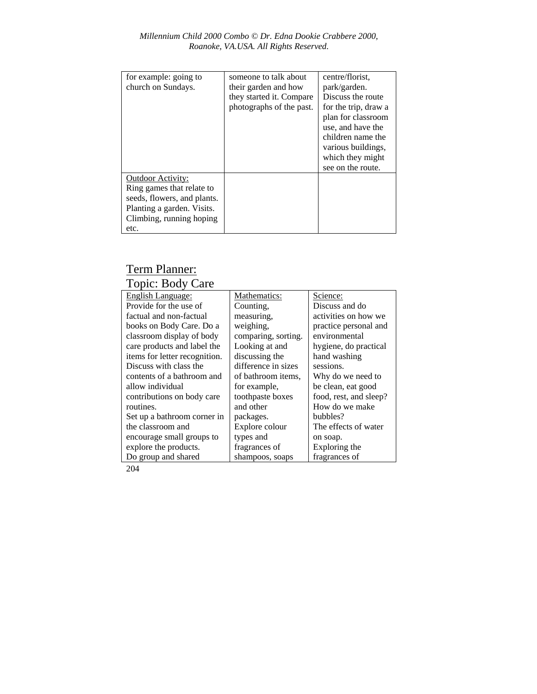| for example: going to<br>church on Sundays.                                                                                                     | someone to talk about<br>their garden and how<br>they started it. Compare<br>photographs of the past. | centre/florist.<br>park/garden.<br>Discuss the route<br>for the trip, draw a<br>plan for classroom<br>use, and have the<br>children name the<br>various buildings,<br>which they might<br>see on the route. |
|-------------------------------------------------------------------------------------------------------------------------------------------------|-------------------------------------------------------------------------------------------------------|-------------------------------------------------------------------------------------------------------------------------------------------------------------------------------------------------------------|
| Outdoor Activity:<br>Ring games that relate to<br>seeds, flowers, and plants.<br>Planting a garden. Visits.<br>Climbing, running hoping<br>etc. |                                                                                                       |                                                                                                                                                                                                             |

## Term Planner: Topic: Body Care

| <b>English Language:</b>      | Mathematics:        | Science:               |
|-------------------------------|---------------------|------------------------|
| Provide for the use of        | Counting,           | Discuss and do         |
| factual and non-factual       | measuring,          | activities on how we   |
| books on Body Care. Do a      | weighing,           | practice personal and  |
| classroom display of body     | comparing, sorting. | environmental          |
| care products and label the   | Looking at and      | hygiene, do practical  |
| items for letter recognition. | discussing the      | hand washing           |
| Discuss with class the        | difference in sizes | sessions.              |
| contents of a bathroom and    | of bathroom items,  | Why do we need to      |
| allow individual              | for example,        | be clean, eat good     |
| contributions on body care    | toothpaste boxes    | food, rest, and sleep? |
| routines.                     | and other           | How do we make         |
| Set up a bathroom corner in   | packages.           | bubbles?               |
| the classroom and             | Explore colour      | The effects of water   |
| encourage small groups to     | types and           | on soap.               |
| explore the products.         | fragrances of       | Exploring the          |
| Do group and shared           | shampoos, soaps     | fragrances of          |
|                               |                     |                        |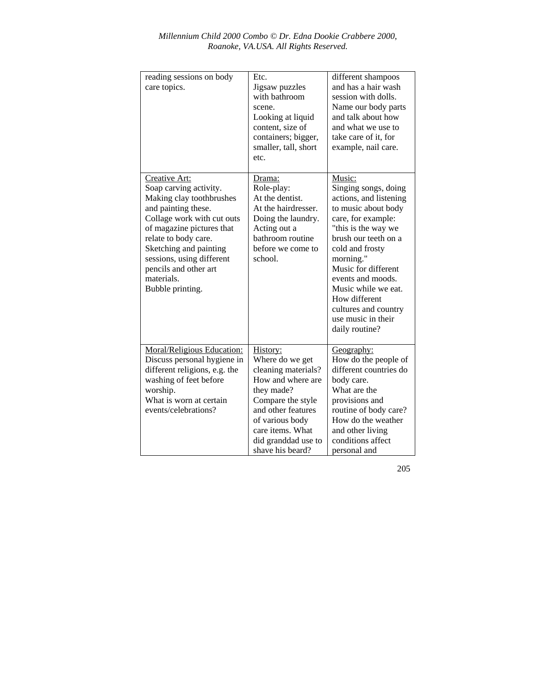| reading sessions on body<br>care topics.                                                                                                                                                                                                                                                        | Etc.<br>Jigsaw puzzles<br>with bathroom<br>scene.<br>Looking at liquid<br>content, size of<br>containers; bigger,<br>smaller, tall, short<br>etc.                                                                  | different shampoos<br>and has a hair wash<br>session with dolls.<br>Name our body parts<br>and talk about how<br>and what we use to<br>take care of it. for<br>example, nail care.                                                                                                                                                       |
|-------------------------------------------------------------------------------------------------------------------------------------------------------------------------------------------------------------------------------------------------------------------------------------------------|--------------------------------------------------------------------------------------------------------------------------------------------------------------------------------------------------------------------|------------------------------------------------------------------------------------------------------------------------------------------------------------------------------------------------------------------------------------------------------------------------------------------------------------------------------------------|
| Creative Art:<br>Soap carving activity.<br>Making clay toothbrushes<br>and painting these.<br>Collage work with cut outs<br>of magazine pictures that<br>relate to body care.<br>Sketching and painting<br>sessions, using different<br>pencils and other art<br>materials.<br>Bubble printing. | Drama:<br>Role-play:<br>At the dentist.<br>At the hairdresser.<br>Doing the laundry.<br>Acting out a<br>bathroom routine<br>before we come to<br>school.                                                           | Music:<br>Singing songs, doing<br>actions, and listening<br>to music about body<br>care, for example:<br>"this is the way we<br>brush our teeth on a<br>cold and frosty<br>morning."<br>Music for different<br>events and moods.<br>Music while we eat.<br>How different<br>cultures and country<br>use music in their<br>daily routine? |
| Moral/Religious Education:<br>Discuss personal hygiene in<br>different religions, e.g. the<br>washing of feet before<br>worship.<br>What is worn at certain<br>events/celebrations?                                                                                                             | History:<br>Where do we get<br>cleaning materials?<br>How and where are<br>they made?<br>Compare the style<br>and other features<br>of various body<br>care items. What<br>did granddad use to<br>shave his beard? | <u>Geography:</u><br>How do the people of<br>different countries do<br>body care.<br>What are the<br>provisions and<br>routine of body care?<br>How do the weather<br>and other living<br>conditions affect<br>personal and                                                                                                              |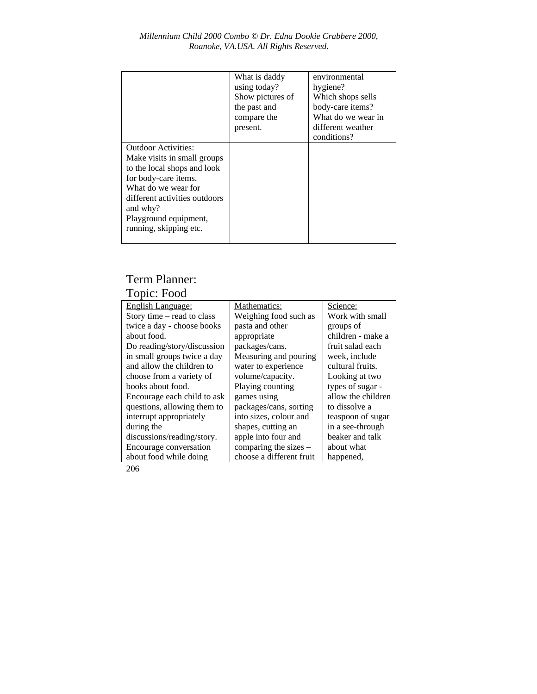|                                                                                                                                                                                                                                         | What is daddy<br>using today?<br>Show pictures of<br>the past and<br>compare the<br>present. | environmental<br>hygiene?<br>Which shops sells<br>body-care items?<br>What do we wear in<br>different weather<br>conditions? |
|-----------------------------------------------------------------------------------------------------------------------------------------------------------------------------------------------------------------------------------------|----------------------------------------------------------------------------------------------|------------------------------------------------------------------------------------------------------------------------------|
| <b>Outdoor Activities:</b><br>Make visits in small groups<br>to the local shops and look<br>for body-care items.<br>What do we wear for<br>different activities outdoors<br>and why?<br>Playground equipment,<br>running, skipping etc. |                                                                                              |                                                                                                                              |

# Term Planner:

# Topic: Food

| English Language:           | Mathematics:             | Science:           |
|-----------------------------|--------------------------|--------------------|
| Story time – read to class  | Weighing food such as    | Work with small    |
| twice a day - choose books  | pasta and other          | groups of          |
| about food.                 | appropriate              | children - make a  |
| Do reading/story/discussion | packages/cans.           | fruit salad each   |
| in small groups twice a day | Measuring and pouring    | week, include      |
| and allow the children to   | water to experience      | cultural fruits.   |
| choose from a variety of    | volume/capacity.         | Looking at two     |
| books about food.           | Playing counting         | types of sugar -   |
| Encourage each child to ask | games using              | allow the children |
| questions, allowing them to | packages/cans, sorting   | to dissolve a      |
| interrupt appropriately     | into sizes, colour and   | teaspoon of sugar  |
| during the                  | shapes, cutting an       | in a see-through   |
| discussions/reading/story.  | apple into four and      | beaker and talk    |
| Encourage conversation      | comparing the sizes $-$  | about what         |
| about food while doing      | choose a different fruit | happened,          |
|                             |                          |                    |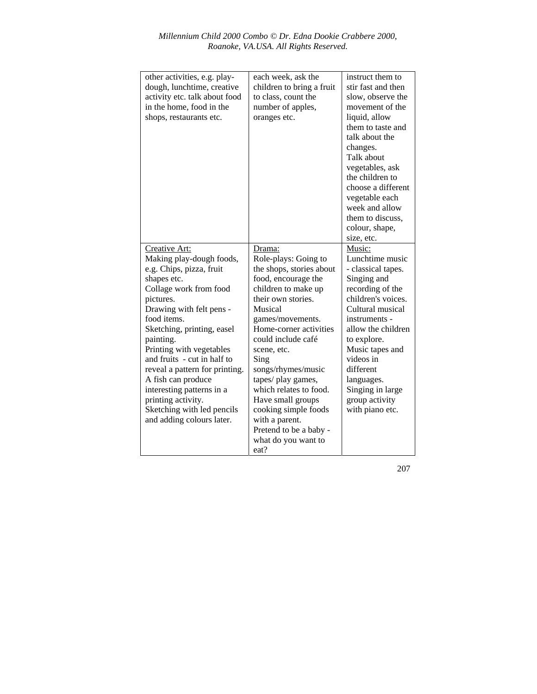| other activities, e.g. play-<br>dough, lunchtime, creative<br>activity etc. talk about food<br>in the home, food in the<br>shops, restaurants etc.                                                                                                                                                                                                                                                                                                 | each week, ask the<br>children to bring a fruit<br>to class, count the<br>number of apples,<br>oranges etc.                                                                                                                                                                                                                                                                                                                        | instruct them to<br>stir fast and then<br>slow, observe the<br>movement of the<br>liquid, allow<br>them to taste and<br>talk about the<br>changes.<br>Talk about<br>vegetables, ask<br>the children to<br>choose a different<br>vegetable each<br>week and allow<br>them to discuss.<br>colour, shape,<br>size, etc. |
|----------------------------------------------------------------------------------------------------------------------------------------------------------------------------------------------------------------------------------------------------------------------------------------------------------------------------------------------------------------------------------------------------------------------------------------------------|------------------------------------------------------------------------------------------------------------------------------------------------------------------------------------------------------------------------------------------------------------------------------------------------------------------------------------------------------------------------------------------------------------------------------------|----------------------------------------------------------------------------------------------------------------------------------------------------------------------------------------------------------------------------------------------------------------------------------------------------------------------|
| Creative Art:<br>Making play-dough foods,<br>e.g. Chips, pizza, fruit<br>shapes etc.<br>Collage work from food<br>pictures.<br>Drawing with felt pens -<br>food items.<br>Sketching, printing, easel<br>painting.<br>Printing with vegetables<br>and fruits - cut in half to<br>reveal a pattern for printing.<br>A fish can produce<br>interesting patterns in a<br>printing activity.<br>Sketching with led pencils<br>and adding colours later. | Drama:<br>Role-plays: Going to<br>the shops, stories about<br>food, encourage the<br>children to make up<br>their own stories.<br>Musical<br>games/movements.<br>Home-corner activities<br>could include café<br>scene, etc.<br>Sing<br>songs/rhymes/music<br>tapes/ play games,<br>which relates to food.<br>Have small groups<br>cooking simple foods<br>with a parent.<br>Pretend to be a baby -<br>what do you want to<br>eat? | Music:<br>Lunchtime music<br>- classical tapes.<br>Singing and<br>recording of the<br>children's voices.<br>Cultural musical<br>instruments -<br>allow the children<br>to explore.<br>Music tapes and<br>videos in<br>different<br>languages.<br>Singing in large<br>group activity<br>with piano etc.               |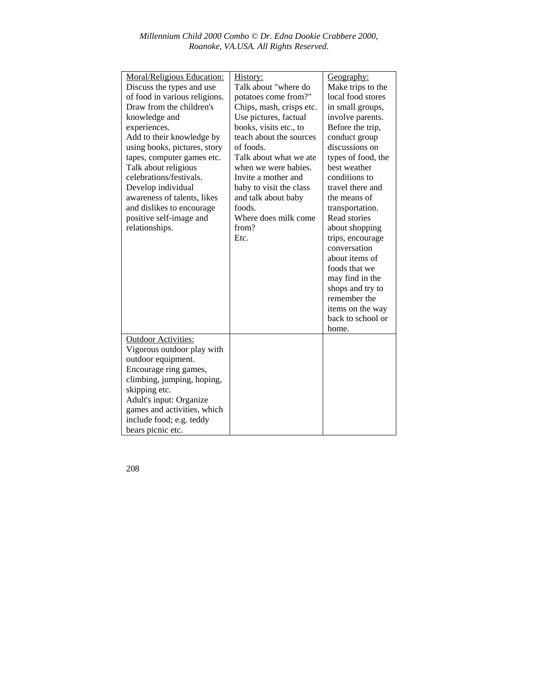| Moral/Religious Education:    | History:                 | Geography:         |
|-------------------------------|--------------------------|--------------------|
| Discuss the types and use     | Talk about "where do     | Make trips to the  |
| of food in various religions. | potatoes come from?"     | local food stores  |
| Draw from the children's      | Chips, mash, crisps etc. | in small groups,   |
| knowledge and                 | Use pictures, factual    | involve parents.   |
| experiences.                  | books, visits etc., to   | Before the trip,   |
| Add to their knowledge by     | teach about the sources  | conduct group      |
| using books, pictures, story  | of foods.                | discussions on     |
| tapes, computer games etc.    | Talk about what we ate   | types of food, the |
| Talk about religious          | when we were babies.     | best weather       |
| celebrations/festivals.       | Invite a mother and      | conditions to      |
| Develop individual            | baby to visit the class  | travel there and   |
| awareness of talents, likes   | and talk about baby      | the means of       |
| and dislikes to encourage.    | foods.                   | transportation.    |
| positive self-image and       | Where does milk come     | Read stories       |
| relationships.                | from?                    | about shopping     |
|                               | Etc.                     | trips, encourage   |
|                               |                          | conversation       |
|                               |                          | about items of     |
|                               |                          | foods that we      |
|                               |                          | may find in the    |
|                               |                          | shops and try to   |
|                               |                          | remember the       |
|                               |                          | items on the way   |
|                               |                          | back to school or  |
|                               |                          | home.              |
| <b>Outdoor Activities:</b>    |                          |                    |
| Vigorous outdoor play with    |                          |                    |
| outdoor equipment.            |                          |                    |
| Encourage ring games,         |                          |                    |
| climbing, jumping, hoping,    |                          |                    |
| skipping etc.                 |                          |                    |
| Adult's input: Organize       |                          |                    |
| games and activities, which   |                          |                    |
| include food; e.g. teddy      |                          |                    |
|                               |                          |                    |
| bears picnic etc.             |                          |                    |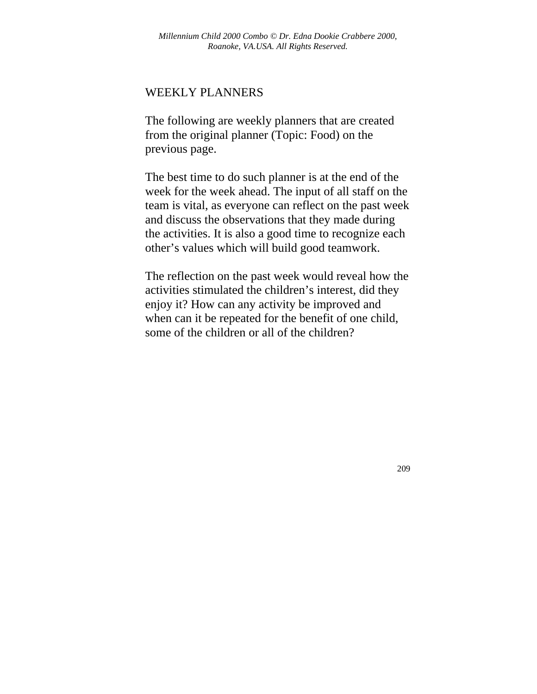#### WEEKLY PLANNERS

The following are weekly planners that are created from the original planner (Topic: Food) on the previous page.

The best time to do such planner is at the end of the week for the week ahead. The input of all staff on the team is vital, as everyone can reflect on the past week and discuss the observations that they made during the activities. It is also a good time to recognize each other's values which will build good teamwork.

The reflection on the past week would reveal how the activities stimulated the children's interest, did they enjoy it? How can any activity be improved and when can it be repeated for the benefit of one child, some of the children or all of the children?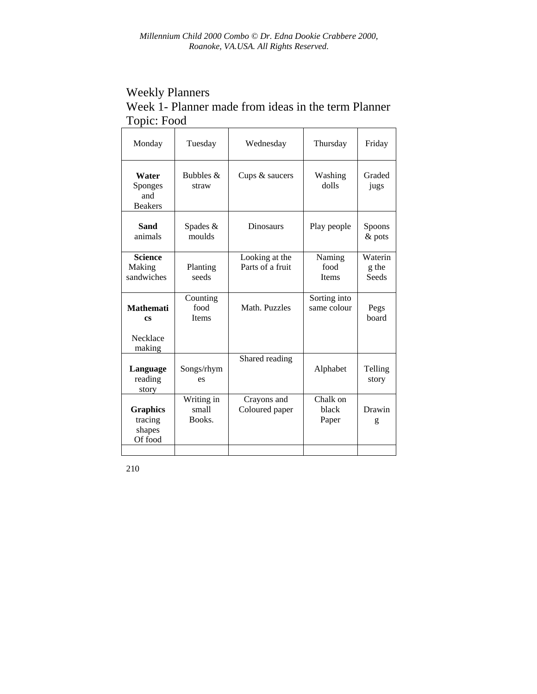# Weekly Planners Week 1- Planner made from ideas in the term Planner Topic: Food

| Monday                                          | Tuesday                          | Wednesday                          | Thursday                       | Friday                    |
|-------------------------------------------------|----------------------------------|------------------------------------|--------------------------------|---------------------------|
| Water<br>Sponges<br>and<br><b>Beakers</b>       | Bubbles &<br>straw               | Cups & saucers                     | Washing<br>dolls               | Graded<br>jugs            |
| <b>Sand</b><br>animals                          | Spades &<br>moulds               | <b>Dinosaurs</b>                   | Play people                    | Spoons<br>& pots          |
| <b>Science</b><br>Making<br>sandwiches          | Planting<br>seeds                | Looking at the<br>Parts of a fruit | Naming<br>food<br><b>Items</b> | Waterin<br>g the<br>Seeds |
| <b>Mathemati</b><br><b>CS</b><br>Necklace       | Counting<br>food<br><b>Items</b> | Math. Puzzles                      | Sorting into<br>same colour    | Pegs<br>board             |
| making<br>Language<br>reading<br>story          | Songs/rhym<br>es                 | Shared reading                     | Alphabet                       | Telling<br>story          |
| <b>Graphics</b><br>tracing<br>shapes<br>Of food | Writing in<br>small<br>Books.    | Crayons and<br>Coloured paper      | Chalk on<br>black<br>Paper     | Drawin<br>g               |
|                                                 |                                  |                                    |                                |                           |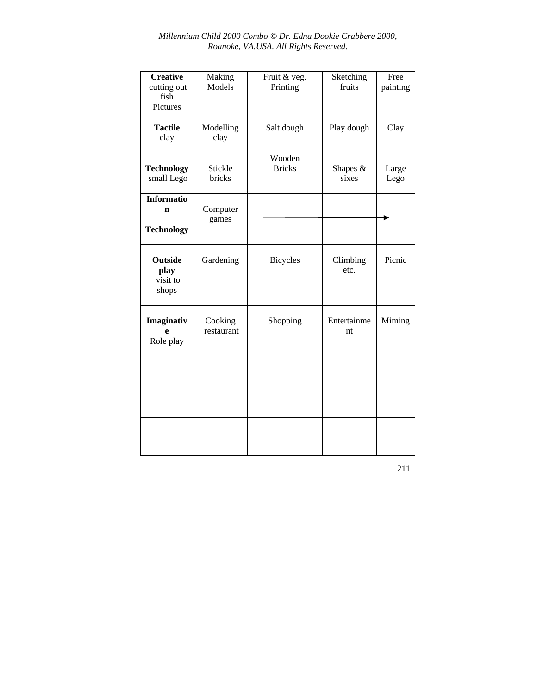| <b>Creative</b><br>cutting out<br>fish<br>Pictures    | Making<br>Models      | Fruit & veg.<br>Printing | Sketching<br>fruits | Free<br>painting |
|-------------------------------------------------------|-----------------------|--------------------------|---------------------|------------------|
| <b>Tactile</b><br>clay                                | Modelling<br>clay     | Salt dough               | Play dough          | Clay             |
| <b>Technology</b><br>small Lego                       | Stickle<br>bricks     | Wooden<br><b>Bricks</b>  | Shapes &<br>sixes   | Large<br>Lego    |
| <b>Informatio</b><br>$\mathbf n$<br><b>Technology</b> | Computer<br>games     |                          |                     |                  |
| <b>Outside</b><br>play<br>visit to<br>shops           | Gardening             | <b>Bicycles</b>          | Climbing<br>etc.    | Picnic           |
| Imaginativ<br>e<br>Role play                          | Cooking<br>restaurant | Shopping                 | Entertainme<br>nt   | Miming           |
|                                                       |                       |                          |                     |                  |
|                                                       |                       |                          |                     |                  |
|                                                       |                       |                          |                     |                  |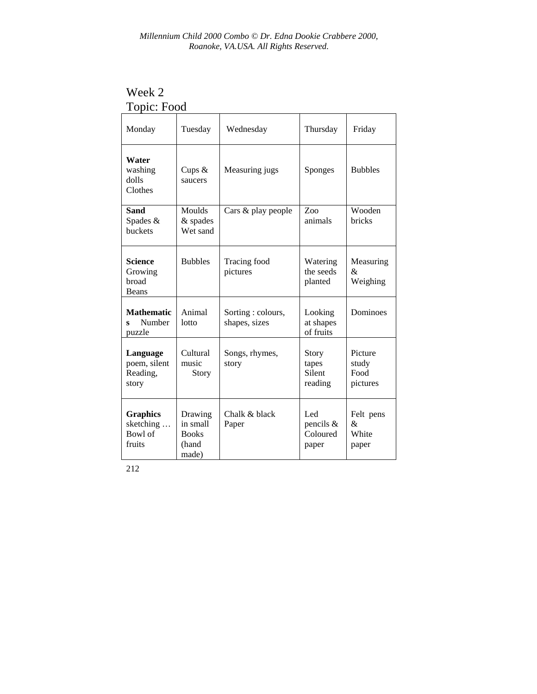| Topic: Food                                       |                                                       |                                     |                                       |                                      |
|---------------------------------------------------|-------------------------------------------------------|-------------------------------------|---------------------------------------|--------------------------------------|
| Monday                                            | Tuesday                                               | Wednesday                           | Thursday                              | Friday                               |
| Water<br>washing<br>dolls<br>Clothes              | Cups $&$<br>saucers                                   | Measuring jugs                      | <b>Sponges</b>                        | <b>Bubbles</b>                       |
| Sand<br>Spades &<br>buckets                       | Moulds<br>& spades<br>Wet sand                        | Cars & play people                  | $Z_{00}$<br>animals                   | Wooden<br><b>bricks</b>              |
| <b>Science</b><br>Growing<br>broad<br>Beans       | <b>Bubbles</b>                                        | Tracing food<br>pictures            | Watering<br>the seeds<br>planted      | Measuring<br>&<br>Weighing           |
| <b>Mathematic</b><br>Number<br>S<br>puzzle        | Animal<br>lotto                                       | Sorting : colours,<br>shapes, sizes | Looking<br>at shapes<br>of fruits     | Dominoes                             |
| Language<br>poem, silent<br>Reading,<br>story     | Cultural<br>music<br>Story                            | Songs, rhymes,<br>story             | Story<br>tapes<br>Silent<br>reading   | Picture<br>study<br>Food<br>pictures |
| <b>Graphics</b><br>sketching<br>Bowl of<br>fruits | Drawing<br>in small<br><b>Books</b><br>(hand<br>made) | Chalk & black<br>Paper              | Led<br>pencils &<br>Coloured<br>paper | Felt pens<br>&<br>White<br>paper     |

Week 2 Topic: Food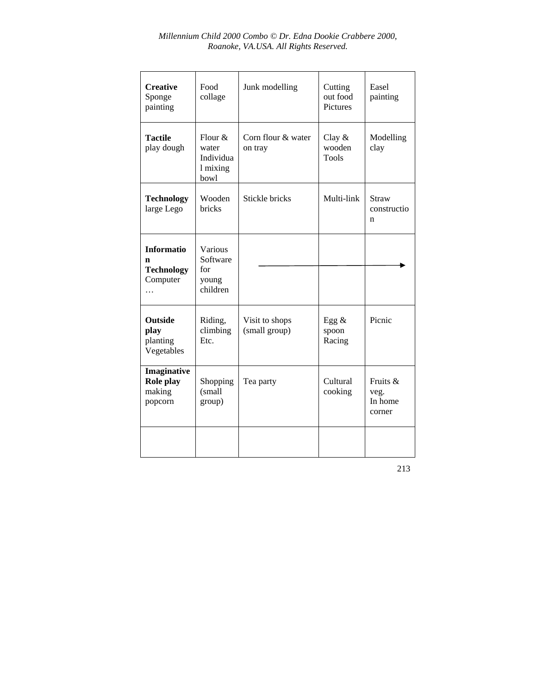| <b>Creative</b><br>Sponge<br>painting                   | Food<br>collage                                      | Junk modelling                  | Cutting<br>out food<br>Pictures    | Easel<br>painting                     |
|---------------------------------------------------------|------------------------------------------------------|---------------------------------|------------------------------------|---------------------------------------|
| <b>Tactile</b><br>play dough                            | Flour $\&$<br>water<br>Individua<br>1 mixing<br>bowl | Corn flour & water<br>on tray   | Clay $&$<br>wooden<br><b>Tools</b> | Modelling<br>clay                     |
| <b>Technology</b><br>large Lego                         | Wooden<br><b>bricks</b>                              | Stickle bricks                  | Multi-link                         | <b>Straw</b><br>constructio<br>n      |
| <b>Informatio</b><br>n<br><b>Technology</b><br>Computer | Various<br>Software<br>for<br>young<br>children      |                                 |                                    |                                       |
| <b>Outside</b><br>play<br>planting<br>Vegetables        | Riding,<br>climbing<br>Etc.                          | Visit to shops<br>(small group) | Egg $\&$<br>spoon<br>Racing        | Picnic                                |
| Imaginative<br>Role play<br>making<br>popcorn           | Shopping<br>(small<br>group)                         | Tea party                       | Cultural<br>cooking                | Fruits &<br>veg.<br>In home<br>corner |
|                                                         |                                                      |                                 |                                    |                                       |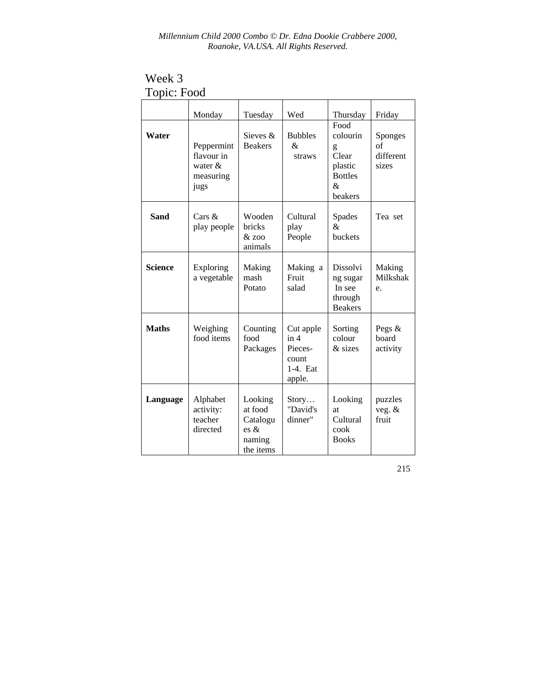Week 3 Topic: Food

|                | Monday                                                      | Tuesday                                                                  | Wed                                                           | Thursday<br>Food                                                    | Friday                              |
|----------------|-------------------------------------------------------------|--------------------------------------------------------------------------|---------------------------------------------------------------|---------------------------------------------------------------------|-------------------------------------|
| Water          | Peppermint<br>flavour in<br>water $\&$<br>measuring<br>jugs | Sieves &<br><b>Beakers</b>                                               | <b>Bubbles</b><br>&<br>straws                                 | colourin<br>g<br>Clear<br>plastic<br><b>Bottles</b><br>&<br>beakers | Sponges<br>of<br>different<br>sizes |
| <b>Sand</b>    | Cars $\&$<br>play people                                    | Wooden<br><b>bricks</b><br>$&$ 700<br>animals                            | Cultural<br>play<br>People                                    | Spades<br>&.<br>buckets                                             | Tea set                             |
| <b>Science</b> | Exploring<br>a vegetable                                    | Making<br>mash<br>Potato                                                 | Making a<br>Fruit<br>salad                                    | <b>Dissolvi</b><br>ng sugar<br>In see<br>through<br><b>Beakers</b>  | Making<br>Milkshak<br>e.            |
| <b>Maths</b>   | Weighing<br>food items                                      | Counting<br>food<br>Packages                                             | Cut apple<br>in 4<br>Pieces-<br>count<br>$1-4.$ Eat<br>apple. | Sorting<br>colour<br>& sizes                                        | Pegs $&$<br>board<br>activity       |
| Language       | Alphabet<br>activity:<br>teacher<br>directed                | Looking<br>at food<br>Catalogu<br>$\text{es } \&$<br>naming<br>the items | Story<br>"David's<br>dinner"                                  | Looking<br><b>at</b><br>Cultural<br>cook<br><b>Books</b>            | puzzles<br>veg. $&$<br>fruit        |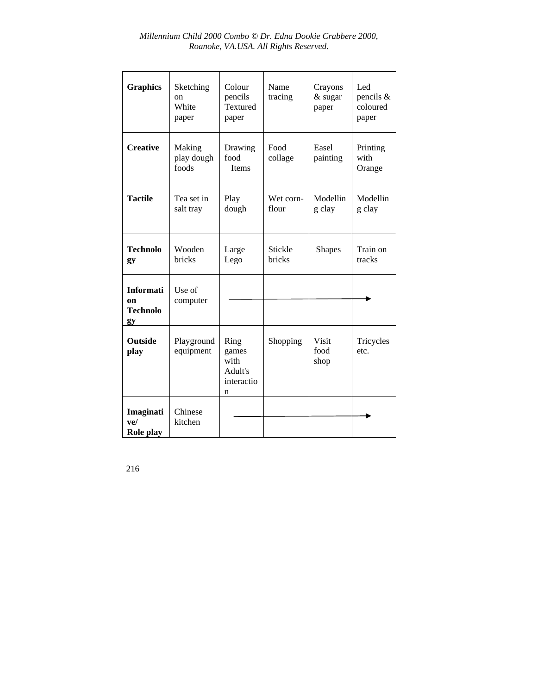| <b>Graphics</b>                                            | Sketching<br>on<br>White<br>paper | Colour<br>pencils<br>Textured<br>paper              | Name<br>tracing    | Crayons<br>& sugar<br>paper  | Led<br>pencils &<br>coloured<br>paper |
|------------------------------------------------------------|-----------------------------------|-----------------------------------------------------|--------------------|------------------------------|---------------------------------------|
| <b>Creative</b>                                            | Making<br>play dough<br>foods     | Drawing<br>food<br>Items                            | Food<br>collage    | Easel<br>painting            | Printing<br>with<br>Orange            |
| <b>Tactile</b>                                             | Tea set in<br>salt tray           | Play<br>dough                                       | Wet corn-<br>flour | Modellin<br>g clay           | Modellin<br>g clay                    |
| <b>Technolo</b><br>gy                                      | Wooden<br>bricks                  | Large<br>Lego                                       | Stickle<br>bricks  | <b>Shapes</b>                | Train on<br>tracks                    |
| <b>Informati</b><br><sub>on</sub><br><b>Technolo</b><br>gy | Use of<br>computer                |                                                     |                    |                              |                                       |
| <b>Outside</b><br>play                                     | Playground<br>equipment           | Ring<br>games<br>with<br>Adult's<br>interactio<br>n | Shopping           | <b>Visit</b><br>food<br>shop | Tricycles<br>etc.                     |
| Imaginati<br>ve/<br>Role play                              | Chinese<br>kitchen                |                                                     |                    |                              |                                       |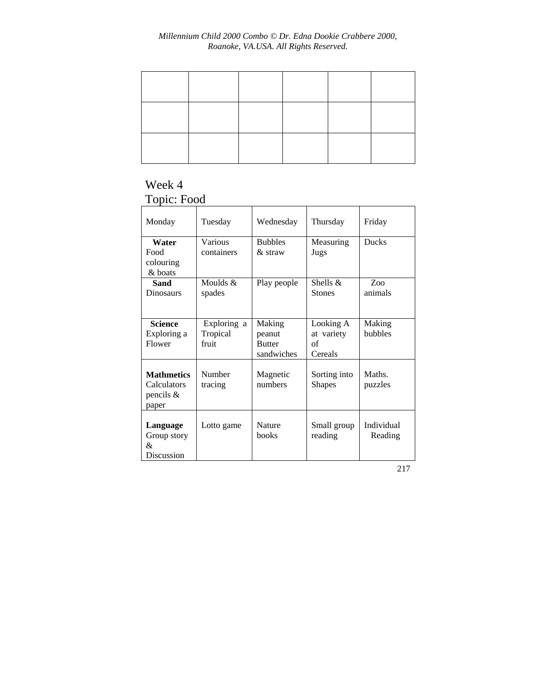## Week 4 Topic: Food

| Monday                                                   | Tuesday                          | Wednesday                                       | Thursday                                 | Friday                |
|----------------------------------------------------------|----------------------------------|-------------------------------------------------|------------------------------------------|-----------------------|
| Water<br>Food<br>colouring<br>& boats                    | Various<br>containers            | <b>Bubbles</b><br>$\&$ straw                    | Measuring<br>Jugs                        | <b>Ducks</b>          |
| Sand<br>Dinosaurs                                        | Moulds $\&$<br>spades            | Play people                                     | Shells $&$<br><b>Stones</b>              | $Z_{00}$<br>animals   |
| <b>Science</b><br>Exploring a<br>Flower                  | Exploring a<br>Tropical<br>fruit | Making<br>peanut<br><b>Butter</b><br>sandwiches | Looking A<br>at variety<br>of<br>Cereals | Making<br>bubbles     |
| <b>Mathmetics</b><br>Calculators<br>pencils $&$<br>paper | Number<br>tracing                | Magnetic<br>numbers                             | Sorting into<br><b>Shapes</b>            | Maths.<br>puzzles     |
| Language<br>Group story<br>&<br>Discussion               | Lotto game                       | Nature<br>books                                 | Small group<br>reading                   | Individual<br>Reading |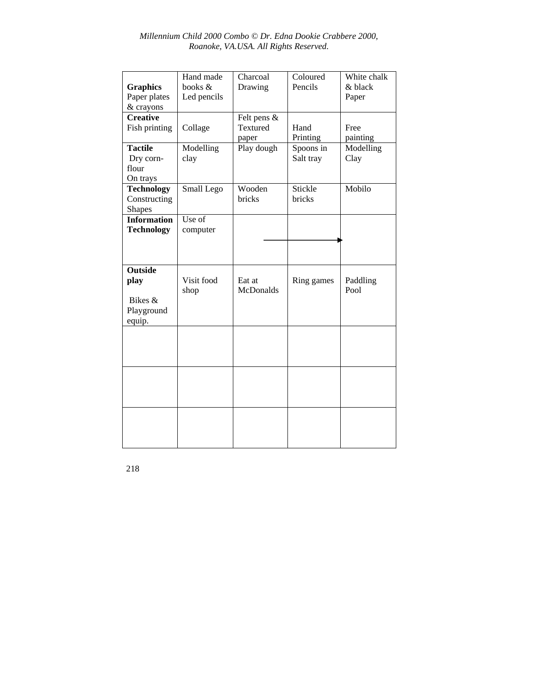| <b>Graphics</b><br>Paper plates<br>& crayons              | Hand made<br>books &<br>Led pencils | Charcoal<br>Drawing                 | Coloured<br>Pencils    | White chalk<br>& black<br>Paper |
|-----------------------------------------------------------|-------------------------------------|-------------------------------------|------------------------|---------------------------------|
| <b>Creative</b><br>Fish printing                          | Collage                             | Felt pens $\&$<br>Textured<br>paper | Hand<br>Printing       | Free<br>painting                |
| <b>Tactile</b><br>Dry corn-<br>flour<br>On trays          | Modelling<br>clay                   | Play dough                          | Spoons in<br>Salt tray | Modelling<br>Clay               |
| <b>Technology</b><br>Constructing<br><b>Shapes</b>        | Small Lego                          | Wooden<br>bricks                    | Stickle<br>bricks      | Mobilo                          |
| <b>Information</b><br><b>Technology</b>                   | Use of<br>computer                  |                                     |                        |                                 |
| <b>Outside</b><br>play<br>Bikes &<br>Playground<br>equip. | Visit food<br>shop                  | Eat at<br><b>McDonalds</b>          | Ring games             | Paddling<br>Pool                |
|                                                           |                                     |                                     |                        |                                 |
|                                                           |                                     |                                     |                        |                                 |
|                                                           |                                     |                                     |                        |                                 |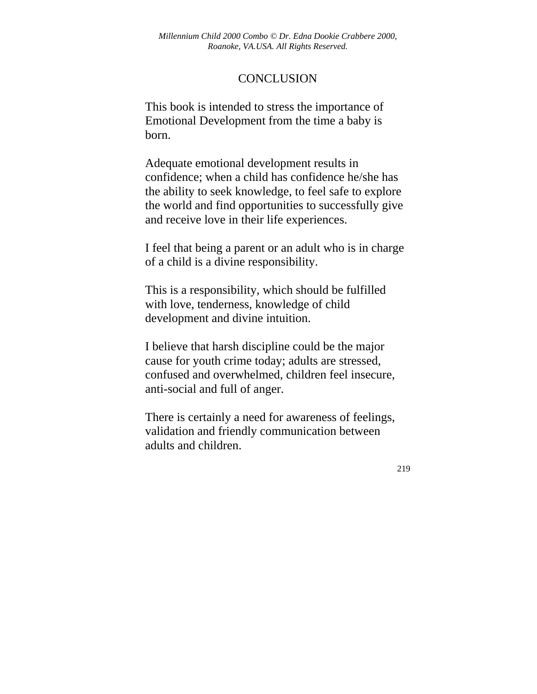## **CONCLUSION**

This book is intended to stress the importance of Emotional Development from the time a baby is born.

Adequate emotional development results in confidence; when a child has confidence he/she has the ability to seek knowledge, to feel safe to explore the world and find opportunities to successfully give and receive love in their life experiences.

I feel that being a parent or an adult who is in charge of a child is a divine responsibility.

This is a responsibility, which should be fulfilled with love, tenderness, knowledge of child development and divine intuition.

I believe that harsh discipline could be the major cause for youth crime today; adults are stressed, confused and overwhelmed, children feel insecure, anti-social and full of anger.

There is certainly a need for awareness of feelings, validation and friendly communication between adults and children.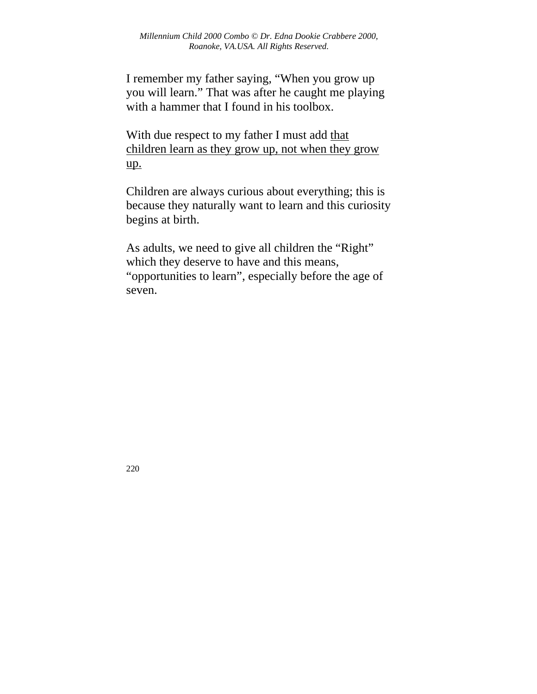I remember my father saying, "When you grow up you will learn." That was after he caught me playing with a hammer that I found in his toolbox.

With due respect to my father I must add that children learn as they grow up, not when they grow up.

Children are always curious about everything; this is because they naturally want to learn and this curiosity begins at birth.

As adults, we need to give all children the "Right" which they deserve to have and this means, "opportunities to learn", especially before the age of seven.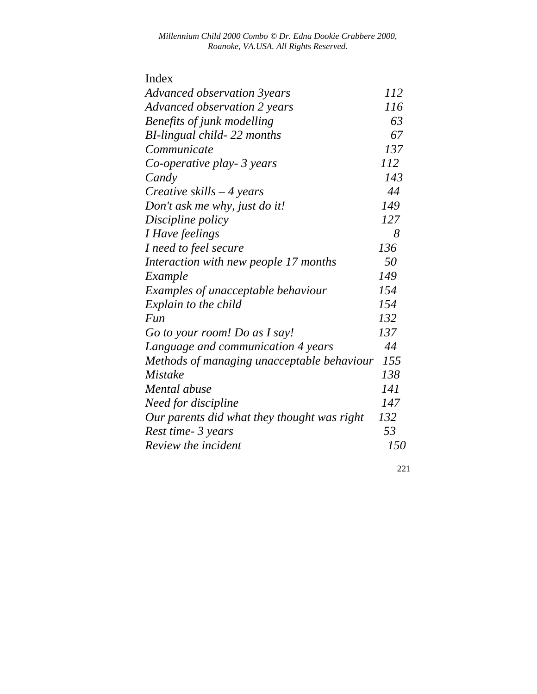| Index                                       |     |
|---------------------------------------------|-----|
| Advanced observation 3years                 | 112 |
| Advanced observation 2 years                | 116 |
| Benefits of junk modelling                  | 63  |
| BI-lingual child-22 months                  | 67  |
| Communicate                                 | 137 |
| Co-operative play- 3 years                  | 112 |
| Candy                                       | 143 |
| Creative skills $-4$ years                  | 44  |
| Don't ask me why, just do it!               | 149 |
| Discipline policy                           | 127 |
| I Have feelings                             | 8   |
| I need to feel secure                       | 136 |
| Interaction with new people 17 months       | 50  |
| Example                                     | 149 |
| Examples of unacceptable behaviour          | 154 |
| Explain to the child                        | 154 |
| Fun                                         | 132 |
| Go to your room! Do as I say!               | 137 |
| Language and communication 4 years          | 44  |
| Methods of managing unacceptable behaviour  | 155 |
| <b>Mistake</b>                              | 138 |
| Mental abuse                                | 141 |
| Need for discipline                         | 147 |
| Our parents did what they thought was right | 132 |
| Rest time- 3 years                          | 53  |
| Review the incident                         | 150 |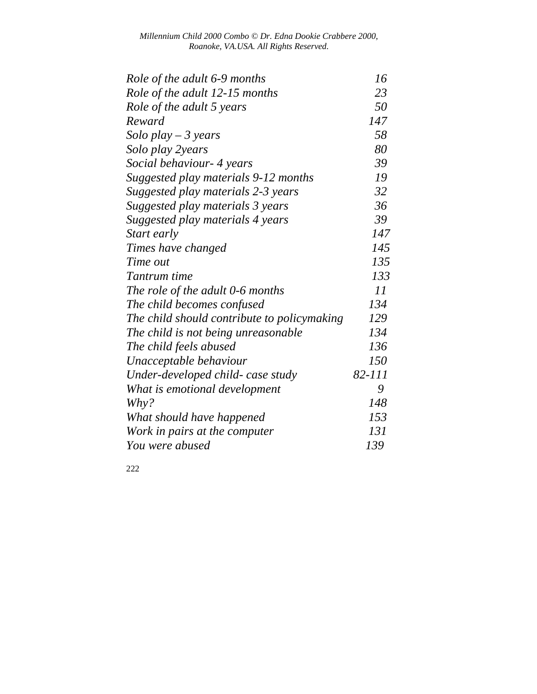| Role of the adult 6-9 months                | 16     |
|---------------------------------------------|--------|
| Role of the adult 12-15 months              | 23     |
| Role of the adult 5 years                   | 50     |
| Reward                                      | 147    |
| Solo play $-3$ years                        | 58     |
| Solo play 2years                            | 80     |
| Social behaviour- 4 years                   | 39     |
| Suggested play materials 9-12 months        | 19     |
| Suggested play materials 2-3 years          | 32     |
| Suggested play materials 3 years            | 36     |
| Suggested play materials 4 years            | 39     |
| Start early                                 | 147    |
| Times have changed                          | 145    |
| Time out                                    | 135    |
| Tantrum time                                | 133    |
| The role of the adult 0-6 months            | 11     |
| The child becomes confused                  | 134    |
| The child should contribute to policymaking | 129    |
| The child is not being unreasonable         | 134    |
| The child feels abused                      | 136    |
| Unacceptable behaviour                      | 150    |
| Under-developed child- case study           | 82-111 |
| What is emotional development               | 9      |
| Why?                                        | 148    |
| What should have happened                   | 153    |
| Work in pairs at the computer               | 131    |
| You were abused                             | 139    |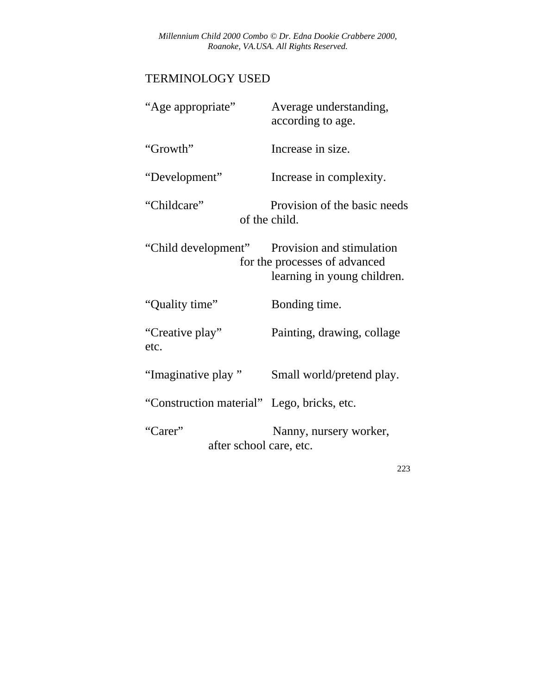## TERMINOLOGY USED

| "Age appropriate"                          | Average understanding,<br>according to age.                                               |
|--------------------------------------------|-------------------------------------------------------------------------------------------|
| "Growth"                                   | Increase in size.                                                                         |
| "Development"                              | Increase in complexity.                                                                   |
| "Childcare"                                | Provision of the basic needs<br>of the child.                                             |
| "Child development"                        | Provision and stimulation<br>for the processes of advanced<br>learning in young children. |
| "Quality time"                             | Bonding time.                                                                             |
| "Creative play"<br>etc.                    | Painting, drawing, collage                                                                |
| "Imaginative play"                         | Small world/pretend play.                                                                 |
| "Construction material" Lego, bricks, etc. |                                                                                           |
| "Carer"<br>after school care, etc.         | Nanny, nursery worker,                                                                    |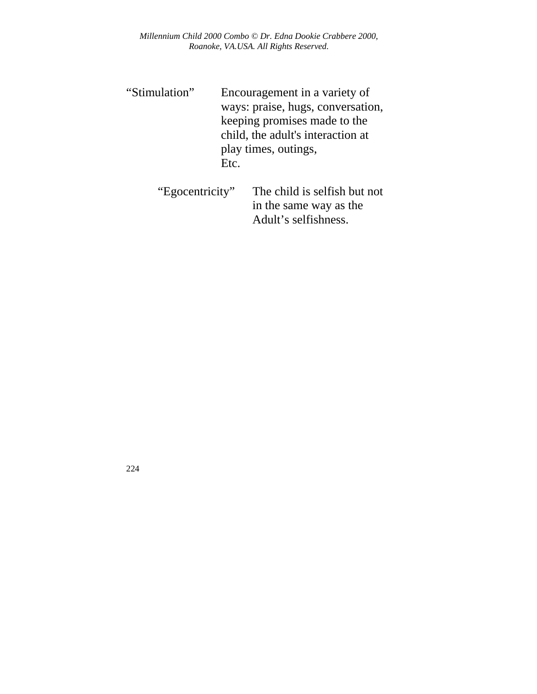- "Stimulation" Encouragement in a variety of ways: praise, hugs, conversation, keeping promises made to the child, the adult's interaction at play times, outings, Etc.
	- "Egocentricity" The child is selfish but not in the same way as the Adult's selfishness.